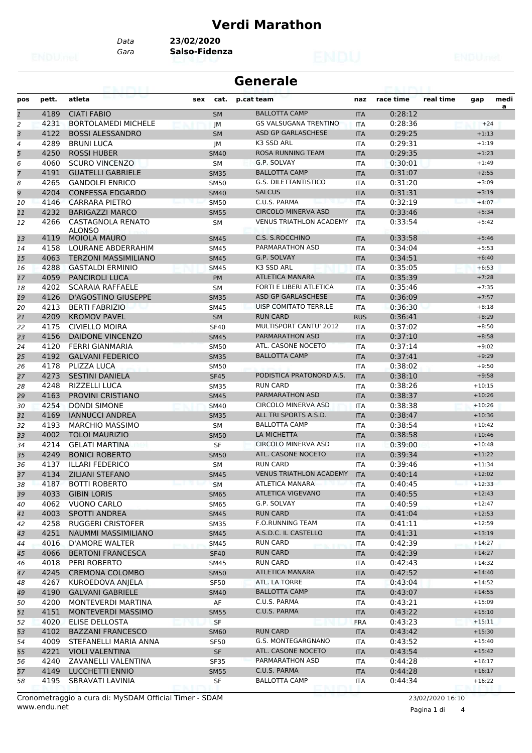#### **Verdi Marathon**

*Data* **23/02/2020**

*Gara* **Salso-Fidenza**

|              |       | 69. I PY I. I                             |             | <b>Generale</b>                |            |           |           |          |      |
|--------------|-------|-------------------------------------------|-------------|--------------------------------|------------|-----------|-----------|----------|------|
| pos          | pett. | atleta                                    | sex<br>cat. | p.cat team                     | naz        | race time | real time | gap      | medi |
| $\mathbf{1}$ | 4189  | <b>CIATI FABIO</b>                        | <b>SM</b>   | <b>BALLOTTA CAMP</b>           | <b>ITA</b> | 0:28:12   |           |          | a    |
| 2            | 4231  | <b>BORTOLAMEDI MICHELE</b>                | JМ          | <b>GS VALSUGANA TRENTINO</b>   | <b>ITA</b> | 0:28:36   |           | $+24$    |      |
| 3            | 4122  | <b>BOSSI ALESSANDRO</b>                   | <b>SM</b>   | ASD GP GARLASCHESE             | <b>ITA</b> | 0:29:25   |           | $+1:13$  |      |
| 4            | 4289  | <b>BRUNI LUCA</b>                         | JM          | K3 SSD ARL                     | <b>ITA</b> | 0:29:31   |           | $+1:19$  |      |
| 5            | 4250  | <b>ROSSI HUBER</b>                        | <b>SM40</b> | <b>ROSA RUNNING TEAM</b>       | <b>ITA</b> | 0:29:35   |           | $+1:23$  |      |
| 6            | 4060  | <b>SCURO VINCENZO</b>                     | <b>SM</b>   | G.P. SOLVAY                    | ITA        | 0:30:01   |           | $+1:49$  |      |
| 7            | 4191  | <b>GUATELLI GABRIELE</b>                  | <b>SM35</b> | <b>BALLOTTA CAMP</b>           | <b>ITA</b> | 0:31:07   |           | $+2:55$  |      |
| 8            | 4265  | <b>GANDOLFI ENRICO</b>                    | <b>SM50</b> | <b>G.S. DILETTANTISTICO</b>    | <b>ITA</b> | 0:31:20   |           | $+3:09$  |      |
| 9            | 4204  | <b>CONFESSA EDGARDO</b>                   | <b>SM40</b> | <b>SALCUS</b>                  | <b>ITA</b> | 0:31:31   |           | $+3:19$  |      |
| 10           | 4146  | <b>CARRARA PIETRO</b>                     | <b>SM50</b> | C.U.S. PARMA                   | <b>ITA</b> | 0:32:19   |           | $+4:07$  |      |
| 11           | 4232  | <b>BARIGAZZI MARCO</b>                    | <b>SM55</b> | <b>CIRCOLO MINERVA ASD</b>     | <b>ITA</b> | 0:33:46   |           | $+5:34$  |      |
| 12           | 4266  | <b>CASTAGNOLA RENATO</b><br><b>ALONSO</b> | <b>SM</b>   | <b>VENUS TRIATHLON ACADEMY</b> | <b>ITA</b> | 0:33:54   |           | $+5:42$  |      |
| 13           | 4119  | <b>MOIOLA MAURO</b>                       | <b>SM45</b> | C.S. S.ROCCHINO                | <b>ITA</b> | 0:33:58   |           | $+5:46$  |      |
| 14           | 4158  | LOURANE ABDERRAHIM                        | <b>SM45</b> | PARMARATHON ASD                | <b>ITA</b> | 0:34:04   |           | $+5:53$  |      |
| 15           | 4063  | <b>TERZONI MASSIMILIANO</b>               | <b>SM45</b> | G.P. SOLVAY                    | <b>ITA</b> | 0:34:51   |           | $+6:40$  |      |
| 16           | 4288  | <b>GASTALDI ERMINIO</b>                   | <b>SM45</b> | K3 SSD ARL                     | <b>ITA</b> | 0:35:05   |           | $+6:53$  |      |
| 17           | 4059  | <b>PANCIROLI LUCA</b>                     | <b>PM</b>   | <b>ATLETICA MANARA</b>         | <b>ITA</b> | 0:35:39   |           | $+7:28$  |      |
| 18           | 4202  | SCARAIA RAFFAELE                          | <b>SM</b>   | FORTI E LIBERI ATLETICA        | <b>ITA</b> | 0:35:46   |           | $+7:35$  |      |
| 19           | 4126  | D'AGOSTINO GIUSEPPE                       | <b>SM35</b> | ASD GP GARLASCHESE             | <b>ITA</b> | 0:36:09   |           | $+7:57$  |      |
| 20           | 4213  | <b>BERTI FABRIZIO</b>                     | <b>SM45</b> | <b>UISP COMITATO TERR.LE</b>   | ITA        | 0:36:30   |           | $+8:18$  |      |
| 21           | 4209  | <b>KROMOV PAVEL</b>                       | <b>SM</b>   | <b>RUN CARD</b>                | <b>RUS</b> | 0:36:41   |           | $+8:29$  |      |
| 22           | 4175  | <b>CIVIELLO MOIRA</b>                     |             | MULTISPORT CANTU' 2012         |            | 0:37:02   |           | $+8:50$  |      |
|              | 4156  | <b>DAIDONE VINCENZO</b>                   | <b>SF40</b> | PARMARATHON ASD                | ITA        | 0:37:10   |           | $+8:58$  |      |
| 23           | 4120  | <b>FERRI GIANMARIA</b>                    | <b>SM45</b> | ATL. CASONE NOCETO             | <b>ITA</b> | 0:37:14   |           | $+9:02$  |      |
| 24           |       |                                           | <b>SM50</b> | <b>BALLOTTA CAMP</b>           | <b>ITA</b> |           |           |          |      |
| 25           | 4192  | <b>GALVANI FEDERICO</b>                   | <b>SM35</b> |                                | <b>ITA</b> | 0:37:41   |           | $+9:29$  |      |
| 26           | 4178  | PLIZZA LUCA                               | <b>SM50</b> |                                | <b>ITA</b> | 0:38:02   |           | $+9:50$  |      |
| 27           | 4273  | <b>SESTINI DANIELA</b>                    | <b>SF45</b> | PODISTICA PRATONORD A.S.       | <b>ITA</b> | 0:38:10   |           | $+9:58$  |      |
| 28           | 4248  | <b>RIZZELLI LUCA</b>                      | <b>SM35</b> | <b>RUN CARD</b>                | ITA        | 0:38:26   |           | $+10:15$ |      |
| 29           | 4163  | PROVINI CRISTIANO                         | <b>SM45</b> | <b>PARMARATHON ASD</b>         | <b>ITA</b> | 0:38:37   |           | $+10:26$ |      |
| 30           | 4254  | <b>DONDI SIMONE</b>                       | <b>SM40</b> | <b>CIRCOLO MINERVA ASD</b>     | <b>ITA</b> | 0:38:38   |           | $+10:26$ |      |
| 31           | 4169  | <b>IANNUCCI ANDREA</b>                    | <b>SM35</b> | ALL TRI SPORTS A.S.D.          | <b>ITA</b> | 0:38:47   |           | $+10:36$ |      |
| 32           | 4193  | <b>MARCHIO MASSIMO</b>                    | SM          | <b>BALLOTTA CAMP</b>           | <b>ITA</b> | 0:38:54   |           | $+10:42$ |      |
| 33           | 4002  | <b>TOLOI MAURIZIO</b>                     | <b>SM50</b> | LA MICHETTA                    | <b>ITA</b> | 0:38:58   |           | $+10:46$ |      |
| 34           | 4214  | <b>GELATI MARTINA</b>                     | SF          | <b>CIRCOLO MINERVA ASD</b>     | <b>ITA</b> | 0:39:00   |           | $+10:48$ |      |
| 35           | 4249  | <b>BONICI ROBERTO</b>                     | <b>SM50</b> | ATL. CASONE NOCETO             | <b>ITA</b> | 0:39:34   |           | $+11:22$ |      |
| 36           | 4137  | <b>ILLARI FEDERICO</b>                    | SM          | <b>RUN CARD</b>                | <b>ITA</b> | 0:39:46   |           | $+11:34$ |      |
| 37           | 4134  | <b>ZILIANI STEFANO</b>                    | <b>SM45</b> | <b>VENUS TRIATHLON ACADEMY</b> | <b>ITA</b> | 0:40:14   |           | $+12:02$ |      |
| 38           | 4187  | <b>BOTTI ROBERTO</b>                      | <b>SM</b>   | ATLETICA MANARA                | ITA        | 0:40:45   |           | $+12:33$ |      |
| 39           | 4033  | <b>GIBIN LORIS</b>                        | <b>SM65</b> | <b>ATLETICA VIGEVANO</b>       | <b>ITA</b> | 0:40:55   |           | $+12:43$ |      |
| 40           | 4062  | <b>VUONO CARLO</b>                        | <b>SM65</b> | G.P. SOLVAY                    | ITA        | 0:40:59   |           | $+12:47$ |      |
| 41           | 4003  | SPOTTI ANDREA                             | <b>SM45</b> | <b>RUN CARD</b>                | <b>ITA</b> | 0:41:04   |           | $+12:53$ |      |
| 42           | 4258  | <b>RUGGERI CRISTOFER</b>                  | <b>SM35</b> | <b>F.O.RUNNING TEAM</b>        | ITA        | 0:41:11   |           | $+12:59$ |      |
| 43           | 4251  | NAUMMI MASSIMILIANO                       | <b>SM45</b> | A.S.D.C. IL CASTELLO           | <b>ITA</b> | 0:41:31   |           | $+13:19$ |      |
| 44           | 4016  | <b>D'AMORE WALTER</b>                     | <b>SM45</b> | RUN CARD                       | <b>ITA</b> | 0:42:39   |           | $+14:27$ |      |
| 45           | 4066  | <b>BERTONI FRANCESCA</b>                  | <b>SF40</b> | <b>RUN CARD</b>                | <b>ITA</b> | 0:42:39   |           | $+14:27$ |      |
| 46           | 4018  | PERI ROBERTO                              | SM45        | <b>RUN CARD</b>                | ITA        | 0:42:43   |           | $+14:32$ |      |
| 47           | 4245  | <b>CREMONA COLOMBO</b>                    | <b>SM50</b> | ATLETICA MANARA                | <b>ITA</b> | 0:42:52   |           | $+14:40$ |      |
| 48           | 4267  | KUROEDOVA ANJELA                          | <b>SF50</b> | ATL. LA TORRE                  | ITA        | 0:43:04   |           | $+14:52$ |      |
| 49           | 4190  | <b>GALVANI GABRIELE</b>                   | <b>SM40</b> | <b>BALLOTTA CAMP</b>           | <b>ITA</b> | 0:43:07   |           | $+14:55$ |      |
| 50           | 4200  | MONTEVERDI MARTINA                        | AF          | C.U.S. PARMA                   | ITA        | 0:43:21   |           | $+15:09$ |      |
| 51           | 4151  | MONTEVERDI MASSIMO                        | <b>SM55</b> | C.U.S. PARMA                   | <b>ITA</b> | 0:43:22   |           | $+15:10$ |      |
| 52           | 4020  | ELISE DELLOSTA                            | <b>SF</b>   |                                | <b>FRA</b> | 0:43:23   |           | $+15:11$ |      |
| 53           | 4102  | <b>BAZZANI FRANCESCO</b>                  | <b>SM60</b> | <b>RUN CARD</b>                | <b>ITA</b> | 0:43:42   |           | $+15:30$ |      |
| 54           | 4009  | STEFANELLI MARIA ANNA                     | <b>SF50</b> | G.S. MONTEGARGNANO             | ITA        | 0:43:52   |           | $+15:40$ |      |
| 55           | 4221  | <b>VIOLI VALENTINA</b>                    | SF          | ATL. CASONE NOCETO             | <b>ITA</b> | 0:43:54   |           | $+15:42$ |      |
| 56           | 4240  | ZAVANELLI VALENTINA                       | <b>SF35</b> | PARMARATHON ASD                | ITA        | 0:44:28   |           | $+16:17$ |      |
| 57           | 4149  | LUCCHETTI ENNIO                           | <b>SM55</b> | C.U.S. PARMA                   | <b>ITA</b> | 0:44:28   |           | $+16:17$ |      |
| 58           | 4195  | SBRAVATI LAVINIA                          | SF          | <b>BALLOTTA CAMP</b>           | ITA        | 0:44:34   |           | $+16:22$ |      |
|              |       |                                           |             |                                |            |           |           |          |      |

www.endu.net Cronometraggio a cura di: MySDAM Official Timer - SDAM 23/02/2020 16:10

Pagina 1 di 4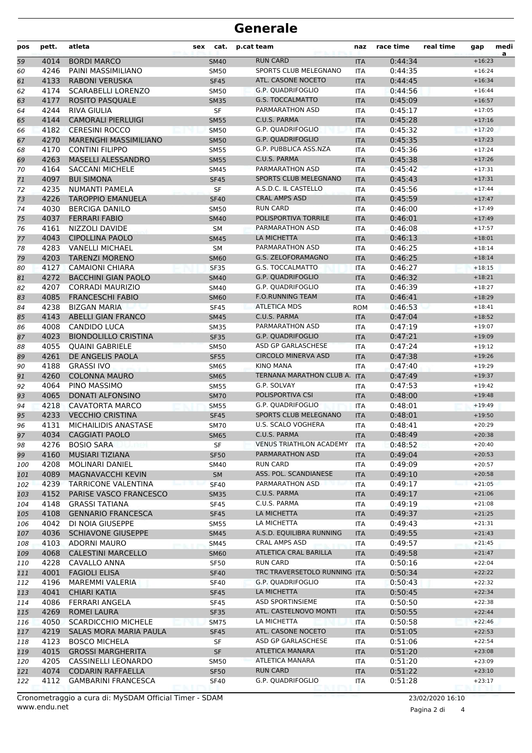| pos        | pett.        | atleta                                           | sex | cat.                       | p.cat team                                       | naz                      | race time          | real time | gap                  | medi<br>a |
|------------|--------------|--------------------------------------------------|-----|----------------------------|--------------------------------------------------|--------------------------|--------------------|-----------|----------------------|-----------|
| 59         | 4014         | <b>BORDI MARCO</b>                               |     | <b>SM40</b>                | <b>RUN CARD</b>                                  | <b>ITA</b>               | 0:44:34            |           | $+16:23$             |           |
| 60         | 4246         | PAINI MASSIMILIANO                               |     | SM50                       | SPORTS CLUB MELEGNANO                            | <b>ITA</b>               | 0:44:35            |           | $+16:24$             |           |
| 61         | 4133         | <b>RABONI VERUSKA</b>                            |     | <b>SF45</b>                | ATL. CASONE NOCETO                               | <b>ITA</b>               | 0:44:45            |           | $+16:34$             |           |
| 62         | 4174         | <b>SCARABELLI LORENZO</b>                        |     | <b>SM50</b>                | <b>G.P. QUADRIFOGLIO</b>                         | <b>ITA</b>               | 0:44:56            |           | $+16:44$             |           |
| 63         | 4177         | <b>ROSITO PASQUALE</b>                           |     | <b>SM35</b>                | <b>G.S. TOCCALMATTO</b>                          | <b>ITA</b>               | 0:45:09            |           | $+16:57$             |           |
| 64         | 4244         | RIVA GIULIA                                      |     | <b>SF</b>                  | PARMARATHON ASD                                  | <b>ITA</b>               | 0:45:17            |           | $+17:05$             |           |
| 65         | 4144         | <b>CAMORALI PIERLUIGI</b>                        |     | <b>SM55</b>                | C.U.S. PARMA                                     | <b>ITA</b>               | 0:45:28            |           | $+17:16$             |           |
| 66         | 4182         | <b>CERESINI ROCCO</b>                            |     | <b>SM50</b>                | G.P. QUADRIFOGLIO                                | <b>ITA</b>               | 0:45:32            |           | $+17:20$             |           |
| 67         | 4270         | MARENGHI MASSIMILIANO                            |     | <b>SM50</b>                | <b>G.P. QUADRIFOGLIO</b>                         | <b>ITA</b>               | 0:45:35            |           | $+17:23$             |           |
| 68         | 4170         | <b>CONTINI FILIPPO</b>                           |     | <b>SM55</b>                | G.P. PUBBLICA ASS.NZA                            | <b>ITA</b>               | 0:45:36            |           | $+17:24$             |           |
| 69         | 4263         | <b>MASELLI ALESSANDRO</b>                        |     | <b>SM55</b>                | C.U.S. PARMA                                     | <b>ITA</b>               | 0:45:38            |           | $+17:26$             |           |
| 70         | 4164         | <b>SACCANI MICHELE</b>                           |     | <b>SM45</b>                | PARMARATHON ASD                                  | <b>ITA</b>               | 0:45:42            |           | $+17:31$             |           |
| 71         | 4097         | <b>BUI SIMONA</b>                                |     | <b>SF45</b>                | SPORTS CLUB MELEGNANO<br>A.S.D.C. IL CASTELLO    | <b>ITA</b>               | 0:45:43            |           | $+17:31$             |           |
| 72         | 4235         | NUMANTI PAMELA                                   |     | SF                         | <b>CRAL AMPS ASD</b>                             | <b>ITA</b>               | 0:45:56            |           | $+17:44$             |           |
| 73         | 4226         | <b>TAROPPIO EMANUELA</b>                         |     | <b>SF40</b>                | <b>RUN CARD</b>                                  | <b>ITA</b>               | 0:45:59            |           | $+17:47$<br>$+17:49$ |           |
| 74         | 4030         | <b>BERCIGA DANILO</b>                            |     | <b>SM50</b>                | POLISPORTIVA TORRILE                             | <b>ITA</b>               | 0:46:00            |           |                      |           |
| 75         | 4037<br>4161 | <b>FERRARI FABIO</b>                             |     | <b>SM40</b>                | PARMARATHON ASD                                  | <b>ITA</b>               | 0:46:01            |           | $+17:49$<br>$+17:57$ |           |
| 76         | 4043         | NIZZOLI DAVIDE<br><b>CIPOLLINA PAOLO</b>         |     | <b>SM</b>                  | LA MICHETTA                                      | <b>ITA</b>               | 0:46:08            |           | $+18:01$             |           |
| 77         | 4283         | <b>VANELLI MICHAEL</b>                           |     | <b>SM45</b><br><b>SM</b>   | PARMARATHON ASD                                  | <b>ITA</b><br><b>ITA</b> | 0:46:13<br>0:46:25 |           | $+18:14$             |           |
| 78         | 4203         | <b>TARENZI MORENO</b>                            |     |                            | <b>G.S. ZELOFORAMAGNO</b>                        | <b>ITA</b>               | 0:46:25            |           | $+18:14$             |           |
| 79         | 4127         | <b>CAMAIONI CHIARA</b>                           |     | <b>SM60</b>                | <b>G.S. TOCCALMATTO</b>                          | <b>ITA</b>               | 0:46:27            |           | $+18:15$             |           |
| 80<br>81   | 4272         | <b>BACCHINI GIAN PAOLO</b>                       |     | <b>SF35</b><br><b>SM40</b> | <b>G.P. QUADRIFOGLIO</b>                         | <b>ITA</b>               | 0:46:32            |           | $+18:21$             |           |
| 82         | 4207         | <b>CORRADI MAURIZIO</b>                          |     | SM40                       | <b>G.P. QUADRIFOGLIO</b>                         | <b>ITA</b>               | 0:46:39            |           | $+18:27$             |           |
| 83         | 4085         | <b>FRANCESCHI FABIO</b>                          |     | <b>SM60</b>                | <b>F.O.RUNNING TEAM</b>                          | <b>ITA</b>               | 0:46:41            |           | $+18:29$             |           |
| 84         | 4238         | <b>BIZGAN MARIA</b>                              |     | <b>SF45</b>                | <b>ATLETICA MDS</b>                              | <b>ROM</b>               | 0:46:53            |           | $+18:41$             |           |
| 85         | 4143         | ABELLI GIAN FRANCO                               |     | <b>SM45</b>                | C.U.S. PARMA                                     | <b>ITA</b>               | 0:47:04            |           | $+18:52$             |           |
| 86         | 4008         | <b>CANDIDO LUCA</b>                              |     | <b>SM35</b>                | PARMARATHON ASD                                  | <b>ITA</b>               | 0:47:19            |           | $+19:07$             |           |
| 87         | 4023         | <b>BIONDOLILLO CRISTINA</b>                      |     | <b>SF35</b>                | <b>G.P. QUADRIFOGLIO</b>                         | <b>ITA</b>               | 0:47:21            |           | $+19:09$             |           |
| 88         | 4055         | <b>QUAINI GABRIELE</b>                           |     | <b>SM50</b>                | ASD GP GARLASCHESE                               | <b>ITA</b>               | 0:47:24            |           | $+19:12$             |           |
| 89         | 4261         | DE ANGELIS PAOLA                                 |     | <b>SF55</b>                | <b>CIRCOLO MINERVA ASD</b>                       | <b>ITA</b>               | 0:47:38            |           | $+19:26$             |           |
| 90         | 4188         | <b>GRASSI IVO</b>                                |     | <b>SM65</b>                | <b>KINO MANA</b>                                 | <b>ITA</b>               | 0:47:40            |           | $+19:29$             |           |
| 91         | 4260         | <b>COLONNA MAURO</b>                             |     | <b>SM65</b>                | TERNANA MARATHON CLUB A.                         | <b>ITA</b>               | 0:47:49            |           | $+19:37$             |           |
| 92         | 4064         | PINO MASSIMO                                     |     | <b>SM55</b>                | G.P. SOLVAY                                      | ITA                      | 0:47:53            |           | $+19:42$             |           |
| 93         | 4065         | DONATI ALFONSINO                                 |     | <b>SM70</b>                | POLISPORTIVA CSI                                 | <b>ITA</b>               | 0:48:00            |           | $+19:48$             |           |
| 94         | 4218         | <b>CAVATORTA MARCO</b>                           |     | <b>SM55</b>                | G.P. QUADRIFOGLIO                                | <b>ITA</b>               | 0:48:01            |           | $+19:49$             |           |
| 95         | 4233         | <b>VECCHIO CRISTINA</b>                          |     | <b>SF45</b>                | SPORTS CLUB MELEGNANO                            | <b>ITA</b>               | 0:48:01            |           | $+19:50$             |           |
| 96         | 4131         | MICHAILIDIS ANASTASE                             |     | <b>SM70</b>                | U.S. SCALO VOGHERA                               | ITA                      | 0:48:41            |           | $+20:29$             |           |
| 97         | 4034         | <b>CAGGIATI PAOLO</b>                            |     | <b>SM65</b>                | C.U.S. PARMA                                     | <b>ITA</b>               | 0:48:49            |           | $+20:38$             |           |
| 98         | 4276         | <b>BOSIO SARA</b>                                |     | SF                         | <b>VENUS TRIATHLON ACADEMY</b>                   | <b>ITA</b>               | 0:48:52            |           | $+20:40$             |           |
| 99         | 4160         | <b>MUSIARI TIZIANA</b>                           |     | <b>SF50</b>                | PARMARATHON ASD                                  | <b>ITA</b>               | 0:49:04            |           | $+20:53$             |           |
| 100        | 4208         | MOLINARI DANIEL                                  |     | SM40                       | <b>RUN CARD</b>                                  | ITA                      | 0:49:09            |           | $+20:57$             |           |
| 101        | 4089         | MAGNAVACCHI KEVIN                                |     | SM                         | ASS. POL. SCANDIANESE                            | <b>ITA</b>               | 0:49:10            |           | $+20:58$             |           |
| 102        | 4239         | TARRICONE VALENTINA                              |     | <b>SF40</b>                | PARMARATHON ASD                                  | ITA                      | 0:49:17            |           | $+21:05$             |           |
| 103        | 4152         | PARISE VASCO FRANCESCO                           |     | <b>SM35</b>                | C.U.S. PARMA                                     | <b>ITA</b>               | 0:49:17            |           | $+21:06$             |           |
| 104        | 4148         | <b>GRASSI TATIANA</b>                            |     | <b>SF45</b>                | C.U.S. PARMA                                     | ITA                      | 0:49:19            |           | $+21:08$             |           |
| 105        | 4108         | <b>GENNARIO FRANCESCA</b>                        |     | <b>SF45</b>                | LA MICHETTA                                      | <b>ITA</b>               | 0:49:37            |           | $+21:25$             |           |
| 106        | 4042         | DI NOIA GIUSEPPE                                 |     | <b>SM55</b>                | LA MICHETTA                                      | ITA                      | 0:49:43            |           | $+21:31$             |           |
| 107        | 4036         | <b>SCHIAVONE GIUSEPPE</b>                        |     | <b>SM45</b>                | A.S.D. EQUILIBRA RUNNING                         | <b>ITA</b>               | 0:49:55            |           | $+21:43$             |           |
| 108        | 4103         | ADORNI MAURO                                     |     | <b>SM45</b>                | CRAL AMPS ASD                                    | ITA                      | 0:49:57            |           | $+21:45$             |           |
| 109        | 4068         | <b>CALESTINI MARCELLO</b>                        |     | <b>SM60</b>                | <b>ATLETICA CRAL BARILLA</b>                     | <b>ITA</b>               | 0:49:58            |           | $+21:47$             |           |
| 110        | 4228         | CAVALLO ANNA                                     |     | <b>SF50</b>                | <b>RUN CARD</b>                                  | ITA                      | 0:50:16            |           | $+22:04$             |           |
| 111        | 4001         | <b>FAGIOLI ELISA</b>                             |     | <b>SF40</b>                | TRC TRAVERSETOLO RUNNING ITA                     |                          | 0:50:34            |           | $+22:22$             |           |
| 112        | 4196         | <b>MAREMMI VALERIA</b>                           |     | <b>SF40</b>                | G.P. QUADRIFOGLIO<br>LA MICHETTA                 | ITA                      | 0:50:43            |           | $+22:32$             |           |
| 113        | 4041         | <b>CHIARI KATIA</b>                              |     | <b>SF45</b>                |                                                  | <b>ITA</b>               | 0:50:45            |           | $+22:34$             |           |
| 114        | 4086         | FERRARI ANGELA                                   |     | <b>SF45</b>                | <b>ASD SPORTINSIEME</b><br>ATL. CASTELNOVO MONTI | ITA                      | 0:50:50            |           | $+22:38$<br>$+22:44$ |           |
| 115        | 4269<br>4050 | <b>ROMEI LAURA</b><br><b>SCARDICCHIO MICHELE</b> |     | <b>SF35</b>                | LA MICHETTA                                      | <b>ITA</b>               | 0:50:55            |           | $+22:46$             |           |
| 116        | 4219         | SALAS MORA MARIA PAULA                           |     | SM75<br><b>SF45</b>        | ATL. CASONE NOCETO                               | ITA                      | 0:50:58<br>0:51:05 |           | $+22:53$             |           |
| 117<br>118 | 4123         | <b>BOSCO MICHELA</b>                             |     | SF                         | ASD GP GARLASCHESE                               | <b>ITA</b><br>ITA        | 0:51:06            |           | $+22:54$             |           |
| 119        | 4015         | <b>GROSSI MARGHERITA</b>                         |     | SF                         | ATLETICA MANARA                                  | <b>ITA</b>               | 0:51:20            |           | $+23:08$             |           |
| 120        | 4205         | CASSINELLI LEONARDO                              |     | <b>SM50</b>                | ATLETICA MANARA                                  | ITA                      | 0:51:20            |           | $+23:09$             |           |
| 121        | 4074         | <b>CODARIN RAFFAELLA</b>                         |     | <b>SF50</b>                | <b>RUN CARD</b>                                  | <b>ITA</b>               | 0:51:22            |           | $+23:10$             |           |
| 122        | 4112         | <b>GAMBARINI FRANCESCA</b>                       |     | <b>SF40</b>                | G.P. QUADRIFOGLIO                                | ITA                      | 0:51:28            |           | $+23:17$             |           |
|            |              |                                                  |     |                            |                                                  |                          |                    |           |                      |           |

Pagina 2 di 4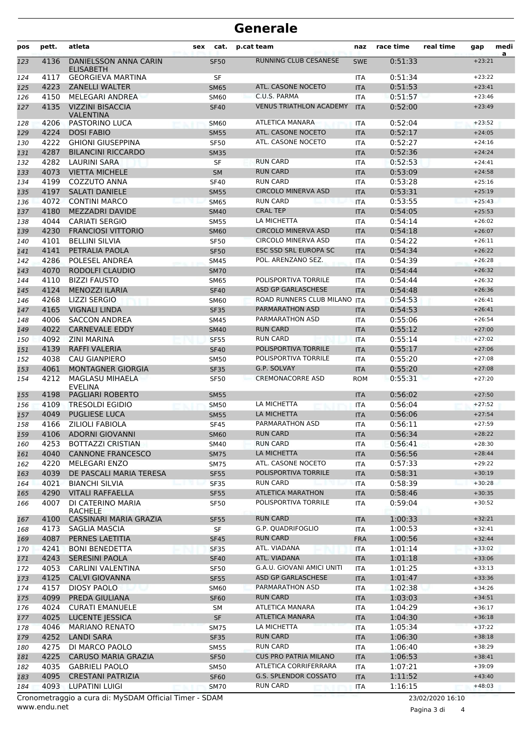| pos | pett. | atleta                                                 | sex | cat.        | p.cat team                     | naz        | race time | real time        | gap      | medi<br>a |
|-----|-------|--------------------------------------------------------|-----|-------------|--------------------------------|------------|-----------|------------------|----------|-----------|
| 123 | 4136  | <b>DANIELSSON ANNA CARIN</b><br><b>ELISABETH</b>       |     | <b>SF50</b> | <b>RUNNING CLUB CESANESE</b>   | <b>SWE</b> | 0:51:33   |                  | $+23:21$ |           |
| 124 | 4117  | <b>GEORGIEVA MARTINA</b>                               |     | SF          |                                | <b>ITA</b> | 0:51:34   |                  | $+23:22$ |           |
| 125 | 4223  | <b>ZANELLI WALTER</b>                                  |     | <b>SM65</b> | ATL. CASONE NOCETO             | <b>ITA</b> | 0:51:53   |                  | $+23:41$ |           |
| 126 | 4150  | MELEGARI ANDREA                                        |     | <b>SM60</b> | C.U.S. PARMA                   | <b>ITA</b> | 0:51:57   |                  | $+23:46$ |           |
| 127 | 4135  | <b>VIZZINI BISACCIA</b><br><b>VALENTINA</b>            |     | <b>SF40</b> | <b>VENUS TRIATHLON ACADEMY</b> | <b>ITA</b> | 0:52:00   |                  | $+23:49$ |           |
| 128 | 4206  | PASTORINO LUCA                                         |     | <b>SM60</b> | ATLETICA MANARA                | <b>ITA</b> | 0:52:04   |                  | $+23:52$ |           |
| 129 | 4224  | <b>DOSI FABIO</b>                                      |     | <b>SM55</b> | ATL. CASONE NOCETO             | <b>ITA</b> | 0:52:17   |                  | $+24:05$ |           |
| 130 | 4222  | <b>GHIONI GIUSEPPINA</b>                               |     | <b>SF50</b> | ATL. CASONE NOCETO             | <b>ITA</b> | 0:52:27   |                  | $+24:16$ |           |
| 131 | 4287  | <b>BILANCINI RICCARDO</b>                              |     | <b>SM35</b> |                                | <b>ITA</b> | 0:52:36   |                  | $+24:24$ |           |
| 132 | 4282  | LAURINI SARA                                           |     | <b>SF</b>   | <b>RUN CARD</b>                | <b>ITA</b> | 0:52:53   |                  | $+24:41$ |           |
| 133 | 4073  | <b>VIETTA MICHELE</b>                                  |     | <b>SM</b>   | <b>RUN CARD</b>                | <b>ITA</b> | 0:53:09   |                  | $+24:58$ |           |
| 134 | 4199  | COZZUTO ANNA                                           |     | <b>SF40</b> | <b>RUN CARD</b>                | <b>ITA</b> | 0:53:28   |                  | $+25:16$ |           |
| 135 | 4197  | <b>SALATI DANIELE</b>                                  |     | <b>SM55</b> | <b>CIRCOLO MINERVA ASD</b>     | <b>ITA</b> | 0:53:31   |                  | $+25:19$ |           |
| 136 | 4072  | <b>CONTINI MARCO</b>                                   |     | <b>SM65</b> | <b>RUN CARD</b>                | <b>ITA</b> | 0:53:55   |                  | $+25:43$ |           |
| 137 | 4180  | MEZZADRI DAVIDE                                        |     | <b>SM40</b> | <b>CRAL TEP</b>                | <b>ITA</b> | 0:54:05   |                  | $+25:53$ |           |
| 138 | 4044  | <b>CARIATI SERGIO</b>                                  |     | <b>SM55</b> | LA MICHETTA                    | <b>ITA</b> | 0:54:14   |                  | $+26:02$ |           |
| 139 | 4230  | <b>FRANCIOSI VITTORIO</b>                              |     | <b>SM60</b> | <b>CIRCOLO MINERVA ASD</b>     | <b>ITA</b> | 0:54:18   |                  | $+26:07$ |           |
| 140 | 4101  | <b>BELLINI SILVIA</b>                                  |     | <b>SF50</b> | <b>CIRCOLO MINERVA ASD</b>     | <b>ITA</b> | 0:54:22   |                  | $+26:11$ |           |
| 141 | 4141  | PETRALIA PAOLA                                         |     | <b>SF50</b> | <b>ESC SSD SRL EUROPA SC</b>   | <b>ITA</b> | 0:54:34   |                  | $+26:22$ |           |
| 142 | 4286  | POLESEL ANDREA                                         |     | <b>SM45</b> | POL. ARENZANO SEZ.             | <b>ITA</b> | 0:54:39   |                  | $+26:28$ |           |
| 143 | 4070  | RODOLFI CLAUDIO                                        |     | <b>SM70</b> |                                | <b>ITA</b> | 0:54:44   |                  | $+26:32$ |           |
| 144 | 4110  | <b>BIZZI FAUSTO</b>                                    |     | <b>SM65</b> | POLISPORTIVA TORRILE           | <b>ITA</b> | 0:54:44   |                  | $+26:32$ |           |
| 145 | 4124  | <b>MENOZZI ILARIA</b>                                  |     | <b>SF40</b> | ASD GP GARLASCHESE             | <b>ITA</b> | 0:54:48   |                  | $+26:36$ |           |
| 146 | 4268  | <b>LIZZI SERGIO</b>                                    |     | <b>SM60</b> | ROAD RUNNERS CLUB MILANO ITA   |            | 0:54:53   |                  | $+26:41$ |           |
| 147 | 4165  | <b>VIGNALI LINDA</b>                                   |     | <b>SF35</b> | PARMARATHON ASD                | <b>ITA</b> | 0:54:53   |                  | $+26:41$ |           |
| 148 | 4006  | <b>SACCON ANDREA</b>                                   |     | <b>SM45</b> | PARMARATHON ASD                | <b>ITA</b> | 0:55:06   |                  | $+26:54$ |           |
| 149 | 4022  | <b>CARNEVALE EDDY</b>                                  |     | <b>SM40</b> | <b>RUN CARD</b>                | <b>ITA</b> | 0:55:12   |                  | $+27:00$ |           |
| 150 | 4092  | <b>ZINI MARINA</b>                                     |     | <b>SF55</b> | <b>RUN CARD</b>                | <b>ITA</b> | 0:55:14   |                  | $+27:02$ |           |
| 151 | 4139  | RAFFI VALERIA                                          |     | <b>SF40</b> | POLISPORTIVA TORRILE           | <b>ITA</b> | 0:55:17   |                  | $+27:06$ |           |
| 152 | 4038  | <b>CAU GIANPIERO</b>                                   |     | <b>SM50</b> | POLISPORTIVA TORRILE           | <b>ITA</b> | 0:55:20   |                  | $+27:08$ |           |
| 153 | 4061  | <b>MONTAGNER GIORGIA</b>                               |     | <b>SF35</b> | G.P. SOLVAY                    | <b>ITA</b> | 0:55:20   |                  | $+27:08$ |           |
| 154 | 4212  | <b>MAGLASU MIHAELA</b><br><b>EVELINA</b>               |     | SF50        | <b>CREMONACORRE ASD</b>        | <b>ROM</b> | 0:55:31   |                  | $+27:20$ |           |
| 155 | 4198  | <b>PAGLIARI ROBERTO</b>                                |     | <b>SM55</b> |                                | <b>ITA</b> | 0:56:02   |                  | $+27:50$ |           |
| 156 | 4109  | <b>TRESOLDI EGIDIO</b>                                 |     | <b>SM50</b> | LA MICHETTA                    | <b>ITA</b> | 0:56:04   |                  | $+27:52$ |           |
| 157 | 4049  | <b>PUGLIESE LUCA</b>                                   |     | <b>SM55</b> | LA MICHETTA                    | <b>ITA</b> | 0:56:06   |                  | $+27:54$ |           |
| 158 | 4166  | <b>ZILIOLI FABIOLA</b>                                 |     | SF45        | PARMARATHON ASD                | <b>ITA</b> | 0:56:11   |                  | $+27:59$ |           |
| 159 | 4106  | <b>ADORNI GIOVANNI</b>                                 |     | <b>SM60</b> | <b>RUN CARD</b>                | <b>ITA</b> | 0:56:34   |                  | $+28:22$ |           |
| 160 | 4253  | <b>BOTTAZZI CRISTIAN</b>                               |     | SM40        | <b>RUN CARD</b>                | ITA        | 0:56:41   |                  | $+28:30$ |           |
| 161 | 4040  | <b>CANNONE FRANCESCO</b>                               |     | <b>SM75</b> | LA MICHETTA                    | <b>ITA</b> | 0:56:56   |                  | $+28:44$ |           |
| 162 | 4220  | MELEGARI ENZO                                          |     | SM75        | ATL. CASONE NOCETO             | ITA        | 0:57:33   |                  | $+29:22$ |           |
| 163 | 4039  | DE PASCALI MARIA TERESA                                |     | <b>SF55</b> | POLISPORTIVA TORRILE           | <b>ITA</b> | 0:58:31   |                  | $+30:19$ |           |
| 164 | 4021  | <b>BIANCHI SILVIA</b>                                  |     | <b>SF35</b> | <b>RUN CARD</b>                | <b>ITA</b> | 0:58:39   |                  | $+30:28$ |           |
| 165 | 4290  | <b>VITALI RAFFAELLA</b>                                |     | <b>SF55</b> | <b>ATLETICA MARATHON</b>       | <b>ITA</b> | 0:58:46   |                  | $+30:35$ |           |
| 166 | 4007  | DI CATERINO MARIA<br>RACHELE                           |     | <b>SF50</b> | POLISPORTIVA TORRILE           | ITA        | 0:59:04   |                  | $+30:52$ |           |
| 167 | 4100  | CASSINARI MARIA GRAZIA                                 |     | <b>SF55</b> | <b>RUN CARD</b>                | <b>ITA</b> | 1:00:33   |                  | $+32:21$ |           |
| 168 | 4173  | SAGLIA MASCIA                                          |     | SF          | <b>G.P. QUADRIFOGLIO</b>       | ITA        | 1:00:53   |                  | $+32:41$ |           |
| 169 | 4087  | PERNES LAETITIA                                        |     | <b>SF45</b> | <b>RUN CARD</b>                | <b>FRA</b> | 1:00:56   |                  | $+32:44$ |           |
| 170 | 4241  | <b>BONI BENEDETTA</b>                                  |     | SF35        | ATL. VIADANA                   | ITA        | 1:01:14   |                  | $+33:02$ |           |
| 171 | 4243  | <b>SERESINI PAOLA</b>                                  |     | <b>SF40</b> | ATL. VIADANA                   | <b>ITA</b> | 1:01:18   |                  | $+33:06$ |           |
| 172 | 4053  | <b>CARLINI VALENTINA</b>                               |     | <b>SF50</b> | G.A.U. GIOVANI AMICI UNITI     | ITA        | 1:01:25   |                  | $+33:13$ |           |
| 173 | 4125  | <b>CALVI GIOVANNA</b>                                  |     | <b>SF55</b> | ASD GP GARLASCHESE             | <b>ITA</b> | 1:01:47   |                  | $+33:36$ |           |
| 174 | 4157  | <b>DIOSY PAOLO</b>                                     |     | <b>SM60</b> | PARMARATHON ASD                | ITA        | 1:02:38   |                  | $+34:26$ |           |
| 175 | 4099  | PREDA GIULIANA                                         |     | <b>SF60</b> | <b>RUN CARD</b>                | <b>ITA</b> | 1:03:03   |                  | $+34:51$ |           |
| 176 | 4024  | <b>CURATI EMANUELE</b>                                 |     | SM          | ATLETICA MANARA                | ITA        | 1:04:29   |                  | $+36:17$ |           |
| 177 | 4025  | <b>LUCENTE JESSICA</b>                                 |     | SF          | ATLETICA MANARA                | <b>ITA</b> | 1:04:30   |                  | $+36:18$ |           |
| 178 | 4046  | <b>MARIANO RENATO</b>                                  |     | <b>SM75</b> | LA MICHETTA                    | ITA        | 1:05:34   |                  | $+37:22$ |           |
| 179 | 4252  | <b>LANDI SARA</b>                                      |     | <b>SF35</b> | <b>RUN CARD</b>                | <b>ITA</b> | 1:06:30   |                  | $+38:18$ |           |
| 180 | 4275  | DI MARCO PAOLO                                         |     | <b>SM55</b> | <b>RUN CARD</b>                | ITA        | 1:06:40   |                  | $+38:29$ |           |
| 181 | 4225  | <b>CARUSO MARIA GRAZIA</b>                             |     | <b>SF50</b> | <b>CUS PRO PATRIA MILANO</b>   | <b>ITA</b> | 1:06:53   |                  | $+38:41$ |           |
| 182 | 4035  | <b>GABRIELI PAOLO</b>                                  |     | <b>SM50</b> | ATLETICA CORRIFERRARA          | ITA        | 1:07:21   |                  | $+39:09$ |           |
| 183 | 4095  | <b>CRESTANI PATRIZIA</b>                               |     | <b>SF60</b> | G.S. SPLENDOR COSSATO          | <b>ITA</b> | 1:11:52   |                  | $+43:40$ |           |
| 184 | 4093  | LUPATINI LUIGI                                         |     | <b>SM70</b> | <b>RUN CARD</b>                | <b>ITA</b> | 1:16:15   |                  | $+48:03$ |           |
|     |       | Cronometraggio a cura di: MySDAM Official Timer - SDAM |     |             |                                |            |           | 23/02/2020 16:10 |          |           |

www.endu.net

Pagina 3 di 4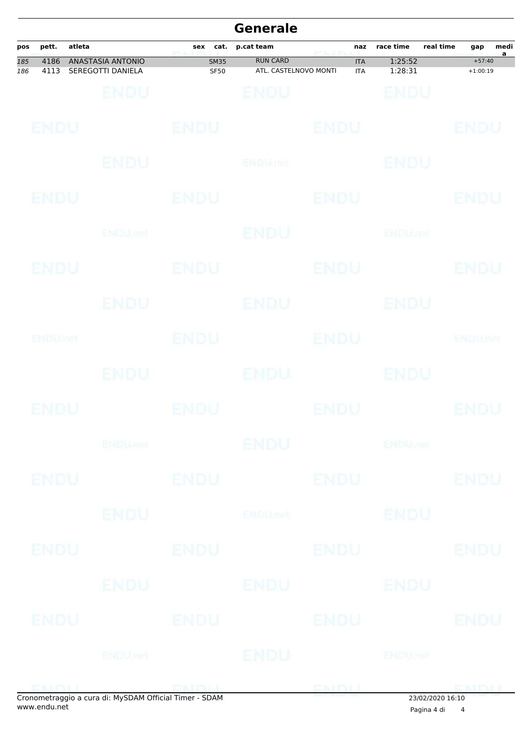|            |              |        |                                                       |                            | <b>Generale</b>                          |                          |                           |                  |                        |           |
|------------|--------------|--------|-------------------------------------------------------|----------------------------|------------------------------------------|--------------------------|---------------------------|------------------|------------------------|-----------|
| pos        | pett.        | atleta |                                                       | sex<br>cat.<br>yer'i.      | p.cat team                               | naz<br>miking            | race time                 | real time        | gap                    | medi<br>a |
| 185<br>186 | 4186<br>4113 |        | ANASTASIA ANTONIO<br>SEREGOTTI DANIELA                | <b>SM35</b><br><b>SF50</b> | <b>RUN CARD</b><br>ATL. CASTELNOVO MONTI | <b>ITA</b><br><b>ITA</b> | 1:25:52<br>1:28:31        |                  | $+57:40$<br>$+1:00:19$ |           |
|            |              |        | ENDU                                                  |                            | BNDU                                     |                          | ENDU                      |                  |                        |           |
|            | ENDU         |        |                                                       | <b>ENDU</b>                |                                          | <b>ENDU</b>              |                           |                  | ENDU                   |           |
|            |              |        | ENDU                                                  |                            | ENDULfet                                 |                          | ENDU                      |                  |                        |           |
|            | <b>ENDU</b>  |        |                                                       | ENDU                       |                                          | <b>ENDU</b>              |                           |                  | ENDU                   |           |
|            |              |        | ENDU, nel                                             |                            | <b>ENDU</b>                              |                          | <b>ENDUnet</b>            |                  |                        |           |
|            | ENDU         |        |                                                       | <b>ENDU</b>                |                                          | <b>ENDU</b>              |                           |                  | ENDU                   |           |
|            |              |        | ENDU                                                  |                            | <b>ENDU</b>                              |                          | ENDU                      |                  |                        |           |
|            | ENDUMet      |        |                                                       | <b>ENDU</b>                |                                          | <b>ENDU</b>              |                           |                  | <b>ENDUTEL</b>         |           |
|            |              |        | ENDU                                                  |                            | <b>ENDU</b>                              |                          | ENDU                      |                  |                        |           |
|            | ENDU         |        |                                                       | ENDU                       |                                          | <b>ENDU</b>              |                           |                  | ENDU                   |           |
|            |              |        |                                                       | <b>ENDUMBL</b>             | ENDU                                     |                          | <b>ENDU<sub>DER</sub></b> |                  |                        |           |
|            | <b>ENDU</b>  |        |                                                       | <b>ENDU</b>                |                                          | <b>ENDU</b>              |                           |                  | <b>ENDU</b>            |           |
|            |              |        | <b>ENDU</b>                                           |                            | <b>ENDUmet</b>                           |                          | <b>ENDU</b>               |                  |                        |           |
|            | ENDU         |        |                                                       | <b>ENDU</b>                |                                          | <b>ENDU</b>              |                           |                  | ENDU                   |           |
|            |              |        | ENDU                                                  | ENDU                       |                                          |                          | ENDU                      |                  |                        |           |
|            | <b>ENDU</b>  |        |                                                       | <b>ENDU</b>                |                                          | ENDU                     |                           |                  | ENDU                   |           |
|            |              |        |                                                       | <b>ENDU</b> net            | ENDU                                     | <b>ENDUmet</b>           |                           |                  |                        |           |
|            |              |        | Cronomotroggio a cura di: MyCDAM Official Timor, CDAM |                            |                                          | <b>ENDIT</b>             |                           | 23/03/3030 16:10 |                        |           |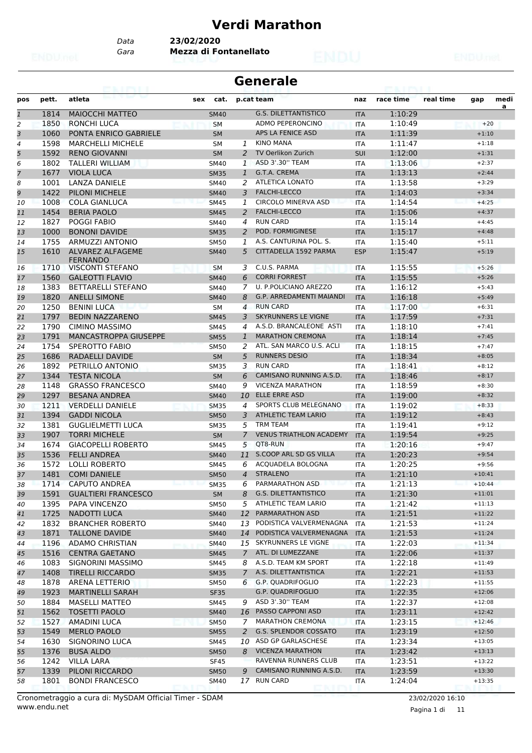# **Verdi Marathon**

*Data* **23/02/2020**

*Gara* **Mezza di Fontanellato**

| <b>Generale</b> |  |
|-----------------|--|
|-----------------|--|

| pos          | pett.        | atleta                                     | sex | cat.                       |                | p.cat team                      | naz        | race time          | real time | gap                | medi |
|--------------|--------------|--------------------------------------------|-----|----------------------------|----------------|---------------------------------|------------|--------------------|-----------|--------------------|------|
| $\mathbf{1}$ | 1814         | <b>MAIOCCHI MATTEO</b>                     |     | <b>SM40</b>                |                | <b>G.S. DILETTANTISTICO</b>     | <b>ITA</b> | 1:10:29            |           |                    | a    |
| 2            | 1850         | <b>RONCHI LUCA</b>                         |     | <b>SM</b>                  |                | <b>ADMO PEPERONCINO</b>         | <b>ITA</b> | 1:10:49            |           | $+20$              |      |
| 3            | 1060         | <b>PONTA ENRICO GABRIELE</b>               |     | <b>SM</b>                  |                | <b>APS LA FENICE ASD</b>        | <b>ITA</b> | 1:11:39            |           | $+1:10$            |      |
| 4            | 1598         | <b>MARCHELLI MICHELE</b>                   |     | <b>SM</b>                  | 1              | <b>KINO MANA</b>                | <b>ITA</b> | 1:11:47            |           | $+1:18$            |      |
| 5            | 1592         | <b>RENO GIOVANNI</b>                       |     | <b>SM</b>                  | 2              | TV Oerlikon Zurich              | SUI        | 1:12:00            |           | $+1:31$            |      |
| 6            | 1802         | <b>TALLERI WILLIAM</b>                     |     | <b>SM40</b>                | $\mathbf{1}$   | ASD 3'.30" TEAM                 | <b>ITA</b> | 1:13:06            |           | $+2:37$            |      |
| 7            | 1677         | <b>VIOLA LUCA</b>                          |     | <b>SM35</b>                | $\mathbf{1}$   | G.T.A. CREMA                    | <b>ITA</b> | 1:13:13            |           | $+2:44$            |      |
| 8            | 1001         | <b>LANZA DANIELE</b>                       |     | <b>SM40</b>                | 2              | <b>ATLETICA LONATO</b>          | <b>ITA</b> | 1:13:58            |           | $+3:29$            |      |
| 9            | 1422         | PILONI MICHELE                             |     | <b>SM40</b>                | 3              | <b>FALCHI-LECCO</b>             | <b>ITA</b> | 1:14:03            |           | $+3:34$            |      |
| 10           | 1008         | <b>COLA GIANLUCA</b>                       |     | <b>SM45</b>                | 1              | <b>CIRCOLO MINERVA ASD</b>      | <b>ITA</b> | 1:14:54            |           | $+4:25$            |      |
| 11           | 1454         | <b>BERIA PAOLO</b>                         |     | <b>SM45</b>                | 2              | <b>FALCHI-LECCO</b>             | <b>ITA</b> | 1:15:06            |           | $+4:37$            |      |
| 12           | 1827         | <b>POGGI FABIO</b>                         |     | <b>SM40</b>                | 4              | <b>RUN CARD</b>                 | <b>ITA</b> | 1:15:14            |           | $+4:45$            |      |
| 13           | 1000         | <b>BONONI DAVIDE</b>                       |     | <b>SM35</b>                | 2              | <b>POD. FORMIGINESE</b>         | <b>ITA</b> | 1:15:17            |           | $+4:48$            |      |
| 14           | 1755         | ARMUZZI ANTONIO                            |     | <b>SM50</b>                | 1              | A.S. CANTURINA POL. S.          | <b>ITA</b> | 1:15:40            |           | $+5:11$            |      |
| 15           | 1610         | <b>ALVAREZ ALFAGEME</b>                    |     | <b>SM40</b>                | 5              | CITTADELLA 1592 PARMA           | <b>ESP</b> | 1:15:47            |           | $+5:19$            |      |
| 16           | 1710         | <b>FERNANDO</b><br><b>VISCONTI STEFANO</b> |     | <b>SM</b>                  | 3              | C.U.S. PARMA                    | <b>ITA</b> | 1:15:55            |           | $+5:26$            |      |
| 17           | 1560         | <b>GALEOTTI FLAVIO</b>                     |     | <b>SM40</b>                | 6              | <b>CORRI FORREST</b>            | <b>ITA</b> | 1:15:55            |           | $+5:26$            |      |
| 18           | 1383         | <b>BETTARELLI STEFANO</b>                  |     | <b>SM40</b>                | 7              | <b>U. P.POLICIANO AREZZO</b>    | ITA        | 1:16:12            |           | $+5:43$            |      |
| 19           | 1820         | <b>ANELLI SIMONE</b>                       |     | <b>SM40</b>                | 8              | <b>G.P. ARREDAMENTI MAIANDI</b> | <b>ITA</b> | 1:16:18            |           | $+5:49$            |      |
| 20           | 1250         | <b>BENINI LUCA</b>                         |     | <b>SM</b>                  | $\overline{4}$ | <b>RUN CARD</b>                 | <b>ITA</b> | 1:17:00            |           | $+6:31$            |      |
| 21           | 1797         | <b>BEDIN NAZZARENO</b>                     |     |                            | 3              | <b>SKYRUNNERS LE VIGNE</b>      | <b>ITA</b> | 1:17:59            |           | $+7:31$            |      |
| 22           | 1790         | CIMINO MASSIMO                             |     | <b>SM45</b><br><b>SM45</b> | 4              | A.S.D. BRANCALEONE ASTI         | <b>ITA</b> | 1:18:10            |           | $+7:41$            |      |
| 23           | 1791         | <b>MANCASTROPPA GIUSEPPE</b>               |     |                            | $\mathbf{1}$   | <b>MARATHON CREMONA</b>         | <b>ITA</b> | 1:18:14            |           | $+7:45$            |      |
|              | 1754         | SPEROTTO FABIO                             |     | <b>SM55</b>                | 2              | ATL. SAN MARCO U.S. ACLI        |            | 1:18:15            |           | $+7:47$            |      |
| 24           |              | <b>RADAELLI DAVIDE</b>                     |     | <b>SM50</b>                | 5              | <b>RUNNERS DESIO</b>            | <b>ITA</b> | 1:18:34            |           |                    |      |
| 25<br>26     | 1686         |                                            |     | <b>SM</b>                  |                | <b>RUN CARD</b>                 | <b>ITA</b> |                    |           | $+8:05$            |      |
|              | 1892<br>1344 | PETRILLO ANTONIO<br><b>TESTA NICOLA</b>    |     | <b>SM35</b>                | 3<br>6         | CAMISANO RUNNING A.S.D.         | <b>ITA</b> | 1:18:41<br>1:18:46 |           | $+8:12$<br>$+8:17$ |      |
| 27           |              |                                            |     | <b>SM</b>                  | 9              | <b>VICENZA MARATHON</b>         | <b>ITA</b> | 1:18:59            |           |                    |      |
| 28           | 1148<br>1297 | <b>GRASSO FRANCESCO</b>                    |     | <b>SM40</b>                |                | <b>ELLE ERRE ASD</b>            | <b>ITA</b> |                    |           | $+8:30$            |      |
| 29           |              | <b>BESANA ANDREA</b>                       |     | <b>SM40</b>                | 10             | SPORTS CLUB MELEGNANO           | <b>ITA</b> | 1:19:00            |           | $+8:32$<br>$+8:33$ |      |
| 30           | 1211         | <b>VERDELLI DANIELE</b>                    |     | <b>SM35</b>                | 4              | <b>ATHLETIC TEAM LARIO</b>      | <b>ITA</b> | 1:19:02            |           |                    |      |
| 31           | 1394         | <b>GADDI NICOLA</b>                        |     | <b>SM50</b>                | 3              | <b>TRM TEAM</b>                 | <b>ITA</b> | 1:19:12            |           | $+8:43$            |      |
| 32           | 1381         | <b>GUGLIELMETTI LUCA</b>                   |     | <b>SM35</b>                | 5              | <b>VENUS TRIATHLON ACADEMY</b>  | <b>ITA</b> | 1:19:41            |           | $+9:12$            |      |
| 33           | 1907         | <b>TORRI MICHELE</b>                       |     | <b>SM</b>                  | 7              | OT8-RUN                         | <b>ITA</b> | 1:19:54            |           | $+9:25$            |      |
| 34           | 1674         | <b>GIACOPELLI ROBERTO</b>                  |     | <b>SM45</b>                | 5              | <b>S.COOP ARL SD GS VILLA</b>   | <b>ITA</b> | 1:20:16            |           | $+9:47$            |      |
| 35           | 1536         | <b>FELLI ANDREA</b>                        |     | <b>SM40</b>                | 11             |                                 | <b>ITA</b> | 1:20:23            |           | $+9:54$            |      |
| 36           | 1572         | <b>LOLLI ROBERTO</b>                       |     | <b>SM45</b>                | 6              | ACOUADELA BOLOGNA               | ITA        | 1:20:25            |           | $+9:56$            |      |
| 37           | 1481         | <b>COMI DANIELE</b>                        |     | <b>SM50</b>                | $\overline{4}$ | <b>STRALENO</b>                 | <b>ITA</b> | 1:21:10            |           | $+10:41$           |      |
| 38           | 1714         | <b>CAPUTO ANDREA</b>                       |     | <b>SM35</b>                | 6              | PARMARATHON ASD                 | <b>ITA</b> | 1:21:13            |           | $+10:44$           |      |
| 39           | 1591         | <b>GUALTIERI FRANCESCO</b>                 |     | <b>SM</b>                  | 8              | G.S. DILETTANTISTICO            | <b>ITA</b> | 1:21:30            |           | $+11:01$           |      |
| 40           | 1395         | PAPA VINCENZO                              |     | SM50                       | 5              | ATHLETIC TEAM LARIO             | <b>ITA</b> | 1:21:42            |           | $+11:13$           |      |
| 41           | 1725         | NADOTTI LUCA                               |     | <b>SM40</b>                |                | 12 PARMARATHON ASD              | <b>ITA</b> | 1:21:51            |           | $+11:22$           |      |
| 42           | 1832         | <b>BRANCHER ROBERTO</b>                    |     | SM40                       | 13             | PODISTICA VALVERMENAGNA         | ITA        | 1:21:53            |           | $+11:24$           |      |
| 43           | 1871         | <b>TALLONE DAVIDE</b>                      |     | <b>SM40</b>                |                | 14 PODISTICA VALVERMENAGNA      | <b>ITA</b> | 1:21:53            |           | $+11:24$           |      |
| 44           | 1196         | <b>ADAMO CHRISTIAN</b>                     |     | <b>SM40</b>                |                | 15 SKYRUNNERS LE VIGNE          | ITA        | 1:22:03            |           | $+11:34$           |      |
| 45           | 1516         | <b>CENTRA GAETANO</b>                      |     | <b>SM45</b>                | $\mathcal{I}$  | ATL. DI LUMEZZANE               | <b>ITA</b> | 1:22:06            |           | $+11:37$           |      |
| 46           | 1083         | SIGNORINI MASSIMO                          |     | SM45                       | 8              | A.S.D. TEAM KM SPORT            | ITA        | 1:22:18            |           | $+11:49$           |      |
| 47           | 1408         | <b>TIRELLI RICCARDO</b>                    |     | <b>SM35</b>                | $\mathcal{I}$  | A.S. DILETTANTISTICA            | <b>ITA</b> | 1:22:21            |           | $+11:53$           |      |
| 48           | 1878         | ARENA LETTERIO                             |     | SM50                       | 6              | <b>G.P. QUADRIFOGLIO</b>        | ITA        | 1:22:23            |           | $+11:55$           |      |
| 49           | 1923         | <b>MARTINELLI SARAH</b>                    |     | <b>SF35</b>                |                | <b>G.P. QUADRIFOGLIO</b>        | <b>ITA</b> | 1:22:35            |           | $+12:06$           |      |
| 50           | 1884         | <b>MASELLI MATTEO</b>                      |     | <b>SM45</b>                | 9              | ASD 3'.30" TEAM                 | ITA        | 1:22:37            |           | $+12:08$           |      |
| 51           | 1562         | <b>TOSETTI PAOLO</b>                       |     | <b>SM40</b>                | 16             | PASSO CAPPONI ASD               | <b>ITA</b> | 1:23:11            |           | $+12:42$           |      |
| 52           | 1527         | <b>AMADINI LUCA</b>                        |     | <b>SM50</b>                | 7              | <b>MARATHON CREMONA</b>         | <b>ITA</b> | 1:23:15            |           | $+12:46$           |      |
| 53           | 1549         | <b>MERLO PAOLO</b>                         |     | <b>SM55</b>                | 2              | G.S. SPLENDOR COSSATO           | <b>ITA</b> | 1:23:19            |           | $+12:50$           |      |
| 54           | 1630         | SIGNORINO LUCA                             |     | SM45                       | 10             | ASD GP GARLASCHESE              | ITA        | 1:23:34            |           | $+13:05$           |      |
| 55           | 1376         | <b>BUSA ALDO</b>                           |     | <b>SM50</b>                |                | 8 VICENZA MARATHON              | <b>ITA</b> | 1:23:42            |           | $+13:13$           |      |
| 56           | 1242         | <b>VILLA LARA</b>                          |     | <b>SF45</b>                |                | RAVENNA RUNNERS CLUB            | ITA        | 1:23:51            |           | $+13:22$           |      |
| 57           | 1339         | PILONI RICCARDO                            |     | <b>SM50</b>                | 9              | CAMISANO RUNNING A.S.D.         | <b>ITA</b> | 1:23:59            |           | $+13:30$           |      |
| 58           | 1801         | <b>BONDI FRANCESCO</b>                     |     | SM40                       |                | 17 RUN CARD                     | <b>ITA</b> | 1:24:04            |           | $+13:35$           |      |

www.endu.net Cronometraggio a cura di: MySDAM Official Timer - SDAM 23/02/2020 16:10

Pagina 1 di 11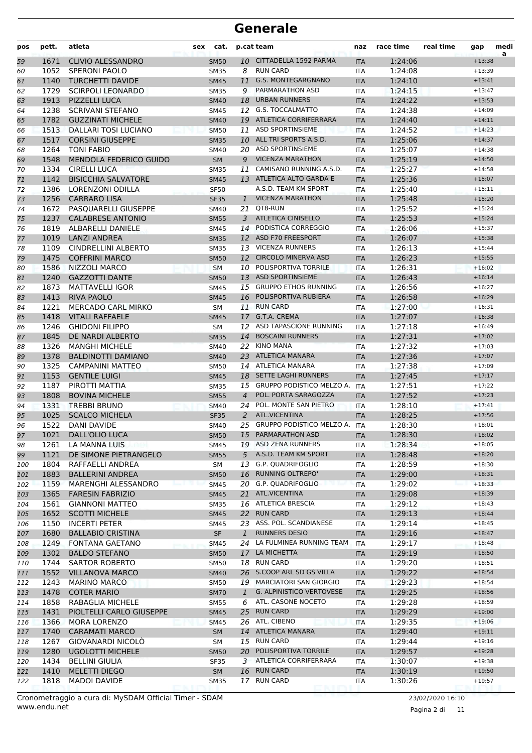| pos | pett.        | atleta                        | cat.<br>sex |                | p.cat team                                         | naz        | race time | real time | gap                  | medi<br>a |
|-----|--------------|-------------------------------|-------------|----------------|----------------------------------------------------|------------|-----------|-----------|----------------------|-----------|
| 59  | 1671         | <b>CLIVIO ALESSANDRO</b>      | <b>SM50</b> |                | 10 CITTADELLA 1592 PARMA                           | <b>ITA</b> | 1:24:06   |           | $+13:38$             |           |
| 60  | 1052         | <b>SPERONI PAOLO</b>          | <b>SM35</b> | 8              | <b>RUN CARD</b>                                    | <b>ITA</b> | 1:24:08   |           | $+13:39$             |           |
| 61  | 1140         | <b>TURCHETTI DAVIDE</b>       | <b>SM45</b> | 11             | <b>G.S. MONTEGARGNANO</b>                          | <b>ITA</b> | 1:24:10   |           | $+13:41$             |           |
| 62  | 1729         | <b>SCIRPOLI LEONARDO</b>      | <b>SM35</b> | 9              | PARMARATHON ASD                                    | <b>ITA</b> | 1:24:15   |           | $+13:47$             |           |
| 63  | 1913         | PIZZELLI LUCA                 | <b>SM40</b> | 18             | <b>URBAN RUNNERS</b>                               | <b>ITA</b> | 1:24:22   |           | $+13:53$             |           |
| 64  | 1238         | <b>SCRIVANI STEFANO</b>       | SM45        |                | 12 G.S. TOCCALMATTO                                | <b>ITA</b> | 1:24:38   |           | $+14:09$             |           |
| 65  | 1782         | <b>GUZZINATI MICHELE</b>      | <b>SM40</b> |                | 19 ATLETICA CORRIFERRARA                           | <b>ITA</b> | 1:24:40   |           | $+14:11$             |           |
| 66  | 1513         | <b>DALLARI TOSI LUCIANO</b>   | <b>SM50</b> |                | 11 ASD SPORTINSIEME                                | <b>ITA</b> | 1:24:52   |           | $+14:23$             |           |
| 67  | 1517         | <b>CORSINI GIUSEPPE</b>       | <b>SM35</b> |                | 10 ALL TRI SPORTS A.S.D.                           | <b>ITA</b> | 1:25:06   |           | $+14:37$             |           |
| 68  | 1264         | <b>TONI FABIO</b>             | <b>SM40</b> | 20             | <b>ASD SPORTINSIEME</b>                            | <b>ITA</b> | 1:25:07   |           | $+14:38$             |           |
| 69  | 1548         | <b>MENDOLA FEDERICO GUIDO</b> | <b>SM</b>   | 9              | <b>VICENZA MARATHON</b>                            | <b>ITA</b> | 1:25:19   |           | $+14:50$             |           |
| 70  | 1334         | <b>CIRELLI LUCA</b>           | <b>SM35</b> | 11             | CAMISANO RUNNING A.S.D.                            | <b>ITA</b> | 1:25:27   |           | $+14:58$             |           |
| 71  | 1142         | <b>BISICCHIA SALVATORE</b>    | <b>SM45</b> |                | 13 ATLETICA ALTO GARDA E                           | <b>ITA</b> | 1:25:36   |           | $+15:07$             |           |
| 72  | 1386         | LORENZONI ODILLA              | <b>SF50</b> |                | A.S.D. TEAM KM SPORT                               | <b>ITA</b> | 1:25:40   |           | $+15:11$             |           |
| 73  | 1256         | <b>CARRARO LISA</b>           | <b>SF35</b> | $\mathbf{1}$   | <b>VICENZA MARATHON</b>                            | <b>ITA</b> | 1:25:48   |           | $+15:20$             |           |
| 74  | 1672         | PASQUARELLI GIUSEPPE          | SM40        | 21             | QT8-RUN                                            | <b>ITA</b> | 1:25:52   |           | $+15:24$             |           |
| 75  | 1237         | <b>CALABRESE ANTONIO</b>      | <b>SM55</b> | 3              | <b>ATLETICA CINISELLO</b>                          | <b>ITA</b> | 1:25:53   |           | $+15:24$             |           |
| 76  | 1819         | ALBARELLI DANIELE             | <b>SM45</b> |                | 14 PODISTICA CORREGGIO                             | <b>ITA</b> | 1:26:06   |           | $+15:37$             |           |
| 77  | 1019         | <b>LANZI ANDREA</b>           | <b>SM35</b> |                | 12 ASD F70 FREESPORT                               | <b>ITA</b> | 1:26:07   |           | $+15:38$             |           |
| 78  | 1109         | <b>CINDRELLINI ALBERTO</b>    | <b>SM35</b> |                | 13 VICENZA RUNNERS                                 | <b>ITA</b> | 1:26:13   |           | $+15:44$             |           |
| 79  | 1475         | <b>COFFRINI MARCO</b>         | <b>SM50</b> |                | 12 CIRCOLO MINERVA ASD                             | <b>ITA</b> | 1:26:23   |           | $+15:55$             |           |
| 80  | 1586         | NIZZOLI MARCO                 | <b>SM</b>   | 10             | POLISPORTIVA TORRILE                               | <b>ITA</b> | 1:26:31   |           | $+16:02$             |           |
| 81  | 1240         | <b>GAZZOTTI DANTE</b>         | <b>SM50</b> | 13             | <b>ASD SPORTINSIEME</b>                            | <b>ITA</b> | 1:26:43   |           | $+16:14$             |           |
| 82  | 1873         | <b>MATTAVELLI IGOR</b>        | <b>SM45</b> |                | 15 GRUPPO ETHOS RUNNING                            | <b>ITA</b> | 1:26:56   |           | $+16:27$             |           |
| 83  | 1413         | RIVA PAOLO                    | <b>SM45</b> |                | 16 POLISPORTIVA RUBIERA                            | <b>ITA</b> | 1:26:58   |           | $+16:29$             |           |
| 84  | 1221         | <b>MERCADO CARL MIRKO</b>     | <b>SM</b>   |                | 11 RUN CARD                                        | <b>ITA</b> | 1:27:00   |           | $+16:31$             |           |
| 85  | 1418         | <b>VITALI RAFFAELE</b>        | <b>SM45</b> |                | 17 G.T.A. CREMA                                    | <b>ITA</b> | 1:27:07   |           | $+16:38$             |           |
| 86  | 1246         | <b>GHIDONI FILIPPO</b>        | <b>SM</b>   | 12             | ASD TAPASCIONE RUNNING                             | <b>ITA</b> | 1:27:18   |           | $+16:49$             |           |
| 87  | 1845         | DE NARDI ALBERTO              | <b>SM35</b> | 14             | <b>BOSCAINI RUNNERS</b>                            | <b>ITA</b> | 1:27:31   |           | $+17:02$             |           |
| 88  | 1326         | <b>MANGHI MICHELE</b>         | <b>SM40</b> | 22             | <b>KINO MANA</b>                                   | <b>ITA</b> | 1:27:32   |           | $+17:03$             |           |
| 89  | 1378         | <b>BALDINOTTI DAMIANO</b>     | <b>SM40</b> |                | 23 ATLETICA MANARA                                 | <b>ITA</b> | 1:27:36   |           | $+17:07$             |           |
| 90  | 1325         | <b>CAMPANINI MATTEO</b>       | SM50        |                | 14 ATLETICA MANARA                                 | <b>ITA</b> | 1:27:38   |           | $+17:09$             |           |
| 91  | 1153         | <b>GENTILE LUIGI</b>          | <b>SM45</b> |                | 18 SETTE LAGHI RUNNERS                             | <b>ITA</b> | 1:27:45   |           | $+17:17$             |           |
| 92  | 1187         | PIROTTI MATTIA                | <b>SM35</b> | 15             | <b>GRUPPO PODISTICO MELZO A.</b>                   | <b>ITA</b> | 1:27:51   |           | $+17:22$             |           |
| 93  | 1808         | <b>BOVINA MICHELE</b>         | <b>SM55</b> | $\overline{4}$ | POL. PORTA SARAGOZZA                               | <b>ITA</b> | 1:27:52   |           | $+17:23$             |           |
| 94  | 1331         | <b>TREBBI BRUNO</b>           | <b>SM40</b> | 24             | POL. MONTE SAN PIETRO                              | <b>ITA</b> | 1:28:10   |           | $+17:41$             |           |
| 95  | 1025         | <b>SCALCO MICHELA</b>         | <b>SF35</b> | 2              | ATL.VICENTINA                                      | <b>ITA</b> | 1:28:25   |           | $+17:56$             |           |
| 96  | 1522         | DANI DAVIDE                   | SM40        | 25             | <b>GRUPPO PODISTICO MELZO A.</b>                   | <b>ITA</b> | 1:28:30   |           | $+18:01$             |           |
| 97  | 1021         | <b>DALL'OLIO LUCA</b>         | <b>SM50</b> |                | 15 PARMARATHON ASD                                 | <b>ITA</b> | 1:28:30   |           | $+18:02$             |           |
| 98  | 1261         | LA MANNA LUIS                 | SM45        |                | 19 ASD ZENA RUNNERS                                | ITA        | 1:28:34   |           | $+18:05$             |           |
| 99  | 1121         | DE SIMONE PIETRANGELO         | <b>SM55</b> |                | 5 A.S.D. TEAM KM SPORT                             | <b>ITA</b> | 1:28:48   |           | $+18:20$             |           |
| 100 | 1804         | RAFFAELLI ANDREA              | SM          |                | 13 G.P. QUADRIFOGLIO                               | <b>ITA</b> | 1:28:59   |           | $+18:30$             |           |
| 101 | 1883         | <b>BALLERINI ANDREA</b>       | <b>SM50</b> |                | 16 RUNNING OLTREPO'                                | <b>ITA</b> | 1:29:00   |           | $+18:31$             |           |
| 102 | 1159         | MARENGHI ALESSANDRO           | <b>SM45</b> |                | 20 G.P. QUADRIFOGLIO                               | ITA        | 1:29:02   |           | $+18:33$             |           |
| 103 | 1365         | <b>FARESIN FABRIZIO</b>       | <b>SM45</b> |                | 21 ATL.VICENTINA                                   | <b>ITA</b> | 1:29:08   |           | $+18:39$             |           |
| 104 | 1561         | <b>GIANNONI MATTEO</b>        | SM35        |                | 16 ATLETICA BRESCIA                                | ITA        | 1:29:12   |           | $+18:43$             |           |
| 105 | 1652         | <b>SCOTTI MICHELE</b>         | <b>SM45</b> |                | 22 RUN CARD                                        | <b>ITA</b> | 1:29:13   |           | $+18:44$             |           |
| 106 | 1150         | <b>INCERTI PETER</b>          | SM45        |                | 23 ASS. POL. SCANDIANESE                           | <b>ITA</b> | 1:29:14   |           | $+18:45$             |           |
| 107 | 1680         | <b>BALLABIO CRISTINA</b>      | SF          | $\mathbf{1}$   | <b>RUNNERS DESIO</b>                               | <b>ITA</b> | 1:29:16   |           | $+18:47$             |           |
| 108 | 1249         | FONTANA GAETANO               | <b>SM45</b> |                | 24 LA FULMINEA RUNNING TEAM                        | ITA        | 1:29:17   |           | $+18:48$             |           |
| 109 | 1302         | <b>BALDO STEFANO</b>          | <b>SM50</b> |                | 17 LA MICHETTA                                     | <b>ITA</b> | 1:29:19   |           | $+18:50$             |           |
| 110 | 1744         | SARTOR ROBERTO                | <b>SM50</b> |                | 18 RUN CARD                                        | ITA        | 1:29:20   |           | $+18:51$             |           |
| 111 | 1552         | <b>VILLANOVA MARCO</b>        | <b>SM40</b> |                | 26 S.COOP ARL SD GS VILLA                          | <b>ITA</b> | 1:29:22   |           | $+18:54$             |           |
| 112 | 1243         | <b>MARINO MARCO</b>           | SM50        |                | 19 MARCIATORI SAN GIORGIO                          | ITA        | 1:29:23   |           | $+18:54$             |           |
| 113 | 1478         | <b>COTER MARIO</b>            | <b>SM70</b> | $\mathbf{1}$   | <b>G. ALPINISTICO VERTOVESE</b>                    | <b>ITA</b> | 1:29:25   |           | $+18:56$             |           |
| 114 | 1858         | RABAGLIA MICHELE              | SM55        | 6              | ATL. CASONE NOCETO                                 | ITA        | 1:29:28   |           | $+18:59$             |           |
| 115 | 1431         | PIOLTELLI CARLO GIUSEPPE      | <b>SM45</b> | 25             | <b>RUN CARD</b>                                    | <b>ITA</b> | 1:29:29   |           | $+19:00$             |           |
| 116 | 1366         | <b>MORA LORENZO</b>           | SM45        |                | 26 ATL. CIBENO                                     | <b>ITA</b> | 1:29:35   |           | $+19:06$             |           |
| 117 | 1740         | <b>CARAMATI MARCO</b>         | <b>SM</b>   |                | 14 ATLETICA MANARA                                 | <b>ITA</b> | 1:29:40   |           | $+19:11$             |           |
| 118 | 1267         | GIOVANARDI NICOLO             | SM          |                | 15 RUN CARD                                        | <b>ITA</b> | 1:29:44   |           | $+19:16$             |           |
| 119 | 1280         | <b>UGOLOTTI MICHELE</b>       | <b>SM50</b> |                | 20 POLISPORTIVA TORRILE<br>3 ATLETICA CORRIFERRARA | <b>ITA</b> | 1:29:57   |           | $+19:28$             |           |
| 120 | 1434         | <b>BELLINI GIULIA</b>         | <b>SF35</b> |                | 16 RUN CARD                                        | <b>ITA</b> | 1:30:07   |           | $+19:38$<br>$+19:50$ |           |
| 121 | 1410<br>1818 | MELETTI DIEGO                 | <b>SM</b>   |                | 17 RUN CARD                                        | <b>ITA</b> | 1:30:19   |           | $+19:57$             |           |
| 122 |              | MADOI DAVIDE                  | <b>SM35</b> |                |                                                    | ITA        | 1:30:26   |           |                      |           |

Pagina 2 di 11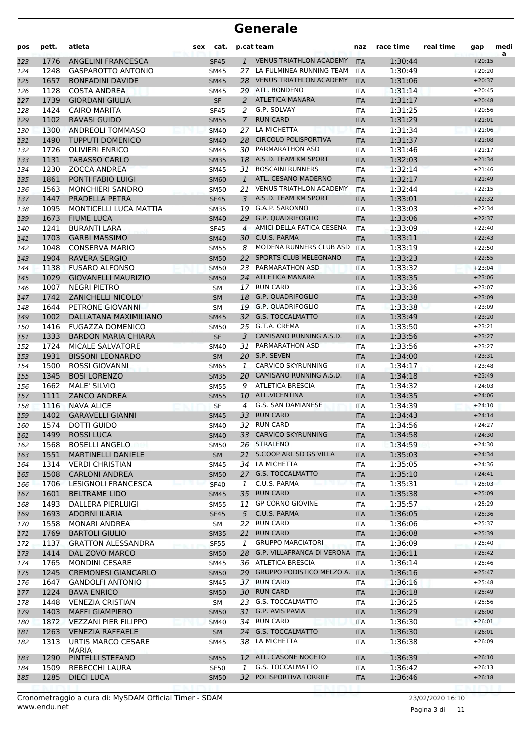| pos        | pett.        | atleta                                      | <b>sex</b> | cat.                       |                | p.cat team                                 | naz                      | race time          | real time | gap                  | medi<br>a |
|------------|--------------|---------------------------------------------|------------|----------------------------|----------------|--------------------------------------------|--------------------------|--------------------|-----------|----------------------|-----------|
| 123        | 1776         | <b>ANGELINI FRANCESCA</b>                   |            | <b>SF45</b>                | $\mathbf{1}$   | <b>VENUS TRIATHLON ACADEMY</b>             | <b>ITA</b>               | 1:30:44            |           | $+20:15$             |           |
| 124        | 1248         | <b>GASPAROTTO ANTONIO</b>                   |            | <b>SM45</b>                | 27             | LA FULMINEA RUNNING TEAM                   | <b>ITA</b>               | 1:30:49            |           | $+20:20$             |           |
| 125        | 1657         | <b>BONFADINI DAVIDE</b>                     |            | <b>SM45</b>                |                | 28 VENUS TRIATHLON ACADEMY                 | <b>ITA</b>               | 1:31:06            |           | $+20:37$             |           |
| 126        | 1128         | <b>COSTA ANDREA</b>                         |            | <b>SM45</b>                |                | 29 ATL. BONDENO                            | <b>ITA</b>               | 1:31:14            |           | $+20:45$             |           |
| 127        | 1739         | <b>GIORDANI GIULIA</b>                      |            | <b>SF</b>                  | 2              | <b>ATLETICA MANARA</b>                     | <b>ITA</b>               | 1:31:17            |           | $+20:48$             |           |
| 128        | 1424         | <b>CAIRO MARITA</b>                         |            | <b>SF45</b>                | 2              | G.P. SOLVAY                                | <b>ITA</b>               | 1:31:25            |           | $+20:56$             |           |
| 129        | 1102         | <b>RAVASI GUIDO</b>                         |            | <b>SM55</b>                | $\overline{7}$ | <b>RUN CARD</b>                            | <b>ITA</b>               | 1:31:29            |           | $+21:01$             |           |
| 130        | 1300         | <b>ANDREOLI TOMMASO</b>                     |            | <b>SM40</b>                | 27             | LA MICHETTA                                | <b>ITA</b>               | 1:31:34            |           | $+21:06$             |           |
| 131        | 1490         | <b>TUPPUTI DOMENICO</b>                     |            | <b>SM40</b>                |                | 28 CIRCOLO POLISPORTIVA                    | <b>ITA</b>               | 1:31:37            |           | $+21:08$             |           |
| 132        | 1726         | <b>OLIVIERI ENRICO</b>                      |            | <b>SM45</b>                |                | 30 PARMARATHON ASD                         | <b>ITA</b>               | 1:31:46            |           | $+21:17$             |           |
| 133        | 1131         | <b>TABASSO CARLO</b>                        |            | <b>SM35</b>                |                | 18 A.S.D. TEAM KM SPORT                    | <b>ITA</b>               | 1:32:03            |           | $+21:34$             |           |
| 134        | 1230         | <b>ZOCCA ANDREA</b>                         |            | SM45                       |                | 31 BOSCAINI RUNNERS<br>ATL. CESANO MADERNO | <b>ITA</b>               | 1:32:14            |           | $+21:46$             |           |
| 135        | 1861         | PONTI FABIO LUIGI                           |            | <b>SM60</b>                | $\mathbf{1}$   | <b>VENUS TRIATHLON ACADEMY</b>             | <b>ITA</b>               | 1:32:17            |           | $+21:49$             |           |
| 136        | 1563<br>1447 | <b>MONCHIERI SANDRO</b><br>PRADELLA PETRA   |            | <b>SM50</b>                | 21<br>3        | A.S.D. TEAM KM SPORT                       | <b>ITA</b>               | 1:32:44<br>1:33:01 |           | $+22:15$<br>$+22:32$ |           |
| 137        | 1095         | <b>MONTICELLI LUCA MATTIA</b>               |            | <b>SF45</b><br><b>SM35</b> |                | 19 G.A.P. SARONNO                          | <b>ITA</b>               | 1:33:03            |           | $+22:34$             |           |
| 138<br>139 | 1673         | <b>FIUME LUCA</b>                           |            | <b>SM40</b>                | 29             | <b>G.P. QUADRIFOGLIO</b>                   | <b>ITA</b><br><b>ITA</b> | 1:33:06            |           | $+22:37$             |           |
| 140        | 1241         | <b>BURANTI LARA</b>                         |            | <b>SF45</b>                | $\overline{4}$ | AMICI DELLA FATICA CESENA                  | <b>ITA</b>               | 1:33:09            |           | $+22:40$             |           |
| 141        | 1703         | <b>GARBI MASSIMO</b>                        |            | <b>SM40</b>                |                | 30 C.U.S. PARMA                            | <b>ITA</b>               | 1:33:11            |           | $+22:43$             |           |
| 142        | 1048         | <b>CONSERVA MARIO</b>                       |            | <b>SM55</b>                | 8              | MODENA RUNNERS CLUB ASD                    | <b>ITA</b>               | 1:33:19            |           | $+22:50$             |           |
| 143        | 1904         | <b>RAVERA SERGIO</b>                        |            | <b>SM50</b>                |                | 22 SPORTS CLUB MELEGNANO                   | <b>ITA</b>               | 1:33:23            |           | $+22:55$             |           |
| 144        | 1138         | <b>FUSARO ALFONSO</b>                       |            | <b>SM50</b>                |                | 23 PARMARATHON ASD                         | <b>ITA</b>               | 1:33:32            |           | $+23:04$             |           |
| 145        | 1029         | <b>GIOVANELLI MAURIZIO</b>                  |            | <b>SM50</b>                |                | 24 ATLETICA MANARA                         | <b>ITA</b>               | 1:33:35            |           | $+23:06$             |           |
| 146        | 1007         | <b>NEGRI PIETRO</b>                         |            | <b>SM</b>                  |                | 17 RUN CARD                                | <b>ITA</b>               | 1:33:36            |           | $+23:07$             |           |
| 147        | 1742         | <b>ZANICHELLI NICOLO'</b>                   |            | <b>SM</b>                  | 18             | <b>G.P. QUADRIFOGLIO</b>                   | <b>ITA</b>               | 1:33:38            |           | $+23:09$             |           |
| 148        | 1644         | PETRONE GIOVANNI                            |            | <b>SM</b>                  |                | 19 G.P. QUADRIFOGLIO                       | <b>ITA</b>               | 1:33:38            |           | $+23:09$             |           |
| 149        | 1002         | DALLATANA MAXIMILIANO                       |            | <b>SM45</b>                |                | 32 G.S. TOCCALMATTO                        | <b>ITA</b>               | 1:33:49            |           | $+23:20$             |           |
| 150        | 1416         | <b>FUGAZZA DOMENICO</b>                     |            | <b>SM50</b>                |                | 25 G.T.A. CREMA                            | <b>ITA</b>               | 1:33:50            |           | $+23:21$             |           |
| 151        | 1333         | <b>BARDON MARIA CHIARA</b>                  |            | <b>SF</b>                  | 3              | CAMISANO RUNNING A.S.D.                    | <b>ITA</b>               | 1:33:56            |           | $+23:27$             |           |
| 152        | 1724         | <b>MICALE SALVATORE</b>                     |            | <b>SM40</b>                | 31             | PARMARATHON ASD                            | <b>ITA</b>               | 1:33:56            |           | $+23:27$             |           |
| 153        | 1931         | <b>BISSONI LEONARDO</b>                     |            | <b>SM</b>                  |                | 20 S.P. SEVEN                              | <b>ITA</b>               | 1:34:00            |           | $+23:31$             |           |
| 154        | 1500         | <b>ROSSI GIOVANNI</b>                       |            | <b>SM65</b>                | $\mathbf{1}$   | <b>CARVICO SKYRUNNING</b>                  | <b>ITA</b>               | 1:34:17            |           | $+23:48$             |           |
| 155        | 1345         | <b>BOSI LORENZO</b>                         |            | <b>SM35</b>                |                | 20 CAMISANO RUNNING A.S.D.                 | <b>ITA</b>               | 1:34:18            |           | $+23:49$             |           |
| 156        | 1662         | <b>MALE' SILVIO</b>                         |            | <b>SM55</b>                | 9              | <b>ATLETICA BRESCIA</b>                    | <b>ITA</b>               | 1:34:32            |           | $+24:03$             |           |
| 157        | 1111         | <b>ZANCO ANDREA</b>                         |            | <b>SM55</b>                | 10             | ATL.VICENTINA                              | <b>ITA</b>               | 1:34:35            |           | $+24:06$             |           |
| 158        | 1116         | <b>NAVA ALICE</b>                           |            | <b>SF</b>                  | 4              | G.S. SAN DAMIANESE                         | <b>ITA</b>               | 1:34:39            |           | $+24:10$             |           |
| 159        | 1402         | <b>GARAVELLI GIANNI</b>                     |            | <b>SM45</b>                | 33             | <b>RUN CARD</b>                            | <b>ITA</b>               | 1:34:43            |           | $+24:14$             |           |
| 160        | 1574         | <b>DOTTI GUIDO</b>                          |            | SM40                       | 32             | <b>RUN CARD</b>                            | <b>ITA</b>               | 1:34:56            |           | $+24:27$             |           |
| 161        | 1499         | <b>ROSSI LUCA</b>                           |            | <b>SM40</b>                |                | 33 CARVICO SKYRUNNING                      | <b>ITA</b>               | 1:34:58            |           | $+24:30$             |           |
| 162        | 1568         | <b>BOSELLI ANGELO</b>                       |            | SM50                       |                | 26 STRALENO                                | ITA                      | 1:34:59            |           | $+24:30$             |           |
| 163        | 1551         | <b>MARTINELLI DANIELE</b>                   |            | <b>SM</b>                  |                | 21 S.COOP ARL SD GS VILLA                  | <b>ITA</b>               | 1:35:03            |           | $+24:34$             |           |
| 164        | 1314         | <b>VERDI CHRISTIAN</b>                      |            | <b>SM45</b>                |                | 34 LA MICHETTA                             | ITA                      | 1:35:05            |           | $+24:36$             |           |
| 165        | 1508         | <b>CARLONI ANDREA</b>                       |            | <b>SM50</b>                |                | 27 G.S. TOCCALMATTO                        | <b>ITA</b>               | 1:35:10            |           | $+24:41$             |           |
| 166        | 1706         | LESIGNOLI FRANCESCA                         |            | <b>SF40</b>                | 1              | C.U.S. PARMA                               | <b>ITA</b>               | 1:35:31            |           | $+25:03$             |           |
| 167        | 1601         | <b>BELTRAME LIDO</b>                        |            | <b>SM45</b>                |                | 35 RUN CARD                                | <b>ITA</b>               | 1:35:38            |           | $+25:09$             |           |
| 168        | 1493         | DALLERA PIERLUIGI                           |            | SM55                       |                | 11 GP CORNO GIOVINE                        | ITA                      | 1:35:57            |           | $+25:29$             |           |
| 169        | 1693         | <b>ADORNI ILARIA</b>                        |            | <b>SF45</b>                | 5              | C.U.S. PARMA                               | <b>ITA</b>               | 1:36:05            |           | $+25:36$             |           |
| 170        | 1558         | <b>MONARI ANDREA</b>                        |            | SΜ                         | 22             | <b>RUN CARD</b><br><b>RUN CARD</b>         | <b>ITA</b>               | 1:36:06            |           | $+25:37$             |           |
| 171        | 1769<br>1137 | <b>BARTOLI GIULIO</b>                       |            | <b>SM35</b>                | 21<br>1        | <b>GRUPPO MARCIATORI</b>                   | <b>ITA</b>               | 1:36:08<br>1:36:09 |           | $+25:39$             |           |
| 172        | 1414         | <b>GRATTON ALESSANDRA</b><br>DAL ZOVO MARCO |            | <b>SF55</b>                |                | 28 G.P. VILLAFRANCA DI VERONA ITA          | <b>ITA</b>               | 1:36:11            |           | $+25:40$<br>$+25:42$ |           |
| 173<br>174 | 1765         | <b>MONDINI CESARE</b>                       |            | <b>SM50</b><br>SM45        |                | 36 ATLETICA BRESCIA                        | ITA                      | 1:36:14            |           | $+25:46$             |           |
| 175        | 1245         | <b>CREMONESI GIANCARLO</b>                  |            | <b>SM50</b>                |                | 29 GRUPPO PODISTICO MELZO A.               | <b>ITA</b>               | 1:36:16            |           | $+25:47$             |           |
| 176        | 1647         | <b>GANDOLFI ANTONIO</b>                     |            | SM45                       |                | 37 RUN CARD                                | <b>ITA</b>               | 1:36:16            |           | $+25:48$             |           |
| 177        | 1224         | <b>BAVA ENRICO</b>                          |            | <b>SM50</b>                |                | 30 RUN CARD                                | <b>ITA</b>               | 1:36:18            |           | $+25:49$             |           |
| 178        | 1448         | <b>VENEZIA CRISTIAN</b>                     |            | SM                         |                | 23 G.S. TOCCALMATTO                        | <b>ITA</b>               | 1:36:25            |           | $+25:56$             |           |
| 179        | 1403         | <b>MAFFI GIAMPIERO</b>                      |            | <b>SM50</b>                |                | 31 G.P. AVIS PAVIA                         | <b>ITA</b>               | 1:36:29            |           | $+26:00$             |           |
| 180        | 1872         | VEZZANI PIER FILIPPO                        |            | <b>SM40</b>                |                | 34 RUN CARD                                | ITA                      | 1:36:30            |           | $+26:01$             |           |
| 181        | 1263         | <b>VENEZIA RAFFAELE</b>                     |            | <b>SM</b>                  |                | 24 G.S. TOCCALMATTO                        | <b>ITA</b>               | 1:36:30            |           | $+26:01$             |           |
| 182        | 1313         | URTIS MARCO CESARE                          |            | <b>SM45</b>                | 38             | LA MICHETTA                                | ITA                      | 1:36:38            |           | $+26:09$             |           |
|            |              | <b>MARIA</b>                                |            |                            |                |                                            |                          |                    |           |                      |           |
| 183        | 1290         | PINTELLI STEFANO                            |            | <b>SM55</b>                |                | 12 ATL. CASONE NOCETO                      | <b>ITA</b>               | 1:36:39            |           | $+26:10$             |           |
| 184        | 1509         | REBECCHI LAURA                              |            | SF50                       | 1              | G.S. TOCCALMATTO                           | ITA                      | 1:36:42            |           | $+26:13$             |           |
| 185        | 1285         | <b>DIECI LUCA</b>                           |            | <b>SM50</b>                |                | 32 POLISPORTIVA TORRILE                    | <b>ITA</b>               | 1:36:46            |           | $+26:18$             |           |
|            |              |                                             |            |                            |                |                                            |                          |                    |           |                      |           |

www.endu.net Cronometraggio a cura di: MySDAM Official Timer - SDAM 23/02/2020 16:10

Pagina 3 di 11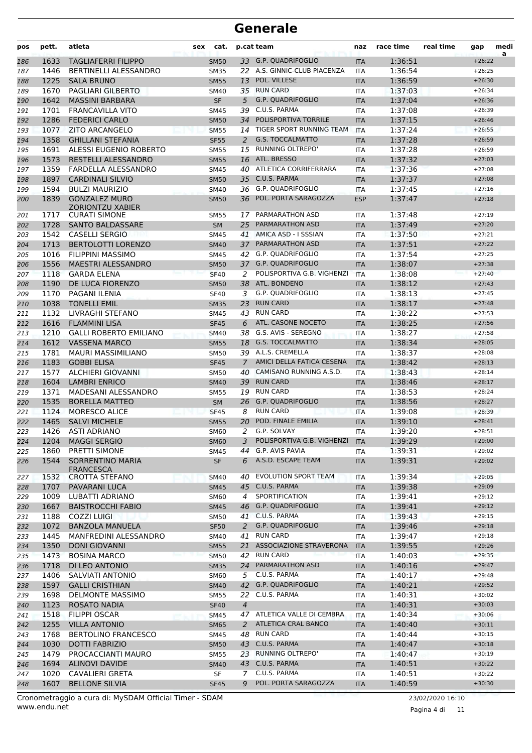| pos        | pett.        | atleta                                              | <b>sex</b> | cat.                |                | p.cat team                                      | naz               | race time          | real time | gap                  | medi<br>a |
|------------|--------------|-----------------------------------------------------|------------|---------------------|----------------|-------------------------------------------------|-------------------|--------------------|-----------|----------------------|-----------|
| 186        | 1633         | <b>TAGLIAFERRI FILIPPO</b>                          |            | <b>SM50</b>         |                | 33 G.P. QUADRIFOGLIO                            | <b>ITA</b>        | 1:36:51            |           | $+26:22$             |           |
| 187        | 1446         | BERTINELLI ALESSANDRO                               |            | <b>SM35</b>         |                | 22 A.S. GINNIC-CLUB PIACENZA                    | <b>ITA</b>        | 1:36:54            |           | $+26:25$             |           |
| 188        | 1225         | <b>SALA BRUNO</b>                                   |            | <b>SM55</b>         | 13             | POL. VILLESE                                    | <b>ITA</b>        | 1:36:59            |           | $+26:30$             |           |
| 189        | 1670         | PAGLIARI GILBERTO                                   |            | <b>SM40</b>         | 35             | <b>RUN CARD</b>                                 | ITA               | 1:37:03            |           | $+26:34$             |           |
| 190        | 1642         | <b>MASSINI BARBARA</b>                              |            | <b>SF</b>           | 5              | G.P. QUADRIFOGLIO                               | <b>ITA</b>        | 1:37:04            |           | $+26:36$             |           |
| 191        | 1701         | <b>FRANCAVILLA VITO</b>                             |            | <b>SM45</b>         | 39             | C.U.S. PARMA                                    | <b>ITA</b>        | 1:37:08            |           | $+26:39$             |           |
| 192        | 1286         | <b>FEDERICI CARLO</b>                               |            | <b>SM50</b>         | 34             | POLISPORTIVA TORRILE                            | <b>ITA</b>        | 1:37:15            |           | $+26:46$             |           |
| 193        | 1077         | <b>ZITO ARCANGELO</b>                               |            | <b>SM55</b>         |                | 14 TIGER SPORT RUNNING TEAM                     | <b>ITA</b>        | 1:37:24            |           | $+26:55$             |           |
| 194        | 1358         | <b>GHILLANI STEFANIA</b>                            |            | <b>SF55</b>         | 2              | <b>G.S. TOCCALMATTO</b>                         | <b>ITA</b>        | 1:37:28            |           | $+26:59$             |           |
| 195        | 1691         | <b>ALESSI EUGENIO ROBERTO</b>                       |            | <b>SM55</b>         | 15             | <b>RUNNING OLTREPO'</b>                         | ITA               | 1:37:28            |           | $+26:59$             |           |
| 196        | 1573         | RESTELLI ALESSANDRO                                 |            | <b>SM55</b>         | 16             | ATL. BRESSO                                     | <b>ITA</b>        | 1:37:32            |           | $+27:03$             |           |
| 197        | 1359         | FARDELLA ALESSANDRO                                 |            | <b>SM45</b>         | 40             | ATLETICA CORRIFERRARA                           | <b>ITA</b>        | 1:37:36            |           | $+27:08$             |           |
| 198        | 1897<br>1594 | <b>CARDINALI SILVIO</b>                             |            | <b>SM50</b>         |                | 35 C.U.S. PARMA<br>36 G.P. QUADRIFOGLIO         | <b>ITA</b>        | 1:37:37            |           | $+27:08$             |           |
| 199        | 1839         | <b>BULZI MAURIZIO</b><br><b>GONZALEZ MURO</b>       |            | SM40                | 36             | POL. PORTA SARAGOZZA                            | ITA               | 1:37:45<br>1:37:47 |           | $+27:16$<br>$+27:18$ |           |
| 200        |              | <b>ZORIONTZU XABIER</b>                             |            | <b>SM50</b>         |                |                                                 | <b>ESP</b>        |                    |           |                      |           |
| 201        | 1717         | <b>CURATI SIMONE</b>                                |            | <b>SM55</b>         | 17             | PARMARATHON ASD                                 | <b>ITA</b>        | 1:37:48            |           | $+27:19$             |           |
| 202        | 1728         | <b>SANTO BALDASSARE</b>                             |            | <b>SM</b>           | 25             | PARMARATHON ASD                                 | <b>ITA</b>        | 1:37:49            |           | $+27:20$             |           |
| 203        | 1542         | <b>CASELLI SERGIO</b>                               |            | <b>SM45</b>         |                | 41 AMICA ASD - I SSSIAN                         | <b>ITA</b>        | 1:37:50            |           | $+27:21$             |           |
| 204        | 1713         | <b>BERTOLOTTI LORENZO</b>                           |            | <b>SM40</b>         |                | 37 PARMARATHON ASD                              | <b>ITA</b>        | 1:37:51            |           | $+27:22$             |           |
| 205        | 1016         | <b>FILIPPINI MASSIMO</b>                            |            | SM45                | 42             | G.P. QUADRIFOGLIO                               | <b>ITA</b>        | 1:37:54            |           | $+27:25$             |           |
| 206        | 1556         | <b>MAESTRI ALESSANDRO</b>                           |            | <b>SM50</b>         |                | 37 G.P. QUADRIFOGLIO                            | <b>ITA</b>        | 1:38:07            |           | $+27:38$             |           |
| 207        | 1118         | <b>GARDA ELENA</b>                                  |            | <b>SF40</b>         | 2              | POLISPORTIVA G.B. VIGHENZI                      | <b>ITA</b>        | 1:38:08            |           | $+27:40$             |           |
| 208        | 1190         | DE LUCA FIORENZO                                    |            | <b>SM50</b>         | 38             | ATL. BONDENO                                    | <b>ITA</b>        | 1:38:12            |           | $+27:43$             |           |
| 209        | 1170         | PAGANI ILENIA                                       |            | <b>SF40</b>         | 3              | G.P. QUADRIFOGLIO                               | <b>ITA</b>        | 1:38:13            |           | $+27:45$             |           |
| 210        | 1038         | <b>TONELLI EMIL</b>                                 |            | <b>SM35</b>         | 23             | <b>RUN CARD</b>                                 | <b>ITA</b>        | 1:38:17            |           | $+27:48$             |           |
| 211        | 1132         | LIVRAGHI STEFANO                                    |            | <b>SM45</b>         | 43             | <b>RUN CARD</b>                                 | <b>ITA</b>        | 1:38:22            |           | $+27:53$             |           |
| 212        | 1616         | <b>FLAMMINI LISA</b>                                |            | <b>SF45</b>         | 6              | ATL. CASONE NOCETO                              | <b>ITA</b>        | 1:38:25            |           | $+27:56$             |           |
| 213        | 1210         | <b>GALLI ROBERTO EMILIANO</b>                       |            | <b>SM40</b>         | 38             | G.S. AVIS - SEREGNO                             | <b>ITA</b>        | 1:38:27            |           | $+27:58$             |           |
| 214        | 1612         | <b>VASSENA MARCO</b>                                |            | <b>SM55</b>         | 18             | <b>G.S. TOCCALMATTO</b>                         | <b>ITA</b>        | 1:38:34            |           | $+28:05$             |           |
| 215        | 1781         | <b>MAURI MASSIMILIANO</b>                           |            | <b>SM50</b>         |                | 39 A.L.S. CREMELLA                              | <b>ITA</b>        | 1:38:37            |           | $+28:08$             |           |
| 216        | 1183         | <b>GOBBI ELISA</b>                                  |            | <b>SF45</b>         | $\overline{7}$ | AMICI DELLA FATICA CESENA                       | <b>ITA</b>        | 1:38:42            |           | $+28:13$             |           |
| 217        | 1577         | <b>ALCHIERI GIOVANNI</b>                            |            | <b>SM50</b>         | 40             | CAMISANO RUNNING A.S.D.                         | ITA               | 1:38:43            |           | $+28:14$             |           |
| 218        | 1604         | <b>LAMBRI ENRICO</b>                                |            | <b>SM40</b>         |                | 39 RUN CARD                                     | <b>ITA</b>        | 1:38:46            |           | $+28:17$             |           |
| 219        | 1371         | MADESANI ALESSANDRO                                 |            | <b>SM55</b>         | 19             | <b>RUN CARD</b>                                 | <b>ITA</b>        | 1:38:53            |           | $+28:24$             |           |
| 220        | 1535         | <b>BORELLA MATTEO</b>                               |            | <b>SM</b>           | 26             | <b>G.P. QUADRIFOGLIO</b>                        | <b>ITA</b>        | 1:38:56            |           | $+28:27$             |           |
| 221        | 1124         | <b>MORESCO ALICE</b>                                |            | <b>SF45</b>         | 8              | <b>RUN CARD</b>                                 | <b>ITA</b>        | 1:39:08            |           | $+28:39$             |           |
| 222        | 1465         | <b>SALVI MICHELE</b>                                |            | <b>SM55</b>         | 20             | POD. FINALE EMILIA                              | <b>ITA</b>        | 1:39:10            |           | $+28:41$             |           |
| 223        | 1426         | ASTI ADRIANO<br>1204 MAGGI SERGIO                   |            | <b>SM60</b>         | 2              | G.P. SOLVAY<br>3 POLISPORTIVA G.B. VIGHENZI ITA | <b>ITA</b>        | 1:39:20            |           | $+28:51$<br>$+29:00$ |           |
| 224        |              |                                                     |            | <b>SM60</b>         |                | 44 G.P. AVIS PAVIA                              |                   | 1:39:29            |           | $+29:02$             |           |
| 225        | 1860<br>1544 | PRETTI SIMONE                                       |            | SM45                |                | A.S.D. ESCAPE TEAM                              | ITA               | 1:39:31            |           |                      |           |
| 226        |              | SORRENTINO MARIA<br><b>FRANCESCA</b>                |            | SF                  | 6              |                                                 | <b>ITA</b>        | 1:39:31            |           | $+29:02$             |           |
| 227        | 1532         | CROTTA STEFANO                                      |            | SM40                | 40             | <b>EVOLUTION SPORT TEAM</b>                     | ITA               | 1:39:34            |           | $+29:05$             |           |
| 228        | 1707         | PAVARANI LUCA                                       |            | <b>SM45</b>         |                | 45 C.U.S. PARMA                                 | <b>ITA</b>        | 1:39:38            |           | $+29:09$             |           |
| 229        | 1009         | LUBATTI ADRIANO                                     |            | <b>SM60</b>         | 4              | SPORTIFICATION                                  | ITA               | 1:39:41            |           | $+29:12$             |           |
| 230        | 1667         | <b>BAISTROCCHI FABIO</b>                            |            | <b>SM45</b>         |                | 46 G.P. QUADRIFOGLIO                            | <b>ITA</b>        | 1:39:41            |           | $+29:12$             |           |
| 231        | 1188         | <b>COZZI LUIGI</b>                                  |            | <b>SM50</b>         |                | 41 C.U.S. PARMA                                 | ITA               | 1:39:43            |           | $+29:15$             |           |
| 232        | 1072         | <b>BANZOLA MANUELA</b>                              |            | <b>SF50</b>         |                | 2 G.P. QUADRIFOGLIO                             | <b>ITA</b>        | 1:39:46            |           | $+29:18$             |           |
| 233        | 1445         | MANFREDINI ALESSANDRO                               |            | SM40                | 41             | <b>RUN CARD</b>                                 | ITA               | 1:39:47            |           | $+29:18$             |           |
| 234        | 1350         | <b>DONI GIOVANNI</b>                                |            | <b>SM55</b>         | 21             | ASSOCIAZIONE STRAVERONA                         | <b>ITA</b>        | 1:39:55            |           | $+29:26$             |           |
| 235        | 1473         | <b>BOSINA MARCO</b>                                 |            | <b>SM50</b>         |                | 42 RUN CARD                                     | <b>ITA</b>        | 1:40:03            |           | $+29:35$             |           |
| 236        | 1718         | DI LEO ANTONIO                                      |            | <b>SM35</b>         |                | 24 PARMARATHON ASD                              | <b>ITA</b>        | 1:40:16            |           | $+29:47$             |           |
| 237        | 1406         | SALVIATI ANTONIO                                    |            | <b>SM60</b>         |                | 5 C.U.S. PARMA                                  | ITA               | 1:40:17            |           | $+29:48$             |           |
| 238        | 1597         | <b>GALLI CRISTHIAN</b>                              |            | <b>SM40</b>         |                | 42 G.P. QUADRIFOGLIO                            | <b>ITA</b>        | 1:40:21            |           | $+29:52$             |           |
| 239        | 1698         | <b>DELMONTE MASSIMO</b>                             |            | <b>SM55</b>         | 22             | C.U.S. PARMA                                    | ITA               | 1:40:31            |           | $+30:02$             |           |
| 240        | 1123         | ROSATO NADIA                                        |            | <b>SF40</b>         | $\overline{4}$ |                                                 | <b>ITA</b>        | 1:40:31            |           | $+30:03$             |           |
| 241        | 1518         | <b>FILIPPI OSCAR</b>                                |            | SM45                |                | 47 ATLETICA VALLE DI CEMBRA                     | ITA               | 1:40:34            |           | $+30:06$             |           |
| 242        | 1255         | <b>VILLA ANTONIO</b>                                |            | <b>SM65</b>         | 2              | <b>ATLETICA CRAL BANCO</b><br>48 RUN CARD       | <b>ITA</b>        | 1:40:40            |           | $+30:11$<br>$+30:15$ |           |
| 243        | 1768<br>1030 | <b>BERTOLINO FRANCESCO</b><br><b>DOTTI FABRIZIO</b> |            | SM45                |                | 43 C.U.S. PARMA                                 | ITA               | 1:40:44<br>1:40:47 |           | $+30:18$             |           |
| 244<br>245 | 1479         | PROCACCIANTI MAURO                                  |            | <b>SM50</b><br>SM55 |                | 23 RUNNING OLTREPO'                             | <b>ITA</b><br>ITA | 1:40:47            |           | $+30:19$             |           |
| 246        | 1694         | <b>ALINOVI DAVIDE</b>                               |            | <b>SM40</b>         |                | 43 C.U.S. PARMA                                 | <b>ITA</b>        | 1:40:51            |           | $+30:22$             |           |
| 247        | 1020         | CAVALIERI GRETA                                     |            | SF                  | 7              | C.U.S. PARMA                                    | ITA               | 1:40:51            |           | $+30:22$             |           |
| 248        | 1607         | <b>BELLONE SILVIA</b>                               |            | <b>SF45</b>         | 9              | POL. PORTA SARAGOZZA                            | <b>ITA</b>        | 1:40:59            |           | $+30:30$             |           |
|            |              |                                                     |            |                     |                |                                                 |                   |                    |           |                      |           |

www.endu.net Cronometraggio a cura di: MySDAM Official Timer - SDAM 23/02/2020 16:10

Pagina 4 di 11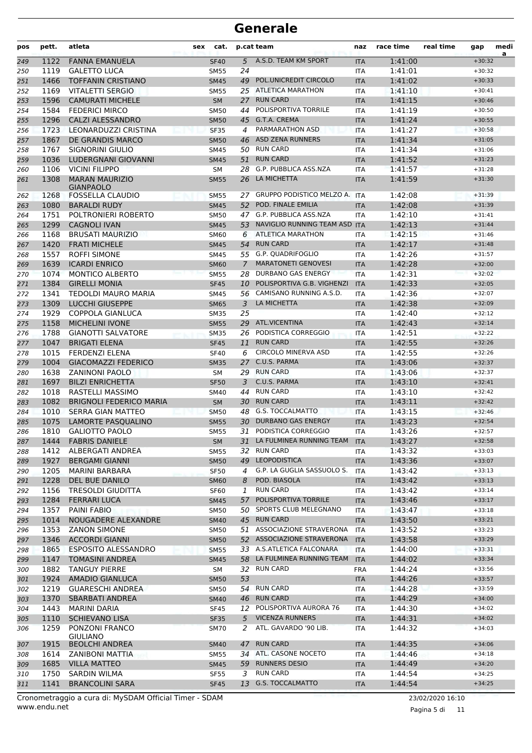| pos | pett. | atleta                                    | sex | cat.        |                | p.cat team                   | naz        | race time | real time | gap      | medi<br>a |
|-----|-------|-------------------------------------------|-----|-------------|----------------|------------------------------|------------|-----------|-----------|----------|-----------|
| 249 | 1122  | <b>FANNA EMANUELA</b>                     |     | <b>SF40</b> | 5              | A.S.D. TEAM KM SPORT         | <b>ITA</b> | 1:41:00   |           | $+30:32$ |           |
| 250 | 1119  | <b>GALETTO LUCA</b>                       |     | <b>SM55</b> | 24             |                              | <b>ITA</b> | 1:41:01   |           | $+30:32$ |           |
| 251 | 1466  | <b>TOFFANIN CRISTIANO</b>                 |     | <b>SM45</b> | 49             | POL.UNICREDIT CIRCOLO        | <b>ITA</b> | 1:41:02   |           | $+30:33$ |           |
| 252 | 1169  | VITALETTI SERGIO                          |     | <b>SM55</b> |                | 25 ATLETICA MARATHON         | <b>ITA</b> | 1:41:10   |           | $+30:41$ |           |
| 253 | 1596  | <b>CAMURATI MICHELE</b>                   |     | <b>SM</b>   |                | 27 RUN CARD                  | <b>ITA</b> | 1:41:15   |           | $+30:46$ |           |
| 254 | 1584  | <b>FEDERICI MIRCO</b>                     |     | <b>SM50</b> | 44             | POLISPORTIVA TORRILE         | <b>ITA</b> | 1:41:19   |           | $+30:50$ |           |
| 255 | 1296  | <b>CALZI ALESSANDRO</b>                   |     | <b>SM50</b> |                | 45 G.T.A. CREMA              | <b>ITA</b> | 1:41:24   |           | $+30:55$ |           |
| 256 | 1723  | LEONARDUZZI CRISTINA                      |     | <b>SF35</b> | 4              | PARMARATHON ASD              | <b>ITA</b> | 1:41:27   |           | $+30:58$ |           |
| 257 | 1867  | DE GRANDIS MARCO                          |     | <b>SM50</b> | 46             | <b>ASD ZENA RUNNERS</b>      | <b>ITA</b> | 1:41:34   |           | $+31:05$ |           |
| 258 | 1767  | SIGNORINI GIULIO                          |     | <b>SM45</b> | 50             | <b>RUN CARD</b>              | <b>ITA</b> | 1:41:34   |           | $+31:06$ |           |
| 259 | 1036  | <b>LUDERGNANI GIOVANNI</b>                |     | <b>SM45</b> | 51             | <b>RUN CARD</b>              | <b>ITA</b> | 1:41:52   |           | $+31:23$ |           |
| 260 | 1106  | <b>VICINI FILIPPO</b>                     |     | SM          | 28             | <b>G.P. PUBBLICA ASS.NZA</b> | <b>ITA</b> | 1:41:57   |           | $+31:28$ |           |
| 261 | 1308  | <b>MARAN MAURIZIO</b><br><b>GIANPAOLO</b> |     | <b>SM55</b> | 26             | LA MICHETTA                  | <b>ITA</b> | 1:41:59   |           | $+31:30$ |           |
| 262 | 1268  | <b>FOSSELLA CLAUDIO</b>                   |     | <b>SM55</b> |                | 27 GRUPPO PODISTICO MELZO A. | <b>ITA</b> | 1:42:08   |           | $+31:39$ |           |
| 263 | 1080  | <b>BARALDI RUDY</b>                       |     | <b>SM45</b> |                | 52 POD. FINALE EMILIA        | <b>ITA</b> | 1:42:08   |           | $+31:39$ |           |
| 264 | 1751  | POLTRONIERI ROBERTO                       |     | <b>SM50</b> | 47             | G.P. PUBBLICA ASS.NZA        | <b>ITA</b> | 1:42:10   |           | $+31:41$ |           |
| 265 | 1299  | <b>CAGNOLI IVAN</b>                       |     | <b>SM45</b> | 53             | NAVIGLIO RUNNING TEAM ASD    | <b>ITA</b> | 1:42:13   |           | $+31:44$ |           |
| 266 | 1168  | <b>BRUSATI MAURIZIO</b>                   |     | SM60        | 6              | <b>ATLETICA MARATHON</b>     | <b>ITA</b> | 1:42:15   |           | $+31:46$ |           |
| 267 | 1420  | <b>FRATI MICHELE</b>                      |     | <b>SM45</b> | 54             | <b>RUN CARD</b>              | <b>ITA</b> | 1:42:17   |           | $+31:48$ |           |
| 268 | 1557  | <b>ROFFI SIMONE</b>                       |     | <b>SM45</b> |                | 55 G.P. QUADRIFOGLIO         | <b>ITA</b> | 1:42:26   |           | $+31:57$ |           |
| 269 | 1639  | <b>ICARDI ENRICO</b>                      |     | <b>SM60</b> | $\overline{7}$ | <b>MARATONETI GENOVESI</b>   | <b>ITA</b> | 1:42:28   |           | $+32:00$ |           |
| 270 | 1074  | <b>MONTICO ALBERTO</b>                    |     | <b>SM55</b> | 28             | DURBANO GAS ENERGY           | <b>ITA</b> | 1:42:31   |           | $+32:02$ |           |
| 271 | 1384  | <b>GIRELLI MONIA</b>                      |     | <b>SF45</b> | 10             | POLISPORTIVA G.B. VIGHENZI   | <b>ITA</b> | 1:42:33   |           | $+32:05$ |           |
| 272 | 1341  | <b>TEDOLDI MAURO MARIA</b>                |     | <b>SM45</b> | 56             | CAMISANO RUNNING A.S.D.      | <b>ITA</b> | 1:42:36   |           | $+32:07$ |           |
| 273 | 1309  | <b>LUCCHI GIUSEPPE</b>                    |     | <b>SM65</b> | 3              | LA MICHETTA                  | <b>ITA</b> | 1:42:38   |           | $+32:09$ |           |
| 274 | 1929  | COPPOLA GIANLUCA                          |     | <b>SM35</b> | 25             |                              | ITA        | 1:42:40   |           | $+32:12$ |           |
| 275 | 1158  | <b>MICHELINI IVONE</b>                    |     | <b>SM55</b> |                | 29 ATL.VICENTINA             | <b>ITA</b> | 1:42:43   |           | $+32:14$ |           |
| 276 | 1788  | <b>GIANOTTI SALVATORE</b>                 |     | <b>SM35</b> | 26             | PODISTICA CORREGGIO          | ITA        | 1:42:51   |           | $+32:22$ |           |
| 277 | 1047  | <b>BRIGATI ELENA</b>                      |     | <b>SF45</b> | 11             | <b>RUN CARD</b>              | <b>ITA</b> | 1:42:55   |           | $+32:26$ |           |
| 278 | 1015  | <b>FERDENZI ELENA</b>                     |     | <b>SF40</b> | 6              | <b>CIRCOLO MINERVA ASD</b>   | <b>ITA</b> | 1:42:55   |           | $+32:26$ |           |
| 279 | 1004  | <b>GIACOMAZZI FEDERICO</b>                |     | <b>SM35</b> | 27             | C.U.S. PARMA                 | <b>ITA</b> | 1:43:06   |           | $+32:37$ |           |
| 280 | 1638  | <b>ZANINONI PAOLO</b>                     |     | <b>SM</b>   |                | 29 RUN CARD                  | <b>ITA</b> | 1:43:06   |           | $+32:37$ |           |
| 281 | 1697  | <b>BILZI ENRICHETTA</b>                   |     | <b>SF50</b> | 3              | C.U.S. PARMA                 | <b>ITA</b> | 1:43:10   |           | $+32:41$ |           |
| 282 | 1018  | RASTELLI MASSIMO                          |     | SM40        | 44             | <b>RUN CARD</b>              | ITA        | 1:43:10   |           | $+32:42$ |           |
| 283 | 1082  | <b>BRIGNOLI FEDERICO MARIA</b>            |     | <b>SM</b>   | 30             | <b>RUN CARD</b>              | <b>ITA</b> | 1:43:11   |           | $+32:42$ |           |
| 284 | 1010  | <b>SERRA GIAN MATTEO</b>                  |     | <b>SM50</b> | 48             | <b>G.S. TOCCALMATTO</b>      | <b>ITA</b> | 1:43:15   |           | $+32:46$ |           |
| 285 | 1075  | LAMORTE PASQUALINO                        |     | <b>SM55</b> | 30             | <b>DURBANO GAS ENERGY</b>    | <b>ITA</b> | 1:43:23   |           | $+32:54$ |           |
| 286 | 1810  | <b>GALIOTTO PAOLO</b>                     |     | <b>SM55</b> |                | 31 PODISTICA CORREGGIO       | <b>ITA</b> | 1:43:26   |           | $+32:57$ |           |
| 287 |       | 1444 FABRIS DANIELE                       |     | SM          |                | 31 LA FULMINEA RUNNING TEAM  | <b>ITA</b> | 1:43:27   |           | $+32:58$ |           |
| 288 | 1412  | ALBERGATI ANDREA                          |     | <b>SM55</b> |                | 32 RUN CARD                  | <b>ITA</b> | 1:43:32   |           | $+33:03$ |           |
| 289 | 1927  | <b>BERGAMI GIANNI</b>                     |     | <b>SM50</b> |                | 49 LEOPODISTICA              | <b>ITA</b> | 1:43:36   |           | $+33:07$ |           |
| 290 | 1205  | MARINI BARBARA                            |     | <b>SF50</b> | 4              | G.P. LA GUGLIA SASSUOLO S.   | ITA        | 1:43:42   |           | $+33:13$ |           |
| 291 | 1228  | DEL BUE DANILO                            |     | <b>SM60</b> | 8              | POD. BIASOLA                 | <b>ITA</b> | 1:43:42   |           | $+33:13$ |           |
| 292 | 1156  | TRESOLDI GIUDITTA                         |     | SF60        | 1              | <b>RUN CARD</b>              | <b>ITA</b> | 1:43:42   |           | $+33:14$ |           |
| 293 | 1284  | <b>FERRARI LUCA</b>                       |     | <b>SM45</b> |                | 57 POLISPORTIVA TORRILE      | <b>ITA</b> | 1:43:46   |           | $+33:17$ |           |
| 294 | 1357  | PAINI FABIO                               |     | <b>SM50</b> | 50             | SPORTS CLUB MELEGNANO        | ITA        | 1:43:47   |           | $+33:18$ |           |
| 295 | 1014  | NOUGADERE ALEXANDRE                       |     | <b>SM40</b> |                | 45 RUN CARD                  | <b>ITA</b> | 1:43:50   |           | $+33:21$ |           |
| 296 | 1353  | <b>ZANON SIMONE</b>                       |     | <b>SM50</b> |                | 51 ASSOCIAZIONE STRAVERONA   | <b>ITA</b> | 1:43:52   |           | $+33:23$ |           |
| 297 | 1346  | <b>ACCORDI GIANNI</b>                     |     | <b>SM50</b> |                | 52 ASSOCIAZIONE STRAVERONA   | <b>ITA</b> | 1:43:58   |           | $+33:29$ |           |
| 298 | 1865  | ESPOSITO ALESSANDRO                       |     | <b>SM55</b> |                | 33 A.S.ATLETICA FALCONARA    | <b>ITA</b> | 1:44:00   |           | $+33:31$ |           |
| 299 | 1147  | <b>TOMASINI ANDREA</b>                    |     | <b>SM45</b> |                | 58 LA FULMINEA RUNNING TEAM  | <b>ITA</b> | 1:44:02   |           | $+33:34$ |           |
| 300 | 1882  | <b>TANGUY PIERRE</b>                      |     | SM          |                | 32 RUN CARD                  | <b>FRA</b> | 1:44:24   |           | $+33:56$ |           |
| 301 | 1924  | <b>AMADIO GIANLUCA</b>                    |     | <b>SM50</b> | 53             |                              | <b>ITA</b> | 1:44:26   |           | $+33:57$ |           |
| 302 | 1219  | <b>GUARESCHI ANDREA</b>                   |     | SM50        |                | 54 RUN CARD                  | <b>ITA</b> | 1:44:28   |           | $+33:59$ |           |
| 303 | 1370  | <b>SBARBATI ANDREA</b>                    |     | <b>SM40</b> |                | 46 RUN CARD                  | <b>ITA</b> | 1:44:29   |           | $+34:00$ |           |
| 304 | 1443  | MARINI DARIA                              |     | <b>SF45</b> |                | 12 POLISPORTIVA AURORA 76    | <b>ITA</b> | 1:44:30   |           | $+34:02$ |           |
| 305 | 1110  | <b>SCHIEVANO LISA</b>                     |     | <b>SF35</b> | 5              | <b>VICENZA RUNNERS</b>       | <b>ITA</b> | 1:44:31   |           | $+34:02$ |           |
| 306 | 1259  | PONZONI FRANCO<br><b>GIULIANO</b>         |     | <b>SM70</b> | 2              | ATL. GAVARDO '90 LIB.        | <b>ITA</b> | 1:44:32   |           | $+34:03$ |           |
| 307 | 1915  | <b>BEOLCHI ANDREA</b>                     |     | <b>SM40</b> | 47             | <b>RUN CARD</b>              | <b>ITA</b> | 1:44:35   |           | $+34:06$ |           |
| 308 | 1614  | ZANIBONI MATTIA                           |     | <b>SM55</b> |                | 34 ATL. CASONE NOCETO        | <b>ITA</b> | 1:44:46   |           | $+34:18$ |           |
| 309 | 1685  | <b>VILLA MATTEO</b>                       |     | <b>SM45</b> |                | 59 RUNNERS DESIO             | <b>ITA</b> | 1:44:49   |           | $+34:20$ |           |
| 310 | 1750  | SARDIN WILMA                              |     | <b>SF55</b> | 3              | <b>RUN CARD</b>              | <b>ITA</b> | 1:44:54   |           | $+34:25$ |           |
| 311 | 1141  | <b>BRANCOLINI SARA</b>                    |     | <b>SF45</b> |                | 13 G.S. TOCCALMATTO          | <b>ITA</b> | 1:44:54   |           | $+34:25$ |           |
|     |       |                                           |     |             |                |                              |            |           |           |          |           |

www.endu.net Cronometraggio a cura di: MySDAM Official Timer - SDAM 23/02/2020 16:10

Pagina 5 di 11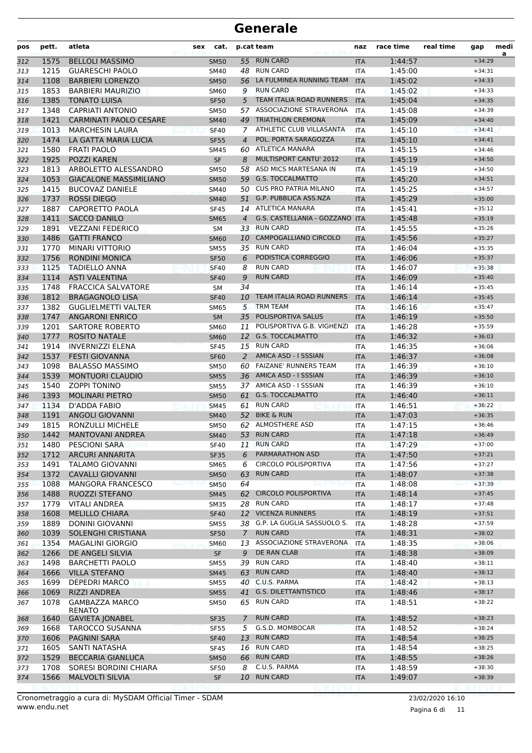| pos | pett. | atleta                                 | sex | cat.        |             | p.cat team                      | naz        | race time | real time | gap      | medi<br>a |
|-----|-------|----------------------------------------|-----|-------------|-------------|---------------------------------|------------|-----------|-----------|----------|-----------|
| 312 | 1575  | <b>BELLOLI MASSIMO</b>                 |     | <b>SM50</b> |             | 55 RUN CARD                     | <b>ITA</b> | 1:44:57   |           | $+34:29$ |           |
| 313 | 1215  | <b>GUARESCHI PAOLO</b>                 |     | SM40        | 48          | <b>RUN CARD</b>                 | <b>ITA</b> | 1:45:00   |           | $+34:31$ |           |
| 314 | 1108  | <b>BARBIERI LORENZO</b>                |     | <b>SM50</b> | 56          | LA FULMINEA RUNNING TEAM        | <b>ITA</b> | 1:45:02   |           | $+34:33$ |           |
| 315 | 1853  | <b>BARBIERI MAURIZIO</b>               |     | <b>SM60</b> | 9           | <b>RUN CARD</b>                 | <b>ITA</b> | 1:45:02   |           | $+34:33$ |           |
| 316 | 1385  | <b>TONATO LUISA</b>                    |     | <b>SF50</b> | 5           | <b>TEAM ITALIA ROAD RUNNERS</b> | <b>ITA</b> | 1:45:04   |           | $+34:35$ |           |
| 317 | 1348  | <b>CAPRIATI ANTONIO</b>                |     | <b>SM50</b> | 57          | ASSOCIAZIONE STRAVERONA         | ITA        | 1:45:08   |           | $+34:39$ |           |
| 318 | 1421  | <b>CARMINATI PAOLO CESARE</b>          |     | <b>SM40</b> |             | 49 TRIATHLON CREMONA            | <b>ITA</b> | 1:45:09   |           | $+34:40$ |           |
| 319 | 1013  | <b>MARCHESIN LAURA</b>                 |     | <b>SF40</b> | 7           | ATHLETIC CLUB VILLASANTA        | <b>ITA</b> | 1:45:10   |           | $+34:41$ |           |
| 320 | 1474  | LA GATTA MARIA LUCIA                   |     | <b>SF55</b> | 4           | POL. PORTA SARAGOZZA            | <b>ITA</b> | 1:45:10   |           | $+34:41$ |           |
| 321 | 1580  | <b>FRATI PAOLO</b>                     |     | <b>SM45</b> | 60          | ATLETICA MANARA                 | <b>ITA</b> | 1:45:15   |           | $+34:46$ |           |
| 322 | 1925  | <b>POZZI KAREN</b>                     |     | <b>SF</b>   | 8           | <b>MULTISPORT CANTU' 2012</b>   | <b>ITA</b> | 1:45:19   |           | $+34:50$ |           |
| 323 | 1813  | ARBOLETTO ALESSANDRO                   |     | <b>SM50</b> | 58          | ASD MICS MARTESANA IN           | <b>ITA</b> | 1:45:19   |           | $+34:50$ |           |
| 324 | 1053  | <b>GIACALONE MASSIMILIANO</b>          |     | <b>SM50</b> |             | 59 G.S. TOCCALMATTO             | <b>ITA</b> | 1:45:20   |           | $+34:51$ |           |
| 325 | 1415  | <b>BUCOVAZ DANIELE</b>                 |     | <b>SM40</b> |             | 50 CUS PRO PATRIA MILANO        | ITA        | 1:45:25   |           | $+34:57$ |           |
| 326 | 1737  | <b>ROSSI DIEGO</b>                     |     | <b>SM40</b> | 51          | G.P. PUBBLICA ASS.NZA           | <b>ITA</b> | 1:45:29   |           | $+35:00$ |           |
| 327 | 1887  | CAPORETTO PAOLA                        |     | <b>SF45</b> |             | 14 ATLETICA MANARA              | <b>ITA</b> | 1:45:41   |           | $+35:12$ |           |
| 328 | 1411  | <b>SACCO DANILO</b>                    |     | <b>SM65</b> | 4           | G.S. CASTELLANIA - GOZZANO      | <b>ITA</b> | 1:45:48   |           | $+35:19$ |           |
| 329 | 1891  | <b>VEZZANI FEDERICO</b>                |     | SM          |             | 33 RUN CARD                     | <b>ITA</b> | 1:45:55   |           | $+35:26$ |           |
| 330 | 1486  | <b>GATTI FRANCO</b>                    |     | <b>SM60</b> |             | 10 CAMPOGALLIANO CIRCOLO        | <b>ITA</b> | 1:45:56   |           | $+35:27$ |           |
| 331 | 1770  | <b>MINARI VITTORIO</b>                 |     | <b>SM55</b> |             | 35 RUN CARD                     | <b>ITA</b> | 1:46:04   |           | $+35:35$ |           |
| 332 | 1756  | <b>RONDINI MONICA</b>                  |     | <b>SF50</b> | 6           | PODISTICA CORREGGIO             | <b>ITA</b> | 1:46:06   |           | $+35:37$ |           |
| 333 | 1125  | <b>TADIELLO ANNA</b>                   |     | <b>SF40</b> | 8           | <b>RUN CARD</b>                 | <b>ITA</b> | 1:46:07   |           | $+35:38$ |           |
| 334 | 1114  | <b>ASTI VALENTINA</b>                  |     | <b>SF40</b> | 9           | <b>RUN CARD</b>                 | <b>ITA</b> | 1:46:09   |           | $+35:40$ |           |
| 335 | 1748  | <b>FRACCICA SALVATORE</b>              |     | SM          | 34          |                                 | ITA        | 1:46:14   |           | $+35:45$ |           |
| 336 | 1812  | <b>BRAGAGNOLO LISA</b>                 |     | <b>SF40</b> | 10          | TEAM ITALIA ROAD RUNNERS        | <b>ITA</b> | 1:46:14   |           | $+35:45$ |           |
| 337 | 1382  | <b>GUGLIELMETTI VALTER</b>             |     | <b>SM65</b> | 5           | <b>TRM TEAM</b>                 | <b>ITA</b> | 1:46:16   |           | $+35:47$ |           |
| 338 | 1747  | <b>ANGARONI ENRICO</b>                 |     | <b>SM</b>   | 35          | POLISPORTIVA SALUS              | <b>ITA</b> | 1:46:19   |           | $+35:50$ |           |
| 339 | 1201  | <b>SARTORE ROBERTO</b>                 |     | <b>SM60</b> | 11          | POLISPORTIVA G.B. VIGHENZI      | <b>ITA</b> | 1:46:28   |           | $+35:59$ |           |
| 340 | 1777  | <b>ROSITO NATALE</b>                   |     | <b>SM60</b> |             | 12 G.S. TOCCALMATTO             | <b>ITA</b> | 1:46:32   |           | $+36:03$ |           |
| 341 | 1914  | <b>INVERNIZZI ELENA</b>                |     | <b>SF45</b> |             | 15 RUN CARD                     | <b>ITA</b> | 1:46:35   |           | $+36:06$ |           |
| 342 | 1537  | <b>FESTI GIOVANNA</b>                  |     | <b>SF60</b> | 2           | AMICA ASD - I SSSIAN            | <b>ITA</b> | 1:46:37   |           | $+36:08$ |           |
| 343 | 1098  | <b>BALASSO MASSIMO</b>                 |     | <b>SM50</b> |             | 60 FAIZANE' RUNNERS TEAM        | <b>ITA</b> | 1:46:39   |           | $+36:10$ |           |
| 344 | 1539  | <b>MONTUORI CLAUDIO</b>                |     | <b>SM55</b> |             | 36 AMICA ASD - I SSSIAN         | <b>ITA</b> | 1:46:39   |           | $+36:10$ |           |
| 345 | 1540  | <b>ZOPPI TONINO</b>                    |     | <b>SM55</b> |             | 37 AMICA ASD - I SSSIAN         | <b>ITA</b> | 1:46:39   |           | $+36:10$ |           |
| 346 | 1393  | <b>MOLINARI PIETRO</b>                 |     | <b>SM50</b> |             | 61 G.S. TOCCALMATTO             | <b>ITA</b> | 1:46:40   |           | $+36:11$ |           |
| 347 | 1134  | D'ADDA FABIO                           |     | <b>SM45</b> | 61          | <b>RUN CARD</b>                 | <b>ITA</b> | 1:46:51   |           | $+36:22$ |           |
| 348 | 1191  | <b>ANGOLI GIOVANNI</b>                 |     | <b>SM40</b> |             | 52 BIKE & RUN                   | <b>ITA</b> | 1:47:03   |           | $+36:35$ |           |
| 349 | 1815  | RONZULLI MICHELE                       |     | <b>SM50</b> |             | 62 ALMOSTHERE ASD               | <b>ITA</b> | 1:47:15   |           | $+36:46$ |           |
| 350 | 1442  | <b>MANTOVANI ANDREA</b>                |     | <b>SM40</b> |             | 53 RUN CARD                     | <b>ITA</b> | 1:47:18   |           | $+36:49$ |           |
| 351 | 1480  | <b>PESCIONI SARA</b>                   |     | <b>SF40</b> |             | 11 RUN CARD                     | <b>ITA</b> | 1:47:29   |           | $+37:00$ |           |
| 352 | 1712  | <b>ARCURI ANNARITA</b>                 |     | <b>SF35</b> | 6           | PARMARATHON ASD                 | <b>ITA</b> | 1:47:50   |           | $+37:21$ |           |
| 353 | 1491  | <b>TALAMO GIOVANNI</b>                 |     | SM65        | 6           | CIRCOLO POLISPORTIVA            | <b>ITA</b> | 1:47:56   |           | $+37:27$ |           |
| 354 | 1372  | <b>CAVALLI GIOVANNI</b>                |     | <b>SM50</b> | 63          | <b>RUN CARD</b>                 | <b>ITA</b> | 1:48:07   |           | $+37:38$ |           |
| 355 | 1088  | MANGORA FRANCESCO                      |     | <b>SM50</b> | 64          |                                 | ITA        | 1:48:08   |           | $+37:39$ |           |
| 356 | 1488  | <b>RUOZZI STEFANO</b>                  |     | <b>SM45</b> | 62          | <b>CIRCOLO POLISPORTIVA</b>     | <b>ITA</b> | 1:48:14   |           | $+37:45$ |           |
| 357 | 1779  | <b>VITALI ANDREA</b>                   |     | <b>SM35</b> |             | 28 RUN CARD                     | <b>ITA</b> | 1:48:17   |           | $+37:48$ |           |
| 358 | 1608  | <b>MELILLO CHIARA</b>                  |     | <b>SF40</b> |             | 12 VICENZA RUNNERS              | <b>ITA</b> | 1:48:19   |           | $+37:51$ |           |
| 359 | 1889  | <b>DONINI GIOVANNI</b>                 |     | <b>SM55</b> |             | 38 G.P. LA GUGLIA SASSUOLO S.   | <b>ITA</b> | 1:48:28   |           | $+37:59$ |           |
| 360 | 1039  | <b>SOLENGHI CRISTIANA</b>              |     | <b>SF50</b> | $7^{\circ}$ | <b>RUN CARD</b>                 | <b>ITA</b> | 1:48:31   |           | $+38:02$ |           |
| 361 | 1354  | <b>MAGALINI GIORGIO</b>                |     | <b>SM60</b> |             | 13 ASSOCIAZIONE STRAVERONA      | ITA        | 1:48:35   |           | $+38:06$ |           |
| 362 | 1266  | DE ANGELI SILVIA                       |     | <b>SF</b>   | 9           | DE RAN CLAB                     | <b>ITA</b> | 1:48:38   |           | $+38:09$ |           |
| 363 | 1498  | <b>BARCHETTI PAOLO</b>                 |     | <b>SM55</b> | 39          | <b>RUN CARD</b>                 | <b>ITA</b> | 1:48:40   |           | $+38:11$ |           |
| 364 | 1666  | <b>VILLA STEFANO</b>                   |     | <b>SM45</b> |             | 63 RUN CARD                     | <b>ITA</b> | 1:48:40   |           | $+38:12$ |           |
| 365 | 1699  | <b>DEPEDRI MARCO</b>                   |     | <b>SM55</b> |             | 40 C.U.S. PARMA                 | ITA        | 1:48:42   |           | $+38:13$ |           |
| 366 | 1069  | RIZZI ANDREA                           |     | <b>SM55</b> |             | 41 G.S. DILETTANTISTICO         | <b>ITA</b> | 1:48:46   |           | $+38:17$ |           |
| 367 | 1078  | <b>GAMBAZZA MARCO</b><br><b>RENATO</b> |     | SM50        |             | 65 RUN CARD                     | <b>ITA</b> | 1:48:51   |           | $+38:22$ |           |
| 368 | 1640  | <b>GAVIETA JONABEL</b>                 |     | SF35        | 7           | <b>RUN CARD</b>                 | <b>ITA</b> | 1:48:52   |           | $+38:23$ |           |
| 369 | 1668  | <b>TAROCCO SUSANNA</b>                 |     | <b>SF55</b> | 5           | G.S.D. MOMBOCAR                 | <b>ITA</b> | 1:48:52   |           | $+38:24$ |           |
| 370 | 1606  | PAGNINI SARA                           |     | <b>SF40</b> | 13          | <b>RUN CARD</b>                 | <b>ITA</b> | 1:48:54   |           | $+38:25$ |           |
| 371 | 1605  | SANTI NATASHA                          |     | <b>SF45</b> |             | 16 RUN CARD                     | <b>ITA</b> | 1:48:54   |           | $+38:25$ |           |
| 372 | 1529  | <b>BECCARIA GIANLUCA</b>               |     | <b>SM50</b> | 66          | <b>RUN CARD</b>                 | <b>ITA</b> | 1:48:55   |           | $+38:26$ |           |
| 373 | 1708  | SORESI BORDINI CHIARA                  |     | <b>SF50</b> | 8           | C.U.S. PARMA                    | <b>ITA</b> | 1:48:59   |           | $+38:30$ |           |
| 374 | 1566  | <b>MALVOLTI SILVIA</b>                 |     | SF          |             | 10 RUN CARD                     | <b>ITA</b> | 1:49:07   |           | $+38:39$ |           |
|     |       |                                        |     |             |             |                                 |            |           |           |          |           |

www.endu.net Cronometraggio a cura di: MySDAM Official Timer - SDAM 23/02/2020 16:10

Pagina 6 di 11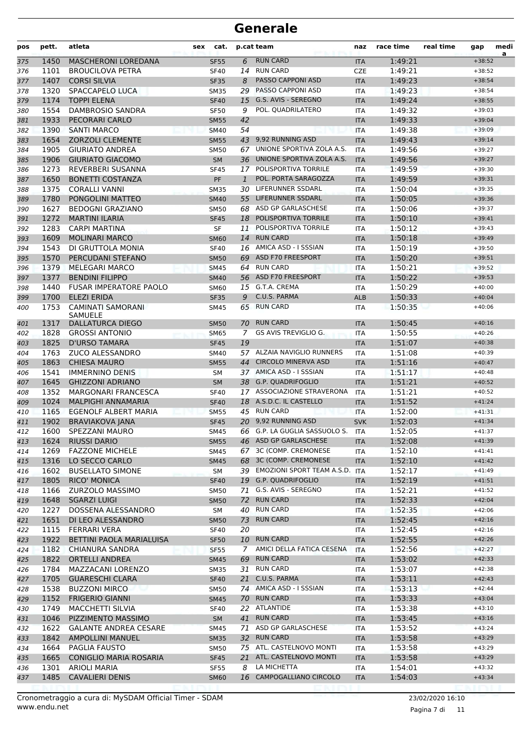| pos        | pett. | atleta                        | <b>sex</b>  | cat. |              | p.cat team                    | naz        | race time | real time | gap      | medi<br>a |
|------------|-------|-------------------------------|-------------|------|--------------|-------------------------------|------------|-----------|-----------|----------|-----------|
| 375        | 1450  | <b>MASCHERONI LOREDANA</b>    | <b>SF55</b> |      | 6            | <b>RUN CARD</b>               | <b>ITA</b> | 1:49:21   |           | $+38:52$ |           |
| 376        | 1101  | <b>BROUCILOVA PETRA</b>       | <b>SF40</b> |      | 14           | <b>RUN CARD</b>               | <b>CZE</b> | 1:49:21   |           | $+38:52$ |           |
| 377        | 1407  | <b>CORSI SILVIA</b>           | <b>SF35</b> |      | 8            | <b>PASSO CAPPONI ASD</b>      | <b>ITA</b> | 1:49:23   |           | $+38:54$ |           |
| 378        | 1320  | SPACCAPELO LUCA               | <b>SM35</b> |      | 29           | PASSO CAPPONI ASD             | <b>ITA</b> | 1:49:23   |           | $+38:54$ |           |
| 379        | 1174  | <b>TOPPI ELENA</b>            | <b>SF40</b> |      | 15           | G.S. AVIS - SEREGNO           | <b>ITA</b> | 1:49:24   |           | $+38:55$ |           |
| 380        | 1554  | <b>DAMBROSIO SANDRA</b>       | <b>SF50</b> |      | 9            | POL. QUADRILATERO             | <b>ITA</b> | 1:49:32   |           | $+39:03$ |           |
| 381        | 1933  | PECORARI CARLO                | <b>SM55</b> |      | 42           |                               | <b>ITA</b> | 1:49:33   |           | $+39:04$ |           |
| 382        | 1390  | <b>SANTI MARCO</b>            | <b>SM40</b> |      | 54           |                               | <b>ITA</b> | 1:49:38   |           | $+39:09$ |           |
| 383        | 1654  | <b>ZORZOLI CLEMENTE</b>       | <b>SM55</b> |      | 43           | 9,92 RUNNING ASD              | <b>ITA</b> | 1:49:43   |           | $+39:14$ |           |
| 384        | 1905  | <b>GIURIATO ANDREA</b>        | <b>SM50</b> |      | 67           | UNIONE SPORTIVA ZOLA A.S.     | <b>ITA</b> | 1:49:56   |           | $+39:27$ |           |
| 385        | 1906  | <b>GIURIATO GIACOMO</b>       | <b>SM</b>   |      | 36           | UNIONE SPORTIVA ZOLA A.S.     | <b>ITA</b> | 1:49:56   |           | $+39:27$ |           |
| 386        | 1273  | REVERBERI SUSANNA             | <b>SF45</b> |      | 17           | POLISPORTIVA TORRILE          | <b>ITA</b> | 1:49:59   |           | $+39:30$ |           |
| 387        | 1650  | <b>BONETTI COSTANZA</b>       | PF          |      | $\mathbf{1}$ | POL. PORTA SARAGOZZA          | <b>ITA</b> | 1:49:59   |           | $+39:31$ |           |
| 388        | 1375  | <b>CORALLI VANNI</b>          | <b>SM35</b> |      | 30           | LIFERUNNER SSDARL             | <b>ITA</b> | 1:50:04   |           | $+39:35$ |           |
| 389        | 1780  | PONGOLINI MATTEO              | <b>SM40</b> |      | 55           | LIFERUNNER SSDARL             | <b>ITA</b> | 1:50:05   |           | $+39:36$ |           |
| 390        | 1627  | <b>BEDOGNI GRAZIANO</b>       | <b>SM50</b> |      | 68           | ASD GP GARLASCHESE            | <b>ITA</b> | 1:50:06   |           | $+39:37$ |           |
| 391        | 1272  | <b>MARTINI ILARIA</b>         | <b>SF45</b> |      | 18           | POLISPORTIVA TORRILE          | <b>ITA</b> | 1:50:10   |           | $+39:41$ |           |
| 392        | 1283  | <b>CARPI MARTINA</b>          | <b>SF</b>   |      | 11           | POLISPORTIVA TORRILE          | <b>ITA</b> | 1:50:12   |           | $+39:43$ |           |
| 393        | 1609  | <b>MOLINARI MARCO</b>         | <b>SM60</b> |      | 14           | <b>RUN CARD</b>               | <b>ITA</b> | 1:50:18   |           | $+39:49$ |           |
| 394        | 1543  | DI GRUTTOLA MONIA             | <b>SF40</b> |      |              | 16 AMICA ASD - I SSSIAN       | <b>ITA</b> | 1:50:19   |           | $+39:50$ |           |
| 395        | 1570  | PERCUDANI STEFANO             | <b>SM50</b> |      |              | 69 ASD F70 FREESPORT          | <b>ITA</b> | 1:50:20   |           | $+39:51$ |           |
| 396        | 1379  | <b>MELEGARI MARCO</b>         | <b>SM45</b> |      | 64           | <b>RUN CARD</b>               | <b>ITA</b> | 1:50:21   |           | $+39:52$ |           |
| 397        | 1377  | <b>BENDINI FILIPPO</b>        | <b>SM40</b> |      |              | 56 ASD F70 FREESPORT          | <b>ITA</b> | 1:50:22   |           | $+39:53$ |           |
| 398        | 1440  | <b>FUSAR IMPERATORE PAOLO</b> | <b>SM60</b> |      |              | 15 G.T.A. CREMA               | <b>ITA</b> | 1:50:29   |           | $+40:00$ |           |
| 399        | 1700  | <b>ELEZI ERIDA</b>            | <b>SF35</b> |      | 9            | C.U.S. PARMA                  | <b>ALB</b> | 1:50:33   |           | $+40:04$ |           |
| 400        | 1753  | <b>CAMINATI SAMORANI</b>      | <b>SM45</b> |      | 65           | <b>RUN CARD</b>               | <b>ITA</b> | 1:50:35   |           | $+40:06$ |           |
|            |       | <b>SAMUELE</b>                |             |      |              |                               |            |           |           |          |           |
| 401        | 1317  | <b>DALLATURCA DIEGO</b>       | <b>SM50</b> |      | 70           | <b>RUN CARD</b>               | <b>ITA</b> | 1:50:45   |           | $+40:16$ |           |
| 402        | 1828  | <b>GROSSI ANTONIO</b>         | <b>SM65</b> |      | 7            | GS AVIS TREVIGLIO G.          | <b>ITA</b> | 1:50:55   |           | $+40:26$ |           |
| 403        | 1825  | <b>D'URSO TAMARA</b>          | <b>SF45</b> |      | 19           |                               | <b>ITA</b> | 1:51:07   |           | $+40:38$ |           |
| 404        | 1763  | <b>ZUCO ALESSANDRO</b>        | <b>SM40</b> |      | 57           | ALZAIA NAVIGLIO RUNNERS       | <b>ITA</b> | 1:51:08   |           | $+40:39$ |           |
| 405        | 1863  | <b>CHIESA MAURO</b>           | <b>SM55</b> |      | 44           | <b>CIRCOLO MINERVA ASD</b>    | <b>ITA</b> | 1:51:16   |           | $+40:47$ |           |
| 406        | 1541  | <b>IMMERNINO DENIS</b>        | SM          |      |              | 37 AMICA ASD - I SSSIAN       | <b>ITA</b> | 1:51:17   |           | $+40:48$ |           |
| 407        | 1645  | <b>GHIZZONI ADRIANO</b>       | <b>SM</b>   |      |              | 38 G.P. QUADRIFOGLIO          | <b>ITA</b> | 1:51:21   |           | $+40:52$ |           |
| 408        | 1352  | <b>MARGONARI FRANCESCA</b>    | <b>SF40</b> |      |              | 17 ASSOCIAZIONE STRAVERONA    | <b>ITA</b> | 1:51:21   |           | $+40:52$ |           |
| 409        | 1024  | <b>MALPIGHI ANNAMARIA</b>     | <b>SF40</b> |      |              | 18 A.S.D.C. IL CASTELLO       | <b>ITA</b> | 1:51:52   |           | $+41:24$ |           |
| 410        | 1165  | EGENOLF ALBERT MARIA          | <b>SM55</b> |      |              | 45 RUN CARD                   | <b>ITA</b> | 1:52:00   |           | $+41:31$ |           |
| 411        | 1902  | <b>BRAVIAKOVA JANA</b>        | <b>SF45</b> |      |              | 20 9,92 RUNNING ASD           | <b>SVK</b> | 1:52:03   |           | $+41:34$ |           |
| 412        | 1600  | SPEZZANI MAURO                | SM45        |      |              | 66 G.P. LA GUGLIA SASSUOLO S. | <b>ITA</b> | 1:52:05   |           | $+41:37$ |           |
| 413        | 1624  | <b>RIUSSI DARIO</b>           | <b>SM55</b> |      |              | 46 ASD GP GARLASCHESE         | <b>ITA</b> | 1:52:08   |           | $+41:39$ |           |
| 414        | 1269  | <b>FAZZONE MICHELE</b>        | <b>SM45</b> |      |              | 67 3C (COMP. CREMONESE        | ITA.       | 1:52:10   |           | $+41:41$ |           |
| 415        | 1316  | LO SECCO CARLO                | <b>SM45</b> |      |              | 68 3C (COMP. CREMONESE        | <b>ITA</b> | 1:52:10   |           | $+41:42$ |           |
| 416        | 1602  | <b>BUSELLATO SIMONE</b>       | SM          |      |              | 39 EMOZIONI SPORT TEAM A.S.D. | ITA        | 1:52:17   |           | $+41:49$ |           |
| 417        | 1805  | <b>RICO' MONICA</b>           | <b>SF40</b> |      |              | 19 G.P. QUADRIFOGLIO          | <b>ITA</b> | 1:52:19   |           | $+41:51$ |           |
| 418        | 1166  | ZURZOLO MASSIMO               | <b>SM50</b> |      | 71           | G.S. AVIS - SEREGNO           | ITA        | 1:52:21   |           | $+41:52$ |           |
| 419        | 1648  | <b>SGARZI LUIGI</b>           | <b>SM50</b> |      |              | 72 RUN CARD                   | <b>ITA</b> | 1:52:33   |           | $+42:04$ |           |
|            | 1227  | DOSSENA ALESSANDRO            | SM          |      |              | 40 RUN CARD                   | ITA        | 1:52:35   |           | $+42:06$ |           |
| 420<br>421 | 1651  | DI LEO ALESSANDRO             | <b>SM50</b> |      | 73           | <b>RUN CARD</b>               | <b>ITA</b> | 1:52:45   |           | $+42:16$ |           |
|            | 1115  | <b>FERRARI VERA</b>           | <b>SF40</b> |      | 20           |                               |            | 1:52:45   |           | $+42:16$ |           |
| 422        |       |                               |             |      |              | 10 RUN CARD                   | ITA.       |           |           | $+42:26$ |           |
| 423        | 1922  | BETTINI PAOLA MARIALUISA      | <b>SF50</b> |      |              | AMICI DELLA FATICA CESENA     | <b>ITA</b> | 1:52:55   |           |          |           |
| 424        | 1182  | CHIANURA SANDRA               | <b>SF55</b> |      | 7            |                               | <b>ITA</b> | 1:52:56   |           | $+42:27$ |           |
| 425        | 1822  | <b>ORTELLI ANDREA</b>         | <b>SM45</b> |      |              | 69 RUN CARD                   | <b>ITA</b> | 1:53:02   |           | $+42:33$ |           |
| 426        | 1784  | MAZZACANI LORENZO             | <b>SM35</b> |      |              | 31 RUN CARD                   | ITA        | 1:53:07   |           | $+42:38$ |           |
| 427        | 1705  | <b>GUARESCHI CLARA</b>        | <b>SF40</b> |      |              | 21 C.U.S. PARMA               | <b>ITA</b> | 1:53:11   |           | $+42:43$ |           |
| 428        | 1538  | <b>BUZZONI MIRCO</b>          | <b>SM50</b> |      |              | 74 AMICA ASD - I SSSIAN       | <b>ITA</b> | 1:53:13   |           | $+42:44$ |           |
| 429        | 1152  | <b>FRIGERIO GIANNI</b>        | <b>SM45</b> |      |              | 70 RUN CARD                   | <b>ITA</b> | 1:53:33   |           | $+43:04$ |           |
| 430        | 1749  | <b>MACCHETTI SILVIA</b>       | <b>SF40</b> |      |              | 22 ATLANTIDE                  | ITA        | 1:53:38   |           | $+43:10$ |           |
| 431        | 1046  | PIZZIMENTO MASSIMO            | SM          |      |              | 41 RUN CARD                   | <b>ITA</b> | 1:53:45   |           | $+43:16$ |           |
| 432        | 1622  | <b>GALANTE ANDREA CESARE</b>  | SM45        |      |              | 71 ASD GP GARLASCHESE         | ITA        | 1:53:52   |           | $+43:24$ |           |
| 433        | 1842  | <b>AMPOLLINI MANUEL</b>       | <b>SM35</b> |      |              | 32 RUN CARD                   | <b>ITA</b> | 1:53:58   |           | $+43:29$ |           |
| 434        | 1664  | PAGLIA FAUSTO                 | <b>SM50</b> |      |              | 75 ATL. CASTELNOVO MONTI      | ITA        | 1:53:58   |           | $+43:29$ |           |
| 435        | 1665  | <b>CONIGLIO MARIA ROSARIA</b> | <b>SF45</b> |      |              | 21 ATL. CASTELNOVO MONTI      | <b>ITA</b> | 1:53:58   |           | $+43:29$ |           |
| 436        | 1301  | <b>ARIOLI MARIA</b>           | <b>SF55</b> |      | 8            | LA MICHETTA                   | ITA        | 1:54:01   |           | $+43:32$ |           |
| 437        | 1485  | <b>CAVALIERI DENIS</b>        | <b>SM60</b> |      |              | 16 CAMPOGALLIANO CIRCOLO      | <b>ITA</b> | 1:54:03   |           | $+43:34$ |           |
|            |       |                               |             |      |              |                               |            |           |           |          |           |

Pagina 7 di 11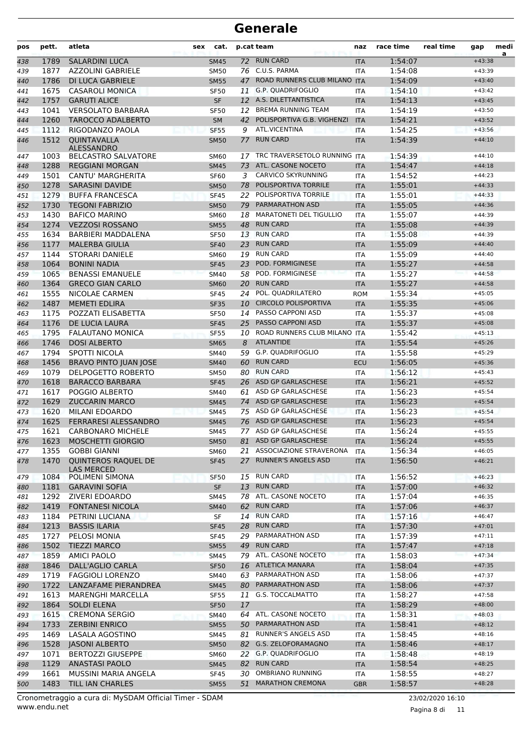| pos        | pett.        | atleta                                      | <b>sex</b> | cat.                       |          | p.cat team                                               | naz                      | race time          | real time | gap                  | medi<br>a |
|------------|--------------|---------------------------------------------|------------|----------------------------|----------|----------------------------------------------------------|--------------------------|--------------------|-----------|----------------------|-----------|
| 438        | 1789         | <b>SALARDINI LUCA</b>                       |            | <b>SM45</b>                |          | 72 RUN CARD                                              | <b>ITA</b>               | 1:54:07            |           | $+43:38$             |           |
| 439        | 1877         | <b>AZZOLINI GABRIELE</b>                    |            | <b>SM50</b>                |          | 76 C.U.S. PARMA                                          | <b>ITA</b>               | 1:54:08            |           | $+43:39$             |           |
| 440        | 1786         | <b>DI LUCA GABRIELE</b>                     |            | <b>SM55</b>                | 47       | ROAD RUNNERS CLUB MILANO                                 | <b>ITA</b>               | 1:54:09            |           | $+43:40$             |           |
| 441        | 1675         | <b>CASAROLI MONICA</b>                      |            | <b>SF50</b>                | 11       | <b>G.P. QUADRIFOGLIO</b>                                 | <b>ITA</b>               | 1:54:10            |           | $+43:42$             |           |
| 442        | 1757         | <b>GARUTI ALICE</b>                         |            | <b>SF</b>                  |          | 12 A.S. DILETTANTISTICA                                  | <b>ITA</b>               | 1:54:13            |           | $+43:45$             |           |
| 443        | 1041         | <b>VERSOLATO BARBARA</b>                    |            | <b>SF50</b>                | 12       | <b>BREMA RUNNING TEAM</b>                                | <b>ITA</b>               | 1:54:19            |           | $+43:50$             |           |
| 444        | 1260         | <b>TAROCCO ADALBERTO</b>                    |            | <b>SM</b>                  | 42       | POLISPORTIVA G.B. VIGHENZI                               | <b>ITA</b>               | 1:54:21            |           | $+43:52$             |           |
| 445        | 1112         | RIGODANZO PAOLA                             |            | <b>SF55</b>                | 9        | <b>ATL.VICENTINA</b>                                     | <b>ITA</b>               | 1:54:25            |           | $+43:56$             |           |
| 446        | 1512         | QUINTAVALLA<br><b>ALESSANDRO</b>            |            | <b>SM50</b>                | 77       | <b>RUN CARD</b>                                          | <b>ITA</b>               | 1:54:39            |           | $+44:10$             |           |
| 447        | 1003         | <b>BELCASTRO SALVATORE</b>                  |            | <b>SM60</b>                | 17       | TRC TRAVERSETOLO RUNNING ITA                             |                          | 1:54:39            |           | $+44:10$             |           |
| 448        | 1288         | <b>REGGIANI MORGAN</b>                      |            | <b>SM45</b>                | 73       | ATL. CASONE NOCETO                                       | <b>ITA</b>               | 1:54:47            |           | $+44:18$             |           |
| 449        | 1501         | CANTU' MARGHERITA                           |            | <b>SF60</b>                | 3        | <b>CARVICO SKYRUNNING</b>                                | <b>ITA</b>               | 1:54:52            |           | $+44:23$             |           |
| 450        | 1278         | <b>SARASINI DAVIDE</b>                      |            | <b>SM50</b>                | 78       | POLISPORTIVA TORRILE                                     | <b>ITA</b>               | 1:55:01            |           | $+44:33$             |           |
| 451        | 1279         | <b>BUFFA FRANCESCA</b>                      |            | <b>SF45</b>                | 22       | POLISPORTIVA TORRILE                                     | <b>ITA</b>               | 1:55:01            |           | $+44:33$             |           |
| 452        | 1730         | <b>TEGONI FABRIZIO</b>                      |            | <b>SM50</b>                | 79       | <b>PARMARATHON ASD</b>                                   | <b>ITA</b>               | 1:55:05            |           | $+44:36$             |           |
| 453        | 1430         | <b>BAFICO MARINO</b>                        |            | SM60                       | 18       | <b>MARATONETI DEL TIGULLIO</b><br><b>RUN CARD</b>        | ITA                      | 1:55:07            |           | $+44:39$             |           |
| 454        | 1274         | <b>VEZZOSI ROSSANO</b>                      |            | <b>SM55</b>                | 48       | <b>RUN CARD</b>                                          | <b>ITA</b>               | 1:55:08            |           | $+44:39$             |           |
| 455        | 1634<br>1177 | BARBIERI MADDALENA<br><b>MALERBA GIULIA</b> |            | <b>SF50</b>                | 13<br>23 | <b>RUN CARD</b>                                          | <b>ITA</b>               | 1:55:08<br>1:55:09 |           | $+44:39$<br>$+44:40$ |           |
| 456        | 1144         | <b>STORARI DANIELE</b>                      |            | <b>SF40</b>                | 19       | <b>RUN CARD</b>                                          | <b>ITA</b>               | 1:55:09            |           | $+44:40$             |           |
| 457<br>458 | 1064         | <b>BONINI NADIA</b>                         |            | <b>SM60</b><br><b>SF45</b> | 23       | POD. FORMIGINESE                                         | <b>ITA</b><br><b>ITA</b> | 1:55:27            |           | $+44:58$             |           |
| 459        | 1065         | <b>BENASSI EMANUELE</b>                     |            | <b>SM40</b>                | 58       | POD. FORMIGINESE                                         | <b>ITA</b>               | 1:55:27            |           | $+44:58$             |           |
| 460        | 1364         | <b>GRECO GIAN CARLO</b>                     |            | <b>SM60</b>                | 20       | <b>RUN CARD</b>                                          | <b>ITA</b>               | 1:55:27            |           | $+44:58$             |           |
| 461        | 1555         | NICOLAE CARMEN                              |            | <b>SF45</b>                | 24       | POL. QUADRILATERO                                        | <b>ROM</b>               | 1:55:34            |           | $+45:05$             |           |
| 462        | 1487         | <b>MEMETI EDLIRA</b>                        |            | <b>SF35</b>                | 10       | <b>CIRCOLO POLISPORTIVA</b>                              | <b>ITA</b>               | 1:55:35            |           | $+45:06$             |           |
| 463        | 1175         | POZZATI ELISABETTA                          |            | <b>SF50</b>                | 14       | PASSO CAPPONI ASD                                        | <b>ITA</b>               | 1:55:37            |           | $+45:08$             |           |
| 464        | 1176         | DE LUCIA LAURA                              |            | <b>SF45</b>                | 25       | <b>PASSO CAPPONI ASD</b>                                 | <b>ITA</b>               | 1:55:37            |           | $+45:08$             |           |
| 465        | 1795         | <b>FALAUTANO MONICA</b>                     |            | <b>SF55</b>                | 10       | ROAD RUNNERS CLUB MILANO ITA                             |                          | 1:55:42            |           | $+45:13$             |           |
| 466        | 1746         | <b>DOSI ALBERTO</b>                         |            | <b>SM65</b>                | 8        | <b>ATLANTIDE</b>                                         | <b>ITA</b>               | 1:55:54            |           | $+45:26$             |           |
| 467        | 1794         | <b>SPOTTI NICOLA</b>                        |            | <b>SM40</b>                | 59       | <b>G.P. QUADRIFOGLIO</b>                                 | <b>ITA</b>               | 1:55:58            |           | $+45:29$             |           |
| 468        | 1456         | <b>BRAVO PINTO JUAN JOSE</b>                |            | <b>SM40</b>                | 60       | <b>RUN CARD</b>                                          | <b>ECU</b>               | 1:56:05            |           | $+45:36$             |           |
| 469        | 1079         | DELPOGETTO ROBERTO                          |            | <b>SM50</b>                | 80       | <b>RUN CARD</b>                                          | ITA                      | 1:56:12            |           | $+45:43$             |           |
| 470        | 1618         | <b>BARACCO BARBARA</b>                      |            | <b>SF45</b>                |          | 26 ASD GP GARLASCHESE                                    | <b>ITA</b>               | 1:56:21            |           | $+45:52$             |           |
| 471        | 1617         | POGGIO ALBERTO                              |            | <b>SM40</b>                | 61       | ASD GP GARLASCHESE                                       | <b>ITA</b>               | 1:56:23            |           | $+45:54$             |           |
| 472        | 1629         | <b>ZUCCARIN MARCO</b>                       |            | <b>SM45</b>                | 74       | ASD GP GARLASCHESE                                       | <b>ITA</b>               | 1:56:23            |           | $+45:54$             |           |
| 473        | 1620         | MILANI EDOARDO                              |            | <b>SM45</b>                | 75       | ASD GP GARLASCHESE                                       | <b>ITA</b>               | 1:56:23            |           | $+45:54$             |           |
| 474        | 1625         | <b>FERRARESI ALESSANDRO</b>                 |            | <b>SM45</b>                |          | 76 ASD GP GARLASCHESE                                    | <b>ITA</b>               | 1:56:23            |           | $+45:54$             |           |
| 475        | 1621         | <b>CARBONARO MICHELE</b>                    |            | SM45                       |          | 77 ASD GP GARLASCHESE                                    | <b>ITA</b>               | 1:56:24            |           | $+45:55$             |           |
| 476        | 1623         | MOSCHETTI GIORGIO                           |            | <b>SM50</b>                |          | 81 ASD GP GARLASCHESE                                    | $\mathsf{II} \mathsf{A}$ | 1:56:24            |           | $+45:55$             |           |
| 477<br>478 | 1355<br>1470 | <b>GOBBI GIANNI</b><br>QUINTEROS RAQUEL DE  |            | <b>SM60</b><br><b>SF45</b> | 27       | 21 ASSOCIAZIONE STRAVERONA<br><b>RUNNER'S ANGELS ASD</b> | <b>ITA</b><br><b>ITA</b> | 1:56:34<br>1:56:50 |           | $+46:05$<br>$+46:21$ |           |
|            |              | LAS MERCED                                  |            |                            |          | 15 RUN CARD                                              |                          | 1:56:52            |           |                      |           |
| 479        | 1084<br>1181 | POLIMENI SIMONA<br><b>GARAVINI SOFIA</b>    |            | SF <sub>50</sub>           |          | 13 RUN CARD                                              | ITA                      | 1:57:00            |           | $+46:23$<br>$+46:32$ |           |
| 480<br>481 | 1292         | ZIVERI EDOARDO                              |            | SF<br>SM45                 |          | 78 ATL. CASONE NOCETO                                    | <b>ITA</b><br><b>ITA</b> | 1:57:04            |           | $+46:35$             |           |
| 482        | 1419         | <b>FONTANESI NICOLA</b>                     |            | <b>SM40</b>                | 62       | <b>RUN CARD</b>                                          | <b>ITA</b>               | 1:57:06            |           | $+46:37$             |           |
| 483        | 1184         | PETRINI LUCIANA                             |            | SF                         |          | 14 RUN CARD                                              | <b>ITA</b>               | 1:57:16            |           | $+46:47$             |           |
| 484        | 1213         | <b>BASSIS ILARIA</b>                        |            | <b>SF45</b>                |          | 28 RUN CARD                                              | <b>ITA</b>               | 1:57:30            |           | $+47:01$             |           |
| 485        | 1727         | PELOSI MONIA                                |            | <b>SF45</b>                |          | 29 PARMARATHON ASD                                       | <b>ITA</b>               | 1:57:39            |           | $+47:11$             |           |
| 486        | 1502         | <b>TIEZZI MARCO</b>                         |            | <b>SM55</b>                | 49       | <b>RUN CARD</b>                                          | <b>ITA</b>               | 1:57:47            |           | $+47:18$             |           |
| 487        | 1859         | <b>AMICI PAOLO</b>                          |            | <b>SM45</b>                |          | 79 ATL. CASONE NOCETO                                    | <b>ITA</b>               | 1:58:03            |           | $+47:34$             |           |
| 488        | 1846         | <b>DALL'AGLIO CARLA</b>                     |            | <b>SF50</b>                |          | 16 ATLETICA MANARA                                       | <b>ITA</b>               | 1:58:04            |           | $+47:35$             |           |
| 489        | 1719         | <b>FAGGIOLI LORENZO</b>                     |            | SM40                       |          | 63 PARMARATHON ASD                                       | <b>ITA</b>               | 1:58:06            |           | $+47:37$             |           |
| 490        | 1722         | LANZAFAME PIERANDREA                        |            | <b>SM45</b>                |          | 80 PARMARATHON ASD                                       | <b>ITA</b>               | 1:58:06            |           | $+47:37$             |           |
| 491        | 1613         | <b>MARENGHI MARCELLA</b>                    |            | <b>SF55</b>                | 11       | G.S. TOCCALMATTO                                         | <b>ITA</b>               | 1:58:27            |           | $+47:58$             |           |
| 492        | 1864         | <b>SOLDI ELENA</b>                          |            | <b>SF50</b>                | 17       |                                                          | <b>ITA</b>               | 1:58:29            |           | $+48:00$             |           |
| 493        | 1615         | <b>CREMONA SERGIO</b>                       |            | <b>SM40</b>                | 64       | ATL. CASONE NOCETO                                       | ITA                      | 1:58:31            |           | $+48:03$             |           |
| 494        | 1733         | <b>ZERBINI ENRICO</b>                       |            | <b>SM55</b>                |          | 50 PARMARATHON ASD                                       | <b>ITA</b>               | 1:58:41            |           | $+48:12$             |           |
| 495        | 1469         | LASALA AGOSTINO                             |            | SM45                       |          | 81 RUNNER'S ANGELS ASD                                   | <b>ITA</b>               | 1:58:45            |           | $+48:16$             |           |
| 496        | 1528         | <b>JASONI ALBERTO</b>                       |            | <b>SM50</b>                |          | 82 G.S. ZELOFORAMAGNO                                    | <b>ITA</b>               | 1:58:46            |           | $+48:17$             |           |
| 497        | 1071         | <b>BERTOZZI GIUSEPPE</b>                    |            | <b>SM60</b>                |          | 22 G.P. QUADRIFOGLIO                                     | <b>ITA</b>               | 1:58:48            |           | $+48:19$             |           |
| 498        | 1129         | <b>ANASTASI PAOLO</b>                       |            | <b>SM45</b>                |          | 82 RUN CARD                                              | <b>ITA</b>               | 1:58:54            |           | $+48:25$             |           |
| 499        | 1661         | MUSSINI MARIA ANGELA                        |            | SF45                       | 30       | OMBRIANO RUNNING                                         | <b>ITA</b>               | 1:58:55            |           | $+48:27$             |           |
| 500        | 1483         | TILL IAN CHARLES                            |            | <b>SM55</b>                | 51       | <b>MARATHON CREMONA</b>                                  | <b>GBR</b>               | 1:58:57            |           | $+48:28$             |           |

www.endu.net Cronometraggio a cura di: MySDAM Official Timer - SDAM 23/02/2020 16:10

Pagina 8 di 11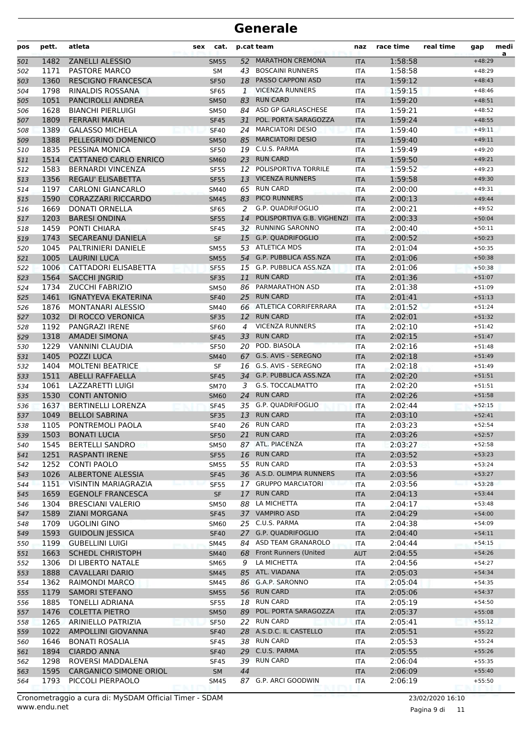| pos        | pett.        | atleta                                   | sex | cat.                       |              | p.cat team                                         | naz                      | race time          | real time | gap                  | medi<br>a |
|------------|--------------|------------------------------------------|-----|----------------------------|--------------|----------------------------------------------------|--------------------------|--------------------|-----------|----------------------|-----------|
| 501        | 1482         | <b>ZANELLI ALESSIO</b>                   |     | <b>SM55</b>                | 52           | <b>MARATHON CREMONA</b>                            | <b>ITA</b>               | 1:58:58            |           | $+48:29$             |           |
| 502        | 1171         | <b>PASTORE MARCO</b>                     |     | <b>SM</b>                  | 43           | <b>BOSCAINI RUNNERS</b>                            | <b>ITA</b>               | 1:58:58            |           | $+48:29$             |           |
| 503        | 1360         | <b>RESCIGNO FRANCESCA</b>                |     | <b>SF50</b>                |              | 18 PASSO CAPPONI ASD                               | <b>ITA</b>               | 1:59:12            |           | $+48:43$             |           |
| 504        | 1798         | <b>RINALDIS ROSSANA</b>                  |     | <b>SF65</b>                | $\mathbf{1}$ | <b>VICENZA RUNNERS</b>                             | <b>ITA</b>               | 1:59:15            |           | $+48:46$             |           |
| 505        | 1051         | PANCIROLLI ANDREA                        |     | <b>SM50</b>                | 83           | <b>RUN CARD</b>                                    | <b>ITA</b>               | 1:59:20            |           | $+48:51$             |           |
| 506        | 1628         | <b>BIANCHI PIERLUIGI</b>                 |     | SM50                       |              | 84 ASD GP GARLASCHESE                              | <b>ITA</b>               | 1:59:21            |           | $+48:52$             |           |
| 507        | 1809         | <b>FERRARI MARIA</b>                     |     | <b>SF45</b>                | 31           | POL. PORTA SARAGOZZA                               | <b>ITA</b>               | 1:59:24            |           | $+48:55$             |           |
| 508        | 1389         | <b>GALASSO MICHELA</b>                   |     | <b>SF40</b>                |              | 24 MARCIATORI DESIO                                | <b>ITA</b>               | 1:59:40            |           | $+49:11$             |           |
| 509        | 1388         | PELLEGRINO DOMENICO                      |     | <b>SM50</b>                | 85           | <b>MARCIATORI DESIO</b>                            | <b>ITA</b>               | 1:59:40            |           | $+49:11$             |           |
| 510        | 1835         | PESSINA MONICA                           |     | <b>SF50</b>                | 19           | C.U.S. PARMA                                       | <b>ITA</b>               | 1:59:49            |           | $+49:20$             |           |
| 511        | 1514         | CATTANEO CARLO ENRICO                    |     | <b>SM60</b>                | 23           | <b>RUN CARD</b>                                    | <b>ITA</b>               | 1:59:50            |           | $+49:21$             |           |
| 512        | 1583         | <b>BERNARDI VINCENZA</b>                 |     | <b>SF55</b>                | 12           | POLISPORTIVA TORRILE                               | <b>ITA</b>               | 1:59:52            |           | $+49:23$             |           |
| 513        | 1356         | <b>REGAU' ELISABETTA</b>                 |     | <b>SF55</b>                | 13           | <b>VICENZA RUNNERS</b>                             | <b>ITA</b>               | 1:59:58            |           | $+49:30$             |           |
| 514        | 1197         | <b>CARLONI GIANCARLO</b>                 |     | <b>SM40</b>                | 65           | <b>RUN CARD</b>                                    | <b>ITA</b>               | 2:00:00            |           | $+49:31$             |           |
| 515        | 1590         | <b>CORAZZARI RICCARDO</b>                |     | <b>SM45</b>                | 83           | <b>PICO RUNNERS</b>                                | <b>ITA</b>               | 2:00:13            |           | $+49:44$             |           |
| 516        | 1669         | <b>DONATI ORNELLA</b>                    |     | <b>SF65</b>                | 2            | G.P. QUADRIFOGLIO                                  | <b>ITA</b>               | 2:00:21            |           | $+49:52$             |           |
| 517        | 1203         | <b>BARESI ONDINA</b>                     |     | <b>SF55</b>                | 14           | POLISPORTIVA G.B. VIGHENZI                         | <b>ITA</b>               | 2:00:33            |           | $+50:04$             |           |
| 518        | 1459         | PONTI CHIARA                             |     | <b>SF45</b>                |              | 32 RUNNING SARONNO                                 | <b>ITA</b>               | 2:00:40            |           | $+50:11$             |           |
| 519        | 1743         | <b>SECAREANU DANIELA</b>                 |     | <b>SF</b>                  | 15           | <b>G.P. QUADRIFOGLIO</b>                           | <b>ITA</b>               | 2:00:52            |           | $+50:23$             |           |
| 520        | 1045         | PALTRINIERI DANIELE                      |     | <b>SM55</b>                |              | 53 ATLETICA MDS                                    | <b>ITA</b>               | 2:01:04            |           | $+50:35$             |           |
| 521        | 1005         | <b>LAURINI LUCA</b>                      |     | <b>SM55</b>                |              | 54 G.P. PUBBLICA ASS.NZA                           | <b>ITA</b>               | 2:01:06            |           | $+50:38$             |           |
| 522        | 1006         | <b>CATTADORI ELISABETTA</b>              |     | <b>SF55</b>                | 15           | G.P. PUBBLICA ASS.NZA                              | <b>ITA</b>               | 2:01:06            |           | $+50:38$             |           |
| 523        | 1564         | <b>SACCHI INGRID</b>                     |     | <b>SF35</b>                | 11           | <b>RUN CARD</b>                                    | <b>ITA</b>               | 2:01:36            |           | $+51:07$             |           |
| 524        | 1734         | <b>ZUCCHI FABRIZIO</b>                   |     | <b>SM50</b>                | 86           | PARMARATHON ASD                                    | <b>ITA</b>               | 2:01:38            |           | $+51:09$             |           |
| 525        | 1461         | <b>IGNATYEVA EKATERINA</b>               |     | <b>SF40</b>                | 25           | <b>RUN CARD</b>                                    | <b>ITA</b>               | 2:01:41            |           | $+51:13$             |           |
| 526        | 1876         | <b>MONTANARI ALESSIO</b>                 |     | <b>SM40</b>                |              | 66 ATLETICA CORRIFERRARA                           | <b>ITA</b>               | 2:01:52            |           | $+51:24$             |           |
| 527        | 1032         | DI ROCCO VERONICA                        |     | <b>SF35</b>                |              | 12 RUN CARD                                        | <b>ITA</b>               | 2:02:01            |           | $+51:32$             |           |
| 528        | 1192         | PANGRAZI IRENE                           |     | <b>SF60</b>                | 4            | <b>VICENZA RUNNERS</b>                             | <b>ITA</b>               | 2:02:10            |           | $+51:42$             |           |
| 529        | 1318         | <b>AMADEI SIMONA</b>                     |     | <b>SF45</b>                | 33           | <b>RUN CARD</b>                                    | <b>ITA</b>               | 2:02:15            |           | $+51:47$             |           |
| 530        | 1229         | VANNINI CLAUDIA                          |     | <b>SF50</b>                | 20           | POD. BIASOLA                                       | <b>ITA</b>               | 2:02:16            |           | $+51:48$             |           |
| 531        | 1405         | POZZI LUCA                               |     | <b>SM40</b>                | 67           | G.S. AVIS - SEREGNO                                | <b>ITA</b>               | 2:02:18            |           | $+51:49$             |           |
| 532        | 1404         | <b>MOLTENI BEATRICE</b>                  |     | SF                         |              | 16 G.S. AVIS - SEREGNO<br>34 G.P. PUBBLICA ASS.NZA | <b>ITA</b>               | 2:02:18            |           | $+51:49$             |           |
| 533        | 1511<br>1061 | <b>ABELLI RAFFAELLA</b>                  |     | <b>SF45</b>                |              | <b>G.S. TOCCALMATTO</b>                            | <b>ITA</b>               | 2:02:20<br>2:02:20 |           | $+51:51$             |           |
| 534<br>535 | 1530         | LAZZARETTI LUIGI<br><b>CONTI ANTONIO</b> |     | <b>SM70</b><br><b>SM60</b> | 3<br>24      | <b>RUN CARD</b>                                    | <b>ITA</b><br><b>ITA</b> | 2:02:26            |           | $+51:51$<br>$+51:58$ |           |
|            | 1637         | <b>BERTINELLI LORENZA</b>                |     |                            | 35           | G.P. QUADRIFOGLIO                                  | <b>ITA</b>               | 2:02:44            |           | $+52:15$             |           |
| 536<br>537 | 1049         | <b>BELLOI SABRINA</b>                    |     | <b>SF45</b><br><b>SF35</b> | 13           | <b>RUN CARD</b>                                    | <b>ITA</b>               | 2:03:10            |           | $+52:41$             |           |
| 538        | 1105         | PONTREMOLI PAOLA                         |     | <b>SF40</b>                | 26           | <b>RUN CARD</b>                                    | <b>ITA</b>               | 2:03:23            |           | $+52:54$             |           |
| 539        | 1503         | <b>BONATI LUCIA</b>                      |     | <b>SF50</b>                | 21           | <b>RUN CARD</b>                                    | <b>ITA</b>               | 2:03:26            |           | $+52:57$             |           |
| 540        | 1545         | <b>BERTELLI SANDRO</b>                   |     | <b>SM50</b>                |              | 87 ATL. PIACENZA                                   | ITA                      | 2:03:27            |           | $+52:58$             |           |
| 541        | 1251         | <b>RASPANTI IRENE</b>                    |     | <b>SF55</b>                |              | 16 RUN CARD                                        | <b>ITA</b>               | 2:03:52            |           | $+53:23$             |           |
| 542        | 1252         | <b>CONTI PAOLO</b>                       |     | <b>SM55</b>                |              | 55 RUN CARD                                        | ITA                      | 2:03:53            |           | $+53:24$             |           |
| 543        | 1026         | <b>ALBERTONE ALESSIA</b>                 |     | <b>SF45</b>                |              | 36 A.S.D. OLIMPIA RUNNERS                          | <b>ITA</b>               | 2:03:56            |           | $+53:27$             |           |
| 544        | 1151         | <b>VISINTIN MARIAGRAZIA</b>              |     | <b>SF55</b>                |              | 17 GRUPPO MARCIATORI                               | <b>ITA</b>               | 2:03:56            |           | $+53:28$             |           |
| 545        | 1659         | <b>EGENOLF FRANCESCA</b>                 |     | <b>SF</b>                  |              | 17 RUN CARD                                        | <b>ITA</b>               | 2:04:13            |           | $+53:44$             |           |
| 546        | 1304         | BRESCIANI VALERIO                        |     | <b>SM50</b>                | 88           | LA MICHETTA                                        | ITA                      | 2:04:17            |           | $+53:48$             |           |
| 547        | 1589         | <b>ZIANI MORGANA</b>                     |     | <b>SF45</b>                |              | 37 VAMPIRO ASD                                     | <b>ITA</b>               | 2:04:29            |           | $+54:00$             |           |
| 548        | 1709         | UGOLINI GINO                             |     | SM60                       |              | 25 C.U.S. PARMA                                    | ITA                      | 2:04:38            |           | $+54:09$             |           |
| 549        | 1593         | <b>GUIDOLIN JESSICA</b>                  |     | <b>SF40</b>                |              | 27 G.P. QUADRIFOGLIO                               | <b>ITA</b>               | 2:04:40            |           | $+54:11$             |           |
| 550        | 1199         | <b>GUBELLINI LUIGI</b>                   |     | <b>SM45</b>                |              | 84 ASD TEAM GRANAROLO                              | ITA                      | 2:04:44            |           | $+54:15$             |           |
| 551        | 1663         | <b>SCHEDL CHRISTOPH</b>                  |     | <b>SM40</b>                |              | 68 Front Runners (United                           | <b>AUT</b>               | 2:04:55            |           | $+54:26$             |           |
| 552        | 1306         | DI LIBERTO NATALE                        |     | <b>SM65</b>                | 9            | LA MICHETTA                                        | ITA                      | 2:04:56            |           | $+54:27$             |           |
| 553        | 1888         | <b>CAVALLARI DARIO</b>                   |     | <b>SM45</b>                | 85           | ATL. VIADANA                                       | <b>ITA</b>               | 2:05:03            |           | $+54:34$             |           |
| 554        | 1362         | RAIMONDI MARCO                           |     | SM45                       |              | 86 G.A.P. SARONNO                                  | ITA                      | 2:05:04            |           | $+54:35$             |           |
| 555        | 1179         | <b>SAMORI STEFANO</b>                    |     | <b>SM55</b>                |              | 56 RUN CARD                                        | <b>ITA</b>               | 2:05:06            |           | $+54:37$             |           |
| 556        | 1885         | <b>TONELLI ADRIANA</b>                   |     | <b>SF55</b>                |              | 18 RUN CARD                                        | ITA                      | 2:05:19            |           | $+54:50$             |           |
| 557        | 1476         | <b>COLETTA PIETRO</b>                    |     | <b>SM50</b>                |              | 89 POL. PORTA SARAGOZZA                            | <b>ITA</b>               | 2:05:37            |           | $+55:08$             |           |
| 558        | 1265         | ARINIELLO PATRIZIA                       |     | <b>SF50</b>                |              | 22 RUN CARD                                        | ITA                      | 2:05:41            |           | $+55:12$             |           |
| 559        | 1022         | AMPOLLINI GIOVANNA                       |     | <b>SF40</b>                |              | 28 A.S.D.C. IL CASTELLO                            | <b>ITA</b>               | 2:05:51            |           | $+55:22$             |           |
| 560        | 1646         | <b>BONATI ROSALIA</b>                    |     | <b>SF45</b>                |              | 38 RUN CARD                                        | ITA                      | 2:05:53            |           | $+55:24$             |           |
| 561        | 1894         | <b>CIARDO ANNA</b>                       |     | <b>SF40</b>                |              | 29 C.U.S. PARMA                                    | <b>ITA</b>               | 2:05:55            |           | $+55:26$             |           |
| 562        | 1298         | ROVERSI MADDALENA                        |     | <b>SF45</b>                |              | 39 RUN CARD                                        | ITA                      | 2:06:04            |           | $+55:35$             |           |
| 563        | 1595         | <b>CARGANICO SIMONE ORIOL</b>            |     | SM                         | 44           |                                                    | <b>ITA</b>               | 2:06:09            |           | $+55:40$             |           |
| 564        | 1793         | PICCOLI PIERPAOLO                        |     | <b>SM45</b>                |              | 87 G.P. ARCI GOODWIN                               | ITA                      | 2:06:19            |           | $+55:50$             |           |
|            |              |                                          |     |                            |              |                                                    |                          |                    |           |                      |           |

www.endu.net Cronometraggio a cura di: MySDAM Official Timer - SDAM 23/02/2020 16:10

Pagina 9 di 11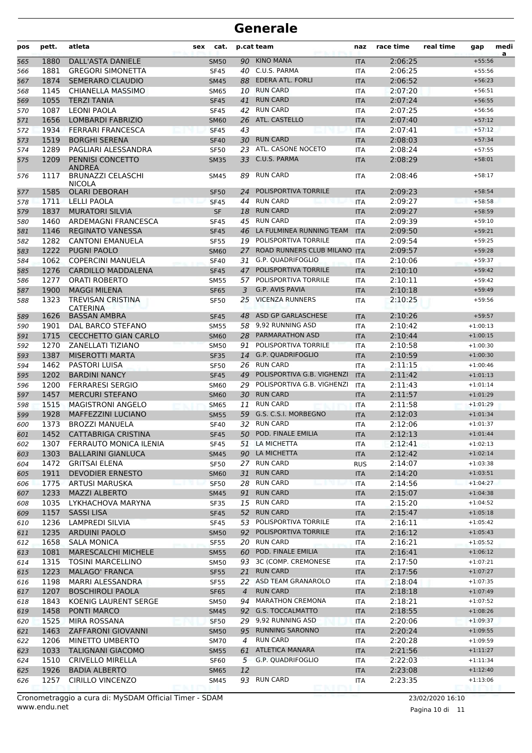| pos | pett. | atleta                                      | sex | cat.                |                | p.cat team                   | naz        | race time          | real time | gap        | medi<br>a |
|-----|-------|---------------------------------------------|-----|---------------------|----------------|------------------------------|------------|--------------------|-----------|------------|-----------|
| 565 | 1880  | <b>DALL'ASTA DANIELE</b>                    |     | <b>SM50</b>         | 90             | <b>KINO MANA</b>             | <b>ITA</b> | 2:06:25            |           | $+55:56$   |           |
| 566 | 1881  | <b>GREGORI SIMONETTA</b>                    |     | <b>SF45</b>         | 40             | C.U.S. PARMA                 | <b>ITA</b> | 2:06:25            |           | $+55:56$   |           |
| 567 | 1874  | <b>SEMERARO CLAUDIO</b>                     |     | <b>SM45</b>         | 88             | <b>EDERA ATL. FORLI</b>      | <b>ITA</b> | 2:06:52            |           | $+56:23$   |           |
| 568 | 1145  | CHIANELLA MASSIMO                           |     | <b>SM65</b>         |                | 10 RUN CARD                  | <b>ITA</b> | 2:07:20            |           | $+56:51$   |           |
| 569 | 1055  | <b>TERZI TANIA</b>                          |     | <b>SF45</b>         | 41             | <b>RUN CARD</b>              | <b>ITA</b> | 2:07:24            |           | $+56:55$   |           |
| 570 | 1087  | <b>LEONI PAOLA</b>                          |     | <b>SF45</b>         |                | 42 RUN CARD                  | <b>ITA</b> | 2:07:25            |           | $+56:56$   |           |
| 571 | 1656  | <b>LOMBARDI FABRIZIO</b>                    |     | <b>SM60</b>         | 26             | ATL. CASTELLO                | <b>ITA</b> | 2:07:40            |           | $+57:12$   |           |
| 572 | 1934  | <b>FERRARI FRANCESCA</b>                    |     | <b>SF45</b>         | 43             |                              | <b>ITA</b> | 2:07:41            |           | $+57:12$   |           |
| 573 | 1519  | <b>BORGHI SERENA</b>                        |     | <b>SF40</b>         |                | 30 RUN CARD                  | <b>ITA</b> | 2:08:03            |           | $+57:34$   |           |
| 574 | 1289  | PAGLIARI ALESSANDRA                         |     | <b>SF50</b>         | 23             | ATL. CASONE NOCETO           | <b>ITA</b> | 2:08:24            |           | $+57:55$   |           |
| 575 | 1209  | PENNISI CONCETTO<br><b>ANDREA</b>           |     | <b>SM35</b>         | 33             | C.U.S. PARMA                 | <b>ITA</b> | 2:08:29            |           | $+58:01$   |           |
| 576 | 1117  | <b>BRUNAZZI CELASCHI</b><br><b>NICOLA</b>   |     | SM45                | 89             | <b>RUN CARD</b>              | ITA        | 2:08:46            |           | $+58:17$   |           |
| 577 | 1585  | <b>OLARI DEBORAH</b>                        |     | <b>SF50</b>         | 24             | POLISPORTIVA TORRILE         | <b>ITA</b> | 2:09:23            |           | $+58:54$   |           |
| 578 | 1711  | <b>LELLI PAOLA</b>                          |     | <b>SF45</b>         | 44             | <b>RUN CARD</b>              | <b>ITA</b> | 2:09:27            |           | $+58:58$   |           |
| 579 | 1837  | <b>MURATORI SILVIA</b>                      |     | <b>SF</b>           | 18             | <b>RUN CARD</b>              | <b>ITA</b> | 2:09:27            |           | $+58:59$   |           |
| 580 | 1460  | ARDEMAGNI FRANCESCA                         |     | <b>SF45</b>         | 45             | <b>RUN CARD</b>              | <b>ITA</b> | 2:09:39            |           | $+59:10$   |           |
| 581 | 1146  | <b>REGINATO VANESSA</b>                     |     | <b>SF45</b>         | 46             | LA FULMINEA RUNNING TEAM     | <b>ITA</b> | 2:09:50            |           | $+59:21$   |           |
| 582 | 1282  | <b>CANTONI EMANUELA</b>                     |     | <b>SF55</b>         |                | 19 POLISPORTIVA TORRILE      | <b>ITA</b> | 2:09:54            |           | $+59:25$   |           |
| 583 | 1222  | <b>PUGNI PAOLO</b>                          |     | <b>SM60</b>         | 27             | ROAD RUNNERS CLUB MILANO ITA |            | 2:09:57            |           | $+59:28$   |           |
| 584 | 1062  | <b>COPERCINI MANUELA</b>                    |     | <b>SF40</b>         | 31             | G.P. QUADRIFOGLIO            | <b>ITA</b> | 2:10:06            |           | $+59:37$   |           |
| 585 | 1276  | <b>CARDILLO MADDALENA</b>                   |     | <b>SF45</b>         | 47             | <b>POLISPORTIVA TORRILE</b>  | <b>ITA</b> | 2:10:10            |           | $+59:42$   |           |
| 586 | 1277  | <b>ORATI ROBERTO</b>                        |     | <b>SM55</b>         | 57             | POLISPORTIVA TORRILE         | <b>ITA</b> | 2:10:11            |           | $+59:42$   |           |
| 587 | 1900  | <b>MAGGI MILENA</b>                         |     | <b>SF65</b>         | 3              | G.P. AVIS PAVIA              | <b>ITA</b> | 2:10:18            |           | $+59:49$   |           |
| 588 | 1323  | <b>TREVISAN CRISTINA</b><br><b>CATERINA</b> |     | <b>SF50</b>         | 25             | <b>VICENZA RUNNERS</b>       | <b>ITA</b> | 2:10:25            |           | $+59:56$   |           |
| 589 | 1626  | <b>BASSAN AMBRA</b>                         |     | <b>SF45</b>         | 48             | ASD GP GARLASCHESE           | <b>ITA</b> | 2:10:26            |           | $+59:57$   |           |
| 590 | 1901  | DAL BARCO STEFANO                           |     | <b>SM55</b>         | 58             | 9,92 RUNNING ASD             | ITA        | 2:10:42            |           | $+1:00:13$ |           |
| 591 | 1715  | <b>CECCHETTO GIAN CARLO</b>                 |     | <b>SM60</b>         | 28             | PARMARATHON ASD              | <b>ITA</b> | 2:10:44            |           | $+1:00:15$ |           |
| 592 | 1270  | ZANELLATI TIZIANO                           |     | <b>SM50</b>         | 91             | POLISPORTIVA TORRILE         | <b>ITA</b> | 2:10:58            |           | $+1:00:30$ |           |
| 593 | 1387  | <b>MISEROTTI MARTA</b>                      |     | <b>SF35</b>         | 14             | <b>G.P. QUADRIFOGLIO</b>     | <b>ITA</b> | 2:10:59            |           | $+1:00:30$ |           |
| 594 | 1462  | <b>PASTORI LUISA</b>                        |     | <b>SF50</b>         |                | 26 RUN CARD                  | <b>ITA</b> | 2:11:15            |           | $+1:00:46$ |           |
| 595 | 1202  | <b>BARDINI NANCY</b>                        |     | <b>SF45</b>         | 49             | POLISPORTIVA G.B. VIGHENZI   | <b>ITA</b> | 2:11:42            |           | $+1:01:13$ |           |
| 596 | 1200  | <b>FERRARESI SERGIO</b>                     |     | <b>SM60</b>         | 29             | POLISPORTIVA G.B. VIGHENZI   | <b>ITA</b> | 2:11:43            |           | $+1:01:14$ |           |
| 597 | 1457  | <b>MERCURI STEFANO</b>                      |     | <b>SM60</b>         | 30             | <b>RUN CARD</b>              | <b>ITA</b> | 2:11:57            |           | $+1:01:29$ |           |
| 598 | 1515  | <b>MAGISTRONI ANGELO</b>                    |     | <b>SM65</b>         | 11             | <b>RUN CARD</b>              | <b>ITA</b> | 2:11:58            |           | $+1:01:29$ |           |
| 599 | 1928  | <b>MAFFEZZINI LUCIANO</b>                   |     | <b>SM55</b>         | 59             | G.S. C.S.I. MORBEGNO         | <b>ITA</b> | 2:12:03            |           | $+1:01:34$ |           |
| 600 | 1373  | <b>BROZZI MANUELA</b>                       |     | <b>SF40</b>         | 32             | <b>RUN CARD</b>              | <b>ITA</b> | 2:12:06            |           | $+1:01:37$ |           |
| 601 | 1452  | <b>CATTABRIGA CRISTINA</b>                  |     | <b>SF45</b>         |                | 50 POD. FINALE EMILIA        | <b>ITA</b> | 2:12:13            |           | $+1:01:44$ |           |
| 602 | 1307  | FERRAUTO MONICA ILENIA                      |     | <b>SF45</b>         |                | 51 LA MICHETTA               | ITA        | 2:12:41            |           | $+1:02:13$ |           |
| 603 | 1303  | <b>BALLARINI GIANLUCA</b>                   |     | <b>SM45</b>         |                | 90 LA MICHETTA               | <b>ITA</b> | 2:12:42            |           | $+1:02:14$ |           |
| 604 | 1472  | <b>GRITSAI ELENA</b>                        |     | <b>SF50</b>         |                | 27 RUN CARD                  | <b>RUS</b> | 2:14:07            |           | $+1:03:38$ |           |
| 605 | 1911  | <b>DEVODIER ERNESTO</b>                     |     | <b>SM60</b>         | 31             | <b>RUN CARD</b>              | <b>ITA</b> | 2:14:20            |           | $+1:03:51$ |           |
| 606 | 1775  | ARTUSI MARUSKA                              |     | <b>SF50</b>         |                | 28 RUN CARD                  | <b>ITA</b> | 2:14:56            |           | $+1:04:27$ |           |
| 607 | 1233  | <b>MAZZI ALBERTO</b>                        |     | <b>SM45</b>         | 91             | <b>RUN CARD</b>              | <b>ITA</b> | 2:15:07            |           | $+1:04:38$ |           |
| 608 | 1035  | LYKHACHOVA MARYNA                           |     | SF35                |                | 15 RUN CARD                  | ITA        | 2:15:20            |           | $+1:04:52$ |           |
| 609 | 1157  | <b>SASSILISA</b>                            |     | <b>SF45</b>         | 52             | <b>RUN CARD</b>              | <b>ITA</b> | 2:15:47            |           | $+1:05:18$ |           |
| 610 | 1236  | <b>LAMPREDI SILVIA</b>                      |     | SF45                |                | 53 POLISPORTIVA TORRILE      | ITA        | 2:16:11            |           | $+1:05:42$ |           |
| 611 | 1235  | <b>ARDUINI PAOLO</b>                        |     | <b>SM50</b>         |                | 92 POLISPORTIVA TORRILE      | <b>ITA</b> | 2:16:12            |           | $+1:05:43$ |           |
| 612 | 1658  | <b>SALA MONICA</b>                          |     | <b>SF55</b>         |                | 20 RUN CARD                  | ITA        | 2:16:21            |           | $+1:05:52$ |           |
| 613 | 1081  | MARESCALCHI MICHELE                         |     | <b>SM55</b>         |                | 60 POD. FINALE EMILIA        | <b>ITA</b> | 2:16:41            |           | $+1:06:12$ |           |
| 614 | 1315  | <b>TOSINI MARCELLINO</b>                    |     | <b>SM50</b>         | 93             | 3C (COMP. CREMONESE          | ITA        | 2:17:50            |           | $+1:07:21$ |           |
| 615 | 1223  | <b>MALAGO' FRANCA</b>                       |     | <b>SF55</b>         | 21             | <b>RUN CARD</b>              | <b>ITA</b> | 2:17:56            |           | $+1:07:27$ |           |
| 616 | 1198  | MARRI ALESSANDRA                            |     | <b>SF55</b>         |                | 22 ASD TEAM GRANAROLO        | ITA        | 2:18:04            |           | $+1:07:35$ |           |
| 617 | 1207  | <b>BOSCHIROLI PAOLA</b>                     |     | <b>SF65</b>         | $\overline{4}$ | <b>RUN CARD</b>              | <b>ITA</b> | 2:18:18            |           | $+1:07:49$ |           |
| 618 | 1843  | KOENIG LAURENT SERGE                        |     | SM50                |                | 94 MARATHON CREMONA          | ITA        | 2:18:21            |           | $+1:07:52$ |           |
| 619 | 1458  | PONTI MARCO                                 |     | <b>SM45</b>         |                | 92 G.S. TOCCALMATTO          | <b>ITA</b> | 2:18:55            |           | $+1:08:26$ |           |
| 620 | 1525  | MIRA ROSSANA                                |     | <b>SF50</b>         |                | 29 9,92 RUNNING ASD          | ITA        | 2:20:06            |           | $+1:09:37$ |           |
| 621 | 1463  | ZAFFARONI GIOVANNI                          |     | <b>SM50</b>         | 95             | <b>RUNNING SARONNO</b>       | <b>ITA</b> | 2:20:24            |           | $+1:09:55$ |           |
| 622 | 1206  | MINETTO UMBERTO                             |     | <b>SM70</b>         | 4              | <b>RUN CARD</b>              | ITA        | 2:20:28            |           | $+1:09:59$ |           |
|     | 1033  | TALIGNANI GIACOMO                           |     |                     | 61             | <b>ATLETICA MANARA</b>       |            | 2:21:56            |           | $+1:11:27$ |           |
| 623 | 1510  | <b>CRIVELLO MIRELLA</b>                     |     | <b>SM55</b><br>SF60 |                | 5 G.P. QUADRIFOGLIO          | <b>ITA</b> | 2:22:03            |           | $+1:11:34$ |           |
| 624 | 1926  | <b>BADIA ALBERTO</b>                        |     |                     | 12             |                              | ITA        |                    |           | $+1:12:40$ |           |
| 625 | 1257  | <b>CIRILLO VINCENZO</b>                     |     | <b>SM65</b>         |                | 93 RUN CARD                  | <b>ITA</b> | 2:23:08<br>2:23:35 |           | $+1:13:06$ |           |
| 626 |       |                                             |     | SM45                |                |                              | ITA        |                    |           |            |           |

Pagina 10 di 11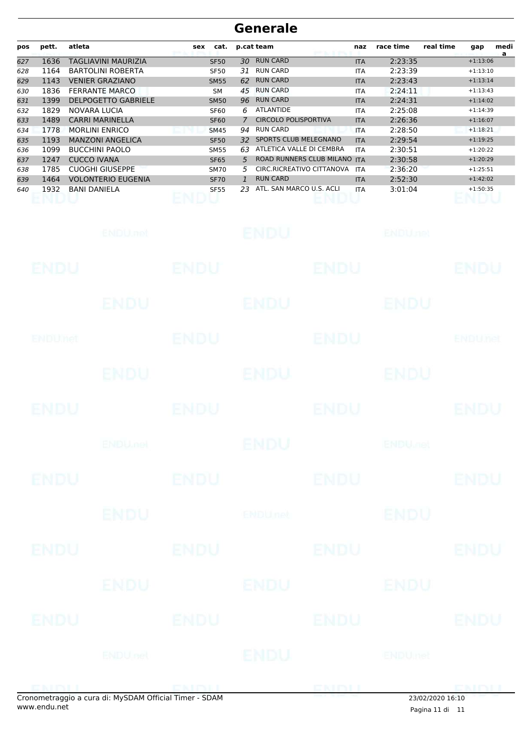| pos | pett. | atleta                     | cat.<br>sex |              | p.cat team                   | naz        | race time | real time<br>medi<br>gap<br>a |
|-----|-------|----------------------------|-------------|--------------|------------------------------|------------|-----------|-------------------------------|
| 627 | 1636  | TAGLIAVINI MAURIZIA        | <b>SF50</b> | 30           | <b>RUN CARD</b>              | <b>ITA</b> | 2:23:35   | $+1:13:06$                    |
| 628 | 1164  | <b>BARTOLINI ROBERTA</b>   | <b>SF50</b> | 31           | <b>RUN CARD</b>              | <b>ITA</b> | 2:23:39   | $+1:13:10$                    |
| 629 | 1143  | <b>VENIER GRAZIANO</b>     | <b>SM55</b> | 62           | <b>RUN CARD</b>              | <b>ITA</b> | 2:23:43   | $+1:13:14$                    |
| 630 | 1836  | <b>FERRANTE MARCO</b>      | <b>SM</b>   | 45           | <b>RUN CARD</b>              | <b>ITA</b> | 2:24:11   | $+1:13:43$                    |
| 631 | 1399  | <b>DELPOGETTO GABRIELE</b> | <b>SM50</b> | 96           | <b>RUN CARD</b>              | <b>ITA</b> | 2:24:31   | $+1:14:02$                    |
| 632 | 1829  | NOVARA LUCIA               | <b>SF60</b> | 6            | <b>ATLANTIDE</b>             | <b>ITA</b> | 2:25:08   | $+1:14:39$                    |
| 633 | 1489  | <b>CARRI MARINELLA</b>     | <b>SF60</b> | 7            | <b>CIRCOLO POLISPORTIVA</b>  | <b>ITA</b> | 2:26:36   | $+1:16:07$                    |
| 634 | 1778  | <b>MORLINI ENRICO</b>      | <b>SM45</b> | 94           | <b>RUN CARD</b>              | <b>ITA</b> | 2:28:50   | $+1:18:21$                    |
| 635 | 1193  | <b>MANZONI ANGELICA</b>    | <b>SF50</b> | 32.          | <b>SPORTS CLUB MELEGNANO</b> | <b>ITA</b> | 2:29:54   | $+1:19:25$                    |
| 636 | 1099  | <b>BUCCHINI PAOLO</b>      | <b>SM55</b> | 63           | ATLETICA VALLE DI CEMBRA     | <b>ITA</b> | 2:30:51   | $+1:20:22$                    |
| 637 | 1247  | <b>CUCCO IVANA</b>         | <b>SF65</b> | 5            | ROAD RUNNERS CLUB MILANO     | <b>ITA</b> | 2:30:58   | $+1:20:29$                    |
| 638 | 1785  | CUOGHI GIUSEPPE            | <b>SM70</b> | 5.           | CIRC.RICREATIVO CITTANOVA    | <b>ITA</b> | 2:36:20   | $+1:25:51$                    |
| 639 | 1464  | <b>VOLONTERIO EUGENIA</b>  | <b>SF70</b> | $\mathbf{1}$ | <b>RUN CARD</b>              | <b>ITA</b> | 2:52:30   | $+1:42:02$                    |
| 640 | 1932  | <b>BANI DANIELA</b>        | <b>SF55</b> | 23           | ATL. SAN MARCO U.S. ACLI     | <b>ITA</b> | 3:01:04   | $+1:50:35$                    |

|             | ENDU.net        |             | <b>ENDU</b>    |             | <b>ENDUnet</b>            |                |
|-------------|-----------------|-------------|----------------|-------------|---------------------------|----------------|
| ENDU        |                 | <b>ENDU</b> |                | <b>ENDU</b> |                           | <b>ENDU</b>    |
|             | ENDU            |             | <b>ENDU</b>    |             | ENDU                      |                |
| ENDUMet     |                 | <b>ENDU</b> |                | <b>ENDU</b> |                           | <b>ENDUnet</b> |
|             | <b>ENDU</b>     |             | ENDU           |             | <b>ENDU</b>               |                |
| <b>ENDU</b> |                 | <b>ENDU</b> |                | <b>ENDU</b> |                           | <b>ENDU</b>    |
|             | <b>ENDUMBL</b>  |             | <b>ENDU</b>    |             | <b>ENDU<sub>DER</sub></b> |                |
| <b>ENDU</b> |                 | <b>ENDU</b> |                | <b>ENDU</b> |                           | <b>ENDU</b>    |
|             | <b>ENDU</b>     |             | <b>ENDUnet</b> |             | <b>ENDU</b>               |                |
| <b>ENDU</b> |                 | <b>ENDU</b> |                | <b>ENDU</b> |                           | <b>ENDU</b>    |
|             | ENDU            |             | ENDU           |             | ENDU                      |                |
| <b>ENDU</b> |                 | <b>ENDU</b> |                | <b>ENDU</b> |                           | ENDU           |
|             | <b>ENDU</b> nel |             | <b>ENDU</b>    |             | ENDUmet                   |                |
|             | MLCDAMOLEich    |             |                | ENDI        |                           | 1999 P.M. L    |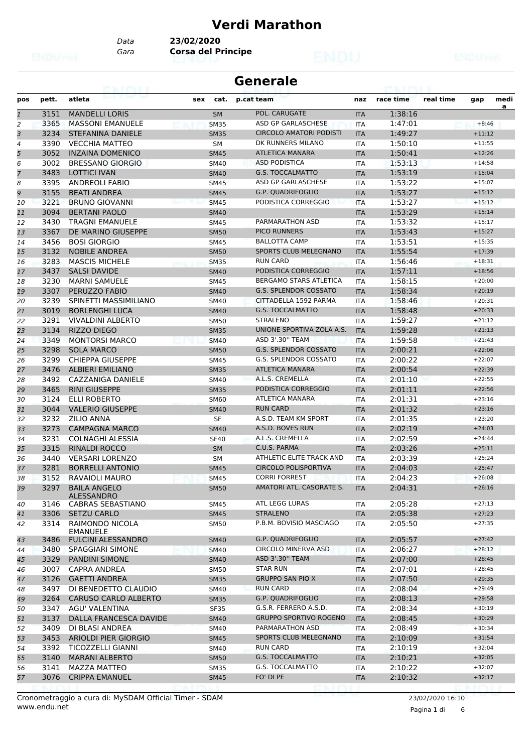### **Verdi Marathon**

*Gara* **Corsa del Principe** *Data* **23/02/2020**

|              |       | A HATI                             |     |             | <b>Generale</b>                |            |           |           |          |      |
|--------------|-------|------------------------------------|-----|-------------|--------------------------------|------------|-----------|-----------|----------|------|
| pos          | pett. | atleta                             | sex | cat.        | p.cat team                     | naz        | race time | real time | gap      | medi |
| $\mathbf{1}$ | 3151  | <b>MANDELLI LORIS</b>              |     | <b>SM</b>   | POL. CARUGATE                  | <b>ITA</b> | 1:38:16   |           |          | a    |
| 2            | 3365  | <b>MASSONI EMANUELE</b>            |     | <b>SM35</b> | ASD GP GARLASCHESE             | <b>ITA</b> | 1:47:01   |           | $+8:46$  |      |
| 3            | 3234  | <b>STEFANINA DANIELE</b>           |     | <b>SM35</b> | <b>CIRCOLO AMATORI PODISTI</b> | <b>ITA</b> | 1:49:27   |           | $+11:12$ |      |
| 4            | 3390  | <b>VECCHIA MATTEO</b>              |     | <b>SM</b>   | DK RUNNERS MILANO              | <b>ITA</b> | 1:50:10   |           | $+11:55$ |      |
| 5            | 3052  | <b>INZAINA DOMENICO</b>            |     | <b>SM45</b> | <b>ATLETICA MANARA</b>         | <b>ITA</b> | 1:50:41   |           | $+12:26$ |      |
| 6            | 3002  | <b>BRESSANO GIORGIO</b>            |     | <b>SM40</b> | <b>ASD PODISTICA</b>           | ITA        | 1:53:13   |           | $+14:58$ |      |
| 7            | 3483  | <b>LOTTICI IVAN</b>                |     | <b>SM40</b> | <b>G.S. TOCCALMATTO</b>        | <b>ITA</b> | 1:53:19   |           | $+15:04$ |      |
| 8            | 3395  | <b>ANDREOLI FABIO</b>              |     | <b>SM45</b> | ASD GP GARLASCHESE             | <b>ITA</b> | 1:53:22   |           | $+15:07$ |      |
| 9            | 3155  | <b>BEATI ANDREA</b>                |     | <b>SM45</b> | <b>G.P. QUADRIFOGLIO</b>       | <b>ITA</b> | 1:53:27   |           | $+15:12$ |      |
| 10           | 3221  | <b>BRUNO GIOVANNI</b>              |     | <b>SM45</b> | PODISTICA CORREGGIO            | <b>ITA</b> | 1:53:27   |           | $+15:12$ |      |
| 11           | 3094  | <b>BERTANI PAOLO</b>               |     | <b>SM40</b> |                                | <b>ITA</b> | 1:53:29   |           | $+15:14$ |      |
| 12           | 3430  | <b>TRAGNI EMANUELE</b>             |     | <b>SM45</b> | PARMARATHON ASD                | <b>ITA</b> | 1:53:32   |           | $+15:17$ |      |
| 13           | 3367  | DE MARINO GIUSEPPE                 |     | <b>SM50</b> | <b>PICO RUNNERS</b>            | <b>ITA</b> | 1:53:43   |           | $+15:27$ |      |
| 14           | 3456  | <b>BOSI GIORGIO</b>                |     | SM45        | <b>BALLOTTA CAMP</b>           | <b>ITA</b> | 1:53:51   |           | $+15:35$ |      |
| 15           | 3132  | <b>NOBILE ANDREA</b>               |     | <b>SM50</b> | <b>SPORTS CLUB MELEGNANO</b>   | <b>ITA</b> | 1:55:54   |           | $+17:39$ |      |
| 16           | 3283  | <b>MASCIS MICHELE</b>              |     | <b>SM35</b> | <b>RUN CARD</b>                | ITA        | 1:56:46   |           | $+18:31$ |      |
| 17           | 3437  | <b>SALSI DAVIDE</b>                |     | <b>SM40</b> | PODISTICA CORREGGIO            | <b>ITA</b> | 1:57:11   |           | $+18:56$ |      |
| 18           | 3230  | <b>MARNI SAMUELE</b>               |     | SM45        | BERGAMO STARS ATLETICA         | ITA        | 1:58:15   |           | $+20:00$ |      |
| 19           | 3307  | PERUZZO FABIO                      |     | <b>SM40</b> | <b>G.S. SPLENDOR COSSATO</b>   | <b>ITA</b> | 1:58:34   |           | $+20:19$ |      |
| 20           | 3239  | SPINETTI MASSIMILIANO              |     | <b>SM40</b> | CITTADELLA 1592 PARMA          | ITA        | 1:58:46   |           | $+20:31$ |      |
| 21           | 3019  | <b>BORLENGHI LUCA</b>              |     | <b>SM40</b> | <b>G.S. TOCCALMATTO</b>        | <b>ITA</b> | 1:58:48   |           | $+20:33$ |      |
| 22           | 3291  | <b>VIVALDINI ALBERTO</b>           |     | <b>SM50</b> | <b>STRALENO</b>                | <b>ITA</b> | 1:59:27   |           | $+21:12$ |      |
| 23           | 3134  | <b>RIZZO DIEGO</b>                 |     | <b>SM35</b> | UNIONE SPORTIVA ZOLA A.S.      | <b>ITA</b> | 1:59:28   |           | $+21:13$ |      |
| 24           | 3349  | <b>MONTORSI MARCO</b>              |     | <b>SM40</b> | ASD 3'.30" TEAM                | <b>ITA</b> | 1:59:58   |           | $+21:43$ |      |
| 25           | 3298  | <b>SOLA MARCO</b>                  |     | <b>SM50</b> | <b>G.S. SPLENDOR COSSATO</b>   | <b>ITA</b> | 2:00:21   |           | $+22:06$ |      |
| 26           | 3299  | <b>CHIEPPA GIUSEPPE</b>            |     | <b>SM45</b> | G.S. SPLENDOR COSSATO          | ITA        | 2:00:22   |           | $+22:07$ |      |
| 27           | 3476  | <b>ALBIERI EMILIANO</b>            |     | <b>SM35</b> | <b>ATLETICA MANARA</b>         | <b>ITA</b> | 2:00:54   |           | $+22:39$ |      |
| 28           | 3492  | CAZZANIGA DANIELE                  |     | <b>SM40</b> | A.L.S. CREMELLA                | <b>ITA</b> | 2:01:10   |           | $+22:55$ |      |
| 29           | 3465  | <b>RINI GIUSEPPE</b>               |     | <b>SM35</b> | PODISTICA CORREGGIO            | <b>ITA</b> | 2:01:11   |           | $+22:56$ |      |
| 30           | 3124  | ELLI ROBERTO                       |     | <b>SM60</b> | ATLETICA MANARA                | <b>ITA</b> | 2:01:31   |           | $+23:16$ |      |
| 31           | 3044  | <b>VALERIO GIUSEPPE</b>            |     | <b>SM40</b> | <b>RUN CARD</b>                | <b>ITA</b> | 2:01:32   |           | $+23:16$ |      |
| 32           | 3232  | <b>ZILIO ANNA</b>                  |     | SF          | A.S.D. TEAM KM SPORT           | ITA        | 2:01:35   |           | $+23:20$ |      |
| 33           | 3273  | <b>CAMPAGNA MARCO</b>              |     | <b>SM40</b> | A.S.D. BOVES RUN               | <b>ITA</b> | 2:02:19   |           | $+24:03$ |      |
| 34           | 3231  | <b>COLNAGHI ALESSIA</b>            |     | <b>SF40</b> | A.L.S. CREMELLA                | <b>ITA</b> | 2:02:59   |           | $+24:44$ |      |
| 35           | 3315  | <b>RINALDI ROCCO</b>               |     | <b>SM</b>   | C.U.S. PARMA                   | <b>ITA</b> | 2:03:26   |           | $+25:11$ |      |
| 36           | 3440  | <b>VERSARI LORENZO</b>             |     | <b>SM</b>   | ATHLETIC ELITE TRACK AND       | ITA        | 2:03:39   |           | $+25:24$ |      |
| 37           | 3281  | <b>BORRELLI ANTONIO</b>            |     | <b>SM45</b> | <b>CIRCOLO POLISPORTIVA</b>    | <b>ITA</b> | 2:04:03   |           | $+25:47$ |      |
| 38           |       | 3152 RAVAIOLI MAURO                |     | <b>SM45</b> | <b>CORRI FORREST</b>           | <b>ITA</b> | 2:04:23   |           | $+26:08$ |      |
| 39           | 3297  | <b>BAILA ANGELO</b>                |     | <b>SM50</b> | AMATORI ATL. CASORATE S.       | <b>ITA</b> | 2:04:31   |           | $+26:16$ |      |
|              |       | ALESSANDRO                         |     |             |                                |            |           |           |          |      |
| 40           | 3146  | CABRAS SEBASTIANO                  |     | SM45        | ATL LEGG LURAS                 | ITA        | 2:05:28   |           | $+27:13$ |      |
| 41           | 3306  | <b>SETZU CARLO</b>                 |     | <b>SM45</b> | <b>STRALENO</b>                | <b>ITA</b> | 2:05:38   |           | $+27:23$ |      |
| 42           | 3314  | RAIMONDO NICOLA<br><b>EMANUELE</b> |     | <b>SM50</b> | P.B.M. BOVISIO MASCIAGO        | ITA        | 2:05:50   |           | $+27:35$ |      |
| 43           | 3486  | <b>FULCINI ALESSANDRO</b>          |     | <b>SM40</b> | G.P. QUADRIFOGLIO              | <b>ITA</b> | 2:05:57   |           | $+27:42$ |      |
| 44           | 3480  | SPAGGIARI SIMONE                   |     | <b>SM40</b> | CIRCOLO MINERVA ASD            | ITA        | 2:06:27   |           | $+28:12$ |      |
| 45           | 3329  | <b>PANDINI SIMONE</b>              |     | <b>SM40</b> | ASD 3'.30" TEAM                | <b>ITA</b> | 2:07:00   |           | $+28:45$ |      |
| 46           | 3007  | CAPRA ANDREA                       |     | SM50        | <b>STAR RUN</b>                | ITA        | 2:07:01   |           | $+28:45$ |      |
| 47           | 3126  | <b>GAETTI ANDREA</b>               |     | <b>SM35</b> | <b>GRUPPO SAN PIO X</b>        | <b>ITA</b> | 2:07:50   |           | $+29:35$ |      |
| 48           | 3497  | DI BENEDETTO CLAUDIO               |     | SM40        | <b>RUN CARD</b>                | ITA        | 2:08:04   |           | $+29:49$ |      |
| 49           | 3264  | <b>CARUSO CARLO ALBERTO</b>        |     | <b>SM35</b> | G.P. QUADRIFOGLIO              | <b>ITA</b> | 2:08:13   |           | $+29:58$ |      |
| 50           | 3347  | AGU' VALENTINA                     |     | SF35        | G.S.R. FERRERO A.S.D.          | ITA        | 2:08:34   |           | $+30:19$ |      |
| 51           | 3137  | DALLA FRANCESCA DAVIDE             |     | <b>SM40</b> | <b>GRUPPO SPORTIVO ROGENO</b>  | <b>ITA</b> | 2:08:45   |           | $+30:29$ |      |
| 52           | 3409  | DI BLASI ANDREA                    |     | SM40        | PARMARATHON ASD                | ITA        | 2:08:49   |           | $+30:34$ |      |
| 53           | 3453  | ARIOLDI PIER GIORGIO               |     | <b>SM45</b> | SPORTS CLUB MELEGNANO          | <b>ITA</b> | 2:10:09   |           | $+31:54$ |      |
| 54           | 3392  | <b>TICOZZELLI GIANNI</b>           |     | SM40        | <b>RUN CARD</b>                | ITA        | 2:10:19   |           | $+32:04$ |      |
| 55           | 3140  | <b>MARANI ALBERTO</b>              |     | <b>SM50</b> | G.S. TOCCALMATTO               | <b>ITA</b> | 2:10:21   |           | $+32:05$ |      |
| 56           | 3141  | MAZZA MATTEO                       |     | <b>SM35</b> | G.S. TOCCALMATTO               | ITA        | 2:10:22   |           | $+32:07$ |      |
| 57           | 3076  | <b>CRIPPA EMANUEL</b>              |     | <b>SM45</b> | FO' DI PE                      | <b>ITA</b> | 2:10:32   |           | $+32:17$ |      |
|              |       |                                    |     |             |                                |            |           |           |          |      |

www.endu.net Cronometraggio a cura di: MySDAM Official Timer - SDAM 23/02/2020 16:10

Pagina 1 di 6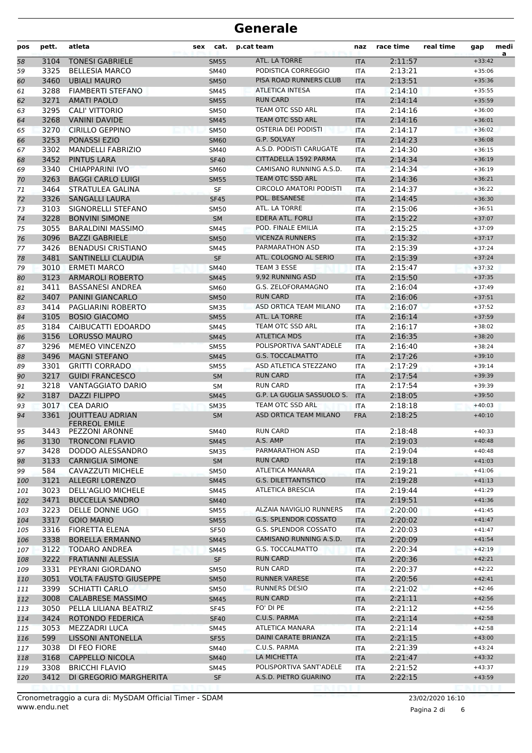| pos        | pett.        | atleta                                          | sex<br>cat.                | p.cat team                             | naz               | race time          | real time | gap                  | medi<br>a |
|------------|--------------|-------------------------------------------------|----------------------------|----------------------------------------|-------------------|--------------------|-----------|----------------------|-----------|
| 58         | 3104         | <b>TONESI GABRIELE</b>                          | <b>SM55</b>                | ATL. LA TORRE                          | <b>ITA</b>        | 2:11:57            |           | $+33:42$             |           |
| 59         | 3325         | <b>BELLESIA MARCO</b>                           | SM40                       | PODISTICA CORREGGIO                    | <b>ITA</b>        | 2:13:21            |           | $+35:06$             |           |
| 60         | 3460         | <b>UBIALI MAURO</b>                             | <b>SM50</b>                | PISA ROAD RUNNERS CLUB                 | <b>ITA</b>        | 2:13:51            |           | $+35:36$             |           |
| 61         | 3288         | <b>FIAMBERTI STEFANO</b>                        | SM45                       | <b>ATLETICA INTESA</b>                 | <b>ITA</b>        | 2:14:10            |           | $+35:55$             |           |
| 62         | 3271         | <b>AMATI PAOLO</b>                              | <b>SM55</b>                | <b>RUN CARD</b>                        | <b>ITA</b>        | 2:14:14            |           | $+35:59$             |           |
| 63         | 3295         | CALI' VITTORIO                                  | SM50                       | TEAM OTC SSD ARL                       | <b>ITA</b>        | 2:14:16            |           | $+36:00$             |           |
| 64         | 3268         | <b>VANINI DAVIDE</b>                            | <b>SM45</b>                | TEAM OTC SSD ARL                       | <b>ITA</b>        | 2:14:16            |           | $+36:01$             |           |
| 65         | 3270         | <b>CIRILLO GEPPINO</b>                          | <b>SM50</b>                | OSTERIA DEI PODISTI                    | <b>ITA</b>        | 2:14:17            |           | $+36:02$             |           |
| 66         | 3253         | <b>PONASSI EZIO</b>                             | <b>SM60</b>                | G.P. SOLVAY<br>A.S.D. PODISTI CARUGATE | <b>ITA</b>        | 2:14:23            |           | $+36:08$             |           |
| 67         | 3302         | <b>MANDELLI FABRIZIO</b>                        | SM40                       | CITTADELLA 1592 PARMA                  | <b>ITA</b>        | 2:14:30            |           | $+36:15$             |           |
| 68         | 3452         | <b>PINTUS LARA</b>                              | <b>SF40</b>                | CAMISANO RUNNING A.S.D.                | <b>ITA</b>        | 2:14:34            |           | $+36:19$<br>$+36:19$ |           |
| 69         | 3340<br>3263 | CHIAPPARINI IVO<br><b>BAGGI CARLO LUIGI</b>     | SM60                       | TEAM OTC SSD ARL                       | <b>ITA</b>        | 2:14:34            |           | $+36:21$             |           |
| 70<br>71   | 3464         | STRATULEA GALINA                                | <b>SM55</b><br>SF          | <b>CIRCOLO AMATORI PODISTI</b>         | <b>ITA</b><br>ITA | 2:14:36<br>2:14:37 |           | $+36:22$             |           |
| 72         | 3326         | <b>SANGALLI LAURA</b>                           | <b>SF45</b>                | POL. BESANESE                          | <b>ITA</b>        | 2:14:45            |           | $+36:30$             |           |
| 73         | 3103         | SIGNORELLI STEFANO                              | <b>SM50</b>                | ATL. LA TORRE                          | ITA               | 2:15:06            |           | $+36:51$             |           |
| 74         | 3228         | <b>BONVINI SIMONE</b>                           | <b>SM</b>                  | EDERA ATL. FORLI                       | <b>ITA</b>        | 2:15:22            |           | $+37:07$             |           |
| 75         | 3055         | <b>BARALDINI MASSIMO</b>                        | <b>SM45</b>                | POD. FINALE EMILIA                     | <b>ITA</b>        | 2:15:25            |           | $+37:09$             |           |
| 76         | 3096         | <b>BAZZI GABRIELE</b>                           | <b>SM50</b>                | <b>VICENZA RUNNERS</b>                 | <b>ITA</b>        | 2:15:32            |           | $+37:17$             |           |
| 77         | 3426         | <b>BENADUSI CRISTIANO</b>                       | SM45                       | PARMARATHON ASD                        | <b>ITA</b>        | 2:15:39            |           | $+37:24$             |           |
| 78         | 3481         | SANTINELLI CLAUDIA                              | <b>SF</b>                  | ATL. COLOGNO AL SERIO                  | <b>ITA</b>        | 2:15:39            |           | $+37:24$             |           |
| 79         | 3010         | <b>ERMETI MARCO</b>                             | <b>SM40</b>                | TEAM 3 ESSE                            | <b>ITA</b>        | 2:15:47            |           | $+37:32$             |           |
| 80         | 3123         | <b>ARMAROLI ROBERTO</b>                         | <b>SM45</b>                | 9.92 RUNNING ASD                       | <b>ITA</b>        | 2:15:50            |           | $+37:35$             |           |
| 81         | 3411         | <b>BASSANESI ANDREA</b>                         | SM60                       | G.S. ZELOFORAMAGNO                     | <b>ITA</b>        | 2:16:04            |           | $+37:49$             |           |
| 82         | 3407         | PANINI GIANCARLO                                | <b>SM50</b>                | <b>RUN CARD</b>                        | <b>ITA</b>        | 2:16:06            |           | $+37:51$             |           |
| 83         | 3414         | PAGLIARINI ROBERTO                              | <b>SM35</b>                | ASD ORTICA TEAM MILANO                 | ITA               | 2:16:07            |           | $+37:52$             |           |
| 84         | 3105         | <b>BOSIO GIACOMO</b>                            | <b>SM55</b>                | ATL. LA TORRE                          | <b>ITA</b>        | 2:16:14            |           | $+37:59$             |           |
| 85         | 3184         | CAIBUCATTI EDOARDO                              | <b>SM45</b>                | TEAM OTC SSD ARL                       | <b>ITA</b>        | 2:16:17            |           | $+38:02$             |           |
| 86         | 3156         | <b>LORUSSO MAURO</b>                            | <b>SM45</b>                | <b>ATLETICA MDS</b>                    | <b>ITA</b>        | 2:16:35            |           | $+38:20$             |           |
| 87         | 3296         | <b>MEMEO VINCENZO</b>                           | <b>SM55</b>                | POLISPORTIVA SANT'ADELE                | <b>ITA</b>        | 2:16:40            |           | $+38:24$             |           |
| 88         | 3496         | <b>MAGNI STEFANO</b>                            | <b>SM45</b>                | <b>G.S. TOCCALMATTO</b>                | <b>ITA</b>        | 2:17:26            |           | $+39:10$             |           |
| 89         | 3301         | <b>GRITTI CORRADO</b>                           | <b>SM55</b>                | ASD ATLETICA STEZZANO                  | <b>ITA</b>        | 2:17:29            |           | $+39:14$             |           |
| 90         | 3217         | <b>GUIDI FRANCESCO</b>                          | <b>SM</b>                  | <b>RUN CARD</b>                        | <b>ITA</b>        | 2:17:54            |           | $+39:39$             |           |
| 91         | 3218         | <b>VANTAGGIATO DARIO</b>                        | SM                         | <b>RUN CARD</b>                        | <b>ITA</b>        | 2:17:54            |           | $+39:39$             |           |
| 92         | 3187         | <b>DAZZI FILIPPO</b>                            | <b>SM45</b>                | G.P. LA GUGLIA SASSUOLO S.             | <b>ITA</b>        | 2:18:05            |           | $+39:50$             |           |
| 93         | 3017         | <b>CEA DARIO</b>                                | <b>SM35</b>                | TEAM OTC SSD ARL                       | <b>ITA</b>        | 2:18:18            |           | $+40:03$             |           |
| 94         | 3361         | <b>JOUITTEAU ADRIAN</b><br><b>FERREOL EMILE</b> | <b>SM</b>                  | ASD ORTICA TEAM MILANO                 | <b>FRA</b>        | 2:18:25            |           | $+40:10$             |           |
| 95         | 3443         | <b>PEZZONI ARONNE</b>                           | SM40                       | <b>RUN CARD</b>                        | ITA               | 2:18:48            |           | $+40:33$             |           |
| 96         |              | 3130 TRONCONI FLAVIO                            | SM45                       | A.S. AMP<br>PARMARATHON ASD            | ITA               | 2:19:03            |           | $+40:48$             |           |
| 97         | 3428         | DODDO ALESSANDRO                                | SM35                       | <b>RUN CARD</b>                        | ITA               | 2:19:04            |           | $+40:48$             |           |
| 98         | 3133<br>584  | <b>CARNIGLIA SIMONE</b><br>CAVAZZUTI MICHELE    | <b>SM</b>                  | ATLETICA MANARA                        | <b>ITA</b><br>ITA | 2:19:18<br>2:19:21 |           | $+41:03$<br>$+41:06$ |           |
| 99         | 3121         | <b>ALLEGRI LORENZO</b>                          | <b>SM50</b><br><b>SM45</b> | <b>G.S. DILETTANTISTICO</b>            | <b>ITA</b>        | 2:19:28            |           | $+41:13$             |           |
| 100<br>101 | 3023         | DELL'AGLIO MICHELE                              | SM45                       | ATLETICA BRESCIA                       | ITA               | 2:19:44            |           | $+41:29$             |           |
| 102        | 3471         | <b>BUCCELLA SANDRO</b>                          | <b>SM40</b>                |                                        | <b>ITA</b>        | 2:19:51            |           | $+41:36$             |           |
| 103        | 3223         | DELLE DONNE UGO                                 | <b>SM55</b>                | ALZAIA NAVIGLIO RUNNERS                | ITA               | 2:20:00            |           | $+41:45$             |           |
| 104        | 3317         | <b>GOIO MARIO</b>                               | <b>SM55</b>                | G.S. SPLENDOR COSSATO                  | <b>ITA</b>        | 2:20:02            |           | $+41:47$             |           |
| 105        | 3316         | FIORETTA ELENA                                  | <b>SF50</b>                | G.S. SPLENDOR COSSATO                  | ITA               | 2:20:03            |           | $+41:47$             |           |
| 106        | 3338         | <b>BORELLA ERMANNO</b>                          | <b>SM45</b>                | CAMISANO RUNNING A.S.D.                | <b>ITA</b>        | 2:20:09            |           | $+41:54$             |           |
| 107        | 3122         | TODARO ANDREA                                   | SM45                       | G.S. TOCCALMATTO                       | ITA               | 2:20:34            |           | $+42:19$             |           |
| 108        | 3222         | FRATIANNI ALESSIA                               | SF                         | <b>RUN CARD</b>                        | <b>ITA</b>        | 2:20:36            |           | $+42:21$             |           |
| 109        | 3331         | PEYRANI GIORDANO                                | SM50                       | <b>RUN CARD</b>                        | ITA               | 2:20:37            |           | $+42:22$             |           |
| 110        | 3051         | <b>VOLTA FAUSTO GIUSEPPE</b>                    | <b>SM50</b>                | RUNNER VARESE                          | <b>ITA</b>        | 2:20:56            |           | $+42:41$             |           |
| 111        | 3399         | <b>SCHIATTI CARLO</b>                           | SM50                       | RUNNERS DESIO                          | ITA               | 2:21:02            |           | $+42:46$             |           |
| 112        | 3008         | <b>CALABRESE MASSIMO</b>                        | <b>SM45</b>                | <b>RUN CARD</b>                        | <b>ITA</b>        | 2:21:11            |           | $+42:56$             |           |
| 113        | 3050         | PELLA LILIANA BEATRIZ                           | <b>SF45</b>                | FO' DI PE                              | ITA               | 2:21:12            |           | $+42:56$             |           |
| 114        | 3424         | ROTONDO FEDERICA                                | <b>SF40</b>                | C.U.S. PARMA                           | <b>ITA</b>        | 2:21:14            |           | $+42:58$             |           |
| 115        | 3053         | MEZZADRI LUCA                                   | SM45                       | ATLETICA MANARA                        | ITA               | 2:21:14            |           | $+42:58$             |           |
| 116        | 599          | <b>LISSONI ANTONELLA</b>                        | <b>SF55</b>                | DAINI CARATE BRIANZA                   | <b>ITA</b>        | 2:21:15            |           | $+43:00$             |           |
| 117        | 3038         | DI FEO FIORE                                    | SM40                       | C.U.S. PARMA                           | ITA               | 2:21:39            |           | $+43:24$             |           |
| 118        | 3168         | <b>CAPPELLO NICOLA</b>                          | <b>SM40</b>                | LA MICHETTA                            | <b>ITA</b>        | 2:21:47            |           | $+43:32$             |           |
| 119        | 3308         | <b>BRICCHI FLAVIO</b>                           | SM45                       | POLISPORTIVA SANT'ADELE                | ITA               | 2:21:52            |           | $+43:37$             |           |
| 120        | 3412         | DI GREGORIO MARGHERITA                          | <b>SF</b>                  | A.S.D. PIETRO GUARINO                  | <b>ITA</b>        | 2:22:15            |           | $+43:59$             |           |
|            |              |                                                 |                            |                                        |                   |                    |           |                      |           |

Pagina 2 di 6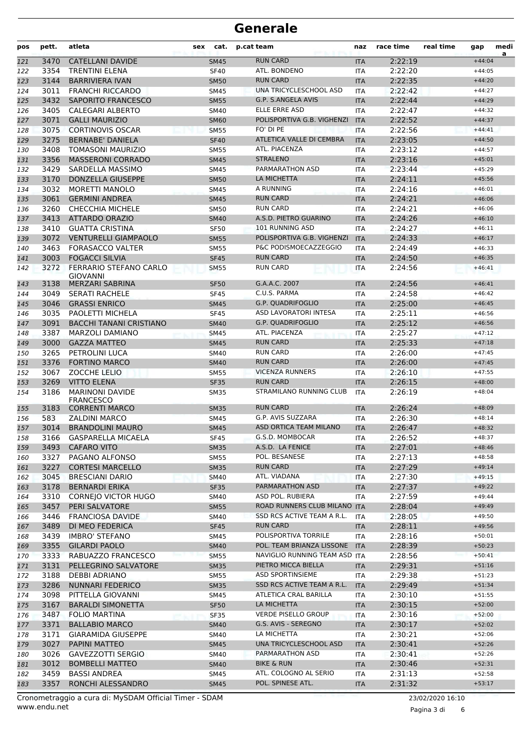| pos        | pett.        | atleta                                              | <b>sex</b> | cat.                       | p.cat team                                | naz                      | race time          | real time | gap                  | medi<br>a |
|------------|--------------|-----------------------------------------------------|------------|----------------------------|-------------------------------------------|--------------------------|--------------------|-----------|----------------------|-----------|
| 121        | 3470         | <b>CATELLANI DAVIDE</b>                             |            | <b>SM45</b>                | <b>RUN CARD</b>                           | <b>ITA</b>               | 2:22:19            |           | $+44:04$             |           |
| 122        | 3354         | <b>TRENTINI ELENA</b>                               |            | <b>SF40</b>                | ATL. BONDENO                              | <b>ITA</b>               | 2:22:20            |           | $+44:05$             |           |
| 123        | 3144         | <b>BARRIVIERA IVAN</b>                              |            | <b>SM50</b>                | <b>RUN CARD</b>                           | <b>ITA</b>               | 2:22:35            |           | $+44:20$             |           |
| 124        | 3011         | <b>FRANCHI RICCARDO</b>                             |            | <b>SM45</b>                | UNA TRICYCLESCHOOL ASD                    | <b>ITA</b>               | 2:22:42            |           | $+44:27$             |           |
| 125        | 3432         | SAPORITO FRANCESCO                                  |            | <b>SM55</b>                | <b>G.P. S.ANGELA AVIS</b>                 | <b>ITA</b>               | 2:22:44            |           | $+44:29$             |           |
| 126        | 3405         | CALEGARI ALBERTO                                    |            | SM40                       | ELLE ERRE ASD                             | <b>ITA</b>               | 2:22:47            |           | $+44:32$             |           |
| 127        | 3071         | <b>GALLI MAURIZIO</b>                               |            | <b>SM60</b>                | POLISPORTIVA G.B. VIGHENZI                | <b>ITA</b>               | 2:22:52            |           | $+44:37$             |           |
| 128        | 3075         | <b>CORTINOVIS OSCAR</b>                             |            | <b>SM55</b>                | FO' DI PE                                 | <b>ITA</b>               | 2:22:56            |           | $+44:41$             |           |
| 129        | 3275         | <b>BERNABE' DANIELA</b>                             |            | <b>SF40</b>                | ATLETICA VALLE DI CEMBRA<br>ATL. PIACENZA | <b>ITA</b>               | 2:23:05            |           | $+44:50$             |           |
| 130        | 3408         | <b>TOMASONI MAURIZIO</b>                            |            | <b>SM55</b>                |                                           | ITA                      | 2:23:12            |           | $+44:57$             |           |
| 131        | 3356<br>3429 | <b>MASSERONI CORRADO</b><br>SARDELLA MASSIMO        |            | <b>SM45</b>                | <b>STRALENO</b><br>PARMARATHON ASD        | <b>ITA</b>               | 2:23:16            |           | $+45:01$             |           |
| 132        | 3170         | DONZELLA GIUSEPPE                                   |            | <b>SM45</b>                | LA MICHETTA                               | <b>ITA</b>               | 2:23:44<br>2:24:11 |           | $+45:29$<br>$+45:56$ |           |
| 133<br>134 | 3032         | <b>MORETTI MANOLO</b>                               |            | <b>SM50</b><br><b>SM45</b> | A RUNNING                                 | <b>ITA</b><br>ITA        | 2:24:16            |           | $+46:01$             |           |
| 135        | 3061         | <b>GERMINI ANDREA</b>                               |            | <b>SM45</b>                | <b>RUN CARD</b>                           | <b>ITA</b>               | 2:24:21            |           | $+46:06$             |           |
| 136        | 3260         | <b>CHECCHIA MICHELE</b>                             |            | <b>SM50</b>                | <b>RUN CARD</b>                           | <b>ITA</b>               | 2:24:21            |           | $+46:06$             |           |
| 137        | 3413         | ATTARDO ORAZIO                                      |            | <b>SM40</b>                | A.S.D. PIETRO GUARINO                     | <b>ITA</b>               | 2:24:26            |           | $+46:10$             |           |
| 138        | 3410         | <b>GUATTA CRISTINA</b>                              |            | <b>SF50</b>                | 101 RUNNING ASD                           | <b>ITA</b>               | 2:24:27            |           | $+46:11$             |           |
| 139        | 3072         | <b>VENTURELLI GIAMPAOLO</b>                         |            | <b>SM55</b>                | POLISPORTIVA G.B. VIGHENZI                | <b>ITA</b>               | 2:24:33            |           | $+46:17$             |           |
| 140        | 3463         | <b>FORASACCO VALTER</b>                             |            | <b>SM55</b>                | P&C PODISMOECAZZEGGIO                     | <b>ITA</b>               | 2:24:49            |           | $+46:33$             |           |
| 141        | 3003         | <b>FOGACCI SILVIA</b>                               |            | <b>SF45</b>                | <b>RUN CARD</b>                           | <b>ITA</b>               | 2:24:50            |           | $+46:35$             |           |
| 142        | 3272         | FERRARIO STEFANO CARLO                              |            | <b>SM55</b>                | <b>RUN CARD</b>                           | ITA                      | 2:24:56            |           | $+46:41$             |           |
|            |              | <b>GIOVANNI</b>                                     |            |                            |                                           |                          |                    |           |                      |           |
| 143        | 3138         | <b>MERZARI SABRINA</b>                              |            | <b>SF50</b>                | G.A.A.C. 2007                             | <b>ITA</b>               | 2:24:56            |           | $+46:41$             |           |
| 144        | 3049         | <b>SERATI RACHELE</b>                               |            | <b>SF45</b>                | C.U.S. PARMA                              | <b>ITA</b>               | 2:24:58            |           | $+46:42$             |           |
| 145        | 3046         | <b>GRASSI ENRICO</b>                                |            | <b>SM45</b>                | <b>G.P. QUADRIFOGLIO</b>                  | <b>ITA</b>               | 2:25:00            |           | $+46:45$             |           |
| 146        | 3035         | PAOLETTI MICHELA                                    |            | <b>SF45</b>                | ASD LAVORATORI INTESA                     | <b>ITA</b>               | 2:25:11            |           | $+46:56$             |           |
| 147        | 3091         | <b>BACCHI TANANI CRISTIANO</b>                      |            | <b>SM40</b>                | <b>G.P. QUADRIFOGLIO</b>                  | <b>ITA</b>               | 2:25:12            |           | $+46:56$             |           |
| 148        | 3387         | <b>MARZOLI DAMIANO</b>                              |            | <b>SM45</b>                | ATL. PIACENZA                             | ITA                      | 2:25:27            |           | $+47:12$             |           |
| 149        | 3000         | <b>GAZZA MATTEO</b>                                 |            | <b>SM45</b>                | <b>RUN CARD</b>                           | <b>ITA</b>               | 2:25:33            |           | $+47:18$             |           |
| 150        | 3265         | PETROLINI LUCA                                      |            | SM40                       | <b>RUN CARD</b>                           | ITA                      | 2:26:00            |           | $+47:45$             |           |
| 151        | 3376         | <b>FORTINO MARCO</b>                                |            | <b>SM40</b>                | <b>RUN CARD</b>                           | <b>ITA</b>               | 2:26:00            |           | $+47:45$             |           |
| 152        | 3067<br>3269 | ZOCCHE LELIO                                        |            | <b>SM55</b>                | <b>VICENZA RUNNERS</b><br><b>RUN CARD</b> | <b>ITA</b>               | 2:26:10            |           | $+47:55$             |           |
| 153        | 3186         | <b>VITTO ELENA</b><br><b>MARINONI DAVIDE</b>        |            | <b>SF35</b>                | STRAMILANO RUNNING CLUB                   | <b>ITA</b><br><b>ITA</b> | 2:26:15<br>2:26:19 |           | $+48:00$<br>$+48:04$ |           |
| 154        |              | <b>FRANCESCO</b>                                    |            | <b>SM35</b>                |                                           |                          |                    |           |                      |           |
| 155        | 3183         | <b>CORRENTI MARCO</b>                               |            | <b>SM35</b>                | <b>RUN CARD</b>                           | <b>ITA</b>               | 2:26:24            |           | $+48:09$             |           |
| 156        | 583          | <b>ZALDINI MARCO</b>                                |            | <b>SM45</b>                | G.P. AVIS SUZZARA                         | <b>ITA</b>               | 2:26:30            |           | $+48:14$             |           |
| 157        | 3014         | <b>BRANDOLINI MAURO</b>                             |            | <b>SM45</b>                | <b>ASD ORTICA TEAM MILANO</b>             | <b>ITA</b>               | 2:26:47            |           | $+48:32$             |           |
| 158        | 3166         | <b>GASPARELLA MICAELA</b>                           |            | <b>SF45</b>                | G.S.D. MOMBOCAR                           | <b>ITA</b>               | 2:26:52            |           | $+48:37$             |           |
| 159        | 3493         | <b>CAFARO VITO</b>                                  |            | <b>SM35</b>                | A.S.D. LA FENICE                          | <b>ITA</b>               | 2:27:01            |           | $+48:46$             |           |
| 160        | 3327         | PAGANO ALFONSO                                      |            | <b>SM55</b>                | POL. BESANESE                             | ITA                      | 2:27:13            |           | $+48:58$             |           |
| 161        | 3227         | <b>CORTESI MARCELLO</b>                             |            | <b>SM35</b>                | RUN CARD                                  | <b>ITA</b>               | 2:27:29            |           | $+49:14$             |           |
| 162        | 3045         | <b>BRESCIANI DARIO</b>                              |            | <b>SM40</b>                | ATL. VIADANA<br>PARMARATHON ASD           | ITA                      | 2:27:30            |           | $+49:15$             |           |
| 163        | 3178<br>3310 | <b>BERNARDI ERIKA</b><br><b>CORNEJO VICTOR HUGO</b> |            | <b>SF35</b>                | ASD POL. RUBIERA                          | <b>ITA</b>               | 2:27:37<br>2:27:59 |           | $+49:22$<br>$+49:44$ |           |
| 164<br>165 | 3457         | PERI SALVATORE                                      |            | SM40<br><b>SM55</b>        | ROAD RUNNERS CLUB MILANO ITA              | ITA                      | 2:28:04            |           | $+49:49$             |           |
| 166        | 3446         | FRANCIOSA DAVIDE                                    |            | SM40                       | SSD RCS ACTIVE TEAM A R.L.                | ITA                      | 2:28:05            |           | $+49:50$             |           |
| 167        | 3489         | DI MEO FEDERICA                                     |            | <b>SF45</b>                | <b>RUN CARD</b>                           | <b>ITA</b>               | 2:28:11            |           | $+49:56$             |           |
| 168        | 3439         | <b>IMBRO' STEFANO</b>                               |            | SM45                       | POLISPORTIVA TORRILE                      | ITA                      | 2:28:16            |           | $+50:01$             |           |
| 169        | 3355         | <b>GILARDI PAOLO</b>                                |            | <b>SM40</b>                | POL. TEAM BRIANZA LISSONE                 | <b>ITA</b>               | 2:28:39            |           | $+50:23$             |           |
| 170        | 3333         | RABUAZZO FRANCESCO                                  |            | <b>SM55</b>                | NAVIGLIO RUNNING TEAM ASD ITA             |                          | 2:28:56            |           | $+50:41$             |           |
| 171        | 3131         | PELLEGRINO SALVATORE                                |            | <b>SM35</b>                | PIETRO MICCA BIELLA                       | <b>ITA</b>               | 2:29:31            |           | $+51:16$             |           |
| 172        | 3188         | DEBBI ADRIANO                                       |            | <b>SM55</b>                | ASD SPORTINSIEME                          | ITA                      | 2:29:38            |           | $+51:23$             |           |
| 173        | 3286         | NUNNARI FEDERICO                                    |            | <b>SM35</b>                | SSD RCS ACTIVE TEAM A R.L.                | <b>ITA</b>               | 2:29:49            |           | $+51:34$             |           |
| 174        | 3098         | PITTELLA GIOVANNI                                   |            | SM45                       | ATLETICA CRAL BARILLA                     | ITA                      | 2:30:10            |           | $+51:55$             |           |
| 175        | 3167         | <b>BARALDI SIMONETTA</b>                            |            | <b>SF50</b>                | LA MICHETTA                               | <b>ITA</b>               | 2:30:15            |           | $+52:00$             |           |
| 176        | 3487         | <b>FOLIO MARTINA</b>                                |            | <b>SF35</b>                | <b>VERDE PISELLO GROUP</b>                | ITA                      | 2:30:16            |           | $+52:00$             |           |
| 177        | 3371         | <b>BALLABIO MARCO</b>                               |            | <b>SM40</b>                | G.S. AVIS - SEREGNO                       | <b>ITA</b>               | 2:30:17            |           | $+52:02$             |           |
| 178        | 3171         | <b>GIARAMIDA GIUSEPPE</b>                           |            | SM40                       | LA MICHETTA                               | ITA                      | 2:30:21            |           | $+52:06$             |           |
| 179        | 3027         | PAPINI MATTEO                                       |            | <b>SM45</b>                | UNA TRICYCLESCHOOL ASD                    | <b>ITA</b>               | 2:30:41            |           | $+52:26$             |           |
| 180        | 3026         | GAVEZZOTTI SERGIO                                   |            | SM40                       | PARMARATHON ASD                           | ITA                      | 2:30:41            |           | $+52:26$             |           |
| 181        | 3012         | <b>BOMBELLI MATTEO</b>                              |            | <b>SM40</b>                | BIKE & RUN                                | <b>ITA</b>               | 2:30:46            |           | $+52:31$             |           |
| 182        | 3459         | <b>BASSI ANDREA</b>                                 |            | <b>SM45</b>                | ATL. COLOGNO AL SERIO                     | ITA                      | 2:31:13            |           | $+52:58$             |           |
| 183        | 3357         | RONCHI ALESSANDRO                                   |            | <b>SM45</b>                | POL. SPINESE ATL.                         | <b>ITA</b>               | 2:31:32            |           | $+53:17$             |           |

www.endu.net Cronometraggio a cura di: MySDAM Official Timer - SDAM 23/02/2020 16:10

Pagina 3 di 6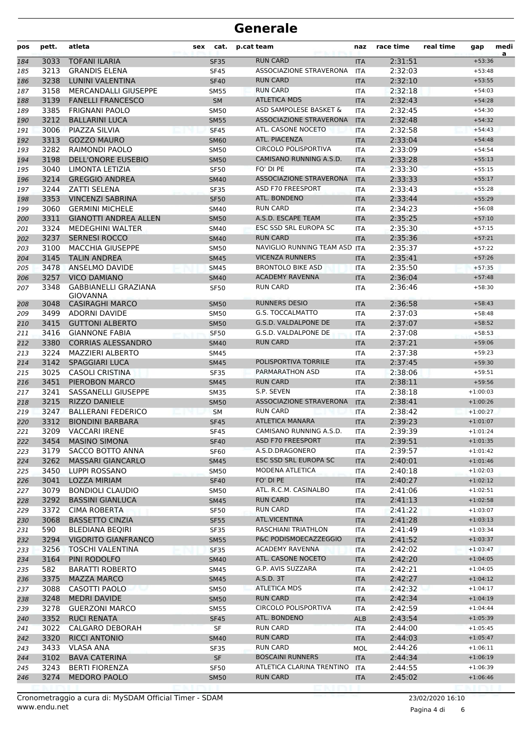| pos        | pett.        | atleta                                         | sex | cat.                | p.cat team                         | naz                         | race time          | real time | gap                      | medi<br>a |
|------------|--------------|------------------------------------------------|-----|---------------------|------------------------------------|-----------------------------|--------------------|-----------|--------------------------|-----------|
| 184        | 3033         | <b>TOFANI ILARIA</b>                           |     | <b>SF35</b>         | <b>RUN CARD</b>                    | <b>ITA</b>                  | 2:31:51            |           | $+53:36$                 |           |
| 185        | 3213         | <b>GRANDIS ELENA</b>                           |     | <b>SF45</b>         | ASSOCIAZIONE STRAVERONA            | <b>ITA</b>                  | 2:32:03            |           | $+53:48$                 |           |
| 186        | 3238         | LUNINI VALENTINA                               |     | <b>SF40</b>         | <b>RUN CARD</b>                    | <b>ITA</b>                  | 2:32:10            |           | $+53:55$                 |           |
| 187        | 3158         | <b>MERCANDALLI GIUSEPPE</b>                    |     | <b>SM55</b>         | <b>RUN CARD</b>                    | ITA                         | 2:32:18            |           | $+54:03$                 |           |
| 188        | 3139         | <b>FANELLI FRANCESCO</b>                       |     | <b>SM</b>           | <b>ATLETICA MDS</b>                | <b>ITA</b>                  | 2:32:43            |           | $+54:28$                 |           |
| 189        | 3385         | <b>FRIGNANI PAOLO</b>                          |     | <b>SM50</b>         | ASD SAMPOLESE BASKET &             | <b>ITA</b>                  | 2:32:45            |           | $+54:30$                 |           |
| 190        | 3212         | <b>BALLARINI LUCA</b>                          |     | <b>SM55</b>         | ASSOCIAZIONE STRAVERONA            | <b>ITA</b>                  | 2:32:48            |           | $+54:32$                 |           |
| 191        | 3006         | PIAZZA SILVIA                                  |     | <b>SF45</b>         | ATL. CASONE NOCETO                 | <b>ITA</b>                  | 2:32:58            |           | $+54:43$                 |           |
| 192        | 3313         | <b>GOZZO MAURO</b>                             |     | <b>SM60</b>         | <b>ATL. PIACENZA</b>               | <b>ITA</b>                  | 2:33:04            |           | $+54:48$                 |           |
| 193        | 3282         | RAIMONDI PAOLO                                 |     | <b>SM50</b>         | <b>CIRCOLO POLISPORTIVA</b>        | <b>ITA</b>                  | 2:33:09            |           | $+54:54$                 |           |
| 194        | 3198         | <b>DELL'ONORE EUSEBIO</b>                      |     | <b>SM50</b>         | CAMISANO RUNNING A.S.D.            | <b>ITA</b>                  | 2:33:28            |           | $+55:13$                 |           |
| 195        | 3040         | LIMONTA LETIZIA                                |     | <b>SF50</b>         | FO' DI PE                          | <b>ITA</b>                  | 2:33:30            |           | $+55:15$                 |           |
| 196        | 3214         | <b>GREGGIO ANDREA</b>                          |     | <b>SM40</b>         | ASSOCIAZIONE STRAVERONA            | <b>ITA</b>                  | 2:33:33            |           | $+55:17$                 |           |
| 197        | 3244         | <b>ZATTI SELENA</b>                            |     | <b>SF35</b>         | ASD F70 FREESPORT                  | ITA                         | 2:33:43            |           | $+55:28$                 |           |
| 198        | 3353         | <b>VINCENZI SABRINA</b>                        |     | <b>SF50</b>         | ATL. BONDENO                       | <b>ITA</b>                  | 2:33:44            |           | $+55:29$                 |           |
| 199        | 3060         | <b>GERMINI MICHELE</b>                         |     | SM40                | <b>RUN CARD</b>                    | ITA                         | 2:34:23            |           | $+56:08$                 |           |
| 200        | 3311         | <b>GIANOTTI ANDREA ALLEN</b>                   |     | <b>SM50</b>         | A.S.D. ESCAPE TEAM                 | <b>ITA</b>                  | 2:35:25            |           | $+57:10$                 |           |
| 201        | 3324         | <b>MEDEGHINI WALTER</b>                        |     | SM40                | ESC SSD SRL EUROPA SC              | <b>ITA</b>                  | 2:35:30            |           | $+57:15$                 |           |
| 202        | 3237         | <b>SERNESI ROCCO</b>                           |     | <b>SM40</b>         | <b>RUN CARD</b>                    | <b>ITA</b>                  | 2:35:36            |           | $+57:21$                 |           |
| 203        | 3100         | <b>MACCHIA GIUSEPPE</b>                        |     | <b>SM50</b>         | NAVIGLIO RUNNING TEAM ASD ITA      |                             | 2:35:37            |           | $+57:22$                 |           |
| 204        | 3145         | <b>TALIN ANDREA</b>                            |     | <b>SM45</b>         | <b>VICENZA RUNNERS</b>             | <b>ITA</b>                  | 2:35:41            |           | $+57:26$                 |           |
| 205        | 3478         | ANSELMO DAVIDE                                 |     | <b>SM45</b>         | <b>BRONTOLO BIKE ASD</b>           | <b>ITA</b>                  | 2:35:50            |           | $+57:35$                 |           |
| 206        | 3257         | <b>VICO DAMIANO</b>                            |     | <b>SM40</b>         | <b>ACADEMY RAVENNA</b>             | <b>ITA</b>                  | 2:36:04            |           | $+57:48$                 |           |
| 207        | 3348         | <b>GABBIANELLI GRAZIANA</b><br><b>GIOVANNA</b> |     | <b>SF50</b>         | <b>RUN CARD</b>                    | <b>ITA</b>                  | 2:36:46            |           | $+58:30$                 |           |
| 208        | 3048         | <b>CASIRAGHI MARCO</b>                         |     | <b>SM50</b>         | <b>RUNNERS DESIO</b>               | <b>ITA</b>                  | 2:36:58            |           | $+58:43$                 |           |
| 209        | 3499         | ADORNI DAVIDE                                  |     | <b>SM50</b>         | <b>G.S. TOCCALMATTO</b>            | ITA                         | 2:37:03            |           | $+58:48$                 |           |
| 210        | 3415         | <b>GUTTONI ALBERTO</b>                         |     | <b>SM50</b>         | G.S.D. VALDALPONE DE               | <b>ITA</b>                  | 2:37:07            |           | $+58:52$                 |           |
| 211        | 3416         | <b>GIANNONE FABIA</b>                          |     | <b>SF50</b>         | G.S.D. VALDALPONE DE               | <b>ITA</b>                  | 2:37:08            |           | $+58:53$                 |           |
| 212        | 3380         | <b>CORRIAS ALESSANDRO</b>                      |     | <b>SM40</b>         | <b>RUN CARD</b>                    | <b>ITA</b>                  | 2:37:21            |           | $+59:06$                 |           |
| 213        | 3224         | MAZZIERI ALBERTO                               |     | SM45                |                                    | <b>ITA</b>                  | 2:37:38            |           | $+59:23$                 |           |
| 214        | 3142         | <b>SPAGGIARI LUCA</b>                          |     | <b>SM45</b>         | POLISPORTIVA TORRILE               | <b>ITA</b>                  | 2:37:45            |           | $+59:30$                 |           |
| 215        | 3025         | <b>CASOLI CRISTINA</b>                         |     | <b>SF35</b>         | PARMARATHON ASD                    | ITA                         | 2:38:06            |           | $+59:51$                 |           |
| 216        | 3451         | PIEROBON MARCO                                 |     | <b>SM45</b>         | <b>RUN CARD</b>                    | <b>ITA</b>                  | 2:38:11            |           | $+59:56$                 |           |
| 217        | 3241         | SASSANELLI GIUSEPPE                            |     | <b>SM35</b>         | S.P. SEVEN                         | <b>ITA</b>                  | 2:38:18            |           | $+1:00:03$               |           |
| 218        | 3215         | <b>RIZZO DANIELE</b>                           |     | <b>SM50</b>         | ASSOCIAZIONE STRAVERONA            | <b>ITA</b>                  | 2:38:41            |           | $+1:00:26$               |           |
| 219        | 3247         | <b>BALLERANI FEDERICO</b>                      |     | <b>SM</b>           | <b>RUN CARD</b>                    | <b>ITA</b>                  | 2:38:42            |           | $+1:00:27$               |           |
| 220        | 3312         | <b>BIONDINI BARBARA</b>                        |     | <b>SF45</b>         | <b>ATLETICA MANARA</b>             | <b>ITA</b>                  | 2:39:23            |           | $+1:01:07$               |           |
| 221        | 3209         | <b>VACCARI IRENE</b>                           |     | <b>SF45</b>         | CAMISANO RUNNING A.S.D.            | <b>ITA</b>                  | 2:39:39            |           | $+1:01:24$               |           |
| 222        |              | 3454 MASINO SIMONA                             |     | <b>SF40</b>         | ASD F70 FREESPORT                  | $\ensuremath{\mathsf{ITA}}$ | 2:39:51            |           | $+1:01:35$               |           |
| 223        | 3179         | SACCO BOTTO ANNA                               |     | SF60                | A.S.D.DRAGONERO                    | ITA                         | 2:39:57            |           | $+1:01:42$               |           |
| 224        | 3262         | <b>MASSARI GIANCARLO</b>                       |     | <b>SM45</b>         | ESC SSD SRL EUROPA SC              | ITA                         | 2:40:01            |           | $+1:01:46$               |           |
| 225        | 3450         | LUPPI ROSSANO                                  |     | <b>SM50</b>         | MODENA ATLETICA                    | ITA                         | 2:40:18            |           | $+1:02:03$               |           |
| 226        | 3041         | <b>LOZZA MIRIAM</b>                            |     | <b>SF40</b>         | FO' DI PE<br>ATL. R.C.M. CASINALBO | <b>ITA</b>                  | 2:40:27            |           | $+1:02:12$               |           |
| 227        | 3079         | <b>BONDIOLI CLAUDIO</b>                        |     | SM50                |                                    | ITA                         | 2:41:06            |           | $+1:02:51$               |           |
| 228        | 3292         | <b>BASSINI GIANLUCA</b>                        |     | <b>SM45</b>         | <b>RUN CARD</b>                    | <b>ITA</b>                  | 2:41:13            |           | $+1:02:58$               |           |
| 229        | 3372<br>3068 | <b>CIMA ROBERTA</b><br><b>BASSETTO CINZIA</b>  |     | <b>SF50</b>         | <b>RUN CARD</b><br>ATL.VICENTINA   | ITA                         | 2:41:22            |           | $+1:03:07$<br>$+1:03:13$ |           |
| 230        |              |                                                |     | <b>SF55</b>         | RASCHIANI TRIATHLON                | <b>ITA</b>                  | 2:41:28            |           |                          |           |
| 231        | 590          | BLEDIANA BEQIRI<br><b>VIGORITO GIANFRANCO</b>  |     | SF35                | P&C PODISMOECAZZEGGIO              | ITA                         | 2:41:49            |           | $+1:03:34$<br>$+1:03:37$ |           |
| 232        | 3294<br>3256 | <b>TOSCHI VALENTINA</b>                        |     | <b>SM55</b>         | ACADEMY RAVENNA                    | <b>ITA</b>                  | 2:41:52<br>2:42:02 |           | $+1:03:47$               |           |
| 233        | 3164         | PINI RODOLFO                                   |     | SF35                | ATL. CASONE NOCETO                 | ITA                         |                    |           | $+1:04:05$               |           |
| 234        | 582          | <b>BARATTI ROBERTO</b>                         |     | <b>SM40</b>         | G.P. AVIS SUZZARA                  | <b>ITA</b>                  | 2:42:20<br>2:42:21 |           | $+1:04:05$               |           |
| 235        | 3375         | <b>MAZZA MARCO</b>                             |     | SM45<br><b>SM45</b> | A.S.D. 3T                          | ITA<br><b>ITA</b>           | 2:42:27            |           | $+1:04:12$               |           |
| 236        | 3088         | CASOTTI PAOLO                                  |     |                     | <b>ATLETICA MDS</b>                |                             | 2:42:32            |           | $+1:04:17$               |           |
| 237<br>238 | 3248         | <b>MEDRI DAVIDE</b>                            |     | SM50<br><b>SM50</b> | <b>RUN CARD</b>                    | ITA<br><b>ITA</b>           | 2:42:34            |           | $+1:04:19$               |           |
| 239        | 3278         | <b>GUERZONI MARCO</b>                          |     | SM55                | CIRCOLO POLISPORTIVA               | ITA                         | 2:42:59            |           | $+1:04:44$               |           |
| 240        | 3352         | <b>RUCI RENATA</b>                             |     | <b>SF45</b>         | ATL. BONDENO                       | <b>ALB</b>                  | 2:43:54            |           | $+1:05:39$               |           |
| 241        | 3022         | CALGARO DEBORAH                                |     | SF                  | <b>RUN CARD</b>                    | ITA                         | 2:44:00            |           | $+1:05:45$               |           |
| 242        | 3320         | <b>RICCI ANTONIO</b>                           |     | <b>SM40</b>         | <b>RUN CARD</b>                    | <b>ITA</b>                  | 2:44:03            |           | $+1:05:47$               |           |
| 243        | 3433         | <b>VLASA ANA</b>                               |     | <b>SF35</b>         | <b>RUN CARD</b>                    | MOL                         | 2:44:26            |           | $+1:06:11$               |           |
| 244        | 3102         | <b>BAVA CATERINA</b>                           |     | SF                  | <b>BOSCAINI RUNNERS</b>            | <b>ITA</b>                  | 2:44:34            |           | $+1:06:19$               |           |
| 245        | 3243         | <b>BERTI FIORENZA</b>                          |     | <b>SF50</b>         | ATLETICA CLARINA TRENTINO          | ITA                         | 2:44:55            |           | $+1:06:39$               |           |
| 246        | 3274         | <b>MEDORO PAOLO</b>                            |     | <b>SM50</b>         | <b>RUN CARD</b>                    | <b>ITA</b>                  | 2:45:02            |           | $+1:06:46$               |           |
|            |              |                                                |     |                     |                                    |                             |                    |           |                          |           |

www.endu.net Cronometraggio a cura di: MySDAM Official Timer - SDAM 23/02/2020 16:10

Pagina 4 di 6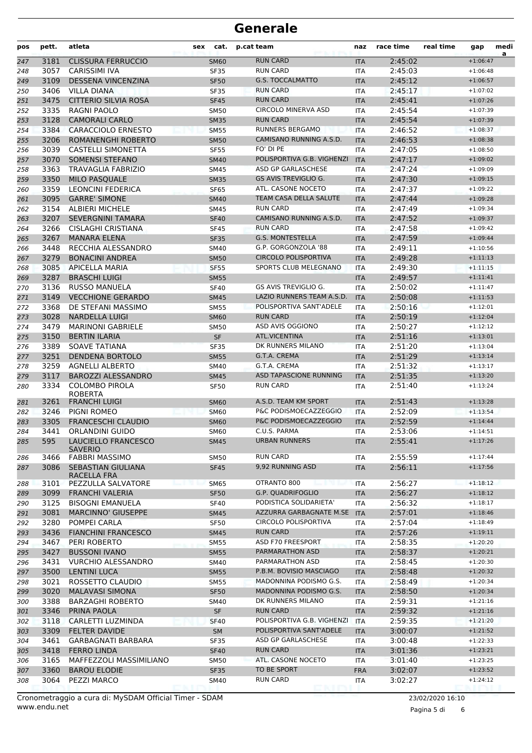| pos        | pett.        | atleta                                        | sex | cat.                       | p.cat team                                 | naz               | race time          | real time | gap                      | medi<br>a |
|------------|--------------|-----------------------------------------------|-----|----------------------------|--------------------------------------------|-------------------|--------------------|-----------|--------------------------|-----------|
| 247        | 3181         | <b>CLISSURA FERRUCCIO</b>                     |     | <b>SM60</b>                | <b>RUN CARD</b>                            | <b>ITA</b>        | 2:45:02            |           | $+1:06:47$               |           |
| 248        | 3057         | <b>CARISSIMI IVA</b>                          |     | <b>SF35</b>                | <b>RUN CARD</b>                            | ITA               | 2:45:03            |           | $+1:06:48$               |           |
| 249        | 3109         | <b>DESSENA VINCENZINA</b>                     |     | <b>SF50</b>                | <b>G.S. TOCCALMATTO</b>                    | <b>ITA</b>        | 2:45:12            |           | $+1:06:57$               |           |
| 250        | 3406         | <b>VILLA DIANA</b>                            |     | <b>SF35</b>                | <b>RUN CARD</b>                            | <b>ITA</b>        | 2:45:17            |           | $+1:07:02$               |           |
| 251        | 3475         | <b>CITTERIO SILVIA ROSA</b>                   |     | <b>SF45</b>                | <b>RUN CARD</b>                            | <b>ITA</b>        | 2:45:41            |           | $+1:07:26$               |           |
| 252        | 3335         | RAGNI PAOLO                                   |     | SM50                       | <b>CIRCOLO MINERVA ASD</b>                 | <b>ITA</b>        | 2:45:54            |           | $+1:07:39$               |           |
| 253        | 3128         | <b>CAMORALI CARLO</b>                         |     | <b>SM35</b>                | <b>RUN CARD</b>                            | <b>ITA</b>        | 2:45:54            |           | $+1:07:39$               |           |
| 254        | 3384         | <b>CARACCIOLO ERNESTO</b>                     |     | <b>SM55</b>                | <b>RUNNERS BERGAMO</b>                     | <b>ITA</b>        | 2:46:52            |           | $+1:08:37$               |           |
| 255        | 3206         | ROMANENGHI ROBERTO                            |     | <b>SM50</b>                | CAMISANO RUNNING A.S.D.                    | <b>ITA</b>        | 2:46:53            |           | $+1:08:38$               |           |
| 256        | 3039         | CASTELLI SIMONETTA                            |     | <b>SF55</b>                | FO' DI PE                                  | <b>ITA</b>        | 2:47:05            |           | $+1:08:50$               |           |
| 257        | 3070         | <b>SOMENSI STEFANO</b>                        |     | <b>SM40</b>                | POLISPORTIVA G.B. VIGHENZI                 | <b>ITA</b>        | 2:47:17            |           | $+1:09:02$               |           |
| 258        | 3363         | <b>TRAVAGLIA FABRIZIO</b>                     |     | SM45                       | ASD GP GARLASCHESE                         | <b>ITA</b>        | 2:47:24            |           | $+1:09:09$               |           |
| 259        | 3350         | <b>MILO PASQUALE</b>                          |     | <b>SM35</b>                | GS AVIS TREVIGLIO G.                       | <b>ITA</b>        | 2:47:30            |           | $+1:09:15$               |           |
| 260        | 3359         | <b>LEONCINI FEDERICA</b>                      |     | <b>SF65</b>                | ATL. CASONE NOCETO                         | <b>ITA</b>        | 2:47:37            |           | $+1:09:22$               |           |
| 261        | 3095         | <b>GARRE' SIMONE</b>                          |     | <b>SM40</b>                | TEAM CASA DELLA SALUTE<br><b>RUN CARD</b>  | <b>ITA</b>        | 2:47:44            |           | $+1:09:28$               |           |
| 262        | 3154         | <b>ALBIERI MICHELE</b>                        |     | <b>SM45</b>                |                                            | <b>ITA</b>        | 2:47:49            |           | $+1:09:34$               |           |
| 263        | 3207         | <b>SEVERGNINI TAMARA</b>                      |     | <b>SF40</b>                | CAMISANO RUNNING A.S.D.<br><b>RUN CARD</b> | <b>ITA</b>        | 2:47:52            |           | $+1:09:37$               |           |
| 264        | 3266         | CISLAGHI CRISTIANA                            |     | <b>SF45</b>                | <b>G.S. MONTESTELLA</b>                    | <b>ITA</b>        | 2:47:58            |           | $+1:09:42$               |           |
| 265        | 3267<br>3448 | <b>MANARA ELENA</b><br>RECCHIA ALESSANDRO     |     | <b>SF35</b>                | G.P. GORGONZOLA '88                        | <b>ITA</b>        | 2:47:59<br>2:49:11 |           | $+1:09:44$               |           |
| 266        |              |                                               |     | SM40                       | <b>CIRCOLO POLISPORTIVA</b>                | ITA               | 2:49:28            |           | $+1:10:56$               |           |
| 267        | 3279<br>3085 | <b>BONACINI ANDREA</b>                        |     | <b>SM50</b>                | SPORTS CLUB MELEGNANO                      | <b>ITA</b>        |                    |           | $+1:11:13$<br>$+1:11:15$ |           |
| 268        | 3287         | <b>APICELLA MARIA</b><br><b>BRASCHI LUIGI</b> |     | <b>SF55</b>                |                                            | <b>ITA</b>        | 2:49:30            |           |                          |           |
| 269        | 3136         | <b>RUSSO MANUELA</b>                          |     | <b>SM55</b>                | GS AVIS TREVIGLIO G.                       | <b>ITA</b>        | 2:49:57<br>2:50:02 |           | $+1:11:41$<br>$+1:11:47$ |           |
| 270        | 3149         | <b>VECCHIONE GERARDO</b>                      |     | <b>SF40</b>                | LAZIO RUNNERS TEAM A.S.D.                  | <b>ITA</b>        |                    |           | $+1:11:53$               |           |
| 271        | 3368         | DE STEFANI MASSIMO                            |     | <b>SM45</b>                | POLISPORTIVA SANT'ADELE                    | <b>ITA</b>        | 2:50:08<br>2:50:16 |           | $+1:12:01$               |           |
| 272        | 3028         | <b>NARDELLA LUIGI</b>                         |     | <b>SM55</b>                | <b>RUN CARD</b>                            | ITA<br><b>ITA</b> | 2:50:19            |           | $+1:12:04$               |           |
| 273<br>274 | 3479         | <b>MARINONI GABRIELE</b>                      |     | <b>SM60</b><br><b>SM50</b> | ASD AVIS OGGIONO                           | <b>ITA</b>        | 2:50:27            |           | $+1:12:12$               |           |
| 275        | 3150         | <b>BERTIN ILARIA</b>                          |     | <b>SF</b>                  | <b>ATL.VICENTINA</b>                       | <b>ITA</b>        | 2:51:16            |           | $+1:13:01$               |           |
| 276        | 3389         | SOAVE TATIANA                                 |     | <b>SF35</b>                | DK RUNNERS MILANO                          | <b>ITA</b>        | 2:51:20            |           | $+1:13:04$               |           |
| 277        | 3251         | <b>DENDENA BORTOLO</b>                        |     | <b>SM55</b>                | G.T.A. CREMA                               | <b>ITA</b>        | 2:51:29            |           | $+1:13:14$               |           |
| 278        | 3259         | <b>AGNELLI ALBERTO</b>                        |     | SM40                       | G.T.A. CREMA                               | ITA               | 2:51:32            |           | $+1:13:17$               |           |
| 279        | 3117         | <b>BAROZZI ALESSANDRO</b>                     |     | <b>SM45</b>                | <b>ASD TAPASCIONE RUNNING</b>              | <b>ITA</b>        | 2:51:35            |           | $+1:13:20$               |           |
| 280        | 3334         | <b>COLOMBO PIROLA</b>                         |     | <b>SF50</b>                | <b>RUN CARD</b>                            | ITA               | 2:51:40            |           | $+1:13:24$               |           |
|            |              | <b>ROBERTA</b>                                |     |                            |                                            |                   |                    |           |                          |           |
| 281        | 3261         | <b>FRANCHI LUIGI</b>                          |     | <b>SM60</b>                | A.S.D. TEAM KM SPORT                       | <b>ITA</b>        | 2:51:43            |           | $+1:13:28$               |           |
| 282        | 3246         | PIGNI ROMEO                                   |     | <b>SM60</b>                | P&C PODISMOECAZZEGGIO                      | ITA               | 2:52:09            |           | $+1:13:54$               |           |
| 283        | 3305         | <b>FRANCESCHI CLAUDIO</b>                     |     | <b>SM60</b>                | P&C PODISMOECAZZEGGIO                      | <b>ITA</b>        | 2:52:59            |           | $+1:14:44$               |           |
| 284        | 3441         | ORLANDINI GUIDO                               |     | <b>SM60</b>                | C.U.S. PARMA                               | <b>ITA</b>        | 2:53:06            |           | $+1:14:51$               |           |
| 285        |              | 595 LAUCIELLO FRANCESCO                       |     | <b>SM45</b>                | <b>URBAN RUNNERS</b>                       | <b>ITA</b>        | 2:55:41            |           | $+1:17:26$               |           |
| 286        | 3466         | <b>SAVERIO</b><br><b>FABBRI MASSIMO</b>       |     | SM50                       | <b>RUN CARD</b>                            | ITA               | 2:55:59            |           | $+1:17:44$               |           |
| 287        | 3086         | <b>SEBASTIAN GIULIANA</b>                     |     | <b>SF45</b>                | 9,92 RUNNING ASD                           | <b>ITA</b>        | 2:56:11            |           | $+1:17:56$               |           |
|            |              | RACELLA FRA                                   |     |                            |                                            |                   |                    |           |                          |           |
| 288        | 3101         | PEZZULLA SALVATORE                            |     | <b>SM65</b>                | OTRANTO 800                                | ITA               | 2:56:27            |           | $+1:18:12$               |           |
| 289        | 3099         | <b>FRANCHI VALERIA</b>                        |     | <b>SF50</b>                | G.P. QUADRIFOGLIO                          | <b>ITA</b>        | 2:56:27            |           | $+1:18:12$               |           |
| 290        | 3125         | <b>BISOGNI EMANUELA</b>                       |     | <b>SF40</b>                | PODISTICA SOLIDARIETA'                     | ITA               | 2:56:32            |           | $+1:18:17$               |           |
| 291        | 3081         | <b>MARCINNO' GIUSEPPE</b>                     |     | <b>SM45</b>                | AZZURRA GARBAGNATE M.SE                    | <b>ITA</b>        | 2:57:01            |           | $+1:18:46$               |           |
| 292        | 3280         | POMPEI CARLA                                  |     | SF50                       | CIRCOLO POLISPORTIVA                       | ITA               | 2:57:04            |           | $+1:18:49$               |           |
| 293        | 3436         | <b>FIANCHINI FRANCESCO</b>                    |     | <b>SM45</b>                | <b>RUN CARD</b>                            | <b>ITA</b>        | 2:57:26            |           | $+1:19:11$               |           |
| 294        | 3467         | PERI ROBERTO                                  |     | <b>SM55</b>                | ASD F70 FREESPORT                          | <b>ITA</b>        | 2:58:35            |           | $+1:20:20$               |           |
| 295        | 3427         | <b>BUSSONI IVANO</b>                          |     | <b>SM55</b>                | PARMARATHON ASD                            | <b>ITA</b>        | 2:58:37            |           | $+1:20:21$               |           |
| 296        | 3431         | <b>VURCHIO ALESSANDRO</b>                     |     | SM40                       | PARMARATHON ASD                            | ITA               | 2:58:45            |           | $+1:20:30$               |           |
| 297        | 3500         | <b>LENTINI LUCA</b>                           |     | <b>SM55</b>                | P.B.M. BOVISIO MASCIAGO                    | <b>ITA</b>        | 2:58:48            |           | $+1:20:32$               |           |
| 298        | 3021         | ROSSETTO CLAUDIO                              |     | SM55                       | MADONNINA PODISMO G.S.                     | ITA               | 2:58:49            |           | $+1:20:34$               |           |
| 299        | 3020         | <b>MALAVASI SIMONA</b>                        |     | <b>SF50</b>                | MADONNINA PODISMO G.S.                     | <b>ITA</b>        | 2:58:50            |           | $+1:20:34$               |           |
| 300        | 3388         | <b>BARZAGHI ROBERTO</b>                       |     | SM40                       | DK RUNNERS MILANO                          | ITA               | 2:59:31            |           | $+1:21:16$               |           |
| 301        | 3346         | PRINA PAOLA                                   |     | SF                         | <b>RUN CARD</b>                            | <b>ITA</b>        | 2:59:32            |           | $+1:21:16$               |           |
| 302        | 3118         | CARLETTI LUZMINDA                             |     | <b>SF40</b>                | POLISPORTIVA G.B. VIGHENZI                 | <b>ITA</b>        | 2:59:35            |           | $+1:21:20$               |           |
| 303        | 3309         | <b>FELTER DAVIDE</b>                          |     | <b>SM</b>                  | POLISPORTIVA SANT'ADELE                    | <b>ITA</b>        | 3:00:07            |           | $+1:21:52$               |           |
| 304        | 3461         | <b>GARBAGNATI BARBARA</b>                     |     | <b>SF35</b>                | ASD GP GARLASCHESE                         | ITA               | 3:00:48            |           | $+1:22:33$               |           |
| 305        | 3418         | <b>FERRO LINDA</b>                            |     | <b>SF40</b>                | <b>RUN CARD</b>                            | <b>ITA</b>        | 3:01:36            |           | $+1:23:21$               |           |
| 306        | 3165         | MAFFEZZOLI MASSIMILIANO                       |     | SM50                       | ATL. CASONE NOCETO                         | ITA               | 3:01:40            |           | $+1:23:25$               |           |
| 307        | 3360         | <b>BAROU ELODIE</b>                           |     | <b>SF35</b>                | TO BE SPORT                                | <b>FRA</b>        | 3:02:07            |           | $+1:23:52$               |           |
| 308        | 3064         | PEZZI MARCO                                   |     | SM40                       | RUN CARD                                   | ITA               | 3:02:27            |           | $+1:24:12$               |           |

Pagina 5 di 6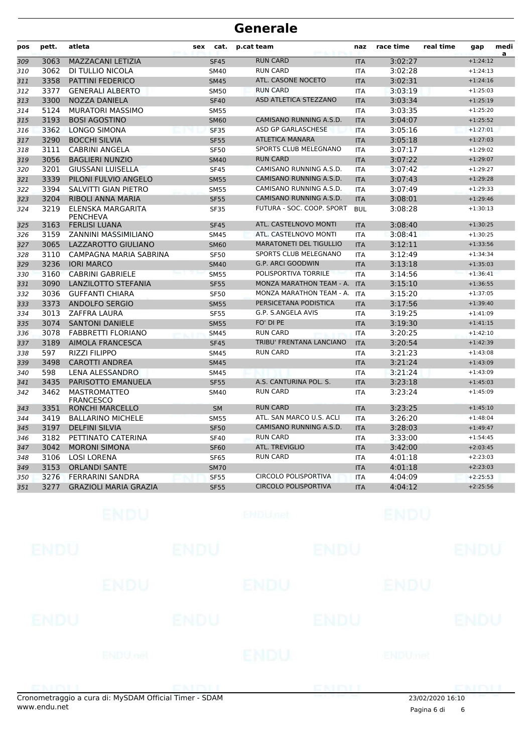| pos | pett. | atleta                                  | sex | cat.        | p.cat team                     | naz        | race time | real time | gap        | medi<br>a |
|-----|-------|-----------------------------------------|-----|-------------|--------------------------------|------------|-----------|-----------|------------|-----------|
| 309 | 3063  | MAZZACANI LETIZIA                       |     | <b>SF45</b> | <b>RUN CARD</b>                | <b>ITA</b> | 3:02:27   |           | $+1:24:12$ |           |
| 310 | 3062  | DI TULLIO NICOLA                        |     | <b>SM40</b> | <b>RUN CARD</b>                | ITA        | 3:02:28   |           | $+1:24:13$ |           |
| 311 | 3358  | <b>PATTINI FEDERICO</b>                 |     | <b>SM45</b> | ATL. CASONE NOCETO             | <b>ITA</b> | 3:02:31   |           | $+1:24:16$ |           |
| 312 | 3377  | <b>GENERALI ALBERTO</b>                 |     | <b>SM50</b> | <b>RUN CARD</b>                | <b>ITA</b> | 3:03:19   |           | $+1:25:03$ |           |
| 313 | 3300  | <b>NOZZA DANIELA</b>                    |     | <b>SF40</b> | ASD ATLETICA STEZZANO          | <b>ITA</b> | 3:03:34   |           | $+1:25:19$ |           |
| 314 | 5124  | <b>MURATORI MASSIMO</b>                 |     | <b>SM55</b> |                                | <b>ITA</b> | 3:03:35   |           | $+1:25:20$ |           |
| 315 | 3193  | <b>BOSI AGOSTINO</b>                    |     | <b>SM60</b> | CAMISANO RUNNING A.S.D.        | <b>ITA</b> | 3:04:07   |           | $+1:25:52$ |           |
| 316 | 3362  | <b>LONGO SIMONA</b>                     |     | <b>SF35</b> | ASD GP GARLASCHESE             | <b>ITA</b> | 3:05:16   |           | $+1:27:01$ |           |
| 317 | 3290  | <b>BOCCHI SILVIA</b>                    |     | <b>SF55</b> | <b>ATLETICA MANARA</b>         | <b>ITA</b> | 3:05:18   |           | $+1:27:03$ |           |
| 318 | 3111  | <b>CABRINI ANGELA</b>                   |     | <b>SF50</b> | SPORTS CLUB MELEGNANO          | <b>ITA</b> | 3:07:17   |           | $+1:29:02$ |           |
| 319 | 3056  | <b>BAGLIERI NUNZIO</b>                  |     | <b>SM40</b> | <b>RUN CARD</b>                | <b>ITA</b> | 3:07:22   |           | $+1:29:07$ |           |
| 320 | 3201  | <b>GIUSSANI LUISELLA</b>                |     | <b>SF45</b> | CAMISANO RUNNING A.S.D.        | <b>ITA</b> | 3:07:42   |           | $+1:29:27$ |           |
| 321 | 3339  | PILONI FULVIO ANGELO                    |     | <b>SM55</b> | CAMISANO RUNNING A.S.D.        | <b>ITA</b> | 3:07:43   |           | $+1:29:28$ |           |
| 322 | 3394  | SALVITTI GIAN PIETRO                    |     | <b>SM55</b> | CAMISANO RUNNING A.S.D.        | <b>ITA</b> | 3:07:49   |           | $+1:29:33$ |           |
| 323 | 3204  | RIBOLI ANNA MARIA                       |     | <b>SF55</b> | CAMISANO RUNNING A.S.D.        | <b>ITA</b> | 3:08:01   |           | $+1:29:46$ |           |
| 324 | 3219  | ELENSKA MARGARITA<br><b>PENCHEVA</b>    |     | <b>SF35</b> | FUTURA - SOC. COOP. SPORT      | <b>BUL</b> | 3:08:28   |           | $+1:30:13$ |           |
| 325 | 3163  | <b>FERLISI LUANA</b>                    |     | <b>SF45</b> | ATL. CASTELNOVO MONTI          | <b>ITA</b> | 3:08:40   |           | $+1:30:25$ |           |
| 326 | 3159  | <b>ZANNINI MASSIMILIANO</b>             |     | <b>SM45</b> | ATL. CASTELNOVO MONTI          | <b>ITA</b> | 3:08:41   |           | $+1:30:25$ |           |
| 327 | 3065  | LAZZAROTTO GIULIANO                     |     | <b>SM60</b> | <b>MARATONETI DEL TIGULLIO</b> | <b>ITA</b> | 3:12:11   |           | $+1:33:56$ |           |
| 328 | 3110  | CAMPAGNA MARIA SABRINA                  |     | <b>SF50</b> | SPORTS CLUB MELEGNANO          | <b>ITA</b> | 3:12:49   |           | $+1:34:34$ |           |
| 329 | 3236  | <b>IORI MARCO</b>                       |     | <b>SM40</b> | <b>G.P. ARCI GOODWIN</b>       | <b>ITA</b> | 3:13:18   |           | $+1:35:03$ |           |
| 330 | 3160  | <b>CABRINI GABRIELE</b>                 |     | <b>SM55</b> | POLISPORTIVA TORRILE           | <b>ITA</b> | 3:14:56   |           | $+1:36:41$ |           |
| 331 | 3090  | LANZILOTTO STEFANIA                     |     | <b>SF55</b> | MONZA MARATHON TEAM - A.       | <b>ITA</b> | 3:15:10   |           | $+1:36:55$ |           |
| 332 | 3036  | <b>GUFFANTI CHIARA</b>                  |     | <b>SF50</b> | MONZA MARATHON TEAM - A.       | <b>ITA</b> | 3:15:20   |           | $+1:37:05$ |           |
| 333 | 3373  | <b>ANDOLFO SERGIO</b>                   |     | <b>SM55</b> | PERSICETANA PODISTICA          | <b>ITA</b> | 3:17:56   |           | $+1:39:40$ |           |
| 334 | 3013  | ZAFFRA LAURA                            |     | <b>SF55</b> | G.P. S.ANGELA AVIS             | <b>ITA</b> | 3:19:25   |           | $+1:41:09$ |           |
| 335 | 3074  | <b>SANTONI DANIELE</b>                  |     | <b>SM55</b> | FO' DI PE                      | <b>ITA</b> | 3:19:30   |           | $+1:41:15$ |           |
| 336 | 3078  | <b>FABBRETTI FLORIANO</b>               |     | <b>SM45</b> | <b>RUN CARD</b>                | <b>ITA</b> | 3:20:25   |           | $+1:42:10$ |           |
| 337 | 3189  | AIMOLA FRANCESCA                        |     | <b>SF45</b> | TRIBU' FRENTANA LANCIANO       | <b>ITA</b> | 3:20:54   |           | $+1:42:39$ |           |
| 338 | 597   | <b>RIZZI FILIPPO</b>                    |     | <b>SM45</b> | <b>RUN CARD</b>                | <b>ITA</b> | 3:21:23   |           | $+1:43:08$ |           |
| 339 | 3498  | <b>CAROTTI ANDREA</b>                   |     | <b>SM45</b> |                                | <b>ITA</b> | 3:21:24   |           | $+1:43:09$ |           |
| 340 | 598   | <b>LENA ALESSANDRO</b>                  |     | <b>SM45</b> |                                | <b>ITA</b> | 3:21:24   |           | $+1:43:09$ |           |
| 341 | 3435  | PARISOTTO EMANUELA                      |     | <b>SF55</b> | A.S. CANTURINA POL. S.         | <b>ITA</b> | 3:23:18   |           | $+1:45:03$ |           |
| 342 | 3462  | <b>MASTROMATTEO</b><br><b>FRANCESCO</b> |     | <b>SM40</b> | <b>RUN CARD</b>                | <b>ITA</b> | 3:23:24   |           | $+1:45:09$ |           |
| 343 | 3351  | <b>RONCHI MARCELLO</b>                  |     | <b>SM</b>   | <b>RUN CARD</b>                | <b>ITA</b> | 3:23:25   |           | $+1:45:10$ |           |
| 344 | 3419  | <b>BALLARINO MICHELE</b>                |     | <b>SM55</b> | ATL. SAN MARCO U.S. ACLI       | <b>ITA</b> | 3:26:20   |           | $+1:48:04$ |           |
| 345 | 3197  | <b>DELFINI SILVIA</b>                   |     | <b>SF50</b> | CAMISANO RUNNING A.S.D.        | <b>ITA</b> | 3:28:03   |           | $+1:49:47$ |           |
| 346 | 3182  | PETTINATO CATERINA                      |     | <b>SF40</b> | <b>RUN CARD</b>                | <b>ITA</b> | 3:33:00   |           | $+1:54:45$ |           |
| 347 | 3042  | <b>MORONI SIMONA</b>                    |     | <b>SF60</b> | <b>ATL. TREVIGLIO</b>          | <b>ITA</b> | 3:42:00   |           | $+2:03:45$ |           |
| 348 | 3106  | <b>LOSI LORENA</b>                      |     | <b>SF65</b> | <b>RUN CARD</b>                | <b>ITA</b> | 4:01:18   |           | $+2:23:03$ |           |
| 349 | 3153  | <b>ORLANDI SANTE</b>                    |     | <b>SM70</b> |                                | <b>ITA</b> | 4:01:18   |           | $+2:23:03$ |           |
| 350 | 3276  | <b>FERRARINI SANDRA</b>                 |     | <b>SF55</b> | <b>CIRCOLO POLISPORTIVA</b>    | <b>ITA</b> | 4:04:09   |           | $+2:25:53$ |           |
| 351 | 3277  | <b>GRAZIOLI MARIA GRAZIA</b>            |     | <b>SF55</b> | <b>CIRCOLO POLISPORTIVA</b>    | <b>ITA</b> | 4:04:12   |           | $+2:25:56$ |           |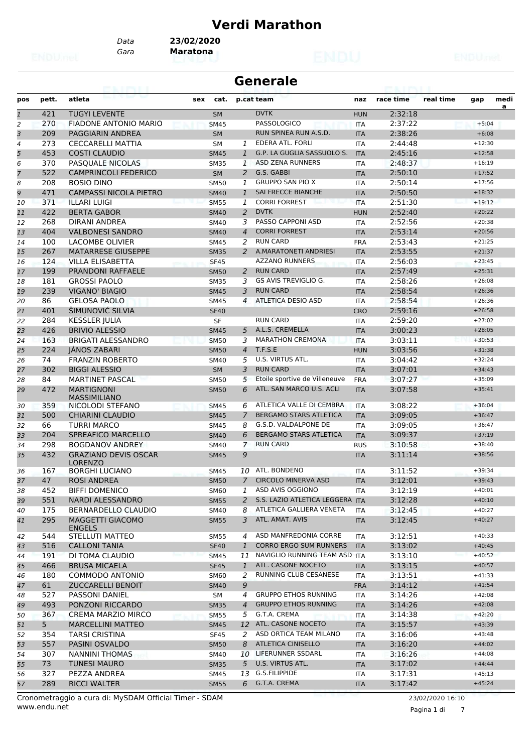#### **Verdi Marathon**

*Gara* **Maratona** *Data* **23/02/2020**

|                |                |                                               |             |                | <b>Generale</b>                 |            |           |           |          |           |
|----------------|----------------|-----------------------------------------------|-------------|----------------|---------------------------------|------------|-----------|-----------|----------|-----------|
| pos            | pett.          | atleta                                        | sex<br>cat. |                | p.cat team                      | naz        | race time | real time | gap      | medi<br>a |
| $\mathbf{1}$   | 421            | <b>TUGYI LEVENTE</b>                          | <b>SM</b>   |                | <b>DVTK</b>                     | <b>HUN</b> | 2:32:18   |           |          |           |
| 2              | 270            | <b>FIADONE ANTONIO MARIO</b>                  | <b>SM45</b> |                | PASSOLOGICO                     | <b>ITA</b> | 2:37:22   |           | $+5:04$  |           |
| $\overline{3}$ | 209            | <b>PAGGIARIN ANDREA</b>                       | <b>SM</b>   |                | RUN SPINEA RUN A.S.D.           | <b>ITA</b> | 2:38:26   |           | $+6:08$  |           |
| $\overline{4}$ | 273            | <b>CECCARELLI MATTIA</b>                      | <b>SM</b>   | $\mathbf{1}$   | EDERA ATL. FORLI                | <b>ITA</b> | 2:44:48   |           | $+12:30$ |           |
| 5              | 453            | <b>COSTI CLAUDIO</b>                          | <b>SM45</b> | $\mathbf{1}$   | G.P. LA GUGLIA SASSUOLO S.      | <b>ITA</b> | 2:45:16   |           | $+12:58$ |           |
| 6              | 370            | PASQUALE NICOLAS                              | <b>SM35</b> | $\mathbf{1}$   | <b>ASD ZENA RUNNERS</b>         | <b>ITA</b> | 2:48:37   |           | $+16:19$ |           |
| $\overline{7}$ | 522            | <b>CAMPRINCOLI FEDERICO</b>                   | <b>SM</b>   | $\overline{2}$ | G.S. GABBI                      | <b>ITA</b> | 2:50:10   |           | $+17:52$ |           |
| 8              | 208            | <b>BOSIO DINO</b>                             | <b>SM50</b> | 1              | <b>GRUPPO SAN PIO X</b>         | <b>ITA</b> | 2:50:14   |           | $+17:56$ |           |
| 9              | 471            | <b>CAMPASSI NICOLA PIETRO</b>                 | <b>SM40</b> | $\mathbf{1}$   | <b>SAI FRECCE BIANCHE</b>       | <b>ITA</b> | 2:50:50   |           | $+18:32$ |           |
| 10             | 371            | <b>ILLARI LUIGI</b>                           | <b>SM55</b> | 1              | <b>CORRI FORREST</b>            | <b>ITA</b> | 2:51:30   |           | $+19:12$ |           |
| 11             | 422            | <b>BERTA GABOR</b>                            | <b>SM40</b> | 2              | <b>DVTK</b>                     | <b>HUN</b> | 2:52:40   |           | $+20:22$ |           |
| 12             | 268            | DIRANI ANDREA                                 | SM40        | 3              | PASSO CAPPONI ASD               | <b>ITA</b> | 2:52:56   |           | $+20:38$ |           |
| 13             | 404            | <b>VALBONESI SANDRO</b>                       | <b>SM40</b> | $\overline{4}$ | <b>CORRI FORREST</b>            | <b>ITA</b> | 2:53:14   |           | $+20:56$ |           |
| 14             | 100            | LACOMBE OLIVIER                               | <b>SM45</b> | 2              | <b>RUN CARD</b>                 | <b>FRA</b> | 2:53:43   |           | $+21:25$ |           |
| 15             | 267            | <b>MATARRESE GIUSEPPE</b>                     | <b>SM35</b> |                | 2 A.MARATONETI ANDRIESI         | <b>ITA</b> | 2:53:55   |           | $+21:37$ |           |
| 16             | 124            | VILLA ELISABETTA                              | <b>SF45</b> |                | <b>AZZANO RUNNERS</b>           | <b>ITA</b> | 2:56:03   |           | $+23:45$ |           |
| 17             | 199            | <b>PRANDONI RAFFAELE</b>                      | <b>SM50</b> | 2              | <b>RUN CARD</b>                 | <b>ITA</b> | 2:57:49   |           | $+25:31$ |           |
| 18             | 181            | <b>GROSSI PAOLO</b>                           | <b>SM35</b> | 3              | GS AVIS TREVIGLIO G.            | <b>ITA</b> | 2:58:26   |           | $+26:08$ |           |
| 19             | 239            | <b>VIGANO' BIAGIO</b>                         | <b>SM45</b> | 3              | <b>RUN CARD</b>                 | <b>ITA</b> | 2:58:54   |           | $+26:36$ |           |
| 20             | 86             | <b>GELOSA PAOLO</b>                           | <b>SM45</b> | 4              | ATLETICA DESIO ASD              | <b>ITA</b> | 2:58:54   |           | $+26:36$ |           |
| 21             | 401            | ŠIMUNOVIĆ SILVIA                              | <b>SF40</b> |                |                                 | <b>CRO</b> | 2:59:16   |           | $+26:58$ |           |
| 22             | 284            | <b>KESSLER JULIA</b>                          | SF          |                | <b>RUN CARD</b>                 | <b>ITA</b> | 2:59:20   |           | $+27:02$ |           |
| 23             | 426            | <b>BRIVIO ALESSIO</b>                         | <b>SM45</b> | 5              | A.L.S. CREMELLA                 | <b>ITA</b> | 3:00:23   |           | $+28:05$ |           |
| 24             | 163            | <b>BRIGATI ALESSANDRO</b>                     | <b>SM50</b> | 3              | <b>MARATHON CREMONA</b>         | <b>ITA</b> | 3:03:11   |           | $+30:53$ |           |
| 25             | 224            | <b>JANOS ZABARI</b>                           | <b>SM50</b> | $\overline{4}$ | T.F.S.E                         | <b>HUN</b> | 3:03:56   |           | $+31:38$ |           |
| 26             | 74             | <b>FRANZIN ROBERTO</b>                        | <b>SM40</b> | 5              | U.S. VIRTUS ATL.                | <b>ITA</b> | 3:04:42   |           | $+32:24$ |           |
| 27             | 302            | <b>BIGGI ALESSIO</b>                          | <b>SM</b>   | 3              | <b>RUN CARD</b>                 | <b>ITA</b> | 3:07:01   |           | $+34:43$ |           |
| 28             | 84             | <b>MARTINET PASCAL</b>                        | <b>SM50</b> | 5              | Etoile sportive de Villeneuve   | <b>FRA</b> | 3:07:27   |           | $+35:09$ |           |
| 29             | 472            | <b>MARTIGNONI</b>                             | <b>SM50</b> | 6              | ATL. SAN MARCO U.S. ACLI        | <b>ITA</b> | 3:07:58   |           | $+35:41$ |           |
| 30             | 359            | <b>MASSIMILIANO</b><br>NICOLODI STEFANO       | <b>SM45</b> | 6              | ATLETICA VALLE DI CEMBRA        | <b>ITA</b> | 3:08:22   |           | $+36:04$ |           |
| 31             | 500            | <b>CHIARINI CLAUDIO</b>                       | <b>SM45</b> | 7              | BERGAMO STARS ATLETICA          | <b>ITA</b> | 3:09:05   |           | $+36:47$ |           |
| 32             | 66             | <b>TURRI MARCO</b>                            | SM45        | 8              | G.S.D. VALDALPONE DE            | <b>ITA</b> | 3:09:05   |           | $+36:47$ |           |
| 33             | 204            | <b>SPREAFICO MARCELLO</b>                     | <b>SM40</b> | 6              | <b>BERGAMO STARS ATLETICA</b>   | <b>ITA</b> | 3:09:37   |           | $+37:19$ |           |
| 34             | 298            | <b>BOGDANOV ANDREY</b>                        | SM40        | $\overline{7}$ | <b>RUN CARD</b>                 | <b>RUS</b> | 3:10:58   |           | $+38:40$ |           |
| 35             | 432            | <b>GRAZIANO DEVIS OSCAR</b><br><b>LORENZO</b> | <b>SM45</b> | 9              |                                 | <b>ITA</b> | 3:11:14   |           | $+38:56$ |           |
| 36             | 167            | <b>BORGHI LUCIANO</b>                         | SM45        |                | 10 ATL. BONDENO                 | <b>ITA</b> | 3:11:52   |           | $+39:34$ |           |
| 37             | 47             | <b>ROSI ANDREA</b>                            | <b>SM50</b> | 7              | <b>CIRCOLO MINERVA ASD</b>      | <b>ITA</b> | 3:12:01   |           | $+39:43$ |           |
| 38             | 452            | <b>BIFFI DOMENICO</b>                         | SM60        | 1              | ASD AVIS OGGIONO                | ITA        | 3:12:19   |           | $+40:01$ |           |
| 39             | 551            | NARDI ALESSANDRO                              | <b>SM55</b> | 2              | S.S. LAZIO ATLETICA LEGGERA ITA |            | 3:12:28   |           | $+40:10$ |           |
| 40             | 175            | <b>BERNARDELLO CLAUDIO</b>                    | SM40        | 8              | ATLETICA GALLIERA VENETA        | <b>ITA</b> | 3:12:45   |           | $+40:27$ |           |
| 41             | 295            | MAGGETTI GIACOMO<br><b>ENGELS</b>             | <b>SM55</b> | 3              | ATL. AMAT. AVIS                 | <b>ITA</b> | 3:12:45   |           | $+40:27$ |           |
| 42             | 544            | STELLUTI MATTEO                               | SM55        | 4              | ASD MANFREDONIA CORRE           | ITA        | 3:12:51   |           | $+40:33$ |           |
| 43             | 516            | <b>CALLONI TANIA</b>                          | <b>SF40</b> | $\mathbf{1}$   | <b>CORRO ERGO SUM RUNNERS</b>   | <b>ITA</b> | 3:13:02   |           | $+40:45$ |           |
| 44             | 191            | DI TOMA CLAUDIO                               | <b>SM45</b> | 11             | NAVIGLIO RUNNING TEAM ASD ITA   |            | 3:13:10   |           | $+40:52$ |           |
| 45             | 466            | <b>BRUSA MICAELA</b>                          | <b>SF45</b> | $\mathbf{1}$   | ATL. CASONE NOCETO              | <b>ITA</b> | 3:13:15   |           | $+40:57$ |           |
| 46             | 180            | <b>COMMODO ANTONIO</b>                        | SM60        | 2              | RUNNING CLUB CESANESE           | ITA        | 3:13:51   |           | $+41:33$ |           |
| 47             | 61             | <b>ZUCCARELLI BENOIT</b>                      | <b>SM40</b> | 9              |                                 | <b>FRA</b> | 3:14:12   |           | $+41:54$ |           |
| 48             | 527            | <b>PASSONI DANIEL</b>                         | SM          | $\overline{4}$ | <b>GRUPPO ETHOS RUNNING</b>     | <b>ITA</b> | 3:14:26   |           | $+42:08$ |           |
| 49             | 493            | PONZONI RICCARDO                              | <b>SM35</b> | $\overline{4}$ | <b>GRUPPO ETHOS RUNNING</b>     | <b>ITA</b> | 3:14:26   |           | $+42:08$ |           |
| 50             | 367            | CREMA MARZIO MIRCO                            | <b>SM55</b> | 5              | G.T.A. CREMA                    | ITA        | 3:14:38   |           | $+42:20$ |           |
| 51             | 5 <sub>1</sub> | <b>MARCELLINI MATTEO</b>                      | <b>SM45</b> | 12             | ATL. CASONE NOCETO              | <b>ITA</b> | 3:15:57   |           | $+43:39$ |           |
|                | 354            | <b>TARSI CRISTINA</b>                         |             | 2              | ASD ORTICA TEAM MILANO          |            | 3:16:06   |           | $+43:48$ |           |
| 52             |                |                                               | <b>SF45</b> | 8              | ATLETICA CINISELLO              | ITA        |           |           | $+44:02$ |           |
| 53             | 557            | PASINI OSVALDO                                | <b>SM50</b> |                |                                 | <b>ITA</b> | 3:16:20   |           |          |           |
| 54             | 307            | NANNINI THOMAS                                | SM40        |                | 10 LIFERUNNER SSDARL            | ITA        | 3:16:26   |           | $+44:08$ |           |
| 55             | 73             | <b>TUNESI MAURO</b>                           | <b>SM35</b> | 5              | U.S. VIRTUS ATL.                | <b>ITA</b> | 3:17:02   |           | $+44:44$ |           |
| 56             | 327            | PEZZA ANDREA                                  | SM45        |                | 13 G.S.FILIPPIDE                | ITA        | 3:17:31   |           | $+45:13$ |           |
| 57             | 289            | <b>RICCI WALTER</b>                           | <b>SM55</b> | 6              | G.T.A. CREMA                    | <b>ITA</b> | 3:17:42   |           | $+45:24$ |           |

www.endu.net Cronometraggio a cura di: MySDAM Official Timer - SDAM 23/02/2020 16:10

Pagina 1 di 7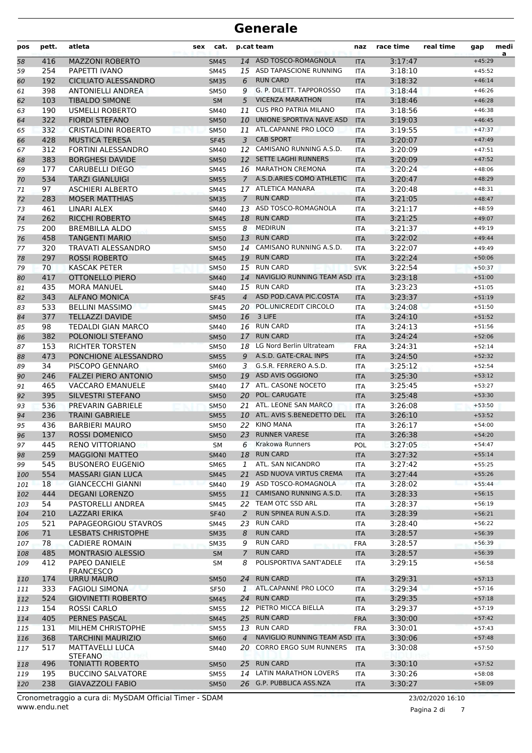| pos | pett. | atleta                                | sex | cat.        |                | p.cat team                    | naz        | race time | real time | gap      | medi<br>a |
|-----|-------|---------------------------------------|-----|-------------|----------------|-------------------------------|------------|-----------|-----------|----------|-----------|
| 58  | 416   | <b>MAZZONI ROBERTO</b>                |     | <b>SM45</b> |                | 14 ASD TOSCO-ROMAGNOLA        | <b>ITA</b> | 3:17:47   |           | $+45:29$ |           |
| 59  | 254   | PAPETTI IVANO                         |     | SM45        |                | 15 ASD TAPASCIONE RUNNING     | <b>ITA</b> | 3:18:10   |           | $+45:52$ |           |
| 60  | 192   | <b>CICILIATO ALESSANDRO</b>           |     | <b>SM35</b> | 6              | <b>RUN CARD</b>               | <b>ITA</b> | 3:18:32   |           | $+46:14$ |           |
| 61  | 398   | <b>ANTONIELLI ANDREA</b>              |     | <b>SM50</b> | 9              | G. P. DILETT. TAPPOROSSO      | <b>ITA</b> | 3:18:44   |           | $+46:26$ |           |
| 62  | 103   | <b>TIBALDO SIMONE</b>                 |     | <b>SM</b>   | 5              | <b>VICENZA MARATHON</b>       | <b>ITA</b> | 3:18:46   |           | $+46:28$ |           |
| 63  | 190   | <b>USMELLI ROBERTO</b>                |     | SM40        | 11             | <b>CUS PRO PATRIA MILANO</b>  | ITA        | 3:18:56   |           | $+46:38$ |           |
| 64  | 322   | <b>FIORDI STEFANO</b>                 |     | <b>SM50</b> | 10             | UNIONE SPORTIVA NAVE ASD      | <b>ITA</b> | 3:19:03   |           | $+46:45$ |           |
| 65  | 332   | <b>CRISTALDINI ROBERTO</b>            |     | <b>SM50</b> | 11             | ATL.CAPANNE PRO LOCO          | <b>ITA</b> | 3:19:55   |           | $+47:37$ |           |
| 66  | 428   | <b>MUSTICA TERESA</b>                 |     | <b>SF45</b> | 3              | <b>CAB SPORT</b>              | <b>ITA</b> | 3:20:07   |           | $+47:49$ |           |
| 67  | 312   | <b>FORTINI ALESSANDRO</b>             |     | <b>SM40</b> | 12             | CAMISANO RUNNING A.S.D.       | <b>ITA</b> | 3:20:09   |           | $+47:51$ |           |
| 68  | 383   | <b>BORGHESI DAVIDE</b>                |     | <b>SM50</b> | 12             | <b>SETTE LAGHI RUNNERS</b>    | <b>ITA</b> | 3:20:09   |           | $+47:52$ |           |
| 69  | 177   | <b>CARUBELLI DIEGO</b>                |     | SM45        |                | 16 MARATHON CREMONA           | ITA        | 3:20:24   |           | $+48:06$ |           |
| 70  | 534   | <b>TARZI GIANLUIGI</b>                |     | <b>SM55</b> | $7^{\circ}$    | A.S.D.ARIES COMO ATHLETIC     | <b>ITA</b> | 3:20:47   |           | $+48:29$ |           |
| 71  | 97    | <b>ASCHIERI ALBERTO</b>               |     | SM45        |                | 17 ATLETICA MANARA            | ITA        | 3:20:48   |           | $+48:31$ |           |
| 72  | 283   | <b>MOSER MATTHIAS</b>                 |     | <b>SM35</b> | $\mathcal{I}$  | <b>RUN CARD</b>               | <b>ITA</b> | 3:21:05   |           | $+48:47$ |           |
| 73  | 461   | LINARI ALEX                           |     | <b>SM40</b> | 13             | ASD TOSCO-ROMAGNOLA           | <b>ITA</b> | 3:21:17   |           | $+48:59$ |           |
| 74  | 262   | <b>RICCHI ROBERTO</b>                 |     | <b>SM45</b> | 18             | <b>RUN CARD</b>               | <b>ITA</b> | 3:21:25   |           | $+49:07$ |           |
| 75  | 200   | <b>BREMBILLA ALDO</b>                 |     | <b>SM55</b> | 8              | <b>MEDIRUN</b>                | <b>ITA</b> | 3:21:37   |           | $+49:19$ |           |
| 76  | 458   | <b>TANGENTI MARIO</b>                 |     | <b>SM50</b> |                | 13 RUN CARD                   | <b>ITA</b> | 3:22:02   |           | $+49:44$ |           |
| 77  | 320   | <b>TRAVATI ALESSANDRO</b>             |     | <b>SM50</b> |                | 14 CAMISANO RUNNING A.S.D.    | ITA        | 3:22:07   |           | $+49:49$ |           |
| 78  | 297   | <b>ROSSI ROBERTO</b>                  |     | <b>SM45</b> | 19             | <b>RUN CARD</b>               | <b>ITA</b> | 3:22:24   |           | $+50:06$ |           |
| 79  | 70    | <b>KASCAK PETER</b>                   |     | <b>SM50</b> | 15             | <b>RUN CARD</b>               | <b>SVK</b> | 3:22:54   |           | $+50:37$ |           |
| 80  | 417   | OTTONELLO PIERO                       |     | <b>SM40</b> | 14             | NAVIGLIO RUNNING TEAM ASD ITA |            | 3:23:18   |           | $+51:00$ |           |
| 81  | 435   | <b>MORA MANUEL</b>                    |     | <b>SM40</b> |                | 15 RUN CARD                   | <b>ITA</b> | 3:23:23   |           | $+51:05$ |           |
| 82  | 343   | <b>ALFANO MONICA</b>                  |     | <b>SF45</b> | $\overline{4}$ | ASD POD.CAVA PIC.COSTA        | <b>ITA</b> | 3:23:37   |           | $+51:19$ |           |
| 83  | 533   | <b>BELLINI MASSIMO</b>                |     | SM45        | 20             | POL.UNICREDIT CIRCOLO         | ITA        | 3:24:08   |           | $+51:50$ |           |
| 84  | 377   | <b>TELLAZZI DAVIDE</b>                |     | <b>SM50</b> | 16             | 3 LIFE                        | <b>ITA</b> | 3:24:10   |           | $+51:52$ |           |
| 85  | 98    | <b>TEDALDI GIAN MARCO</b>             |     | SM40        | 16             | <b>RUN CARD</b>               | <b>ITA</b> | 3:24:13   |           | $+51:56$ |           |
| 86  | 382   | POLONIOLI STEFANO                     |     | <b>SM50</b> | 17             | <b>RUN CARD</b>               | <b>ITA</b> | 3:24:24   |           | $+52:06$ |           |
| 87  | 153   | <b>RICHTER TORSTEN</b>                |     | <b>SM50</b> | 18             | LG Nord Berlin Ultrateam      | <b>FRA</b> | 3:24:31   |           | $+52:14$ |           |
| 88  | 473   | PONCHIONE ALESSANDRO                  |     | <b>SM55</b> | 9              | A.S.D. GATE-CRAL INPS         | <b>ITA</b> | 3:24:50   |           | $+52:32$ |           |
| 89  | 34    | PISCOPO GENNARO                       |     | SM60        | 3              | G.S.R. FERRERO A.S.D.         | ITA        | 3:25:12   |           | $+52:54$ |           |
| 90  | 246   | <b>FALZEI PIERO ANTONIO</b>           |     | <b>SM50</b> | 19             | ASD AVIS OGGIONO              | <b>ITA</b> | 3:25:30   |           | $+53:12$ |           |
| 91  | 465   | <b>VACCARO EMANUELE</b>               |     | <b>SM40</b> | 17             | ATL. CASONE NOCETO            | <b>ITA</b> | 3:25:45   |           | $+53:27$ |           |
| 92  | 395   | <b>SILVESTRI STEFANO</b>              |     | <b>SM50</b> | 20             | POL. CARUGATE                 | <b>ITA</b> | 3:25:48   |           | $+53:30$ |           |
| 93  | 536   | PREVARIN GABRIELE                     |     | <b>SM50</b> | 21             | ATL. LEONE SAN MARCO          | <b>ITA</b> | 3:26:08   |           | $+53:50$ |           |
| 94  | 236   | <b>TRAINI GABRIELE</b>                |     | <b>SM55</b> |                | 10 ATL. AVIS S.BENEDETTO DEL  | <b>ITA</b> | 3:26:10   |           | $+53:52$ |           |
| 95  | 436   | <b>BARBIERI MAURO</b>                 |     | <b>SM50</b> | 22             | KINO MANA                     | ITA        | 3:26:17   |           | $+54:00$ |           |
| 96  | 137   | <b>ROSSI DOMENICO</b>                 |     | <b>SM50</b> |                | 23 RUNNER VARESE              | <b>ITA</b> | 3:26:38   |           | $+54:20$ |           |
| 97  | 445   | <b>RENO VITTORIANO</b>                |     | SM          | 6              | Krakowa Runners               | POL        | 3:27:05   |           | $+54:47$ |           |
| 98  | 259   | <b>MAGGIONI MATTEO</b>                |     | <b>SM40</b> | 18             | <b>RUN CARD</b>               | <b>ITA</b> | 3:27:32   |           | $+55:14$ |           |
| 99  | 545   | <b>BUSONERO EUGENIO</b>               |     | SM65        | 1              | ATL. SAN NICANDRO             | ITA        | 3:27:42   |           | $+55:25$ |           |
| 100 | 554   | <b>MASSARI GIAN LUCA</b>              |     | <b>SM45</b> | 21             | ASD NUOVA VIRTUS CREMA        | <b>ITA</b> | 3:27:44   |           | $+55:26$ |           |
| 101 | 18    | <b>GIANCECCHI GIANNI</b>              |     | <b>SM40</b> |                | 19 ASD TOSCO-ROMAGNOLA        | ITA        | 3:28:02   |           | $+55:44$ |           |
| 102 | 444   | <b>DEGANI LORENZO</b>                 |     | <b>SM55</b> | 11             | CAMISANO RUNNING A.S.D.       | <b>ITA</b> | 3:28:33   |           | $+56:15$ |           |
| 103 | 54    | PASTORELLI ANDREA                     |     | SM45        | 22             | TEAM OTC SSD ARL              | <b>ITA</b> | 3:28:37   |           | $+56:19$ |           |
| 104 | 210   | <b>LAZZARI ERIKA</b>                  |     | <b>SF40</b> | 2              | RUN SPINEA RUN A.S.D.         | <b>ITA</b> | 3:28:39   |           | $+56:21$ |           |
| 105 | 521   | PAPAGEORGIOU STAVROS                  |     | SM45        | 23             | <b>RUN CARD</b>               | ITA        | 3:28:40   |           | $+56:22$ |           |
| 106 | 71    | <b>LESBATS CHRISTOPHE</b>             |     | <b>SM35</b> | 8              | <b>RUN CARD</b>               | <b>ITA</b> | 3:28:57   |           | $+56:39$ |           |
| 107 | 78    | <b>CADIERE ROMAIN</b>                 |     | <b>SM35</b> | 9              | <b>RUN CARD</b>               | <b>FRA</b> | 3:28:57   |           | $+56:39$ |           |
| 108 | 485   | <b>MONTRASIO ALESSIO</b>              |     | <b>SM</b>   | $\overline{7}$ | <b>RUN CARD</b>               | <b>ITA</b> | 3:28:57   |           | $+56:39$ |           |
| 109 | 412   | PAPEO DANIELE                         |     | SM          | 8              | POLISPORTIVA SANT'ADELE       | <b>ITA</b> | 3:29:15   |           | $+56:58$ |           |
| 110 | 174   | <b>FRANCESCO</b><br><b>URRU MAURO</b> |     | <b>SM50</b> | 24             | <b>RUN CARD</b>               | <b>ITA</b> | 3:29:31   |           | $+57:13$ |           |
| 111 | 333   | <b>FAGIOLI SIMONA</b>                 |     | SF50        | $\mathbf{1}$   | ATL.CAPANNE PRO LOCO          | ITA        | 3:29:34   |           | $+57:16$ |           |
| 112 | 524   | <b>GIOVINETTI ROBERTO</b>             |     | <b>SM45</b> |                | 24 RUN CARD                   | <b>ITA</b> | 3:29:35   |           | $+57:18$ |           |
| 113 | 154   | ROSSI CARLO                           |     | <b>SM55</b> | 12             | PIETRO MICCA BIELLA           | ITA        | 3:29:37   |           | $+57:19$ |           |
| 114 | 405   | PERNES PASCAL                         |     | <b>SM45</b> |                | 25 RUN CARD                   | <b>FRA</b> | 3:30:00   |           | $+57:42$ |           |
| 115 | 131   | MILHEM CHRISTOPHE                     |     | <b>SM55</b> | 13             | <b>RUN CARD</b>               | <b>FRA</b> | 3:30:01   |           | $+57:43$ |           |
| 116 | 368   | <b>TARCHINI MAURIZIO</b>              |     | <b>SM60</b> | $\overline{4}$ | NAVIGLIO RUNNING TEAM ASD ITA |            | 3:30:06   |           | $+57:48$ |           |
| 117 | 517   | MATTAVELLI LUCA                       |     | SM40        | 20             | <b>CORRO ERGO SUM RUNNERS</b> | <b>ITA</b> | 3:30:08   |           | $+57:50$ |           |
|     |       | <b>STEFANO</b>                        |     |             |                | 25 RUN CARD                   |            |           |           |          |           |
| 118 | 496   | <b>TONIATTI ROBERTO</b>               |     | <b>SM50</b> |                | LATIN MARATHON LOVERS         | <b>ITA</b> | 3:30:10   |           | $+57:52$ |           |
| 119 | 195   | <b>BUCCINO SALVATORE</b>              |     | <b>SM55</b> | 14             |                               | ITA        | 3:30:26   |           | $+58:08$ |           |
| 120 | 238   | <b>GIAVAZZOLI FABIO</b>               |     | <b>SM50</b> |                | 26 G.P. PUBBLICA ASS.NZA      | <b>ITA</b> | 3:30:27   |           | $+58:09$ |           |

www.endu.net Cronometraggio a cura di: MySDAM Official Timer - SDAM 23/02/2020 16:10

Pagina 2 di 7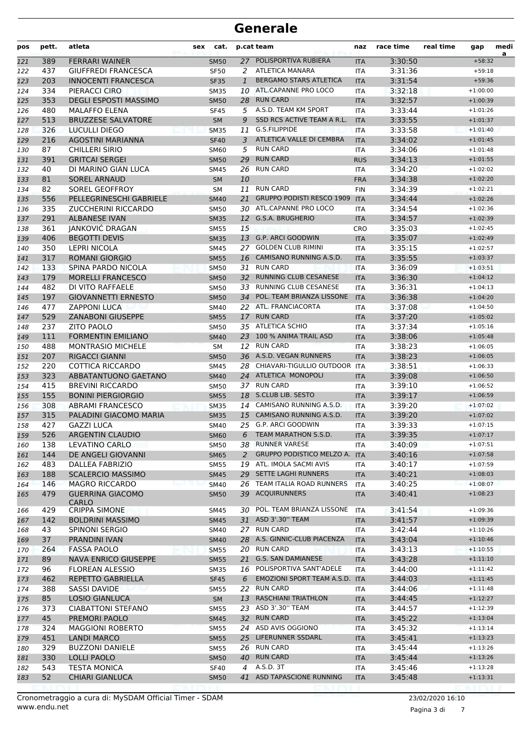| 27 POLISPORTIVA RUBIERA<br>389<br><b>FERRARI WAINER</b><br>3:30:50<br><b>SM50</b><br><b>ITA</b><br>$+58:32$<br>121<br><b>ATLETICA MANARA</b><br>437<br>2<br>3:31:36<br><b>GIUFFREDI FRANCESCA</b><br><b>SF50</b><br>122<br>ITA<br>$+59:18$<br>203<br><b>BERGAMO STARS ATLETICA</b><br>3:31:54<br><b>INNOCENTI FRANCESCA</b><br>$\mathbf{1}$<br>$+59:36$<br>123<br><b>SF35</b><br><b>ITA</b><br>334<br>PIERACCI CIRO<br>ATL.CAPANNE PRO LOCO<br>3:32:18<br>$+1:00:00$<br>124<br><b>SM35</b><br>10<br><b>ITA</b><br><b>RUN CARD</b><br>353<br><b>DEGLI ESPOSTI MASSIMO</b><br>3:32:57<br>28<br>125<br><b>SM50</b><br><b>ITA</b><br>$+1:00:39$<br>480<br>5 A.S.D. TEAM KM SPORT<br><b>MALAFFO ELENA</b><br><b>SF45</b><br>3:33:44<br>126<br>ITA<br>$+1:01:26$<br>SSD RCS ACTIVE TEAM A R.L.<br>513<br><b>BRUZZESE SALVATORE</b><br>9<br>3:33:55<br>127<br><b>SM</b><br><b>ITA</b><br>$+1:01:37$<br>G.S.FILIPPIDE<br>326<br>3:33:58<br><b>LUCULLI DIEGO</b><br><b>SM35</b><br>11<br><b>ITA</b><br>128<br>$+1:01:40$<br>ATLETICA VALLE DI CEMBRA<br>216<br><b>AGOSTINI MARIANNA</b><br><b>SF40</b><br><b>ITA</b><br>3:34:02<br>129<br>3<br>$+1:01:45$<br><b>RUN CARD</b><br>87<br><b>CHILLERI SIRIO</b><br>5<br>3:34:06<br>130<br><b>SM60</b><br>$+1:01:48$<br>ITA<br><b>RUN CARD</b><br>391<br>3:34:13<br><b>GRITCAI SERGEI</b><br>29<br><b>RUS</b><br>131<br><b>SM50</b><br>$+1:01:55$<br><b>RUN CARD</b><br>40<br>DI MARINO GIAN LUCA<br>26<br>3:34:20<br>132<br>SM45<br>ITA<br>$+1:02:02$<br>81<br><b>SOREL ARNAUD</b><br>10<br>3:34:38<br>133<br><b>SM</b><br><b>FRA</b><br>$+1:02:20$<br>82<br>SOREL GEOFFROY<br><b>RUN CARD</b><br>3:34:39<br><b>SM</b><br>11<br>134<br><b>FIN</b><br>$+1:02:21$<br>556<br><b>GRUPPO PODISTI RESCO 1909</b><br>PELLEGRINESCHI GABRIELE<br>21<br>3:34:44<br>$+1:02:26$<br>135<br><b>SM40</b><br><b>ITA</b><br>ATL.CAPANNE PRO LOCO<br>335<br><b>ZUCCHERINI RICCARDO</b><br><b>SM50</b><br>30<br>3:34:54<br>$+1:02:36$<br>136<br><b>ITA</b><br>291<br><b>ALBANESE IVAN</b><br>12 G.S.A. BRUGHERIO<br>3:34:57<br><b>SM35</b><br>137<br><b>ITA</b><br>$+1:02:39$<br>JANKOVIĆ DRAGAN<br>361<br>15<br>3:35:03<br><b>SM55</b><br>CRO<br>$+1:02:45$<br>138<br>13 G.P. ARCI GOODWIN<br>406<br><b>BEGOTTI DEVIS</b><br>3:35:07<br>139<br><b>SM35</b><br><b>ITA</b><br>$+1:02:49$<br>350<br><b>LEPRI NICOLA</b><br><b>GOLDEN CLUB RIMINI</b><br>3:35:15<br><b>SM45</b><br>27<br><b>ITA</b><br>$+1:02:57$<br>140<br>317<br>CAMISANO RUNNING A.S.D.<br>3:35:55<br><b>ROMANI GIORGIO</b><br><b>SM55</b><br>16<br><b>ITA</b><br>$+1:03:37$<br>141<br><b>RUN CARD</b><br>133<br>SPINA PARDO NICOLA<br>3:36:09<br><b>SM50</b><br>31<br>$+1:03:51$<br>142<br><b>ITA</b><br>179<br><b>MORELLI FRANCESCO</b><br><b>RUNNING CLUB CESANESE</b><br>3:36:30<br>143<br><b>SM50</b><br>32<br><b>ITA</b><br>$+1:04:12$<br>482<br>33 RUNNING CLUB CESANESE<br>DI VITO RAFFAELE<br>3:36:31<br><b>SM50</b><br><b>ITA</b><br>$+1:04:13$<br>144<br>34 POL. TEAM BRIANZA LISSONE<br>197<br>3:36:38<br><b>GIOVANNETTI ERNESTO</b><br><b>SM50</b><br><b>ITA</b><br>$+1:04:20$<br>145<br>477<br>22 ATL. FRANCIACORTA<br>3:37:08<br><b>ZAPPONI LUCA</b><br>146<br>SM40<br><b>ITA</b><br>$+1:04:50$<br>529<br>17 RUN CARD<br><b>ZANABONI GIUSEPPE</b><br>3:37:20<br>$+1:05:02$<br>147<br><b>SM55</b><br><b>ITA</b><br>237<br><b>ZITO PAOLO</b><br>35 ATLETICA SCHIO<br>3:37:34<br>$+1:05:16$<br>148<br><b>SM50</b><br><b>ITA</b><br>23 100 % ANIMA TRAIL ASD<br>111<br><b>FORMENTIN EMILIANO</b><br><b>ITA</b><br>3:38:06<br>149<br><b>SM40</b><br>$+1:05:48$<br>488<br>12 RUN CARD<br><b>MONTRASIO MICHELE</b><br>3:38:23<br><b>SM</b><br><b>ITA</b><br>$+1:06:05$<br>150<br>36 A.S.D. VEGAN RUNNERS<br>207<br><b>RIGACCI GIANNI</b><br>3:38:23<br><b>SM50</b><br><b>ITA</b><br>151<br>$+1:06:05$<br>220<br>COTTICA RICCARDO<br>28 CHIAVARI-TIGULLIO OUTDOOR ITA<br>3:38:51<br>SM45<br>152<br>$+1:06:33$<br>323<br>24 ATLETICA MONOPOLI<br>ABBATANTUONO GAETANO<br>3:39:08<br><b>SM40</b><br>$+1:06:50$<br>153<br><b>ITA</b><br>37 RUN CARD<br>415<br><b>BREVINI RICCARDO</b><br>3:39:10<br>154<br><b>SM50</b><br><b>ITA</b><br>$+1:06:52$<br>155<br><b>BONINI PIERGIORGIO</b><br>18 S.CLUB LIB. SESTO<br>155<br><b>SM55</b><br><b>ITA</b><br>3:39:17<br>$+1:06:59$<br>CAMISANO RUNNING A.S.D.<br>308<br>3:39:20<br><b>ABRAMI FRANCESCO</b><br><b>SM35</b><br><b>ITA</b><br>$+1:07:02$<br>156<br>14<br>315<br>PALADINI GIACOMO MARIA<br>15 CAMISANO RUNNING A.S.D.<br>3:39:20<br><b>SM35</b><br>157<br><b>ITA</b><br>$+1:07:02$<br>427<br>G.P. ARCI GOODWIN<br><b>GAZZI LUCA</b><br>25<br>3:39:33<br>SM40<br><b>ITA</b><br>158<br>$+1:07:15$<br>526<br>TEAM MARATHON S.S.D.<br><b>ARGENTIN CLAUDIO</b><br>6<br>3:39:35<br>$+1:07:17$<br>159<br><b>SM60</b><br><b>ITA</b><br>38 RUNNER VARESE<br>3:40:09<br>138<br><b>LEVATINO CARLO</b><br>$+1:07:51$<br><b>SM50</b><br>160<br>ITA<br>GRUPPO PODISTICO MELZO A. ITA<br>144<br>DE ANGELI GIOVANNI<br><b>SM65</b><br>3:40:16<br>$+1:07:58$<br>161<br>2<br>19 ATL. IMOLA SACMI AVIS<br>483<br><b>DALLEA FABRIZIO</b><br><b>SM55</b><br>3:40:17<br>$+1:07:59$<br><b>ITA</b><br>162<br>29 SETTE LAGHI RUNNERS<br>188<br><b>SCALERCIO MASSIMO</b><br><b>SM45</b><br>3:40:21<br>$+1:08:03$<br><b>ITA</b><br>163<br>26 TEAM ITALIA ROAD RUNNERS<br>146<br><b>MAGRO RICCARDO</b><br>3:40:25<br>$+1:08:07$<br><b>SM40</b><br><b>ITA</b><br>164<br><b>GUERRINA GIACOMO</b><br>39 ACQUIRUNNERS<br>479<br>3:40:41<br>$+1:08:23$<br><b>SM50</b><br><b>ITA</b><br>165<br><b>CARLO</b><br>POL. TEAM BRIANZA LISSONE<br>429<br><b>CRIPPA SIMONE</b><br>3:41:54<br>$+1:09:36$<br>SM45<br>30<br><b>ITA</b><br>166<br>31 ASD 3'.30" TEAM<br>142<br><b>BOLDRINI MASSIMO</b><br>3:41:57<br>$+1:09:39$<br><b>SM45</b><br>167<br><b>ITA</b><br>43<br>27 RUN CARD<br>3:42:44<br>$+1:10:26$<br>SPINONI SERGIO<br>SM40<br>168<br><b>ITA</b><br>28 A.S. GINNIC-CLUB PIACENZA<br>37<br>PRANDINI IVAN<br>3:43:04<br>$+1:10:46$<br>169<br><b>SM40</b><br><b>ITA</b><br>20 RUN CARD<br>264<br><b>FASSA PAOLO</b><br>3:43:13<br>$+1:10:55$<br>170<br><b>SM55</b><br>ITA<br>89<br><b>NAVA ENRICO GIUSEPPE</b><br>21 G.S. SAN DAMIANESE<br>3:43:28<br><b>SM55</b><br><b>ITA</b><br>$+1:11:10$<br>171<br>16 POLISPORTIVA SANT'ADELE<br>96<br><b>FLOREAN ALESSIO</b><br>3:44:00<br>$+1:11:42$<br>172<br><b>SM35</b><br><b>ITA</b><br>EMOZIONI SPORT TEAM A.S.D.<br>REPETTO GABRIELLA<br>3:44:03<br>$+1:11:45$<br>173<br>462<br><b>SF45</b><br>6<br><b>ITA</b><br>22 RUN CARD<br>388<br>SASSI DAVIDE<br>3:44:06<br>$+1:11:48$<br>174<br>SM55<br>ITA<br>13 RASCHIANI TRIATHLON<br>85<br><b>LOSIO GIANLUCA</b><br><b>SM</b><br>$+1:12:27$<br>175<br><b>ITA</b><br>3:44:45<br>23 ASD 3'.30" TEAM<br>373<br><b>CIABATTONI STEFANO</b><br>3:44:57<br>$+1:12:39$<br><b>SM55</b><br>176<br>ITA<br>45<br>32 RUN CARD<br>PREMORI PAOLO<br>3:45:22<br>$+1:13:04$<br><b>SM45</b><br>177<br><b>ITA</b><br>24 ASD AVIS OGGIONO<br>324<br><b>MAGGIONI ROBERTO</b><br>3:45:32<br>$+1:13:14$<br>178<br><b>SM55</b><br>ITA<br>25 LIFERUNNER SSDARL<br>451<br><b>LANDI MARCO</b><br>3:45:41<br>$+1:13:23$<br>179<br><b>SM55</b><br><b>ITA</b><br>26 RUN CARD<br>329<br><b>BUZZONI DANIELE</b><br>3:45:44<br>$+1:13:26$<br>180<br>SM55<br>ITA<br>40 RUN CARD<br>330<br><b>LOLLI PAOLO</b><br>3:45:44<br>$+1:13:26$<br>181<br><b>SM50</b><br><b>ITA</b><br>A.S.D. 3T<br>543<br><b>TESTA MONICA</b><br>3:45:46<br>182<br><b>SF40</b><br>4<br>$+1:13:28$<br>ITA<br>52<br>41 ASD TAPASCIONE RUNNING<br><b>CHIARI GIANLUCA</b><br>3:45:48<br>$+1:13:31$<br><b>SM50</b><br><b>ITA</b><br>183 | pos | pett. | atleta | cat.<br>sex | p.cat team | naz | race time | real time | gap | medi<br>a |
|----------------------------------------------------------------------------------------------------------------------------------------------------------------------------------------------------------------------------------------------------------------------------------------------------------------------------------------------------------------------------------------------------------------------------------------------------------------------------------------------------------------------------------------------------------------------------------------------------------------------------------------------------------------------------------------------------------------------------------------------------------------------------------------------------------------------------------------------------------------------------------------------------------------------------------------------------------------------------------------------------------------------------------------------------------------------------------------------------------------------------------------------------------------------------------------------------------------------------------------------------------------------------------------------------------------------------------------------------------------------------------------------------------------------------------------------------------------------------------------------------------------------------------------------------------------------------------------------------------------------------------------------------------------------------------------------------------------------------------------------------------------------------------------------------------------------------------------------------------------------------------------------------------------------------------------------------------------------------------------------------------------------------------------------------------------------------------------------------------------------------------------------------------------------------------------------------------------------------------------------------------------------------------------------------------------------------------------------------------------------------------------------------------------------------------------------------------------------------------------------------------------------------------------------------------------------------------------------------------------------------------------------------------------------------------------------------------------------------------------------------------------------------------------------------------------------------------------------------------------------------------------------------------------------------------------------------------------------------------------------------------------------------------------------------------------------------------------------------------------------------------------------------------------------------------------------------------------------------------------------------------------------------------------------------------------------------------------------------------------------------------------------------------------------------------------------------------------------------------------------------------------------------------------------------------------------------------------------------------------------------------------------------------------------------------------------------------------------------------------------------------------------------------------------------------------------------------------------------------------------------------------------------------------------------------------------------------------------------------------------------------------------------------------------------------------------------------------------------------------------------------------------------------------------------------------------------------------------------------------------------------------------------------------------------------------------------------------------------------------------------------------------------------------------------------------------------------------------------------------------------------------------------------------------------------------------------------------------------------------------------------------------------------------------------------------------------------------------------------------------------------------------------------------------------------------------------------------------------------------------------------------------------------------------------------------------------------------------------------------------------------------------------------------------------------------------------------------------------------------------------------------------------------------------------------------------------------------------------------------------------------------------------------------------------------------------------------------------------------------------------------------------------------------------------------------------------------------------------------------------------------------------------------------------------------------------------------------------------------------------------------------------------------------------------------------------------------------------------------------------------------------------------------------------------------------------------------------------------------------------------------------------------------------------------------------------------------------------------------------------------------------------------------------------------------------------------------------------------------------------------------------------------------------------------------------------------------------------------------------------------------------------------------------------------------------------------------------------------------------------------------------------------------------------------------------------------------------------------------------------------------------------------------------------------------------------------------------------------------------------------------------------------------------------------------------------------------------------------------------------------------------------------------------------------------------------------------------------------------------------------------------------------------------------------------------------------------------------------------------------------------------------------------------------------------------------------------------------------------------------------------------------------------------------------------------------------------------------------------------------------------------------------------------------------------------------------------------------------------------------------------------------------------------------------------------------------------------------------------------------------------------------------------------------------------------------------|-----|-------|--------|-------------|------------|-----|-----------|-----------|-----|-----------|
|                                                                                                                                                                                                                                                                                                                                                                                                                                                                                                                                                                                                                                                                                                                                                                                                                                                                                                                                                                                                                                                                                                                                                                                                                                                                                                                                                                                                                                                                                                                                                                                                                                                                                                                                                                                                                                                                                                                                                                                                                                                                                                                                                                                                                                                                                                                                                                                                                                                                                                                                                                                                                                                                                                                                                                                                                                                                                                                                                                                                                                                                                                                                                                                                                                                                                                                                                                                                                                                                                                                                                                                                                                                                                                                                                                                                                                                                                                                                                                                                                                                                                                                                                                                                                                                                                                                                                                                                                                                                                                                                                                                                                                                                                                                                                                                                                                                                                                                                                                                                                                                                                                                                                                                                                                                                                                                                                                                                                                                                                                                                                                                                                                                                                                                                                                                                                                                                                                                                                                                                                                                                                                                                                                                                                                                                                                                                                                                                                                                                                                                                                                                                                                                                                                                                                                                                                                                                                                                                                                                                                                                                                                                                                                                                                                                                                                                                                                                                                                                                                                                                                                            |     |       |        |             |            |     |           |           |     |           |
|                                                                                                                                                                                                                                                                                                                                                                                                                                                                                                                                                                                                                                                                                                                                                                                                                                                                                                                                                                                                                                                                                                                                                                                                                                                                                                                                                                                                                                                                                                                                                                                                                                                                                                                                                                                                                                                                                                                                                                                                                                                                                                                                                                                                                                                                                                                                                                                                                                                                                                                                                                                                                                                                                                                                                                                                                                                                                                                                                                                                                                                                                                                                                                                                                                                                                                                                                                                                                                                                                                                                                                                                                                                                                                                                                                                                                                                                                                                                                                                                                                                                                                                                                                                                                                                                                                                                                                                                                                                                                                                                                                                                                                                                                                                                                                                                                                                                                                                                                                                                                                                                                                                                                                                                                                                                                                                                                                                                                                                                                                                                                                                                                                                                                                                                                                                                                                                                                                                                                                                                                                                                                                                                                                                                                                                                                                                                                                                                                                                                                                                                                                                                                                                                                                                                                                                                                                                                                                                                                                                                                                                                                                                                                                                                                                                                                                                                                                                                                                                                                                                                                                            |     |       |        |             |            |     |           |           |     |           |
|                                                                                                                                                                                                                                                                                                                                                                                                                                                                                                                                                                                                                                                                                                                                                                                                                                                                                                                                                                                                                                                                                                                                                                                                                                                                                                                                                                                                                                                                                                                                                                                                                                                                                                                                                                                                                                                                                                                                                                                                                                                                                                                                                                                                                                                                                                                                                                                                                                                                                                                                                                                                                                                                                                                                                                                                                                                                                                                                                                                                                                                                                                                                                                                                                                                                                                                                                                                                                                                                                                                                                                                                                                                                                                                                                                                                                                                                                                                                                                                                                                                                                                                                                                                                                                                                                                                                                                                                                                                                                                                                                                                                                                                                                                                                                                                                                                                                                                                                                                                                                                                                                                                                                                                                                                                                                                                                                                                                                                                                                                                                                                                                                                                                                                                                                                                                                                                                                                                                                                                                                                                                                                                                                                                                                                                                                                                                                                                                                                                                                                                                                                                                                                                                                                                                                                                                                                                                                                                                                                                                                                                                                                                                                                                                                                                                                                                                                                                                                                                                                                                                                                            |     |       |        |             |            |     |           |           |     |           |
|                                                                                                                                                                                                                                                                                                                                                                                                                                                                                                                                                                                                                                                                                                                                                                                                                                                                                                                                                                                                                                                                                                                                                                                                                                                                                                                                                                                                                                                                                                                                                                                                                                                                                                                                                                                                                                                                                                                                                                                                                                                                                                                                                                                                                                                                                                                                                                                                                                                                                                                                                                                                                                                                                                                                                                                                                                                                                                                                                                                                                                                                                                                                                                                                                                                                                                                                                                                                                                                                                                                                                                                                                                                                                                                                                                                                                                                                                                                                                                                                                                                                                                                                                                                                                                                                                                                                                                                                                                                                                                                                                                                                                                                                                                                                                                                                                                                                                                                                                                                                                                                                                                                                                                                                                                                                                                                                                                                                                                                                                                                                                                                                                                                                                                                                                                                                                                                                                                                                                                                                                                                                                                                                                                                                                                                                                                                                                                                                                                                                                                                                                                                                                                                                                                                                                                                                                                                                                                                                                                                                                                                                                                                                                                                                                                                                                                                                                                                                                                                                                                                                                                            |     |       |        |             |            |     |           |           |     |           |
|                                                                                                                                                                                                                                                                                                                                                                                                                                                                                                                                                                                                                                                                                                                                                                                                                                                                                                                                                                                                                                                                                                                                                                                                                                                                                                                                                                                                                                                                                                                                                                                                                                                                                                                                                                                                                                                                                                                                                                                                                                                                                                                                                                                                                                                                                                                                                                                                                                                                                                                                                                                                                                                                                                                                                                                                                                                                                                                                                                                                                                                                                                                                                                                                                                                                                                                                                                                                                                                                                                                                                                                                                                                                                                                                                                                                                                                                                                                                                                                                                                                                                                                                                                                                                                                                                                                                                                                                                                                                                                                                                                                                                                                                                                                                                                                                                                                                                                                                                                                                                                                                                                                                                                                                                                                                                                                                                                                                                                                                                                                                                                                                                                                                                                                                                                                                                                                                                                                                                                                                                                                                                                                                                                                                                                                                                                                                                                                                                                                                                                                                                                                                                                                                                                                                                                                                                                                                                                                                                                                                                                                                                                                                                                                                                                                                                                                                                                                                                                                                                                                                                                            |     |       |        |             |            |     |           |           |     |           |
|                                                                                                                                                                                                                                                                                                                                                                                                                                                                                                                                                                                                                                                                                                                                                                                                                                                                                                                                                                                                                                                                                                                                                                                                                                                                                                                                                                                                                                                                                                                                                                                                                                                                                                                                                                                                                                                                                                                                                                                                                                                                                                                                                                                                                                                                                                                                                                                                                                                                                                                                                                                                                                                                                                                                                                                                                                                                                                                                                                                                                                                                                                                                                                                                                                                                                                                                                                                                                                                                                                                                                                                                                                                                                                                                                                                                                                                                                                                                                                                                                                                                                                                                                                                                                                                                                                                                                                                                                                                                                                                                                                                                                                                                                                                                                                                                                                                                                                                                                                                                                                                                                                                                                                                                                                                                                                                                                                                                                                                                                                                                                                                                                                                                                                                                                                                                                                                                                                                                                                                                                                                                                                                                                                                                                                                                                                                                                                                                                                                                                                                                                                                                                                                                                                                                                                                                                                                                                                                                                                                                                                                                                                                                                                                                                                                                                                                                                                                                                                                                                                                                                                            |     |       |        |             |            |     |           |           |     |           |
|                                                                                                                                                                                                                                                                                                                                                                                                                                                                                                                                                                                                                                                                                                                                                                                                                                                                                                                                                                                                                                                                                                                                                                                                                                                                                                                                                                                                                                                                                                                                                                                                                                                                                                                                                                                                                                                                                                                                                                                                                                                                                                                                                                                                                                                                                                                                                                                                                                                                                                                                                                                                                                                                                                                                                                                                                                                                                                                                                                                                                                                                                                                                                                                                                                                                                                                                                                                                                                                                                                                                                                                                                                                                                                                                                                                                                                                                                                                                                                                                                                                                                                                                                                                                                                                                                                                                                                                                                                                                                                                                                                                                                                                                                                                                                                                                                                                                                                                                                                                                                                                                                                                                                                                                                                                                                                                                                                                                                                                                                                                                                                                                                                                                                                                                                                                                                                                                                                                                                                                                                                                                                                                                                                                                                                                                                                                                                                                                                                                                                                                                                                                                                                                                                                                                                                                                                                                                                                                                                                                                                                                                                                                                                                                                                                                                                                                                                                                                                                                                                                                                                                            |     |       |        |             |            |     |           |           |     |           |
|                                                                                                                                                                                                                                                                                                                                                                                                                                                                                                                                                                                                                                                                                                                                                                                                                                                                                                                                                                                                                                                                                                                                                                                                                                                                                                                                                                                                                                                                                                                                                                                                                                                                                                                                                                                                                                                                                                                                                                                                                                                                                                                                                                                                                                                                                                                                                                                                                                                                                                                                                                                                                                                                                                                                                                                                                                                                                                                                                                                                                                                                                                                                                                                                                                                                                                                                                                                                                                                                                                                                                                                                                                                                                                                                                                                                                                                                                                                                                                                                                                                                                                                                                                                                                                                                                                                                                                                                                                                                                                                                                                                                                                                                                                                                                                                                                                                                                                                                                                                                                                                                                                                                                                                                                                                                                                                                                                                                                                                                                                                                                                                                                                                                                                                                                                                                                                                                                                                                                                                                                                                                                                                                                                                                                                                                                                                                                                                                                                                                                                                                                                                                                                                                                                                                                                                                                                                                                                                                                                                                                                                                                                                                                                                                                                                                                                                                                                                                                                                                                                                                                                            |     |       |        |             |            |     |           |           |     |           |
|                                                                                                                                                                                                                                                                                                                                                                                                                                                                                                                                                                                                                                                                                                                                                                                                                                                                                                                                                                                                                                                                                                                                                                                                                                                                                                                                                                                                                                                                                                                                                                                                                                                                                                                                                                                                                                                                                                                                                                                                                                                                                                                                                                                                                                                                                                                                                                                                                                                                                                                                                                                                                                                                                                                                                                                                                                                                                                                                                                                                                                                                                                                                                                                                                                                                                                                                                                                                                                                                                                                                                                                                                                                                                                                                                                                                                                                                                                                                                                                                                                                                                                                                                                                                                                                                                                                                                                                                                                                                                                                                                                                                                                                                                                                                                                                                                                                                                                                                                                                                                                                                                                                                                                                                                                                                                                                                                                                                                                                                                                                                                                                                                                                                                                                                                                                                                                                                                                                                                                                                                                                                                                                                                                                                                                                                                                                                                                                                                                                                                                                                                                                                                                                                                                                                                                                                                                                                                                                                                                                                                                                                                                                                                                                                                                                                                                                                                                                                                                                                                                                                                                            |     |       |        |             |            |     |           |           |     |           |
|                                                                                                                                                                                                                                                                                                                                                                                                                                                                                                                                                                                                                                                                                                                                                                                                                                                                                                                                                                                                                                                                                                                                                                                                                                                                                                                                                                                                                                                                                                                                                                                                                                                                                                                                                                                                                                                                                                                                                                                                                                                                                                                                                                                                                                                                                                                                                                                                                                                                                                                                                                                                                                                                                                                                                                                                                                                                                                                                                                                                                                                                                                                                                                                                                                                                                                                                                                                                                                                                                                                                                                                                                                                                                                                                                                                                                                                                                                                                                                                                                                                                                                                                                                                                                                                                                                                                                                                                                                                                                                                                                                                                                                                                                                                                                                                                                                                                                                                                                                                                                                                                                                                                                                                                                                                                                                                                                                                                                                                                                                                                                                                                                                                                                                                                                                                                                                                                                                                                                                                                                                                                                                                                                                                                                                                                                                                                                                                                                                                                                                                                                                                                                                                                                                                                                                                                                                                                                                                                                                                                                                                                                                                                                                                                                                                                                                                                                                                                                                                                                                                                                                            |     |       |        |             |            |     |           |           |     |           |
|                                                                                                                                                                                                                                                                                                                                                                                                                                                                                                                                                                                                                                                                                                                                                                                                                                                                                                                                                                                                                                                                                                                                                                                                                                                                                                                                                                                                                                                                                                                                                                                                                                                                                                                                                                                                                                                                                                                                                                                                                                                                                                                                                                                                                                                                                                                                                                                                                                                                                                                                                                                                                                                                                                                                                                                                                                                                                                                                                                                                                                                                                                                                                                                                                                                                                                                                                                                                                                                                                                                                                                                                                                                                                                                                                                                                                                                                                                                                                                                                                                                                                                                                                                                                                                                                                                                                                                                                                                                                                                                                                                                                                                                                                                                                                                                                                                                                                                                                                                                                                                                                                                                                                                                                                                                                                                                                                                                                                                                                                                                                                                                                                                                                                                                                                                                                                                                                                                                                                                                                                                                                                                                                                                                                                                                                                                                                                                                                                                                                                                                                                                                                                                                                                                                                                                                                                                                                                                                                                                                                                                                                                                                                                                                                                                                                                                                                                                                                                                                                                                                                                                            |     |       |        |             |            |     |           |           |     |           |
|                                                                                                                                                                                                                                                                                                                                                                                                                                                                                                                                                                                                                                                                                                                                                                                                                                                                                                                                                                                                                                                                                                                                                                                                                                                                                                                                                                                                                                                                                                                                                                                                                                                                                                                                                                                                                                                                                                                                                                                                                                                                                                                                                                                                                                                                                                                                                                                                                                                                                                                                                                                                                                                                                                                                                                                                                                                                                                                                                                                                                                                                                                                                                                                                                                                                                                                                                                                                                                                                                                                                                                                                                                                                                                                                                                                                                                                                                                                                                                                                                                                                                                                                                                                                                                                                                                                                                                                                                                                                                                                                                                                                                                                                                                                                                                                                                                                                                                                                                                                                                                                                                                                                                                                                                                                                                                                                                                                                                                                                                                                                                                                                                                                                                                                                                                                                                                                                                                                                                                                                                                                                                                                                                                                                                                                                                                                                                                                                                                                                                                                                                                                                                                                                                                                                                                                                                                                                                                                                                                                                                                                                                                                                                                                                                                                                                                                                                                                                                                                                                                                                                                            |     |       |        |             |            |     |           |           |     |           |
|                                                                                                                                                                                                                                                                                                                                                                                                                                                                                                                                                                                                                                                                                                                                                                                                                                                                                                                                                                                                                                                                                                                                                                                                                                                                                                                                                                                                                                                                                                                                                                                                                                                                                                                                                                                                                                                                                                                                                                                                                                                                                                                                                                                                                                                                                                                                                                                                                                                                                                                                                                                                                                                                                                                                                                                                                                                                                                                                                                                                                                                                                                                                                                                                                                                                                                                                                                                                                                                                                                                                                                                                                                                                                                                                                                                                                                                                                                                                                                                                                                                                                                                                                                                                                                                                                                                                                                                                                                                                                                                                                                                                                                                                                                                                                                                                                                                                                                                                                                                                                                                                                                                                                                                                                                                                                                                                                                                                                                                                                                                                                                                                                                                                                                                                                                                                                                                                                                                                                                                                                                                                                                                                                                                                                                                                                                                                                                                                                                                                                                                                                                                                                                                                                                                                                                                                                                                                                                                                                                                                                                                                                                                                                                                                                                                                                                                                                                                                                                                                                                                                                                            |     |       |        |             |            |     |           |           |     |           |
|                                                                                                                                                                                                                                                                                                                                                                                                                                                                                                                                                                                                                                                                                                                                                                                                                                                                                                                                                                                                                                                                                                                                                                                                                                                                                                                                                                                                                                                                                                                                                                                                                                                                                                                                                                                                                                                                                                                                                                                                                                                                                                                                                                                                                                                                                                                                                                                                                                                                                                                                                                                                                                                                                                                                                                                                                                                                                                                                                                                                                                                                                                                                                                                                                                                                                                                                                                                                                                                                                                                                                                                                                                                                                                                                                                                                                                                                                                                                                                                                                                                                                                                                                                                                                                                                                                                                                                                                                                                                                                                                                                                                                                                                                                                                                                                                                                                                                                                                                                                                                                                                                                                                                                                                                                                                                                                                                                                                                                                                                                                                                                                                                                                                                                                                                                                                                                                                                                                                                                                                                                                                                                                                                                                                                                                                                                                                                                                                                                                                                                                                                                                                                                                                                                                                                                                                                                                                                                                                                                                                                                                                                                                                                                                                                                                                                                                                                                                                                                                                                                                                                                            |     |       |        |             |            |     |           |           |     |           |
|                                                                                                                                                                                                                                                                                                                                                                                                                                                                                                                                                                                                                                                                                                                                                                                                                                                                                                                                                                                                                                                                                                                                                                                                                                                                                                                                                                                                                                                                                                                                                                                                                                                                                                                                                                                                                                                                                                                                                                                                                                                                                                                                                                                                                                                                                                                                                                                                                                                                                                                                                                                                                                                                                                                                                                                                                                                                                                                                                                                                                                                                                                                                                                                                                                                                                                                                                                                                                                                                                                                                                                                                                                                                                                                                                                                                                                                                                                                                                                                                                                                                                                                                                                                                                                                                                                                                                                                                                                                                                                                                                                                                                                                                                                                                                                                                                                                                                                                                                                                                                                                                                                                                                                                                                                                                                                                                                                                                                                                                                                                                                                                                                                                                                                                                                                                                                                                                                                                                                                                                                                                                                                                                                                                                                                                                                                                                                                                                                                                                                                                                                                                                                                                                                                                                                                                                                                                                                                                                                                                                                                                                                                                                                                                                                                                                                                                                                                                                                                                                                                                                                                            |     |       |        |             |            |     |           |           |     |           |
|                                                                                                                                                                                                                                                                                                                                                                                                                                                                                                                                                                                                                                                                                                                                                                                                                                                                                                                                                                                                                                                                                                                                                                                                                                                                                                                                                                                                                                                                                                                                                                                                                                                                                                                                                                                                                                                                                                                                                                                                                                                                                                                                                                                                                                                                                                                                                                                                                                                                                                                                                                                                                                                                                                                                                                                                                                                                                                                                                                                                                                                                                                                                                                                                                                                                                                                                                                                                                                                                                                                                                                                                                                                                                                                                                                                                                                                                                                                                                                                                                                                                                                                                                                                                                                                                                                                                                                                                                                                                                                                                                                                                                                                                                                                                                                                                                                                                                                                                                                                                                                                                                                                                                                                                                                                                                                                                                                                                                                                                                                                                                                                                                                                                                                                                                                                                                                                                                                                                                                                                                                                                                                                                                                                                                                                                                                                                                                                                                                                                                                                                                                                                                                                                                                                                                                                                                                                                                                                                                                                                                                                                                                                                                                                                                                                                                                                                                                                                                                                                                                                                                                            |     |       |        |             |            |     |           |           |     |           |
|                                                                                                                                                                                                                                                                                                                                                                                                                                                                                                                                                                                                                                                                                                                                                                                                                                                                                                                                                                                                                                                                                                                                                                                                                                                                                                                                                                                                                                                                                                                                                                                                                                                                                                                                                                                                                                                                                                                                                                                                                                                                                                                                                                                                                                                                                                                                                                                                                                                                                                                                                                                                                                                                                                                                                                                                                                                                                                                                                                                                                                                                                                                                                                                                                                                                                                                                                                                                                                                                                                                                                                                                                                                                                                                                                                                                                                                                                                                                                                                                                                                                                                                                                                                                                                                                                                                                                                                                                                                                                                                                                                                                                                                                                                                                                                                                                                                                                                                                                                                                                                                                                                                                                                                                                                                                                                                                                                                                                                                                                                                                                                                                                                                                                                                                                                                                                                                                                                                                                                                                                                                                                                                                                                                                                                                                                                                                                                                                                                                                                                                                                                                                                                                                                                                                                                                                                                                                                                                                                                                                                                                                                                                                                                                                                                                                                                                                                                                                                                                                                                                                                                            |     |       |        |             |            |     |           |           |     |           |
|                                                                                                                                                                                                                                                                                                                                                                                                                                                                                                                                                                                                                                                                                                                                                                                                                                                                                                                                                                                                                                                                                                                                                                                                                                                                                                                                                                                                                                                                                                                                                                                                                                                                                                                                                                                                                                                                                                                                                                                                                                                                                                                                                                                                                                                                                                                                                                                                                                                                                                                                                                                                                                                                                                                                                                                                                                                                                                                                                                                                                                                                                                                                                                                                                                                                                                                                                                                                                                                                                                                                                                                                                                                                                                                                                                                                                                                                                                                                                                                                                                                                                                                                                                                                                                                                                                                                                                                                                                                                                                                                                                                                                                                                                                                                                                                                                                                                                                                                                                                                                                                                                                                                                                                                                                                                                                                                                                                                                                                                                                                                                                                                                                                                                                                                                                                                                                                                                                                                                                                                                                                                                                                                                                                                                                                                                                                                                                                                                                                                                                                                                                                                                                                                                                                                                                                                                                                                                                                                                                                                                                                                                                                                                                                                                                                                                                                                                                                                                                                                                                                                                                            |     |       |        |             |            |     |           |           |     |           |
|                                                                                                                                                                                                                                                                                                                                                                                                                                                                                                                                                                                                                                                                                                                                                                                                                                                                                                                                                                                                                                                                                                                                                                                                                                                                                                                                                                                                                                                                                                                                                                                                                                                                                                                                                                                                                                                                                                                                                                                                                                                                                                                                                                                                                                                                                                                                                                                                                                                                                                                                                                                                                                                                                                                                                                                                                                                                                                                                                                                                                                                                                                                                                                                                                                                                                                                                                                                                                                                                                                                                                                                                                                                                                                                                                                                                                                                                                                                                                                                                                                                                                                                                                                                                                                                                                                                                                                                                                                                                                                                                                                                                                                                                                                                                                                                                                                                                                                                                                                                                                                                                                                                                                                                                                                                                                                                                                                                                                                                                                                                                                                                                                                                                                                                                                                                                                                                                                                                                                                                                                                                                                                                                                                                                                                                                                                                                                                                                                                                                                                                                                                                                                                                                                                                                                                                                                                                                                                                                                                                                                                                                                                                                                                                                                                                                                                                                                                                                                                                                                                                                                                            |     |       |        |             |            |     |           |           |     |           |
|                                                                                                                                                                                                                                                                                                                                                                                                                                                                                                                                                                                                                                                                                                                                                                                                                                                                                                                                                                                                                                                                                                                                                                                                                                                                                                                                                                                                                                                                                                                                                                                                                                                                                                                                                                                                                                                                                                                                                                                                                                                                                                                                                                                                                                                                                                                                                                                                                                                                                                                                                                                                                                                                                                                                                                                                                                                                                                                                                                                                                                                                                                                                                                                                                                                                                                                                                                                                                                                                                                                                                                                                                                                                                                                                                                                                                                                                                                                                                                                                                                                                                                                                                                                                                                                                                                                                                                                                                                                                                                                                                                                                                                                                                                                                                                                                                                                                                                                                                                                                                                                                                                                                                                                                                                                                                                                                                                                                                                                                                                                                                                                                                                                                                                                                                                                                                                                                                                                                                                                                                                                                                                                                                                                                                                                                                                                                                                                                                                                                                                                                                                                                                                                                                                                                                                                                                                                                                                                                                                                                                                                                                                                                                                                                                                                                                                                                                                                                                                                                                                                                                                            |     |       |        |             |            |     |           |           |     |           |
|                                                                                                                                                                                                                                                                                                                                                                                                                                                                                                                                                                                                                                                                                                                                                                                                                                                                                                                                                                                                                                                                                                                                                                                                                                                                                                                                                                                                                                                                                                                                                                                                                                                                                                                                                                                                                                                                                                                                                                                                                                                                                                                                                                                                                                                                                                                                                                                                                                                                                                                                                                                                                                                                                                                                                                                                                                                                                                                                                                                                                                                                                                                                                                                                                                                                                                                                                                                                                                                                                                                                                                                                                                                                                                                                                                                                                                                                                                                                                                                                                                                                                                                                                                                                                                                                                                                                                                                                                                                                                                                                                                                                                                                                                                                                                                                                                                                                                                                                                                                                                                                                                                                                                                                                                                                                                                                                                                                                                                                                                                                                                                                                                                                                                                                                                                                                                                                                                                                                                                                                                                                                                                                                                                                                                                                                                                                                                                                                                                                                                                                                                                                                                                                                                                                                                                                                                                                                                                                                                                                                                                                                                                                                                                                                                                                                                                                                                                                                                                                                                                                                                                            |     |       |        |             |            |     |           |           |     |           |
|                                                                                                                                                                                                                                                                                                                                                                                                                                                                                                                                                                                                                                                                                                                                                                                                                                                                                                                                                                                                                                                                                                                                                                                                                                                                                                                                                                                                                                                                                                                                                                                                                                                                                                                                                                                                                                                                                                                                                                                                                                                                                                                                                                                                                                                                                                                                                                                                                                                                                                                                                                                                                                                                                                                                                                                                                                                                                                                                                                                                                                                                                                                                                                                                                                                                                                                                                                                                                                                                                                                                                                                                                                                                                                                                                                                                                                                                                                                                                                                                                                                                                                                                                                                                                                                                                                                                                                                                                                                                                                                                                                                                                                                                                                                                                                                                                                                                                                                                                                                                                                                                                                                                                                                                                                                                                                                                                                                                                                                                                                                                                                                                                                                                                                                                                                                                                                                                                                                                                                                                                                                                                                                                                                                                                                                                                                                                                                                                                                                                                                                                                                                                                                                                                                                                                                                                                                                                                                                                                                                                                                                                                                                                                                                                                                                                                                                                                                                                                                                                                                                                                                            |     |       |        |             |            |     |           |           |     |           |
|                                                                                                                                                                                                                                                                                                                                                                                                                                                                                                                                                                                                                                                                                                                                                                                                                                                                                                                                                                                                                                                                                                                                                                                                                                                                                                                                                                                                                                                                                                                                                                                                                                                                                                                                                                                                                                                                                                                                                                                                                                                                                                                                                                                                                                                                                                                                                                                                                                                                                                                                                                                                                                                                                                                                                                                                                                                                                                                                                                                                                                                                                                                                                                                                                                                                                                                                                                                                                                                                                                                                                                                                                                                                                                                                                                                                                                                                                                                                                                                                                                                                                                                                                                                                                                                                                                                                                                                                                                                                                                                                                                                                                                                                                                                                                                                                                                                                                                                                                                                                                                                                                                                                                                                                                                                                                                                                                                                                                                                                                                                                                                                                                                                                                                                                                                                                                                                                                                                                                                                                                                                                                                                                                                                                                                                                                                                                                                                                                                                                                                                                                                                                                                                                                                                                                                                                                                                                                                                                                                                                                                                                                                                                                                                                                                                                                                                                                                                                                                                                                                                                                                            |     |       |        |             |            |     |           |           |     |           |
|                                                                                                                                                                                                                                                                                                                                                                                                                                                                                                                                                                                                                                                                                                                                                                                                                                                                                                                                                                                                                                                                                                                                                                                                                                                                                                                                                                                                                                                                                                                                                                                                                                                                                                                                                                                                                                                                                                                                                                                                                                                                                                                                                                                                                                                                                                                                                                                                                                                                                                                                                                                                                                                                                                                                                                                                                                                                                                                                                                                                                                                                                                                                                                                                                                                                                                                                                                                                                                                                                                                                                                                                                                                                                                                                                                                                                                                                                                                                                                                                                                                                                                                                                                                                                                                                                                                                                                                                                                                                                                                                                                                                                                                                                                                                                                                                                                                                                                                                                                                                                                                                                                                                                                                                                                                                                                                                                                                                                                                                                                                                                                                                                                                                                                                                                                                                                                                                                                                                                                                                                                                                                                                                                                                                                                                                                                                                                                                                                                                                                                                                                                                                                                                                                                                                                                                                                                                                                                                                                                                                                                                                                                                                                                                                                                                                                                                                                                                                                                                                                                                                                                            |     |       |        |             |            |     |           |           |     |           |
|                                                                                                                                                                                                                                                                                                                                                                                                                                                                                                                                                                                                                                                                                                                                                                                                                                                                                                                                                                                                                                                                                                                                                                                                                                                                                                                                                                                                                                                                                                                                                                                                                                                                                                                                                                                                                                                                                                                                                                                                                                                                                                                                                                                                                                                                                                                                                                                                                                                                                                                                                                                                                                                                                                                                                                                                                                                                                                                                                                                                                                                                                                                                                                                                                                                                                                                                                                                                                                                                                                                                                                                                                                                                                                                                                                                                                                                                                                                                                                                                                                                                                                                                                                                                                                                                                                                                                                                                                                                                                                                                                                                                                                                                                                                                                                                                                                                                                                                                                                                                                                                                                                                                                                                                                                                                                                                                                                                                                                                                                                                                                                                                                                                                                                                                                                                                                                                                                                                                                                                                                                                                                                                                                                                                                                                                                                                                                                                                                                                                                                                                                                                                                                                                                                                                                                                                                                                                                                                                                                                                                                                                                                                                                                                                                                                                                                                                                                                                                                                                                                                                                                            |     |       |        |             |            |     |           |           |     |           |
|                                                                                                                                                                                                                                                                                                                                                                                                                                                                                                                                                                                                                                                                                                                                                                                                                                                                                                                                                                                                                                                                                                                                                                                                                                                                                                                                                                                                                                                                                                                                                                                                                                                                                                                                                                                                                                                                                                                                                                                                                                                                                                                                                                                                                                                                                                                                                                                                                                                                                                                                                                                                                                                                                                                                                                                                                                                                                                                                                                                                                                                                                                                                                                                                                                                                                                                                                                                                                                                                                                                                                                                                                                                                                                                                                                                                                                                                                                                                                                                                                                                                                                                                                                                                                                                                                                                                                                                                                                                                                                                                                                                                                                                                                                                                                                                                                                                                                                                                                                                                                                                                                                                                                                                                                                                                                                                                                                                                                                                                                                                                                                                                                                                                                                                                                                                                                                                                                                                                                                                                                                                                                                                                                                                                                                                                                                                                                                                                                                                                                                                                                                                                                                                                                                                                                                                                                                                                                                                                                                                                                                                                                                                                                                                                                                                                                                                                                                                                                                                                                                                                                                            |     |       |        |             |            |     |           |           |     |           |
|                                                                                                                                                                                                                                                                                                                                                                                                                                                                                                                                                                                                                                                                                                                                                                                                                                                                                                                                                                                                                                                                                                                                                                                                                                                                                                                                                                                                                                                                                                                                                                                                                                                                                                                                                                                                                                                                                                                                                                                                                                                                                                                                                                                                                                                                                                                                                                                                                                                                                                                                                                                                                                                                                                                                                                                                                                                                                                                                                                                                                                                                                                                                                                                                                                                                                                                                                                                                                                                                                                                                                                                                                                                                                                                                                                                                                                                                                                                                                                                                                                                                                                                                                                                                                                                                                                                                                                                                                                                                                                                                                                                                                                                                                                                                                                                                                                                                                                                                                                                                                                                                                                                                                                                                                                                                                                                                                                                                                                                                                                                                                                                                                                                                                                                                                                                                                                                                                                                                                                                                                                                                                                                                                                                                                                                                                                                                                                                                                                                                                                                                                                                                                                                                                                                                                                                                                                                                                                                                                                                                                                                                                                                                                                                                                                                                                                                                                                                                                                                                                                                                                                            |     |       |        |             |            |     |           |           |     |           |
|                                                                                                                                                                                                                                                                                                                                                                                                                                                                                                                                                                                                                                                                                                                                                                                                                                                                                                                                                                                                                                                                                                                                                                                                                                                                                                                                                                                                                                                                                                                                                                                                                                                                                                                                                                                                                                                                                                                                                                                                                                                                                                                                                                                                                                                                                                                                                                                                                                                                                                                                                                                                                                                                                                                                                                                                                                                                                                                                                                                                                                                                                                                                                                                                                                                                                                                                                                                                                                                                                                                                                                                                                                                                                                                                                                                                                                                                                                                                                                                                                                                                                                                                                                                                                                                                                                                                                                                                                                                                                                                                                                                                                                                                                                                                                                                                                                                                                                                                                                                                                                                                                                                                                                                                                                                                                                                                                                                                                                                                                                                                                                                                                                                                                                                                                                                                                                                                                                                                                                                                                                                                                                                                                                                                                                                                                                                                                                                                                                                                                                                                                                                                                                                                                                                                                                                                                                                                                                                                                                                                                                                                                                                                                                                                                                                                                                                                                                                                                                                                                                                                                                            |     |       |        |             |            |     |           |           |     |           |
|                                                                                                                                                                                                                                                                                                                                                                                                                                                                                                                                                                                                                                                                                                                                                                                                                                                                                                                                                                                                                                                                                                                                                                                                                                                                                                                                                                                                                                                                                                                                                                                                                                                                                                                                                                                                                                                                                                                                                                                                                                                                                                                                                                                                                                                                                                                                                                                                                                                                                                                                                                                                                                                                                                                                                                                                                                                                                                                                                                                                                                                                                                                                                                                                                                                                                                                                                                                                                                                                                                                                                                                                                                                                                                                                                                                                                                                                                                                                                                                                                                                                                                                                                                                                                                                                                                                                                                                                                                                                                                                                                                                                                                                                                                                                                                                                                                                                                                                                                                                                                                                                                                                                                                                                                                                                                                                                                                                                                                                                                                                                                                                                                                                                                                                                                                                                                                                                                                                                                                                                                                                                                                                                                                                                                                                                                                                                                                                                                                                                                                                                                                                                                                                                                                                                                                                                                                                                                                                                                                                                                                                                                                                                                                                                                                                                                                                                                                                                                                                                                                                                                                            |     |       |        |             |            |     |           |           |     |           |
|                                                                                                                                                                                                                                                                                                                                                                                                                                                                                                                                                                                                                                                                                                                                                                                                                                                                                                                                                                                                                                                                                                                                                                                                                                                                                                                                                                                                                                                                                                                                                                                                                                                                                                                                                                                                                                                                                                                                                                                                                                                                                                                                                                                                                                                                                                                                                                                                                                                                                                                                                                                                                                                                                                                                                                                                                                                                                                                                                                                                                                                                                                                                                                                                                                                                                                                                                                                                                                                                                                                                                                                                                                                                                                                                                                                                                                                                                                                                                                                                                                                                                                                                                                                                                                                                                                                                                                                                                                                                                                                                                                                                                                                                                                                                                                                                                                                                                                                                                                                                                                                                                                                                                                                                                                                                                                                                                                                                                                                                                                                                                                                                                                                                                                                                                                                                                                                                                                                                                                                                                                                                                                                                                                                                                                                                                                                                                                                                                                                                                                                                                                                                                                                                                                                                                                                                                                                                                                                                                                                                                                                                                                                                                                                                                                                                                                                                                                                                                                                                                                                                                                            |     |       |        |             |            |     |           |           |     |           |
|                                                                                                                                                                                                                                                                                                                                                                                                                                                                                                                                                                                                                                                                                                                                                                                                                                                                                                                                                                                                                                                                                                                                                                                                                                                                                                                                                                                                                                                                                                                                                                                                                                                                                                                                                                                                                                                                                                                                                                                                                                                                                                                                                                                                                                                                                                                                                                                                                                                                                                                                                                                                                                                                                                                                                                                                                                                                                                                                                                                                                                                                                                                                                                                                                                                                                                                                                                                                                                                                                                                                                                                                                                                                                                                                                                                                                                                                                                                                                                                                                                                                                                                                                                                                                                                                                                                                                                                                                                                                                                                                                                                                                                                                                                                                                                                                                                                                                                                                                                                                                                                                                                                                                                                                                                                                                                                                                                                                                                                                                                                                                                                                                                                                                                                                                                                                                                                                                                                                                                                                                                                                                                                                                                                                                                                                                                                                                                                                                                                                                                                                                                                                                                                                                                                                                                                                                                                                                                                                                                                                                                                                                                                                                                                                                                                                                                                                                                                                                                                                                                                                                                            |     |       |        |             |            |     |           |           |     |           |
|                                                                                                                                                                                                                                                                                                                                                                                                                                                                                                                                                                                                                                                                                                                                                                                                                                                                                                                                                                                                                                                                                                                                                                                                                                                                                                                                                                                                                                                                                                                                                                                                                                                                                                                                                                                                                                                                                                                                                                                                                                                                                                                                                                                                                                                                                                                                                                                                                                                                                                                                                                                                                                                                                                                                                                                                                                                                                                                                                                                                                                                                                                                                                                                                                                                                                                                                                                                                                                                                                                                                                                                                                                                                                                                                                                                                                                                                                                                                                                                                                                                                                                                                                                                                                                                                                                                                                                                                                                                                                                                                                                                                                                                                                                                                                                                                                                                                                                                                                                                                                                                                                                                                                                                                                                                                                                                                                                                                                                                                                                                                                                                                                                                                                                                                                                                                                                                                                                                                                                                                                                                                                                                                                                                                                                                                                                                                                                                                                                                                                                                                                                                                                                                                                                                                                                                                                                                                                                                                                                                                                                                                                                                                                                                                                                                                                                                                                                                                                                                                                                                                                                            |     |       |        |             |            |     |           |           |     |           |
|                                                                                                                                                                                                                                                                                                                                                                                                                                                                                                                                                                                                                                                                                                                                                                                                                                                                                                                                                                                                                                                                                                                                                                                                                                                                                                                                                                                                                                                                                                                                                                                                                                                                                                                                                                                                                                                                                                                                                                                                                                                                                                                                                                                                                                                                                                                                                                                                                                                                                                                                                                                                                                                                                                                                                                                                                                                                                                                                                                                                                                                                                                                                                                                                                                                                                                                                                                                                                                                                                                                                                                                                                                                                                                                                                                                                                                                                                                                                                                                                                                                                                                                                                                                                                                                                                                                                                                                                                                                                                                                                                                                                                                                                                                                                                                                                                                                                                                                                                                                                                                                                                                                                                                                                                                                                                                                                                                                                                                                                                                                                                                                                                                                                                                                                                                                                                                                                                                                                                                                                                                                                                                                                                                                                                                                                                                                                                                                                                                                                                                                                                                                                                                                                                                                                                                                                                                                                                                                                                                                                                                                                                                                                                                                                                                                                                                                                                                                                                                                                                                                                                                            |     |       |        |             |            |     |           |           |     |           |
|                                                                                                                                                                                                                                                                                                                                                                                                                                                                                                                                                                                                                                                                                                                                                                                                                                                                                                                                                                                                                                                                                                                                                                                                                                                                                                                                                                                                                                                                                                                                                                                                                                                                                                                                                                                                                                                                                                                                                                                                                                                                                                                                                                                                                                                                                                                                                                                                                                                                                                                                                                                                                                                                                                                                                                                                                                                                                                                                                                                                                                                                                                                                                                                                                                                                                                                                                                                                                                                                                                                                                                                                                                                                                                                                                                                                                                                                                                                                                                                                                                                                                                                                                                                                                                                                                                                                                                                                                                                                                                                                                                                                                                                                                                                                                                                                                                                                                                                                                                                                                                                                                                                                                                                                                                                                                                                                                                                                                                                                                                                                                                                                                                                                                                                                                                                                                                                                                                                                                                                                                                                                                                                                                                                                                                                                                                                                                                                                                                                                                                                                                                                                                                                                                                                                                                                                                                                                                                                                                                                                                                                                                                                                                                                                                                                                                                                                                                                                                                                                                                                                                                            |     |       |        |             |            |     |           |           |     |           |
|                                                                                                                                                                                                                                                                                                                                                                                                                                                                                                                                                                                                                                                                                                                                                                                                                                                                                                                                                                                                                                                                                                                                                                                                                                                                                                                                                                                                                                                                                                                                                                                                                                                                                                                                                                                                                                                                                                                                                                                                                                                                                                                                                                                                                                                                                                                                                                                                                                                                                                                                                                                                                                                                                                                                                                                                                                                                                                                                                                                                                                                                                                                                                                                                                                                                                                                                                                                                                                                                                                                                                                                                                                                                                                                                                                                                                                                                                                                                                                                                                                                                                                                                                                                                                                                                                                                                                                                                                                                                                                                                                                                                                                                                                                                                                                                                                                                                                                                                                                                                                                                                                                                                                                                                                                                                                                                                                                                                                                                                                                                                                                                                                                                                                                                                                                                                                                                                                                                                                                                                                                                                                                                                                                                                                                                                                                                                                                                                                                                                                                                                                                                                                                                                                                                                                                                                                                                                                                                                                                                                                                                                                                                                                                                                                                                                                                                                                                                                                                                                                                                                                                            |     |       |        |             |            |     |           |           |     |           |
|                                                                                                                                                                                                                                                                                                                                                                                                                                                                                                                                                                                                                                                                                                                                                                                                                                                                                                                                                                                                                                                                                                                                                                                                                                                                                                                                                                                                                                                                                                                                                                                                                                                                                                                                                                                                                                                                                                                                                                                                                                                                                                                                                                                                                                                                                                                                                                                                                                                                                                                                                                                                                                                                                                                                                                                                                                                                                                                                                                                                                                                                                                                                                                                                                                                                                                                                                                                                                                                                                                                                                                                                                                                                                                                                                                                                                                                                                                                                                                                                                                                                                                                                                                                                                                                                                                                                                                                                                                                                                                                                                                                                                                                                                                                                                                                                                                                                                                                                                                                                                                                                                                                                                                                                                                                                                                                                                                                                                                                                                                                                                                                                                                                                                                                                                                                                                                                                                                                                                                                                                                                                                                                                                                                                                                                                                                                                                                                                                                                                                                                                                                                                                                                                                                                                                                                                                                                                                                                                                                                                                                                                                                                                                                                                                                                                                                                                                                                                                                                                                                                                                                            |     |       |        |             |            |     |           |           |     |           |
|                                                                                                                                                                                                                                                                                                                                                                                                                                                                                                                                                                                                                                                                                                                                                                                                                                                                                                                                                                                                                                                                                                                                                                                                                                                                                                                                                                                                                                                                                                                                                                                                                                                                                                                                                                                                                                                                                                                                                                                                                                                                                                                                                                                                                                                                                                                                                                                                                                                                                                                                                                                                                                                                                                                                                                                                                                                                                                                                                                                                                                                                                                                                                                                                                                                                                                                                                                                                                                                                                                                                                                                                                                                                                                                                                                                                                                                                                                                                                                                                                                                                                                                                                                                                                                                                                                                                                                                                                                                                                                                                                                                                                                                                                                                                                                                                                                                                                                                                                                                                                                                                                                                                                                                                                                                                                                                                                                                                                                                                                                                                                                                                                                                                                                                                                                                                                                                                                                                                                                                                                                                                                                                                                                                                                                                                                                                                                                                                                                                                                                                                                                                                                                                                                                                                                                                                                                                                                                                                                                                                                                                                                                                                                                                                                                                                                                                                                                                                                                                                                                                                                                            |     |       |        |             |            |     |           |           |     |           |
|                                                                                                                                                                                                                                                                                                                                                                                                                                                                                                                                                                                                                                                                                                                                                                                                                                                                                                                                                                                                                                                                                                                                                                                                                                                                                                                                                                                                                                                                                                                                                                                                                                                                                                                                                                                                                                                                                                                                                                                                                                                                                                                                                                                                                                                                                                                                                                                                                                                                                                                                                                                                                                                                                                                                                                                                                                                                                                                                                                                                                                                                                                                                                                                                                                                                                                                                                                                                                                                                                                                                                                                                                                                                                                                                                                                                                                                                                                                                                                                                                                                                                                                                                                                                                                                                                                                                                                                                                                                                                                                                                                                                                                                                                                                                                                                                                                                                                                                                                                                                                                                                                                                                                                                                                                                                                                                                                                                                                                                                                                                                                                                                                                                                                                                                                                                                                                                                                                                                                                                                                                                                                                                                                                                                                                                                                                                                                                                                                                                                                                                                                                                                                                                                                                                                                                                                                                                                                                                                                                                                                                                                                                                                                                                                                                                                                                                                                                                                                                                                                                                                                                            |     |       |        |             |            |     |           |           |     |           |
|                                                                                                                                                                                                                                                                                                                                                                                                                                                                                                                                                                                                                                                                                                                                                                                                                                                                                                                                                                                                                                                                                                                                                                                                                                                                                                                                                                                                                                                                                                                                                                                                                                                                                                                                                                                                                                                                                                                                                                                                                                                                                                                                                                                                                                                                                                                                                                                                                                                                                                                                                                                                                                                                                                                                                                                                                                                                                                                                                                                                                                                                                                                                                                                                                                                                                                                                                                                                                                                                                                                                                                                                                                                                                                                                                                                                                                                                                                                                                                                                                                                                                                                                                                                                                                                                                                                                                                                                                                                                                                                                                                                                                                                                                                                                                                                                                                                                                                                                                                                                                                                                                                                                                                                                                                                                                                                                                                                                                                                                                                                                                                                                                                                                                                                                                                                                                                                                                                                                                                                                                                                                                                                                                                                                                                                                                                                                                                                                                                                                                                                                                                                                                                                                                                                                                                                                                                                                                                                                                                                                                                                                                                                                                                                                                                                                                                                                                                                                                                                                                                                                                                            |     |       |        |             |            |     |           |           |     |           |
|                                                                                                                                                                                                                                                                                                                                                                                                                                                                                                                                                                                                                                                                                                                                                                                                                                                                                                                                                                                                                                                                                                                                                                                                                                                                                                                                                                                                                                                                                                                                                                                                                                                                                                                                                                                                                                                                                                                                                                                                                                                                                                                                                                                                                                                                                                                                                                                                                                                                                                                                                                                                                                                                                                                                                                                                                                                                                                                                                                                                                                                                                                                                                                                                                                                                                                                                                                                                                                                                                                                                                                                                                                                                                                                                                                                                                                                                                                                                                                                                                                                                                                                                                                                                                                                                                                                                                                                                                                                                                                                                                                                                                                                                                                                                                                                                                                                                                                                                                                                                                                                                                                                                                                                                                                                                                                                                                                                                                                                                                                                                                                                                                                                                                                                                                                                                                                                                                                                                                                                                                                                                                                                                                                                                                                                                                                                                                                                                                                                                                                                                                                                                                                                                                                                                                                                                                                                                                                                                                                                                                                                                                                                                                                                                                                                                                                                                                                                                                                                                                                                                                                            |     |       |        |             |            |     |           |           |     |           |
|                                                                                                                                                                                                                                                                                                                                                                                                                                                                                                                                                                                                                                                                                                                                                                                                                                                                                                                                                                                                                                                                                                                                                                                                                                                                                                                                                                                                                                                                                                                                                                                                                                                                                                                                                                                                                                                                                                                                                                                                                                                                                                                                                                                                                                                                                                                                                                                                                                                                                                                                                                                                                                                                                                                                                                                                                                                                                                                                                                                                                                                                                                                                                                                                                                                                                                                                                                                                                                                                                                                                                                                                                                                                                                                                                                                                                                                                                                                                                                                                                                                                                                                                                                                                                                                                                                                                                                                                                                                                                                                                                                                                                                                                                                                                                                                                                                                                                                                                                                                                                                                                                                                                                                                                                                                                                                                                                                                                                                                                                                                                                                                                                                                                                                                                                                                                                                                                                                                                                                                                                                                                                                                                                                                                                                                                                                                                                                                                                                                                                                                                                                                                                                                                                                                                                                                                                                                                                                                                                                                                                                                                                                                                                                                                                                                                                                                                                                                                                                                                                                                                                                            |     |       |        |             |            |     |           |           |     |           |
|                                                                                                                                                                                                                                                                                                                                                                                                                                                                                                                                                                                                                                                                                                                                                                                                                                                                                                                                                                                                                                                                                                                                                                                                                                                                                                                                                                                                                                                                                                                                                                                                                                                                                                                                                                                                                                                                                                                                                                                                                                                                                                                                                                                                                                                                                                                                                                                                                                                                                                                                                                                                                                                                                                                                                                                                                                                                                                                                                                                                                                                                                                                                                                                                                                                                                                                                                                                                                                                                                                                                                                                                                                                                                                                                                                                                                                                                                                                                                                                                                                                                                                                                                                                                                                                                                                                                                                                                                                                                                                                                                                                                                                                                                                                                                                                                                                                                                                                                                                                                                                                                                                                                                                                                                                                                                                                                                                                                                                                                                                                                                                                                                                                                                                                                                                                                                                                                                                                                                                                                                                                                                                                                                                                                                                                                                                                                                                                                                                                                                                                                                                                                                                                                                                                                                                                                                                                                                                                                                                                                                                                                                                                                                                                                                                                                                                                                                                                                                                                                                                                                                                            |     |       |        |             |            |     |           |           |     |           |
|                                                                                                                                                                                                                                                                                                                                                                                                                                                                                                                                                                                                                                                                                                                                                                                                                                                                                                                                                                                                                                                                                                                                                                                                                                                                                                                                                                                                                                                                                                                                                                                                                                                                                                                                                                                                                                                                                                                                                                                                                                                                                                                                                                                                                                                                                                                                                                                                                                                                                                                                                                                                                                                                                                                                                                                                                                                                                                                                                                                                                                                                                                                                                                                                                                                                                                                                                                                                                                                                                                                                                                                                                                                                                                                                                                                                                                                                                                                                                                                                                                                                                                                                                                                                                                                                                                                                                                                                                                                                                                                                                                                                                                                                                                                                                                                                                                                                                                                                                                                                                                                                                                                                                                                                                                                                                                                                                                                                                                                                                                                                                                                                                                                                                                                                                                                                                                                                                                                                                                                                                                                                                                                                                                                                                                                                                                                                                                                                                                                                                                                                                                                                                                                                                                                                                                                                                                                                                                                                                                                                                                                                                                                                                                                                                                                                                                                                                                                                                                                                                                                                                                            |     |       |        |             |            |     |           |           |     |           |
|                                                                                                                                                                                                                                                                                                                                                                                                                                                                                                                                                                                                                                                                                                                                                                                                                                                                                                                                                                                                                                                                                                                                                                                                                                                                                                                                                                                                                                                                                                                                                                                                                                                                                                                                                                                                                                                                                                                                                                                                                                                                                                                                                                                                                                                                                                                                                                                                                                                                                                                                                                                                                                                                                                                                                                                                                                                                                                                                                                                                                                                                                                                                                                                                                                                                                                                                                                                                                                                                                                                                                                                                                                                                                                                                                                                                                                                                                                                                                                                                                                                                                                                                                                                                                                                                                                                                                                                                                                                                                                                                                                                                                                                                                                                                                                                                                                                                                                                                                                                                                                                                                                                                                                                                                                                                                                                                                                                                                                                                                                                                                                                                                                                                                                                                                                                                                                                                                                                                                                                                                                                                                                                                                                                                                                                                                                                                                                                                                                                                                                                                                                                                                                                                                                                                                                                                                                                                                                                                                                                                                                                                                                                                                                                                                                                                                                                                                                                                                                                                                                                                                                            |     |       |        |             |            |     |           |           |     |           |
|                                                                                                                                                                                                                                                                                                                                                                                                                                                                                                                                                                                                                                                                                                                                                                                                                                                                                                                                                                                                                                                                                                                                                                                                                                                                                                                                                                                                                                                                                                                                                                                                                                                                                                                                                                                                                                                                                                                                                                                                                                                                                                                                                                                                                                                                                                                                                                                                                                                                                                                                                                                                                                                                                                                                                                                                                                                                                                                                                                                                                                                                                                                                                                                                                                                                                                                                                                                                                                                                                                                                                                                                                                                                                                                                                                                                                                                                                                                                                                                                                                                                                                                                                                                                                                                                                                                                                                                                                                                                                                                                                                                                                                                                                                                                                                                                                                                                                                                                                                                                                                                                                                                                                                                                                                                                                                                                                                                                                                                                                                                                                                                                                                                                                                                                                                                                                                                                                                                                                                                                                                                                                                                                                                                                                                                                                                                                                                                                                                                                                                                                                                                                                                                                                                                                                                                                                                                                                                                                                                                                                                                                                                                                                                                                                                                                                                                                                                                                                                                                                                                                                                            |     |       |        |             |            |     |           |           |     |           |
|                                                                                                                                                                                                                                                                                                                                                                                                                                                                                                                                                                                                                                                                                                                                                                                                                                                                                                                                                                                                                                                                                                                                                                                                                                                                                                                                                                                                                                                                                                                                                                                                                                                                                                                                                                                                                                                                                                                                                                                                                                                                                                                                                                                                                                                                                                                                                                                                                                                                                                                                                                                                                                                                                                                                                                                                                                                                                                                                                                                                                                                                                                                                                                                                                                                                                                                                                                                                                                                                                                                                                                                                                                                                                                                                                                                                                                                                                                                                                                                                                                                                                                                                                                                                                                                                                                                                                                                                                                                                                                                                                                                                                                                                                                                                                                                                                                                                                                                                                                                                                                                                                                                                                                                                                                                                                                                                                                                                                                                                                                                                                                                                                                                                                                                                                                                                                                                                                                                                                                                                                                                                                                                                                                                                                                                                                                                                                                                                                                                                                                                                                                                                                                                                                                                                                                                                                                                                                                                                                                                                                                                                                                                                                                                                                                                                                                                                                                                                                                                                                                                                                                            |     |       |        |             |            |     |           |           |     |           |
|                                                                                                                                                                                                                                                                                                                                                                                                                                                                                                                                                                                                                                                                                                                                                                                                                                                                                                                                                                                                                                                                                                                                                                                                                                                                                                                                                                                                                                                                                                                                                                                                                                                                                                                                                                                                                                                                                                                                                                                                                                                                                                                                                                                                                                                                                                                                                                                                                                                                                                                                                                                                                                                                                                                                                                                                                                                                                                                                                                                                                                                                                                                                                                                                                                                                                                                                                                                                                                                                                                                                                                                                                                                                                                                                                                                                                                                                                                                                                                                                                                                                                                                                                                                                                                                                                                                                                                                                                                                                                                                                                                                                                                                                                                                                                                                                                                                                                                                                                                                                                                                                                                                                                                                                                                                                                                                                                                                                                                                                                                                                                                                                                                                                                                                                                                                                                                                                                                                                                                                                                                                                                                                                                                                                                                                                                                                                                                                                                                                                                                                                                                                                                                                                                                                                                                                                                                                                                                                                                                                                                                                                                                                                                                                                                                                                                                                                                                                                                                                                                                                                                                            |     |       |        |             |            |     |           |           |     |           |
|                                                                                                                                                                                                                                                                                                                                                                                                                                                                                                                                                                                                                                                                                                                                                                                                                                                                                                                                                                                                                                                                                                                                                                                                                                                                                                                                                                                                                                                                                                                                                                                                                                                                                                                                                                                                                                                                                                                                                                                                                                                                                                                                                                                                                                                                                                                                                                                                                                                                                                                                                                                                                                                                                                                                                                                                                                                                                                                                                                                                                                                                                                                                                                                                                                                                                                                                                                                                                                                                                                                                                                                                                                                                                                                                                                                                                                                                                                                                                                                                                                                                                                                                                                                                                                                                                                                                                                                                                                                                                                                                                                                                                                                                                                                                                                                                                                                                                                                                                                                                                                                                                                                                                                                                                                                                                                                                                                                                                                                                                                                                                                                                                                                                                                                                                                                                                                                                                                                                                                                                                                                                                                                                                                                                                                                                                                                                                                                                                                                                                                                                                                                                                                                                                                                                                                                                                                                                                                                                                                                                                                                                                                                                                                                                                                                                                                                                                                                                                                                                                                                                                                            |     |       |        |             |            |     |           |           |     |           |
|                                                                                                                                                                                                                                                                                                                                                                                                                                                                                                                                                                                                                                                                                                                                                                                                                                                                                                                                                                                                                                                                                                                                                                                                                                                                                                                                                                                                                                                                                                                                                                                                                                                                                                                                                                                                                                                                                                                                                                                                                                                                                                                                                                                                                                                                                                                                                                                                                                                                                                                                                                                                                                                                                                                                                                                                                                                                                                                                                                                                                                                                                                                                                                                                                                                                                                                                                                                                                                                                                                                                                                                                                                                                                                                                                                                                                                                                                                                                                                                                                                                                                                                                                                                                                                                                                                                                                                                                                                                                                                                                                                                                                                                                                                                                                                                                                                                                                                                                                                                                                                                                                                                                                                                                                                                                                                                                                                                                                                                                                                                                                                                                                                                                                                                                                                                                                                                                                                                                                                                                                                                                                                                                                                                                                                                                                                                                                                                                                                                                                                                                                                                                                                                                                                                                                                                                                                                                                                                                                                                                                                                                                                                                                                                                                                                                                                                                                                                                                                                                                                                                                                            |     |       |        |             |            |     |           |           |     |           |
|                                                                                                                                                                                                                                                                                                                                                                                                                                                                                                                                                                                                                                                                                                                                                                                                                                                                                                                                                                                                                                                                                                                                                                                                                                                                                                                                                                                                                                                                                                                                                                                                                                                                                                                                                                                                                                                                                                                                                                                                                                                                                                                                                                                                                                                                                                                                                                                                                                                                                                                                                                                                                                                                                                                                                                                                                                                                                                                                                                                                                                                                                                                                                                                                                                                                                                                                                                                                                                                                                                                                                                                                                                                                                                                                                                                                                                                                                                                                                                                                                                                                                                                                                                                                                                                                                                                                                                                                                                                                                                                                                                                                                                                                                                                                                                                                                                                                                                                                                                                                                                                                                                                                                                                                                                                                                                                                                                                                                                                                                                                                                                                                                                                                                                                                                                                                                                                                                                                                                                                                                                                                                                                                                                                                                                                                                                                                                                                                                                                                                                                                                                                                                                                                                                                                                                                                                                                                                                                                                                                                                                                                                                                                                                                                                                                                                                                                                                                                                                                                                                                                                                            |     |       |        |             |            |     |           |           |     |           |
|                                                                                                                                                                                                                                                                                                                                                                                                                                                                                                                                                                                                                                                                                                                                                                                                                                                                                                                                                                                                                                                                                                                                                                                                                                                                                                                                                                                                                                                                                                                                                                                                                                                                                                                                                                                                                                                                                                                                                                                                                                                                                                                                                                                                                                                                                                                                                                                                                                                                                                                                                                                                                                                                                                                                                                                                                                                                                                                                                                                                                                                                                                                                                                                                                                                                                                                                                                                                                                                                                                                                                                                                                                                                                                                                                                                                                                                                                                                                                                                                                                                                                                                                                                                                                                                                                                                                                                                                                                                                                                                                                                                                                                                                                                                                                                                                                                                                                                                                                                                                                                                                                                                                                                                                                                                                                                                                                                                                                                                                                                                                                                                                                                                                                                                                                                                                                                                                                                                                                                                                                                                                                                                                                                                                                                                                                                                                                                                                                                                                                                                                                                                                                                                                                                                                                                                                                                                                                                                                                                                                                                                                                                                                                                                                                                                                                                                                                                                                                                                                                                                                                                            |     |       |        |             |            |     |           |           |     |           |
|                                                                                                                                                                                                                                                                                                                                                                                                                                                                                                                                                                                                                                                                                                                                                                                                                                                                                                                                                                                                                                                                                                                                                                                                                                                                                                                                                                                                                                                                                                                                                                                                                                                                                                                                                                                                                                                                                                                                                                                                                                                                                                                                                                                                                                                                                                                                                                                                                                                                                                                                                                                                                                                                                                                                                                                                                                                                                                                                                                                                                                                                                                                                                                                                                                                                                                                                                                                                                                                                                                                                                                                                                                                                                                                                                                                                                                                                                                                                                                                                                                                                                                                                                                                                                                                                                                                                                                                                                                                                                                                                                                                                                                                                                                                                                                                                                                                                                                                                                                                                                                                                                                                                                                                                                                                                                                                                                                                                                                                                                                                                                                                                                                                                                                                                                                                                                                                                                                                                                                                                                                                                                                                                                                                                                                                                                                                                                                                                                                                                                                                                                                                                                                                                                                                                                                                                                                                                                                                                                                                                                                                                                                                                                                                                                                                                                                                                                                                                                                                                                                                                                                            |     |       |        |             |            |     |           |           |     |           |
|                                                                                                                                                                                                                                                                                                                                                                                                                                                                                                                                                                                                                                                                                                                                                                                                                                                                                                                                                                                                                                                                                                                                                                                                                                                                                                                                                                                                                                                                                                                                                                                                                                                                                                                                                                                                                                                                                                                                                                                                                                                                                                                                                                                                                                                                                                                                                                                                                                                                                                                                                                                                                                                                                                                                                                                                                                                                                                                                                                                                                                                                                                                                                                                                                                                                                                                                                                                                                                                                                                                                                                                                                                                                                                                                                                                                                                                                                                                                                                                                                                                                                                                                                                                                                                                                                                                                                                                                                                                                                                                                                                                                                                                                                                                                                                                                                                                                                                                                                                                                                                                                                                                                                                                                                                                                                                                                                                                                                                                                                                                                                                                                                                                                                                                                                                                                                                                                                                                                                                                                                                                                                                                                                                                                                                                                                                                                                                                                                                                                                                                                                                                                                                                                                                                                                                                                                                                                                                                                                                                                                                                                                                                                                                                                                                                                                                                                                                                                                                                                                                                                                                            |     |       |        |             |            |     |           |           |     |           |
|                                                                                                                                                                                                                                                                                                                                                                                                                                                                                                                                                                                                                                                                                                                                                                                                                                                                                                                                                                                                                                                                                                                                                                                                                                                                                                                                                                                                                                                                                                                                                                                                                                                                                                                                                                                                                                                                                                                                                                                                                                                                                                                                                                                                                                                                                                                                                                                                                                                                                                                                                                                                                                                                                                                                                                                                                                                                                                                                                                                                                                                                                                                                                                                                                                                                                                                                                                                                                                                                                                                                                                                                                                                                                                                                                                                                                                                                                                                                                                                                                                                                                                                                                                                                                                                                                                                                                                                                                                                                                                                                                                                                                                                                                                                                                                                                                                                                                                                                                                                                                                                                                                                                                                                                                                                                                                                                                                                                                                                                                                                                                                                                                                                                                                                                                                                                                                                                                                                                                                                                                                                                                                                                                                                                                                                                                                                                                                                                                                                                                                                                                                                                                                                                                                                                                                                                                                                                                                                                                                                                                                                                                                                                                                                                                                                                                                                                                                                                                                                                                                                                                                            |     |       |        |             |            |     |           |           |     |           |
|                                                                                                                                                                                                                                                                                                                                                                                                                                                                                                                                                                                                                                                                                                                                                                                                                                                                                                                                                                                                                                                                                                                                                                                                                                                                                                                                                                                                                                                                                                                                                                                                                                                                                                                                                                                                                                                                                                                                                                                                                                                                                                                                                                                                                                                                                                                                                                                                                                                                                                                                                                                                                                                                                                                                                                                                                                                                                                                                                                                                                                                                                                                                                                                                                                                                                                                                                                                                                                                                                                                                                                                                                                                                                                                                                                                                                                                                                                                                                                                                                                                                                                                                                                                                                                                                                                                                                                                                                                                                                                                                                                                                                                                                                                                                                                                                                                                                                                                                                                                                                                                                                                                                                                                                                                                                                                                                                                                                                                                                                                                                                                                                                                                                                                                                                                                                                                                                                                                                                                                                                                                                                                                                                                                                                                                                                                                                                                                                                                                                                                                                                                                                                                                                                                                                                                                                                                                                                                                                                                                                                                                                                                                                                                                                                                                                                                                                                                                                                                                                                                                                                                            |     |       |        |             |            |     |           |           |     |           |
|                                                                                                                                                                                                                                                                                                                                                                                                                                                                                                                                                                                                                                                                                                                                                                                                                                                                                                                                                                                                                                                                                                                                                                                                                                                                                                                                                                                                                                                                                                                                                                                                                                                                                                                                                                                                                                                                                                                                                                                                                                                                                                                                                                                                                                                                                                                                                                                                                                                                                                                                                                                                                                                                                                                                                                                                                                                                                                                                                                                                                                                                                                                                                                                                                                                                                                                                                                                                                                                                                                                                                                                                                                                                                                                                                                                                                                                                                                                                                                                                                                                                                                                                                                                                                                                                                                                                                                                                                                                                                                                                                                                                                                                                                                                                                                                                                                                                                                                                                                                                                                                                                                                                                                                                                                                                                                                                                                                                                                                                                                                                                                                                                                                                                                                                                                                                                                                                                                                                                                                                                                                                                                                                                                                                                                                                                                                                                                                                                                                                                                                                                                                                                                                                                                                                                                                                                                                                                                                                                                                                                                                                                                                                                                                                                                                                                                                                                                                                                                                                                                                                                                            |     |       |        |             |            |     |           |           |     |           |
|                                                                                                                                                                                                                                                                                                                                                                                                                                                                                                                                                                                                                                                                                                                                                                                                                                                                                                                                                                                                                                                                                                                                                                                                                                                                                                                                                                                                                                                                                                                                                                                                                                                                                                                                                                                                                                                                                                                                                                                                                                                                                                                                                                                                                                                                                                                                                                                                                                                                                                                                                                                                                                                                                                                                                                                                                                                                                                                                                                                                                                                                                                                                                                                                                                                                                                                                                                                                                                                                                                                                                                                                                                                                                                                                                                                                                                                                                                                                                                                                                                                                                                                                                                                                                                                                                                                                                                                                                                                                                                                                                                                                                                                                                                                                                                                                                                                                                                                                                                                                                                                                                                                                                                                                                                                                                                                                                                                                                                                                                                                                                                                                                                                                                                                                                                                                                                                                                                                                                                                                                                                                                                                                                                                                                                                                                                                                                                                                                                                                                                                                                                                                                                                                                                                                                                                                                                                                                                                                                                                                                                                                                                                                                                                                                                                                                                                                                                                                                                                                                                                                                                            |     |       |        |             |            |     |           |           |     |           |
|                                                                                                                                                                                                                                                                                                                                                                                                                                                                                                                                                                                                                                                                                                                                                                                                                                                                                                                                                                                                                                                                                                                                                                                                                                                                                                                                                                                                                                                                                                                                                                                                                                                                                                                                                                                                                                                                                                                                                                                                                                                                                                                                                                                                                                                                                                                                                                                                                                                                                                                                                                                                                                                                                                                                                                                                                                                                                                                                                                                                                                                                                                                                                                                                                                                                                                                                                                                                                                                                                                                                                                                                                                                                                                                                                                                                                                                                                                                                                                                                                                                                                                                                                                                                                                                                                                                                                                                                                                                                                                                                                                                                                                                                                                                                                                                                                                                                                                                                                                                                                                                                                                                                                                                                                                                                                                                                                                                                                                                                                                                                                                                                                                                                                                                                                                                                                                                                                                                                                                                                                                                                                                                                                                                                                                                                                                                                                                                                                                                                                                                                                                                                                                                                                                                                                                                                                                                                                                                                                                                                                                                                                                                                                                                                                                                                                                                                                                                                                                                                                                                                                                            |     |       |        |             |            |     |           |           |     |           |
|                                                                                                                                                                                                                                                                                                                                                                                                                                                                                                                                                                                                                                                                                                                                                                                                                                                                                                                                                                                                                                                                                                                                                                                                                                                                                                                                                                                                                                                                                                                                                                                                                                                                                                                                                                                                                                                                                                                                                                                                                                                                                                                                                                                                                                                                                                                                                                                                                                                                                                                                                                                                                                                                                                                                                                                                                                                                                                                                                                                                                                                                                                                                                                                                                                                                                                                                                                                                                                                                                                                                                                                                                                                                                                                                                                                                                                                                                                                                                                                                                                                                                                                                                                                                                                                                                                                                                                                                                                                                                                                                                                                                                                                                                                                                                                                                                                                                                                                                                                                                                                                                                                                                                                                                                                                                                                                                                                                                                                                                                                                                                                                                                                                                                                                                                                                                                                                                                                                                                                                                                                                                                                                                                                                                                                                                                                                                                                                                                                                                                                                                                                                                                                                                                                                                                                                                                                                                                                                                                                                                                                                                                                                                                                                                                                                                                                                                                                                                                                                                                                                                                                            |     |       |        |             |            |     |           |           |     |           |
|                                                                                                                                                                                                                                                                                                                                                                                                                                                                                                                                                                                                                                                                                                                                                                                                                                                                                                                                                                                                                                                                                                                                                                                                                                                                                                                                                                                                                                                                                                                                                                                                                                                                                                                                                                                                                                                                                                                                                                                                                                                                                                                                                                                                                                                                                                                                                                                                                                                                                                                                                                                                                                                                                                                                                                                                                                                                                                                                                                                                                                                                                                                                                                                                                                                                                                                                                                                                                                                                                                                                                                                                                                                                                                                                                                                                                                                                                                                                                                                                                                                                                                                                                                                                                                                                                                                                                                                                                                                                                                                                                                                                                                                                                                                                                                                                                                                                                                                                                                                                                                                                                                                                                                                                                                                                                                                                                                                                                                                                                                                                                                                                                                                                                                                                                                                                                                                                                                                                                                                                                                                                                                                                                                                                                                                                                                                                                                                                                                                                                                                                                                                                                                                                                                                                                                                                                                                                                                                                                                                                                                                                                                                                                                                                                                                                                                                                                                                                                                                                                                                                                                            |     |       |        |             |            |     |           |           |     |           |
|                                                                                                                                                                                                                                                                                                                                                                                                                                                                                                                                                                                                                                                                                                                                                                                                                                                                                                                                                                                                                                                                                                                                                                                                                                                                                                                                                                                                                                                                                                                                                                                                                                                                                                                                                                                                                                                                                                                                                                                                                                                                                                                                                                                                                                                                                                                                                                                                                                                                                                                                                                                                                                                                                                                                                                                                                                                                                                                                                                                                                                                                                                                                                                                                                                                                                                                                                                                                                                                                                                                                                                                                                                                                                                                                                                                                                                                                                                                                                                                                                                                                                                                                                                                                                                                                                                                                                                                                                                                                                                                                                                                                                                                                                                                                                                                                                                                                                                                                                                                                                                                                                                                                                                                                                                                                                                                                                                                                                                                                                                                                                                                                                                                                                                                                                                                                                                                                                                                                                                                                                                                                                                                                                                                                                                                                                                                                                                                                                                                                                                                                                                                                                                                                                                                                                                                                                                                                                                                                                                                                                                                                                                                                                                                                                                                                                                                                                                                                                                                                                                                                                                            |     |       |        |             |            |     |           |           |     |           |
|                                                                                                                                                                                                                                                                                                                                                                                                                                                                                                                                                                                                                                                                                                                                                                                                                                                                                                                                                                                                                                                                                                                                                                                                                                                                                                                                                                                                                                                                                                                                                                                                                                                                                                                                                                                                                                                                                                                                                                                                                                                                                                                                                                                                                                                                                                                                                                                                                                                                                                                                                                                                                                                                                                                                                                                                                                                                                                                                                                                                                                                                                                                                                                                                                                                                                                                                                                                                                                                                                                                                                                                                                                                                                                                                                                                                                                                                                                                                                                                                                                                                                                                                                                                                                                                                                                                                                                                                                                                                                                                                                                                                                                                                                                                                                                                                                                                                                                                                                                                                                                                                                                                                                                                                                                                                                                                                                                                                                                                                                                                                                                                                                                                                                                                                                                                                                                                                                                                                                                                                                                                                                                                                                                                                                                                                                                                                                                                                                                                                                                                                                                                                                                                                                                                                                                                                                                                                                                                                                                                                                                                                                                                                                                                                                                                                                                                                                                                                                                                                                                                                                                            |     |       |        |             |            |     |           |           |     |           |
|                                                                                                                                                                                                                                                                                                                                                                                                                                                                                                                                                                                                                                                                                                                                                                                                                                                                                                                                                                                                                                                                                                                                                                                                                                                                                                                                                                                                                                                                                                                                                                                                                                                                                                                                                                                                                                                                                                                                                                                                                                                                                                                                                                                                                                                                                                                                                                                                                                                                                                                                                                                                                                                                                                                                                                                                                                                                                                                                                                                                                                                                                                                                                                                                                                                                                                                                                                                                                                                                                                                                                                                                                                                                                                                                                                                                                                                                                                                                                                                                                                                                                                                                                                                                                                                                                                                                                                                                                                                                                                                                                                                                                                                                                                                                                                                                                                                                                                                                                                                                                                                                                                                                                                                                                                                                                                                                                                                                                                                                                                                                                                                                                                                                                                                                                                                                                                                                                                                                                                                                                                                                                                                                                                                                                                                                                                                                                                                                                                                                                                                                                                                                                                                                                                                                                                                                                                                                                                                                                                                                                                                                                                                                                                                                                                                                                                                                                                                                                                                                                                                                                                            |     |       |        |             |            |     |           |           |     |           |
|                                                                                                                                                                                                                                                                                                                                                                                                                                                                                                                                                                                                                                                                                                                                                                                                                                                                                                                                                                                                                                                                                                                                                                                                                                                                                                                                                                                                                                                                                                                                                                                                                                                                                                                                                                                                                                                                                                                                                                                                                                                                                                                                                                                                                                                                                                                                                                                                                                                                                                                                                                                                                                                                                                                                                                                                                                                                                                                                                                                                                                                                                                                                                                                                                                                                                                                                                                                                                                                                                                                                                                                                                                                                                                                                                                                                                                                                                                                                                                                                                                                                                                                                                                                                                                                                                                                                                                                                                                                                                                                                                                                                                                                                                                                                                                                                                                                                                                                                                                                                                                                                                                                                                                                                                                                                                                                                                                                                                                                                                                                                                                                                                                                                                                                                                                                                                                                                                                                                                                                                                                                                                                                                                                                                                                                                                                                                                                                                                                                                                                                                                                                                                                                                                                                                                                                                                                                                                                                                                                                                                                                                                                                                                                                                                                                                                                                                                                                                                                                                                                                                                                            |     |       |        |             |            |     |           |           |     |           |
|                                                                                                                                                                                                                                                                                                                                                                                                                                                                                                                                                                                                                                                                                                                                                                                                                                                                                                                                                                                                                                                                                                                                                                                                                                                                                                                                                                                                                                                                                                                                                                                                                                                                                                                                                                                                                                                                                                                                                                                                                                                                                                                                                                                                                                                                                                                                                                                                                                                                                                                                                                                                                                                                                                                                                                                                                                                                                                                                                                                                                                                                                                                                                                                                                                                                                                                                                                                                                                                                                                                                                                                                                                                                                                                                                                                                                                                                                                                                                                                                                                                                                                                                                                                                                                                                                                                                                                                                                                                                                                                                                                                                                                                                                                                                                                                                                                                                                                                                                                                                                                                                                                                                                                                                                                                                                                                                                                                                                                                                                                                                                                                                                                                                                                                                                                                                                                                                                                                                                                                                                                                                                                                                                                                                                                                                                                                                                                                                                                                                                                                                                                                                                                                                                                                                                                                                                                                                                                                                                                                                                                                                                                                                                                                                                                                                                                                                                                                                                                                                                                                                                                            |     |       |        |             |            |     |           |           |     |           |

Pagina 3 di 7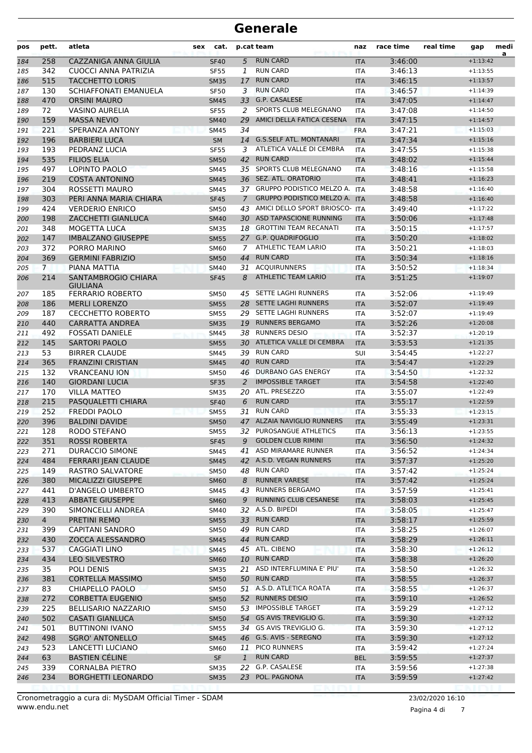| pos        | pett.          | atleta                                        | sex | cat.                       |               | p.cat team                                         | naz               | race time          | real time | gap                      | medi<br>a |
|------------|----------------|-----------------------------------------------|-----|----------------------------|---------------|----------------------------------------------------|-------------------|--------------------|-----------|--------------------------|-----------|
| 184        | 258            | CAZZANIGA ANNA GIULIA                         |     | <b>SF40</b>                | 5             | <b>RUN CARD</b>                                    | <b>ITA</b>        | 3:46:00            |           | $+1:13:42$               |           |
| 185        | 342            | CUOCCI ANNA PATRIZIA                          |     | <b>SF55</b>                | 1             | <b>RUN CARD</b>                                    | <b>ITA</b>        | 3:46:13            |           | $+1:13:55$               |           |
| 186        | 515            | <b>TACCHETTO LORIS</b>                        |     | <b>SM35</b>                | 17            | <b>RUN CARD</b>                                    | <b>ITA</b>        | 3:46:15            |           | $+1:13:57$               |           |
| 187        | 130            | <b>SCHIAFFONATI EMANUELA</b>                  |     | <b>SF50</b>                | 3             | <b>RUN CARD</b>                                    | <b>ITA</b>        | 3:46:57            |           | $+1:14:39$               |           |
| 188        | 470            | <b>ORSINI MAURO</b>                           |     | <b>SM45</b>                |               | 33 G.P. CASALESE                                   | <b>ITA</b>        | 3:47:05            |           | $+1:14:47$               |           |
| 189        | 72             | <b>VASINO AURELIA</b>                         |     | <b>SF55</b>                | 2             | SPORTS CLUB MELEGNANO                              | <b>ITA</b>        | 3:47:08            |           | $+1:14:50$               |           |
| 190        | 159            | <b>MASSA NEVIO</b>                            |     | <b>SM40</b>                | 29            | AMICI DELLA FATICA CESENA                          | <b>ITA</b>        | 3:47:15            |           | $+1:14:57$               |           |
| 191        | 221            | SPERANZA ANTONY                               |     | <b>SM45</b>                | 34            |                                                    | <b>FRA</b>        | 3:47:21            |           | $+1:15:03$               |           |
| 192        | 196            | <b>BARBIERI LUCA</b>                          |     | <b>SM</b>                  | 14            | <b>G.S.SELF ATL. MONTANARI</b>                     | <b>ITA</b>        | 3:47:34            |           | $+1:15:16$               |           |
| 193        | 193            | PEDRANZ LUCIA                                 |     | <b>SF55</b>                | 3             | ATLETICA VALLE DI CEMBRA                           | <b>ITA</b>        | 3:47:55            |           | $+1:15:38$               |           |
| 194        | 535            | <b>FILIOS ELIA</b>                            |     | <b>SM50</b>                | 42            | <b>RUN CARD</b>                                    | <b>ITA</b>        | 3:48:02            |           | $+1:15:44$               |           |
| 195        | 497            | LOPINTO PAOLO                                 |     | SM45                       |               | 35 SPORTS CLUB MELEGNANO                           | <b>ITA</b>        | 3:48:16            |           | $+1:15:58$               |           |
| 196        | 219            | <b>COSTA ANTONINO</b>                         |     | <b>SM45</b>                |               | 36 SEZ. ATL. ORATORIO                              | <b>ITA</b>        | 3:48:41            |           | $+1:16:23$               |           |
| 197        | 304            | ROSSETTI MAURO                                |     | SM45                       |               | 37 GRUPPO PODISTICO MELZO A. ITA                   |                   | 3:48:58            |           | $+1:16:40$               |           |
| 198        | 303            | PERI ANNA MARIA CHIARA                        |     | <b>SF45</b>                | $\mathcal{I}$ | <b>GRUPPO PODISTICO MELZO A.</b>                   | <b>ITA</b>        | 3:48:58            |           | $+1:16:40$               |           |
| 199        | 424            | <b>VERDERIO ENRICO</b>                        |     | <b>SM50</b>                | 43            | AMICI DELLO SPORT BRIOSCO- ITA                     |                   | 3:49:40            |           | $+1:17:22$               |           |
| 200        | 198            | ZACCHETTI GIANLUCA                            |     | <b>SM40</b>                |               | 30 ASD TAPASCIONE RUNNING                          | <b>ITA</b>        | 3:50:06            |           | $+1:17:48$               |           |
| 201        | 348            | MOGETTA LUCA                                  |     | <b>SM35</b>                |               | 18 GROTTINI TEAM RECANATI                          | <b>ITA</b>        | 3:50:15            |           | $+1:17:57$               |           |
| 202        | 147            | <b>IMBALZANO GIUSEPPE</b>                     |     | <b>SM55</b>                |               | 27 G.P. QUADRIFOGLIO                               | <b>ITA</b>        | 3:50:20            |           | $+1:18:02$               |           |
| 203        | 372            | PORRO MARINO                                  |     | <b>SM60</b>                | $7^{\circ}$   | ATHLETIC TEAM LARIO                                | <b>ITA</b>        | 3:50:21            |           | $+1:18:03$               |           |
| 204        | 369            | <b>GERMINI FABRIZIO</b>                       |     | <b>SM50</b>                | 44            | <b>RUN CARD</b>                                    | <b>ITA</b>        | 3:50:34            |           | $+1:18:16$               |           |
| 205        | $\overline{7}$ | PIANA MATTIA                                  |     | <b>SM40</b>                | 31            | <b>ACOUIRUNNERS</b>                                | <b>ITA</b>        | 3:50:52            |           | $+1:18:34$               |           |
| 206        | 214            | <b>SANTAMBROGIO CHIARA</b><br><b>GIULIANA</b> |     | <b>SF45</b>                | 8             | <b>ATHLETIC TEAM LARIO</b>                         | <b>ITA</b>        | 3:51:25            |           | $+1:19:07$               |           |
| 207        | 185            | <b>FERRARIO ROBERTO</b>                       |     | <b>SM50</b>                | 45            | SETTE LAGHI RUNNERS                                | <b>ITA</b>        | 3:52:06            |           | $+1:19:49$               |           |
| 208        | 186            | <b>MERLI LORENZO</b>                          |     | <b>SM55</b>                |               | 28 SETTE LAGHI RUNNERS                             | <b>ITA</b>        | 3:52:07            |           | $+1:19:49$               |           |
| 209        | 187            | <b>CECCHETTO ROBERTO</b>                      |     | <b>SM55</b>                |               | 29 SETTE LAGHI RUNNERS                             | <b>ITA</b>        | 3:52:07            |           | $+1:19:49$               |           |
| 210        | 440            | CARRATTA ANDREA                               |     | <b>SM35</b>                |               | 19 RUNNERS BERGAMO                                 | <b>ITA</b>        | 3:52:26            |           | $+1:20:08$               |           |
| 211        | 492            | <b>FOSSATI DANIELE</b>                        |     | <b>SM45</b>                |               | 38 RUNNERS DESIO                                   | <b>ITA</b>        | 3:52:37            |           | $+1:20:19$               |           |
| 212        | 145            | <b>SARTORI PAOLO</b>                          |     | <b>SM55</b>                |               | 30 ATLETICA VALLE DI CEMBRA                        | <b>ITA</b>        | 3:53:53            |           | $+1:21:35$               |           |
| 213        | 53             | <b>BIRRER CLAUDE</b>                          |     | SM45                       | 39            | <b>RUN CARD</b>                                    | <b>SUI</b>        | 3:54:45            |           | $+1:22:27$               |           |
| 214        | 365            | <b>FRANZINI CRISTIAN</b>                      |     | <b>SM45</b>                | 40            | <b>RUN CARD</b>                                    | <b>ITA</b>        | 3:54:47            |           | $+1:22:29$               |           |
| 215        | 132            | <b>VRANCEANU ION</b>                          |     | <b>SM50</b>                | 46            | DURBANO GAS ENERGY                                 | ITA               | 3:54:50            |           | $+1:22:32$               |           |
| 216        | 140            | <b>GIORDANI LUCIA</b>                         |     | <b>SF35</b>                | 2             | <b>IMPOSSIBLE TARGET</b>                           | <b>ITA</b>        | 3:54:58            |           | $+1:22:40$               |           |
| 217        | 170            | <b>VILLA MATTEO</b>                           |     | <b>SM35</b>                |               | 20 ATL. PRESEZZO                                   | <b>ITA</b>        | 3:55:07            |           | $+1:22:49$               |           |
| 218        | 215            | PASQUALETTI CHIARA                            |     | <b>SF40</b>                | 6             | <b>RUN CARD</b>                                    | <b>ITA</b>        | 3:55:17            |           | $+1:22:59$               |           |
| 219        | 252            | <b>FREDDI PAOLO</b>                           |     | <b>SM55</b>                | 31            | <b>RUN CARD</b>                                    | <b>ITA</b>        | 3:55:33            |           | $+1:23:15$               |           |
| 220        | 396            | <b>BALDINI DAVIDE</b>                         |     | <b>SM50</b>                |               | 47 ALZAIA NAVIGLIO RUNNERS                         | <b>ITA</b>        | 3:55:49            |           | $+1:23:31$               |           |
| 221        | 128            | RODO STEFANO                                  |     | <b>SM55</b>                |               | 32 PUROSANGUE ATHLETICS                            | <b>ITA</b>        | 3:56:13            |           | $+1:23:55$               |           |
| 222        | 351            | <b>ROSSI ROBERTA</b>                          |     | SF45                       |               | 9 GOLDEN CLUB RIMINI                               | <b>ITA</b>        | 3:56:50            |           | $+1:24:32$               |           |
| 223        | 271            | DURACCIO SIMONE                               |     | SM45                       |               | 41 ASD MIRAMARE RUNNER                             | ITA.              | 3:56:52            |           | $+1:24:34$               |           |
| 224        | 484            | FERRARI JEAN CLAUDE                           |     | <b>SM45</b>                |               | 42 A.S.D. VEGAN RUNNERS                            | <b>ITA</b>        | 3:57:37            |           | $+1:25:20$               |           |
| 225        | 149            | RASTRO SALVATORE                              |     | <b>SM50</b>                |               | 48 RUN CARD                                        | ITA               | 3:57:42            |           | $+1:25:24$               |           |
| 226        | 380            | MICALIZZI GIUSEPPE                            |     | <b>SM60</b>                | 8             | <b>RUNNER VARESE</b>                               | <b>ITA</b>        | 3:57:42            |           | $+1:25:24$               |           |
| 227        | 441            | D'ANGELO UMBERTO                              |     | SM45                       |               | 43 RUNNERS BERGAMO<br><b>RUNNING CLUB CESANESE</b> | ITA               | 3:57:59            |           | $+1:25:41$               |           |
| 228        | 413            | <b>ABBATE GIUSEPPE</b>                        |     | <b>SM60</b>                | 9             | 32 A.S.D. BIPEDI                                   | <b>ITA</b>        | 3:58:03            |           | $+1:25:45$               |           |
| 229        | 390            | SIMONCELLI ANDREA                             |     | SM40                       |               | 33 RUN CARD                                        | ITA               | 3:58:05            |           | $+1:25:47$               |           |
| 230        | $\overline{4}$ | PRETINI REMO<br><b>CAPITANI SANDRO</b>        |     | <b>SM55</b>                |               | 49 RUN CARD                                        | <b>ITA</b>        | 3:58:17<br>3:58:25 |           | $+1:25:59$<br>$+1:26:07$ |           |
| 231        | 399<br>430     | ZOCCA ALESSANDRO                              |     | <b>SM50</b>                |               | 44 RUN CARD                                        | ITA               | 3:58:29            |           | $+1:26:11$               |           |
| 232<br>233 | 537            | <b>CAGGIATI LINO</b>                          |     | <b>SM45</b><br><b>SM45</b> |               | 45 ATL. CIBENO                                     | <b>ITA</b><br>ITA | 3:58:30            |           | $+1:26:12$               |           |
| 234        | 434            | LEO SILVESTRO                                 |     | <b>SM60</b>                |               | 10 RUN CARD                                        | <b>ITA</b>        | 3:58:38            |           | $+1:26:20$               |           |
| 235        | 35             | POLI DENIS                                    |     | <b>SM35</b>                |               | 21 ASD INTERFLUMINA E' PIU'                        | ITA               | 3:58:50            |           | $+1:26:32$               |           |
| 236        | 381            | <b>CORTELLA MASSIMO</b>                       |     | <b>SM50</b>                |               | 50 RUN CARD                                        | <b>ITA</b>        | 3:58:55            |           | $+1:26:37$               |           |
| 237        | 83             | CHIAPELLO PAOLO                               |     | <b>SM50</b>                |               | 51 A.S.D. ATLETICA ROATA                           | ITA               | 3:58:55            |           | $+1:26:37$               |           |
| 238        | 272            | <b>CORBETTA EUGENIO</b>                       |     | <b>SM50</b>                |               | 52 RUNNERS DESIO                                   | <b>ITA</b>        | 3:59:10            |           | $+1:26:52$               |           |
| 239        | 225            | <b>BELLISARIO NAZZARIO</b>                    |     | <b>SM50</b>                |               | 53 IMPOSSIBLE TARGET                               | ITA               | 3:59:29            |           | $+1:27:12$               |           |
| 240        | 502            | <b>CASATI GIANLUCA</b>                        |     | <b>SM50</b>                |               | 54 GS AVIS TREVIGLIO G.                            | <b>ITA</b>        | 3:59:30            |           | $+1:27:12$               |           |
| 241        | 501            | <b>BUTTINONI IVANO</b>                        |     | <b>SM55</b>                |               | 34 GS AVIS TREVIGLIO G.                            | <b>ITA</b>        | 3:59:30            |           | $+1:27:12$               |           |
| 242        | 498            | <b>SGRO' ANTONELLO</b>                        |     | <b>SM45</b>                |               | 46 G.S. AVIS - SEREGNO                             | <b>ITA</b>        | 3:59:30            |           | $+1:27:12$               |           |
| 243        | 523            | LANCETTI LUCIANO                              |     | SM60                       |               | 11 PICO RUNNERS                                    | ITA               | 3:59:42            |           | $+1:27:24$               |           |
| 244        | 63             | <b>BASTIEN CÉLINE</b>                         |     | <b>SF</b>                  | $\mathbf{1}$  | <b>RUN CARD</b>                                    | <b>BEL</b>        | 3:59:55            |           | $+1:27:37$               |           |
| 245        | 339            | <b>CORNALBA PIETRO</b>                        |     | <b>SM35</b>                | 22            | G.P. CASALESE                                      | ITA               | 3:59:56            |           | $+1:27:38$               |           |
| 246        | 234            | <b>BORGHETTI LEONARDO</b>                     |     | <b>SM35</b>                |               | 23 POL. PAGNONA                                    | <b>ITA</b>        | 3:59:59            |           | $+1:27:42$               |           |
|            |                |                                               |     |                            |               |                                                    |                   |                    |           |                          |           |

Pagina 4 di 7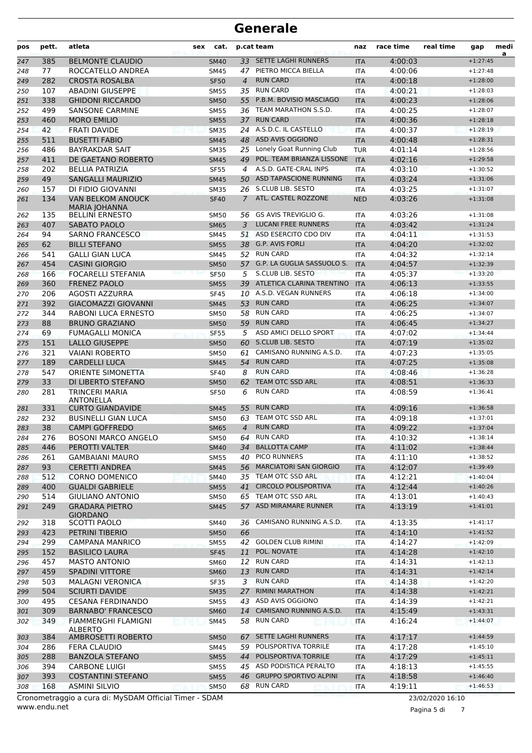| pos | pett.      | atleta                                           | <b>sex</b> | cat.        |                      | p.cat team                                      | naz        | race time | real time | gap        | medi<br>a |
|-----|------------|--------------------------------------------------|------------|-------------|----------------------|-------------------------------------------------|------------|-----------|-----------|------------|-----------|
| 247 | 385        | <b>BELMONTE CLAUDIO</b>                          |            | <b>SM40</b> |                      | 33 SETTE LAGHI RUNNERS                          | <b>ITA</b> | 4:00:03   |           | $+1:27:45$ |           |
| 248 | 77         | ROCCATELLO ANDREA                                |            | SM45        | 47                   | PIETRO MICCA BIELLA                             | ITA        | 4:00:06   |           | $+1:27:48$ |           |
| 249 | 282        | <b>CROSTA ROSALBA</b>                            |            | <b>SF50</b> | $\overline{4}$       | <b>RUN CARD</b>                                 | <b>ITA</b> | 4:00:18   |           | $+1:28:00$ |           |
| 250 | 107        | <b>ABADINI GIUSEPPE</b>                          |            | <b>SM55</b> | 35                   | <b>RUN CARD</b>                                 | <b>ITA</b> | 4:00:21   |           | $+1:28:03$ |           |
| 251 | 338        | <b>GHIDONI RICCARDO</b>                          |            | <b>SM50</b> | 55                   | P.B.M. BOVISIO MASCIAGO                         | <b>ITA</b> | 4:00:23   |           | $+1:28:06$ |           |
| 252 | 499        | <b>SANSONE CARMINE</b>                           |            | <b>SM55</b> |                      | 36 TEAM MARATHON S.S.D.                         | <b>ITA</b> | 4:00:25   |           | $+1:28:07$ |           |
| 253 | 460        | <b>MORO EMILIO</b>                               |            | <b>SM55</b> |                      | 37 RUN CARD                                     | <b>ITA</b> | 4:00:36   |           | $+1:28:18$ |           |
| 254 | 42         | <b>FRATI DAVIDE</b>                              |            | <b>SM35</b> |                      | 24 A.S.D.C. IL CASTELLO                         | <b>ITA</b> | 4:00:37   |           | $+1:28:19$ |           |
| 255 | 511        | <b>BUSETTI FABIO</b>                             |            | <b>SM45</b> |                      | 48 ASD AVIS OGGIONO                             | <b>ITA</b> | 4:00:48   |           | $+1:28:31$ |           |
| 256 | 486        | <b>BAYRAKDAR SAIT</b>                            |            | <b>SM35</b> | 25                   | Lonely Goat Running Club                        | <b>TUR</b> | 4:01:14   |           | $+1:28:56$ |           |
| 257 | 411        | DE GAETANO ROBERTO                               |            | <b>SM45</b> | 49                   | POL. TEAM BRIANZA LISSONE                       | <b>ITA</b> | 4:02:16   |           | $+1:29:58$ |           |
| 258 | 202        | <b>BELLIA PATRIZIA</b>                           |            | <b>SF55</b> | $\overline{4}$       | A.S.D. GATE-CRAL INPS<br>ASD TAPASCIONE RUNNING | <b>ITA</b> | 4:03:10   |           | $+1:30:52$ |           |
| 259 | 49         | <b>SANGALLI MAURIZIO</b>                         |            | <b>SM45</b> | 50                   |                                                 | <b>ITA</b> | 4:03:24   |           | $+1:31:06$ |           |
| 260 | 157<br>134 | DI FIDIO GIOVANNI                                |            | <b>SM35</b> | 26<br>$\overline{7}$ | S.CLUB LIB. SESTO<br>ATL. CASTEL ROZZONE        | ITA        | 4:03:25   |           | $+1:31:07$ |           |
| 261 |            | <b>VAN BELKOM ANOUCK</b><br><b>MARIA JOHANNA</b> |            | <b>SF40</b> |                      |                                                 | <b>NED</b> | 4:03:26   |           | $+1:31:08$ |           |
| 262 | 135        | <b>BELLINI ERNESTO</b>                           |            | <b>SM50</b> | 56                   | GS AVIS TREVIGLIO G.                            | ITA        | 4:03:26   |           | $+1:31:08$ |           |
| 263 | 407        | <b>SABATO PAOLO</b>                              |            | <b>SM65</b> | 3                    | <b>LUCANI FREE RUNNERS</b>                      | <b>ITA</b> | 4:03:42   |           | $+1:31:24$ |           |
| 264 | 94         | <b>SARNO FRANCESCO</b>                           |            | <b>SM45</b> | 51                   | ASD ESERCITO CDO DIV                            | <b>ITA</b> | 4:04:11   |           | $+1:31:53$ |           |
| 265 | 62         | <b>BILLI STEFANO</b>                             |            | <b>SM55</b> |                      | 38 G.P. AVIS FORLI                              | <b>ITA</b> | 4:04:20   |           | $+1:32:02$ |           |
| 266 | 541        | <b>GALLI GIAN LUCA</b>                           |            | <b>SM45</b> |                      | 52 RUN CARD                                     | <b>ITA</b> | 4:04:32   |           | $+1:32:14$ |           |
| 267 | 454        | <b>CASINI GIORGIO</b>                            |            | <b>SM50</b> |                      | 57 G.P. LA GUGLIA SASSUOLO S.                   | <b>ITA</b> | 4:04:57   |           | $+1:32:39$ |           |
| 268 | 166        | FOCARELLI STEFANIA                               |            | <b>SF50</b> | 5                    | S.CLUB LIB. SESTO                               | <b>ITA</b> | 4:05:37   |           | $+1:33:20$ |           |
| 269 | 360        | <b>FRENEZ PAOLO</b>                              |            | <b>SM55</b> | 39                   | ATLETICA CLARINA TRENTINO                       | <b>ITA</b> | 4:06:13   |           | $+1:33:55$ |           |
| 270 | 206        | AGOSTI AZZURRA                                   |            | <b>SF45</b> | 10                   | A.S.D. VEGAN RUNNERS                            | <b>ITA</b> | 4:06:18   |           | $+1:34:00$ |           |
| 271 | 392        | <b>GIACOMAZZI GIOVANNI</b>                       |            | <b>SM45</b> | 53                   | <b>RUN CARD</b>                                 | <b>ITA</b> | 4:06:25   |           | $+1:34:07$ |           |
| 272 | 344        | RABONI LUCA ERNESTO                              |            | <b>SM50</b> | 58                   | <b>RUN CARD</b>                                 | <b>ITA</b> | 4:06:25   |           | $+1:34:07$ |           |
| 273 | 88         | <b>BRUNO GRAZIANO</b>                            |            | <b>SM50</b> | 59                   | <b>RUN CARD</b>                                 | <b>ITA</b> | 4:06:45   |           | $+1:34:27$ |           |
| 274 | 69         | <b>FUMAGALLI MONICA</b>                          |            | <b>SF55</b> | 5                    | ASD AMICI DELLO SPORT                           | ITA        | 4:07:02   |           | $+1:34:44$ |           |
| 275 | 151        | <b>LALLO GIUSEPPE</b>                            |            | <b>SM50</b> | 60                   | <b>S.CLUB LIB. SESTO</b>                        | <b>ITA</b> | 4:07:19   |           | $+1:35:02$ |           |
| 276 | 321        | <b>VAIANI ROBERTO</b>                            |            | <b>SM50</b> | 61                   | CAMISANO RUNNING A.S.D.                         | <b>ITA</b> | 4:07:23   |           | $+1:35:05$ |           |
| 277 | 189        | <b>CARDELLI LUCA</b>                             |            | <b>SM45</b> | 54                   | <b>RUN CARD</b>                                 | <b>ITA</b> | 4:07:25   |           | $+1:35:08$ |           |
| 278 | 547        | <b>ORIENTE SIMONETTA</b>                         |            | <b>SF40</b> | 8                    | <b>RUN CARD</b>                                 | <b>ITA</b> | 4:08:46   |           | $+1:36:28$ |           |
| 279 | 33         | DI LIBERTO STEFANO                               |            | <b>SM50</b> | 62                   | TEAM OTC SSD ARL                                | <b>ITA</b> | 4:08:51   |           | $+1:36:33$ |           |
| 280 | 281        | <b>TRINCERI MARIA</b><br><b>ANTONELLA</b>        |            | <b>SF50</b> | 6                    | <b>RUN CARD</b>                                 | ITA        | 4:08:59   |           | $+1:36:41$ |           |
| 281 | 331        | <b>CURTO GIANDAVIDE</b>                          |            | <b>SM45</b> | 55                   | <b>RUN CARD</b>                                 | <b>ITA</b> | 4:09:16   |           | $+1:36:58$ |           |
| 282 | 232        | <b>BUSINELLI GIAN LUCA</b>                       |            | <b>SM50</b> | 63                   | TEAM OTC SSD ARL                                | <b>ITA</b> | 4:09:18   |           | $+1:37:01$ |           |
| 283 | 38         | <b>CAMPI GOFFREDO</b>                            |            | <b>SM65</b> | $\overline{4}$       | <b>RUN CARD</b>                                 | <b>ITA</b> | 4:09:22   |           | $+1:37:04$ |           |
| 284 | 276        | <b>BOSONI MARCO ANGELO</b>                       |            | <b>SM50</b> | 64                   | <b>RUN CARD</b>                                 | <b>ITA</b> | 4:10:32   |           | $+1:38:14$ |           |
| 285 | 446        | PEROTTI VALTER                                   |            | <b>SM40</b> |                      | 34 BALLOTTA CAMP                                | <b>ITA</b> | 4:11:02   |           | $+1:38:44$ |           |
| 286 | 261        | <b>GAMBAIANI MAURO</b>                           |            | <b>SM55</b> |                      | 40 PICO RUNNERS                                 | ITA        | 4:11:10   |           | $+1:38:52$ |           |
| 287 | 93         | <b>CERETTI ANDREA</b>                            |            | <b>SM45</b> |                      | 56 MARCIATORI SAN GIORGIO                       | <b>ITA</b> | 4:12:07   |           | $+1:39:49$ |           |
| 288 | 512        | <b>CORNO DOMENICO</b>                            |            | <b>SM40</b> |                      | 35 TEAM OTC SSD ARL                             | ITA        | 4:12:21   |           | $+1:40:04$ |           |
| 289 | 400        | <b>GUALDI GABRIELE</b>                           |            | <b>SM55</b> | 41                   | <b>CIRCOLO POLISPORTIVA</b>                     | <b>ITA</b> | 4:12:44   |           | $+1:40:26$ |           |
| 290 | 514        | <b>GIULIANO ANTONIO</b>                          |            | <b>SM50</b> |                      | 65 TEAM OTC SSD ARL                             | <b>ITA</b> | 4:13:01   |           | $+1:40:43$ |           |
| 291 | 249        | <b>GRADARA PIETRO</b><br><b>GIORDANO</b>         |            | <b>SM45</b> |                      | 57 ASD MIRAMARE RUNNER                          | <b>ITA</b> | 4:13:19   |           | $+1:41:01$ |           |
| 292 | 318        | <b>SCOTTI PAOLO</b>                              |            | SM40        |                      | 36 CAMISANO RUNNING A.S.D.                      | ITA        | 4:13:35   |           | $+1:41:17$ |           |
| 293 | 423        | PETRINI TIBERIO                                  |            | <b>SM50</b> | 66                   |                                                 | <b>ITA</b> | 4:14:10   |           | $+1:41:52$ |           |
| 294 | 299        | <b>CAMPANA MANRICO</b>                           |            | <b>SM55</b> |                      | 42 GOLDEN CLUB RIMINI                           | ITA        | 4:14:27   |           | $+1:42:09$ |           |
| 295 | 152        | <b>BASILICO LAURA</b>                            |            | <b>SF45</b> | 11                   | POL. NOVATE                                     | <b>ITA</b> | 4:14:28   |           | $+1:42:10$ |           |
| 296 | 457        | <b>MASTO ANTONIO</b>                             |            | SM60        | 12                   | <b>RUN CARD</b>                                 | ITA        | 4:14:31   |           | $+1:42:13$ |           |
| 297 | 459        | <b>SPADINI VITTORE</b>                           |            | <b>SM60</b> | 13                   | <b>RUN CARD</b>                                 | <b>ITA</b> | 4:14:31   |           | $+1:42:14$ |           |
| 298 | 503        | <b>MALAGNI VERONICA</b>                          |            | <b>SF35</b> | 3                    | <b>RUN CARD</b>                                 | <b>ITA</b> | 4:14:38   |           | $+1:42:20$ |           |
| 299 | 504        | <b>SCIURTI DAVIDE</b>                            |            | <b>SM35</b> | 27                   | <b>RIMINI MARATHON</b>                          | <b>ITA</b> | 4:14:38   |           | $+1:42:21$ |           |
| 300 | 495        | <b>CESANA FERDINANDO</b>                         |            | <b>SM55</b> | 43                   | ASD AVIS OGGIONO                                | ITA        | 4:14:39   |           | $+1:42:21$ |           |
| 301 | 309        | <b>BARNABO' FRANCESCO</b>                        |            | <b>SM60</b> | 14                   | CAMISANO RUNNING A.S.D.                         | <b>ITA</b> | 4:15:49   |           | $+1:43:31$ |           |
| 302 | 349        | <b>FIAMMENGHI FLAMIGNI</b>                       |            | SM45        | 58                   | <b>RUN CARD</b>                                 | ITA        | 4:16:24   |           | $+1:44:07$ |           |
| 303 | 384        | <b>ALBERTO</b><br>AMBROSETTI ROBERTO             |            | <b>SM50</b> | 67                   | SETTE LAGHI RUNNERS                             | <b>ITA</b> | 4:17:17   |           | $+1:44:59$ |           |
| 304 | 286        | FERA CLAUDIO                                     |            | SM45        | 59                   | POLISPORTIVA TORRILE                            | ITA        | 4:17:28   |           | $+1:45:10$ |           |
| 305 | 288        | <b>BANZOLA STEFANO</b>                           |            | <b>SM55</b> | 44                   | POLISPORTIVA TORRILE                            | <b>ITA</b> | 4:17:29   |           | $+1:45:11$ |           |
| 306 | 394        | <b>CARBONE LUIGI</b>                             |            | SM55        |                      | 45 ASD PODISTICA PERALTO                        | ITA        | 4:18:13   |           | $+1:45:55$ |           |
| 307 | 393        | <b>COSTANTINI STEFANO</b>                        |            | <b>SM55</b> |                      | 46 GRUPPO SPORTIVO ALPINI                       | <b>ITA</b> | 4:18:58   |           | $+1:46:40$ |           |
| 308 |            |                                                  |            |             |                      |                                                 |            |           |           |            |           |
|     | 168        | <b>ASMINI SILVIO</b>                             |            | <b>SM50</b> |                      | 68 RUN CARD                                     | ITA        | 4:19:11   |           | $+1:46:53$ |           |

www.endu.net

Pagina 5 di 7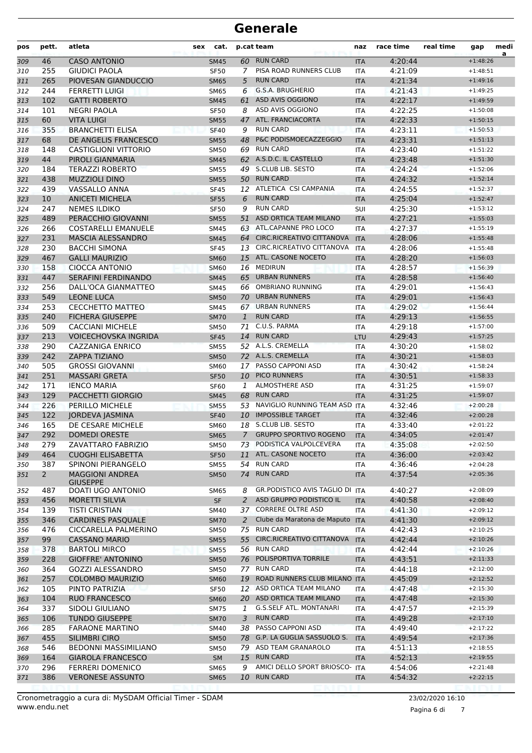| pos | pett.        | atleta                                    | sex | cat.        |                | p.cat team                             | naz        | race time | real time | gap        | medi<br>a |
|-----|--------------|-------------------------------------------|-----|-------------|----------------|----------------------------------------|------------|-----------|-----------|------------|-----------|
| 309 | 46           | <b>CASO ANTONIO</b>                       |     | <b>SM45</b> |                | 60 RUN CARD                            | <b>ITA</b> | 4:20:44   |           | $+1:48:26$ |           |
| 310 | 255          | <b>GIUDICI PAOLA</b>                      |     | <b>SF50</b> | 7              | PISA ROAD RUNNERS CLUB                 | <b>ITA</b> | 4:21:09   |           | $+1:48:51$ |           |
| 311 | 265          | PIOVESAN GIANDUCCIO                       |     | <b>SM65</b> | 5              | <b>RUN CARD</b>                        | <b>ITA</b> | 4:21:34   |           | $+1:49:16$ |           |
| 312 | 244          | <b>FERRETTI LUIGI</b>                     |     | <b>SM65</b> | 6              | G.S.A. BRUGHERIO                       | <b>ITA</b> | 4:21:43   |           | $+1:49:25$ |           |
| 313 | 102          | <b>GATTI ROBERTO</b>                      |     | <b>SM45</b> | 61             | ASD AVIS OGGIONO                       | <b>ITA</b> | 4:22:17   |           | $+1:49:59$ |           |
| 314 | 101          | NEGRI PAOLA                               |     | <b>SF50</b> | 8              | ASD AVIS OGGIONO                       | <b>ITA</b> | 4:22:25   |           | $+1:50:08$ |           |
| 315 | 60           | <b>VITA LUIGI</b>                         |     | <b>SM55</b> | 47             | ATL. FRANCIACORTA                      | <b>ITA</b> | 4:22:33   |           | $+1:50:15$ |           |
| 316 | 355          | <b>BRANCHETTI ELISA</b>                   |     | <b>SF40</b> | 9              | <b>RUN CARD</b>                        | <b>ITA</b> | 4:23:11   |           | $+1:50:53$ |           |
| 317 | 68           | DE ANGELIS FRANCESCO                      |     | <b>SM55</b> | 48             | P&C PODISMOECAZZEGGIO                  | <b>ITA</b> | 4:23:31   |           | $+1:51:13$ |           |
| 318 | 148          | <b>CASTIGLIONI VITTORIO</b>               |     | <b>SM50</b> | 69             | <b>RUN CARD</b>                        | <b>ITA</b> | 4:23:40   |           | $+1:51:22$ |           |
| 319 | 44           | PIROLI GIANMARIA                          |     | <b>SM45</b> |                | 62 A.S.D.C. IL CASTELLO                | <b>ITA</b> | 4:23:48   |           | $+1:51:30$ |           |
| 320 | 184          | <b>TERAZZI ROBERTO</b>                    |     | <b>SM55</b> | 49             | S.CLUB LIB. SESTO                      | <b>ITA</b> | 4:24:24   |           | $+1:52:06$ |           |
| 321 | 438          | <b>MUZZIOLI DINO</b>                      |     | <b>SM55</b> | 50             | <b>RUN CARD</b>                        | <b>ITA</b> | 4:24:32   |           | $+1:52:14$ |           |
| 322 | 439          | VASSALLO ANNA                             |     | <b>SF45</b> |                | 12 ATLETICA CSI CAMPANIA               | <b>ITA</b> | 4:24:55   |           | $+1:52:37$ |           |
| 323 | 10           | <b>ANICETI MICHELA</b>                    |     | <b>SF55</b> | 6              | <b>RUN CARD</b>                        | <b>ITA</b> | 4:25:04   |           | $+1:52:47$ |           |
| 324 | 247          | <b>NEMES ILDIKO</b>                       |     | <b>SF50</b> | 9              | <b>RUN CARD</b>                        | SUI        | 4:25:30   |           | $+1:53:12$ |           |
| 325 | 489          | PERACCHIO GIOVANNI                        |     | <b>SM55</b> | 51             | ASD ORTICA TEAM MILANO                 | <b>ITA</b> | 4:27:21   |           | $+1:55:03$ |           |
| 326 | 266          | <b>COSTARELLI EMANUELE</b>                |     | <b>SM45</b> |                | 63 ATL.CAPANNE PRO LOCO                | <b>ITA</b> | 4:27:37   |           | $+1:55:19$ |           |
| 327 | 231          | <b>MASCIA ALESSANDRO</b>                  |     | <b>SM45</b> | 64             | CIRC.RICREATIVO CITTANOVA              | <b>ITA</b> | 4:28:06   |           | $+1:55:48$ |           |
| 328 | 230          | <b>BACCHI SIMONA</b>                      |     | <b>SF45</b> |                | 13 CIRC.RICREATIVO CITTANOVA           | <b>ITA</b> | 4:28:06   |           | $+1:55:48$ |           |
| 329 | 467          | <b>GALLI MAURIZIO</b>                     |     | <b>SM60</b> |                | 15 ATL. CASONE NOCETO                  | <b>ITA</b> | 4:28:20   |           | $+1:56:03$ |           |
| 330 | 158          | <b>CIOCCA ANTONIO</b>                     |     | <b>SM60</b> | 16             | <b>MEDIRUN</b>                         | <b>ITA</b> | 4:28:57   |           | $+1:56:39$ |           |
| 331 | 447          | <b>SERAFINI FERDINANDO</b>                |     | <b>SM45</b> | 65             | <b>URBAN RUNNERS</b>                   | <b>ITA</b> | 4:28:58   |           | $+1:56:40$ |           |
| 332 | 256          | DALL'OCA GIANMATTEO                       |     | <b>SM45</b> | 66             | <b>OMBRIANO RUNNING</b>                | <b>ITA</b> | 4:29:01   |           | $+1:56:43$ |           |
| 333 | 549          | <b>LEONE LUCA</b>                         |     | <b>SM50</b> | 70             | <b>URBAN RUNNERS</b>                   | <b>ITA</b> | 4:29:01   |           | $+1:56:43$ |           |
| 334 | 253          | CECCHETTO MATTEO                          |     | SM45        |                | 67 URBAN RUNNERS                       | <b>ITA</b> | 4:29:02   |           | $+1:56:44$ |           |
| 335 | 240          | <b>FICHERA GIUSEPPE</b>                   |     | <b>SM70</b> | $\mathbf{1}$   | <b>RUN CARD</b>                        | <b>ITA</b> | 4:29:13   |           | $+1:56:55$ |           |
| 336 | 509          | <b>CACCIANI MICHELE</b>                   |     | <b>SM50</b> | 71             | C.U.S. PARMA                           | <b>ITA</b> | 4:29:18   |           | $+1:57:00$ |           |
| 337 | 213          | <b>VOICECHOVSKA INGRIDA</b>               |     | <b>SF45</b> | 14             | <b>RUN CARD</b>                        | LTU        | 4:29:43   |           | $+1:57:25$ |           |
| 338 | 290          | CAZZANIGA ENRICO                          |     | <b>SM55</b> |                | 52 A.L.S. CREMELLA                     | <b>ITA</b> | 4:30:20   |           | $+1:58:02$ |           |
| 339 | 242          | ZAPPA TIZIANO                             |     | <b>SM50</b> |                | 72 A.L.S. CREMELLA                     | <b>ITA</b> | 4:30:21   |           | $+1:58:03$ |           |
| 340 | 505          | <b>GROSSI GIOVANNI</b>                    |     | SM60        |                | 17 PASSO CAPPONI ASD                   | <b>ITA</b> | 4:30:42   |           | $+1:58:24$ |           |
| 341 | 251          | <b>MASSARI GRETA</b>                      |     | <b>SF50</b> | 10             | <b>PICO RUNNERS</b>                    | <b>ITA</b> | 4:30:51   |           | $+1:58:33$ |           |
| 342 | 171          | <b>IENCO MARIA</b>                        |     | <b>SF60</b> | 1              | <b>ALMOSTHERE ASD</b>                  | <b>ITA</b> | 4:31:25   |           | $+1:59:07$ |           |
| 343 | 129          | PACCHETTI GIORGIO                         |     | <b>SM45</b> | 68             | <b>RUN CARD</b>                        | <b>ITA</b> | 4:31:25   |           | $+1:59:07$ |           |
| 344 | 226          | PERILLO MICHELE                           |     | <b>SM55</b> | 53             | NAVIGLIO RUNNING TEAM ASD              | <b>ITA</b> | 4:32:46   |           | $+2:00:28$ |           |
| 345 | 122          | <b>JORDEVA JASMINA</b>                    |     | <b>SF40</b> | 10             | <b>IMPOSSIBLE TARGET</b>               | <b>ITA</b> | 4:32:46   |           | $+2:00:28$ |           |
| 346 | 165          | DE CESARE MICHELE                         |     | <b>SM60</b> |                | 18 S.CLUB LIB. SESTO                   | <b>ITA</b> | 4:33:40   |           | $+2:01:22$ |           |
| 347 | 292          | <b>DOMEDI ORESTE</b>                      |     | <b>SM65</b> | $\overline{7}$ | <b>GRUPPO SPORTIVO ROGENO</b>          | <b>ITA</b> | 4:34:05   |           | $+2:01:47$ |           |
| 348 | 279          | ZAVATTARO FABRIZIO                        |     | <b>SM50</b> |                | 73 PODISTICA VALPOLCEVERA              | ITA        | 4:35:08   |           | $+2:02:50$ |           |
| 349 | 464          | <b>CUOGHI ELISABETTA</b>                  |     | <b>SF50</b> | 11             | ATL. CASONE NOCETO                     | <b>ITA</b> | 4:36:00   |           | $+2:03:42$ |           |
| 350 | 387          | SPINONI PIERANGELO                        |     | <b>SM55</b> | 54             | <b>RUN CARD</b>                        | ITA        | 4:36:46   |           | $+2:04:28$ |           |
| 351 | $\mathbf{2}$ | <b>MAGGIONI ANDREA</b><br><b>GIUSEPPE</b> |     | <b>SM50</b> | 74             | <b>RUN CARD</b>                        | <b>ITA</b> | 4:37:54   |           | $+2:05:36$ |           |
| 352 | 487          | DOATI UGO ANTONIO                         |     | SM65        | 8              | <b>GR.PODISTICO AVIS TAGLIO DI ITA</b> |            | 4:40:27   |           | $+2:08:09$ |           |
| 353 | 456          | <b>MORETTI SILVIA</b>                     |     | SF          | 2              | ASD GRUPPO PODISTICO IL                | <b>ITA</b> | 4:40:58   |           | $+2:08:40$ |           |
| 354 | 139          | <b>TISTI CRISTIAN</b>                     |     | SM40        |                | 37 CORRERE OLTRE ASD                   | ITA        | 4:41:30   |           | $+2:09:12$ |           |
| 355 | 346          | <b>CARDINES PASQUALE</b>                  |     | <b>SM70</b> | 2              | Clube da Maratona de Maputo            | <b>ITA</b> | 4:41:30   |           | $+2:09:12$ |           |
| 356 | 476          | CICCARELLA PALMERINO                      |     | SM50        |                | 75 RUN CARD                            | ITA        | 4:42:43   |           | $+2:10:25$ |           |
| 357 | 99           | <b>CASSANO MARIO</b>                      |     | <b>SM55</b> | 55             | CIRC.RICREATIVO CITTANOVA              | <b>ITA</b> | 4:42:44   |           | $+2:10:26$ |           |
| 358 | 378          | <b>BARTOLI MIRCO</b>                      |     | <b>SM55</b> |                | 56 RUN CARD                            | ITA        | 4:42:44   |           | $+2:10:26$ |           |
| 359 | 228          | <b>GIOFFRE' ANTONINO</b>                  |     | <b>SM50</b> |                | 76 POLISPORTIVA TORRILE                | <b>ITA</b> | 4:43:51   |           | $+2:11:33$ |           |
| 360 | 364          | GOZZI ALESSANDRO                          |     | SM50        |                | 77 RUN CARD                            | ITA        | 4:44:18   |           | $+2:12:00$ |           |
| 361 | 257          | <b>COLOMBO MAURIZIO</b>                   |     | <b>SM60</b> | 19             | ROAD RUNNERS CLUB MILANO ITA           |            | 4:45:09   |           | $+2:12:52$ |           |
| 362 | 105          | PINTO PATRIZIA                            |     | SF50        |                | 12 ASD ORTICA TEAM MILANO              | ITA        | 4:47:48   |           | $+2:15:30$ |           |
| 363 | 104          | <b>RUO FRANCESCO</b>                      |     | <b>SM60</b> |                | 20 ASD ORTICA TEAM MILANO              | <b>ITA</b> | 4:47:48   |           | $+2:15:30$ |           |
| 364 | 337          | SIDOLI GIULIANO                           |     | <b>SM75</b> | 1              | <b>G.S.SELF ATL. MONTANARI</b>         | <b>ITA</b> | 4:47:57   |           | $+2:15:39$ |           |
| 365 | 106          | <b>TUNDO GIUSEPPE</b>                     |     | <b>SM70</b> | 3              | <b>RUN CARD</b>                        | <b>ITA</b> | 4:49:28   |           | $+2:17:10$ |           |
| 366 | 285          | <b>FARAONE MARTINO</b>                    |     | SM40        |                | 38 PASSO CAPPONI ASD                   | <b>ITA</b> | 4:49:40   |           | $+2:17:22$ |           |
| 367 | 455          | <b>SILIMBRI CIRO</b>                      |     | <b>SM50</b> |                | 78 G.P. LA GUGLIA SASSUOLO S.          | <b>ITA</b> | 4:49:54   |           | $+2:17:36$ |           |
| 368 | 546          | <b>BEDONNI MASSIMILIANO</b>               |     | SM50        |                | 79 ASD TEAM GRANAROLO                  | ITA        | 4:51:13   |           | $+2:18:55$ |           |
| 369 | 164          | <b>GIAROLA FRANCESCO</b>                  |     | <b>SM</b>   | 15             | <b>RUN CARD</b>                        | <b>ITA</b> | 4:52:13   |           | $+2:19:55$ |           |
| 370 | 296          | FERRERI DOMENICO                          |     | SM65        | 9              | AMICI DELLO SPORT BRIOSCO- ITA         |            | 4:54:06   |           | $+2:21:48$ |           |
| 371 | 386          | <b>VERONESE ASSUNTO</b>                   |     | <b>SM65</b> |                | 10 RUN CARD                            | <b>ITA</b> | 4:54:32   |           | $+2:22:15$ |           |
|     |              |                                           |     |             |                |                                        |            |           |           |            |           |

www.endu.net Cronometraggio a cura di: MySDAM Official Timer - SDAM 23/02/2020 16:10

Pagina 6 di 7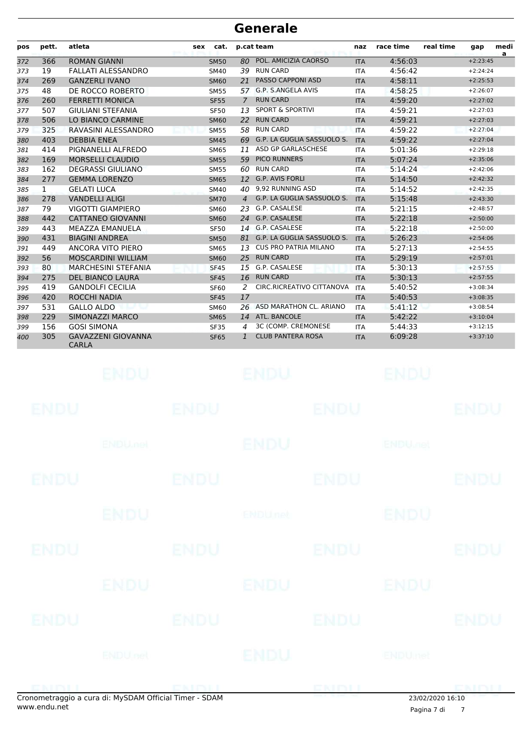| pos | pett.        | atleta                                    | sex | cat.        | p.cat team     |                               | naz        | race time | real time | gap        | medi<br>a |
|-----|--------------|-------------------------------------------|-----|-------------|----------------|-------------------------------|------------|-----------|-----------|------------|-----------|
| 372 | 366          | <b>ROMAN GIANNI</b>                       |     | <b>SM50</b> | 80             | POL. AMICIZIA CAORSO          | <b>ITA</b> | 4:56:03   |           | $+2:23:45$ |           |
| 373 | 19           | <b>FALLATI ALESSANDRO</b>                 |     | <b>SM40</b> | 39             | <b>RUN CARD</b>               | <b>ITA</b> | 4:56:42   |           | $+2:24:24$ |           |
| 374 | 269          | <b>GANZERLI IVANO</b>                     |     | <b>SM60</b> | 21             | <b>PASSO CAPPONI ASD</b>      | <b>ITA</b> | 4:58:11   |           | $+2:25:53$ |           |
| 375 | 48           | DE ROCCO ROBERTO                          |     | <b>SM55</b> | 57             | G.P. S.ANGELA AVIS            | <b>ITA</b> | 4:58:25   |           | $+2:26:07$ |           |
| 376 | 260          | <b>FERRETTI MONICA</b>                    |     | <b>SF55</b> | $\overline{7}$ | <b>RUN CARD</b>               | <b>ITA</b> | 4:59:20   |           | $+2:27:02$ |           |
| 377 | 507          | <b>GIULIANI STEFANIA</b>                  |     | <b>SF50</b> | 13             | <b>SPORT &amp; SPORTIVI</b>   | <b>ITA</b> | 4:59:21   |           | $+2:27:03$ |           |
| 378 | 506          | LO BIANCO CARMINE                         |     | <b>SM60</b> | 22             | <b>RUN CARD</b>               | <b>ITA</b> | 4:59:21   |           | $+2:27:03$ |           |
| 379 | 325          | RAVASINI ALESSANDRO                       |     | <b>SM55</b> | 58             | <b>RUN CARD</b>               | <b>ITA</b> | 4:59:22   |           | $+2:27:04$ |           |
| 380 | 403          | <b>DEBBIA ENEA</b>                        |     | <b>SM45</b> |                | 69 G.P. LA GUGLIA SASSUOLO S. | <b>ITA</b> | 4:59:22   |           | $+2:27:04$ |           |
| 381 | 414          | PIGNANELLI ALFREDO                        |     | <b>SM65</b> | 11             | ASD GP GARLASCHESE            | <b>ITA</b> | 5:01:36   |           | $+2:29:18$ |           |
| 382 | 169          | <b>MORSELLI CLAUDIO</b>                   |     | <b>SM55</b> | 59             | <b>PICO RUNNERS</b>           | <b>ITA</b> | 5:07:24   |           | $+2:35:06$ |           |
| 383 | 162          | <b>DEGRASSI GIULIANO</b>                  |     | <b>SM55</b> |                | 60 RUN CARD                   | <b>ITA</b> | 5:14:24   |           | $+2:42:06$ |           |
| 384 | 277          | <b>GEMMA LORENZO</b>                      |     | <b>SM65</b> | 12             | <b>G.P. AVIS FORLI</b>        | <b>ITA</b> | 5:14:50   |           | $+2:42:32$ |           |
| 385 | $\mathbf{1}$ | <b>GELATI LUCA</b>                        |     | <b>SM40</b> | 40             | 9.92 RUNNING ASD              | <b>ITA</b> | 5:14:52   |           | $+2:42:35$ |           |
| 386 | 278          | <b>VANDELLI ALIGI</b>                     |     | <b>SM70</b> | $\overline{4}$ | G.P. LA GUGLIA SASSUOLO S.    | <b>ITA</b> | 5:15:48   |           | $+2:43:30$ |           |
| 387 | 79           | <b>VIGOTTI GIAMPIERO</b>                  |     | <b>SM60</b> | 23             | G.P. CASALESE                 | <b>ITA</b> | 5:21:15   |           | $+2:48:57$ |           |
| 388 | 442          | <b>CATTANEO GIOVANNI</b>                  |     | <b>SM60</b> |                | 24 G.P. CASALESE              | <b>ITA</b> | 5:22:18   |           | $+2:50:00$ |           |
| 389 | 443          | MEAZZA EMANUELA                           |     | <b>SF50</b> |                | 14 G.P. CASALESE              | <b>ITA</b> | 5:22:18   |           | $+2:50:00$ |           |
| 390 | 431          | <b>BIAGINI ANDREA</b>                     |     | <b>SM50</b> | 81             | G.P. LA GUGLIA SASSUOLO S.    | <b>ITA</b> | 5:26:23   |           | $+2:54:06$ |           |
| 391 | 449          | <b>ANCORA VITO PIERO</b>                  |     | <b>SM65</b> | 13             | <b>CUS PRO PATRIA MILANO</b>  | <b>ITA</b> | 5:27:13   |           | $+2:54:55$ |           |
| 392 | 56           | <b>MOSCARDINI WILLIAM</b>                 |     | <b>SM60</b> | 25             | <b>RUN CARD</b>               | <b>ITA</b> | 5:29:19   |           | $+2:57:01$ |           |
| 393 | 80           | <b>MARCHESINI STEFANIA</b>                |     | <b>SF45</b> | 15             | G.P. CASALESE                 | <b>ITA</b> | 5:30:13   |           | $+2:57:55$ |           |
| 394 | 275          | <b>DEL BIANCO LAURA</b>                   |     | <b>SF45</b> | 16             | <b>RUN CARD</b>               | <b>ITA</b> | 5:30:13   |           | $+2:57:55$ |           |
| 395 | 419          | <b>GANDOLFI CECILIA</b>                   |     | <b>SF60</b> | 2              | CIRC.RICREATIVO CITTANOVA     | <b>ITA</b> | 5:40:52   |           | $+3:08:34$ |           |
| 396 | 420          | <b>ROCCHI NADIA</b>                       |     | <b>SF45</b> | 17             |                               | <b>ITA</b> | 5:40:53   |           | $+3:08:35$ |           |
| 397 | 531          | <b>GALLO ALDO</b>                         |     | SM60        |                | 26 ASD MARATHON CL. ARIANO    | <b>ITA</b> | 5:41:12   |           | $+3:08:54$ |           |
| 398 | 229          | SIMONAZZI MARCO                           |     | <b>SM65</b> | 14             | ATL. BANCOLE                  | <b>ITA</b> | 5:42:22   |           | $+3:10:04$ |           |
| 399 | 156          | <b>GOSI SIMONA</b>                        |     | <b>SF35</b> | 4              | 3C (COMP. CREMONESE           | <b>ITA</b> | 5:44:33   |           | $+3:12:15$ |           |
| 400 | 305          | <b>GAVAZZENI GIOVANNA</b><br><b>CARLA</b> |     | <b>SF65</b> | $\mathbf{1}$   | <b>CLUB PANTERA ROSA</b>      | <b>ITA</b> | 6:09:28   |           | $+3:37:10$ |           |

| and a state of the |                 | $\mathcal{L}$ : M.C.D.AM Official Timese C.D.AM |                           | <b>ENTENTI</b> | $22,02,03,03,03,03,03$    |             |
|--------------------|-----------------|-------------------------------------------------|---------------------------|----------------|---------------------------|-------------|
|                    | <b>ENDU</b> nel |                                                 | ENDU                      |                | ENDUmet                   |             |
| <b>ENDU</b>        |                 | <b>ENDU</b>                                     |                           | <b>ENDU</b>    |                           | <b>ENDU</b> |
|                    | <b>ENDU</b>     |                                                 | ENDU                      |                | ENDU                      |             |
| <b>ENDU</b>        |                 | <b>ENDU</b>                                     |                           | <b>ENDU</b>    |                           | <b>ENDU</b> |
|                    | <b>ENDU</b>     |                                                 | <b>ENDU<sub>net</sub></b> |                | <b>ENDU</b>               |             |
| <b>ENDU</b>        |                 | <b>ENDU</b>                                     |                           | <b>ENDU</b>    |                           | <b>ENDU</b> |
|                    | <b>ENDUMBL</b>  |                                                 | <b>ENDU</b>               |                | <b>ENDU<sub>DEL</sub></b> |             |
| <b>ENDU</b>        |                 | <b>ENDU</b>                                     |                           | <b>ENDU</b>    |                           | <b>ENDU</b> |
|                    | ENDU.           |                                                 | ENDU                      |                | <b>ENDU</b>               |             |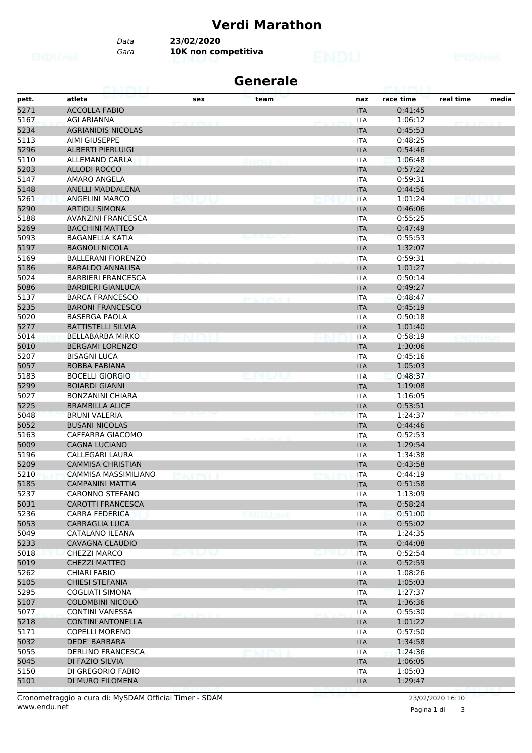# **Verdi Marathon**

*Data* **23/02/2020**

*Gara* **10K non competitiva**

| <b>Generale</b><br>63. HALL |                                             |                                       |                  |            |                    |                    |  |  |  |  |  |
|-----------------------------|---------------------------------------------|---------------------------------------|------------------|------------|--------------------|--------------------|--|--|--|--|--|
| pett.                       | atleta                                      | sex                                   | team             | naz        | race time          | real time<br>media |  |  |  |  |  |
| 5271                        | <b>ACCOLLA FABIO</b>                        |                                       |                  | <b>ITA</b> | 0:41:45            |                    |  |  |  |  |  |
| 5167                        | AGI ARIANNA                                 | <b><i><i><b>RIVERSITY</b></i></i></b> |                  | ITA        | 1:06:12            |                    |  |  |  |  |  |
| 5234                        | <b>AGRIANIDIS NICOLAS</b>                   |                                       |                  | <b>ITA</b> | 0:45:53            |                    |  |  |  |  |  |
| 5113                        | <b>AIMI GIUSEPPE</b>                        |                                       |                  | ITA        | 0:48:25            |                    |  |  |  |  |  |
| 5296                        | <b>ALBERTI PIERLUIGI</b>                    |                                       |                  | <b>ITA</b> | 0:54:46            |                    |  |  |  |  |  |
| 5110                        | <b>ALLEMAND CARLA</b>                       |                                       |                  | ITA        | 1:06:48            |                    |  |  |  |  |  |
| 5203                        | <b>ALLODI ROCCO</b>                         |                                       |                  | <b>ITA</b> | 0:57:22            |                    |  |  |  |  |  |
| 5147                        | AMARO ANGELA                                |                                       |                  | <b>ITA</b> | 0:59:31            |                    |  |  |  |  |  |
| 5148                        | ANELLI MADDALENA                            |                                       |                  | <b>ITA</b> | 0:44:56            |                    |  |  |  |  |  |
| 5261                        | <b>ANGELINI MARCO</b>                       |                                       |                  | <b>ITA</b> | 1:01:24            |                    |  |  |  |  |  |
| 5290                        | <b>ARTIOLI SIMONA</b>                       |                                       |                  | <b>ITA</b> | 0:46:06            |                    |  |  |  |  |  |
| 5188                        | <b>AVANZINI FRANCESCA</b>                   |                                       |                  | <b>ITA</b> | 0:55:25            |                    |  |  |  |  |  |
| 5269                        | <b>BACCHINI MATTEO</b>                      |                                       |                  | <b>ITA</b> | 0:47:49            |                    |  |  |  |  |  |
| 5093                        | <b>BAGANELLA KATIA</b>                      |                                       |                  | ITA        | 0:55:53            |                    |  |  |  |  |  |
| 5197                        | <b>BAGNOLI NICOLA</b>                       |                                       |                  | <b>ITA</b> | 1:32:07            |                    |  |  |  |  |  |
| 5169                        | <b>BALLERANI FIORENZO</b>                   |                                       |                  | <b>ITA</b> | 0:59:31            |                    |  |  |  |  |  |
| 5186                        | <b>BARALDO ANNALISA</b>                     |                                       |                  | <b>ITA</b> | 1:01:27            |                    |  |  |  |  |  |
| 5024                        | <b>BARBIERI FRANCESCA</b>                   |                                       |                  | <b>ITA</b> | 0:50:14            |                    |  |  |  |  |  |
| 5086                        | <b>BARBIERI GIANLUCA</b>                    |                                       |                  | <b>ITA</b> | 0:49:27            |                    |  |  |  |  |  |
| 5137                        | <b>BARCA FRANCESCO</b>                      |                                       |                  | <b>ITA</b> | 0:48:47            |                    |  |  |  |  |  |
| 5235                        | <b>BARONI FRANCESCO</b>                     |                                       | ema a como a los | <b>ITA</b> | 0:45:19            |                    |  |  |  |  |  |
| 5020                        | <b>BASERGA PAOLA</b>                        |                                       |                  | <b>ITA</b> | 0:50:18            |                    |  |  |  |  |  |
| 5277                        | <b>BATTISTELLI SILVIA</b>                   |                                       |                  | <b>ITA</b> | 1:01:40            |                    |  |  |  |  |  |
| 5014                        | BELLABARBA MIRKO                            |                                       |                  | <b>ITA</b> | 0:58:19            |                    |  |  |  |  |  |
| 5010                        | <b>BERGAMI LORENZO</b>                      |                                       |                  | <b>ITA</b> | 1:30:06            |                    |  |  |  |  |  |
|                             |                                             |                                       |                  |            |                    |                    |  |  |  |  |  |
| 5207                        | <b>BISAGNI LUCA</b><br><b>BOBBA FABIANA</b> |                                       |                  | ITA        | 0:45:16<br>1:05:03 |                    |  |  |  |  |  |
| 5057<br>5183                |                                             |                                       |                  | <b>ITA</b> |                    |                    |  |  |  |  |  |
|                             | <b>BOCELLI GIORGIO</b>                      |                                       |                  | <b>ITA</b> | 0:48:37            |                    |  |  |  |  |  |
| 5299                        | <b>BOIARDI GIANNI</b>                       |                                       |                  | <b>ITA</b> | 1:19:08            |                    |  |  |  |  |  |
| 5027                        | <b>BONZANINI CHIARA</b>                     |                                       |                  | ITA        | 1:16:05            |                    |  |  |  |  |  |
| 5225                        | <b>BRAMBILLA ALICE</b>                      |                                       |                  | <b>ITA</b> | 0:53:51            |                    |  |  |  |  |  |
| 5048                        | <b>BRUNI VALERIA</b>                        |                                       |                  | <b>ITA</b> | 1:24:37            |                    |  |  |  |  |  |
| 5052                        | <b>BUSANI NICOLAS</b>                       |                                       |                  | <b>ITA</b> | 0:44:46            |                    |  |  |  |  |  |
| 5163                        | CAFFARRA GIACOMO                            |                                       |                  | <b>ITA</b> | 0:52:53            |                    |  |  |  |  |  |
| 5009                        | <b>CAGNA LUCIANO</b>                        |                                       |                  | <b>ITA</b> | 1:29:54            |                    |  |  |  |  |  |
| 5196                        | CALLEGARI LAURA                             |                                       |                  | ITA        | 1:34:38            |                    |  |  |  |  |  |
| 5209                        | <b>CAMMISA CHRISTIAN</b>                    |                                       |                  | <b>ITA</b> | 0:43:58            |                    |  |  |  |  |  |
| 5210                        | <b>CAMMISA MASSIMILIANO</b>                 |                                       |                  | <b>ITA</b> | 0:44:19            |                    |  |  |  |  |  |
| 5185                        | <b>CAMPANINI MATTIA</b>                     |                                       |                  | <b>ITA</b> | 0:51:58            |                    |  |  |  |  |  |
| 5237                        | <b>CARONNO STEFANO</b>                      |                                       |                  | <b>ITA</b> | 1:13:09            |                    |  |  |  |  |  |
| 5031                        | <b>CAROTTI FRANCESCA</b>                    |                                       |                  | <b>ITA</b> | 0:58:24            |                    |  |  |  |  |  |
| 5236                        | <b>CARRA FEDERICA</b>                       |                                       | NDUnel           | <b>ITA</b> | 0:51:00            |                    |  |  |  |  |  |
| 5053                        | <b>CARRAGLIA LUCA</b>                       |                                       |                  | <b>ITA</b> | 0:55:02            |                    |  |  |  |  |  |
| 5049                        | CATALANO ILEANA                             |                                       |                  | ITA        | 1:24:35            |                    |  |  |  |  |  |
| 5233                        | <b>CAVAGNA CLAUDIO</b>                      |                                       |                  | <b>ITA</b> | 0:44:08            |                    |  |  |  |  |  |
| 5018                        | <b>CHEZZI MARCO</b>                         | n la va                               |                  | <b>ITA</b> | 0:52:54            |                    |  |  |  |  |  |
| 5019                        | CHEZZI MATTEO                               |                                       |                  | <b>ITA</b> | 0:52:59            |                    |  |  |  |  |  |
| 5262                        | <b>CHIARI FABIO</b>                         |                                       |                  | ITA        | 1:08:26            |                    |  |  |  |  |  |
| 5105                        | <b>CHIESI STEFANIA</b>                      |                                       |                  | <b>ITA</b> | 1:05:03            |                    |  |  |  |  |  |
| 5295                        | <b>COGLIATI SIMONA</b>                      |                                       |                  | <b>ITA</b> | 1:27:37            |                    |  |  |  |  |  |
| 5107                        | COLOMBINI NICOLÒ                            |                                       |                  | <b>ITA</b> | 1:36:36            |                    |  |  |  |  |  |
| 5077                        | <b>CONTINI VANESSA</b>                      |                                       |                  | <b>ITA</b> | 0:55:30            |                    |  |  |  |  |  |
| 5218                        | <b>CONTINI ANTONELLA</b>                    |                                       |                  | <b>ITA</b> | 1:01:22            |                    |  |  |  |  |  |
| 5171                        | <b>COPELLI MORENO</b>                       |                                       |                  | ITA        | 0:57:50            |                    |  |  |  |  |  |
| 5032                        | <b>DEDE' BARBARA</b>                        |                                       |                  | <b>ITA</b> | 1:34:58            |                    |  |  |  |  |  |
| 5055                        | <b>DERLINO FRANCESCA</b>                    |                                       |                  | ITA        | 1:24:36            |                    |  |  |  |  |  |
| 5045                        | DI FAZIO SILVIA                             |                                       |                  | <b>ITA</b> | 1:06:05            |                    |  |  |  |  |  |
| 5150                        | DI GREGORIO FABIO                           |                                       |                  | ITA        | 1:05:03            |                    |  |  |  |  |  |
| 5101                        | DI MURO FILOMENA                            |                                       |                  | <b>ITA</b> | 1:29:47            |                    |  |  |  |  |  |

Pagina 1 di 3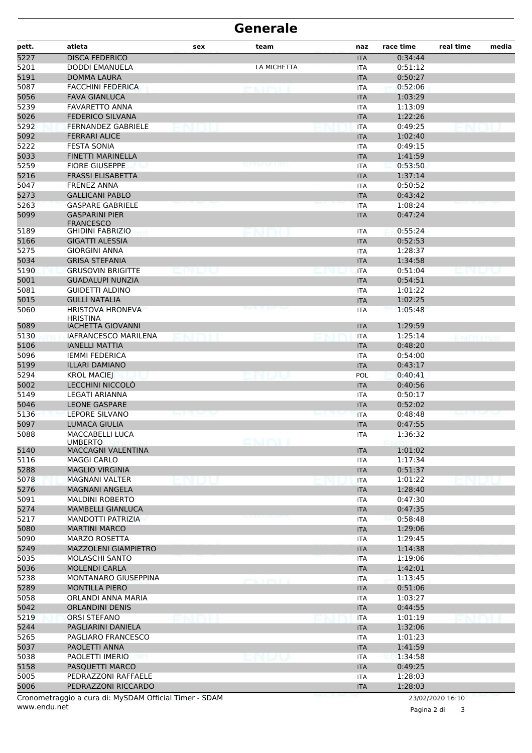| pett. | atleta                                                 | sex  | team        | naz        | race time | real time        | media |
|-------|--------------------------------------------------------|------|-------------|------------|-----------|------------------|-------|
| 5227  | <b>DISCA FEDERICO</b>                                  |      |             | <b>ITA</b> | 0:34:44   |                  |       |
| 5201  | DODDI EMANUELA                                         |      | LA MICHETTA | <b>ITA</b> | 0:51:12   |                  |       |
| 5191  | <b>DOMMA LAURA</b>                                     |      |             | <b>ITA</b> | 0:50:27   |                  |       |
| 5087  | <b>FACCHINI FEDERICA</b>                               |      | enter       | <b>ITA</b> | 0:52:06   |                  |       |
| 5056  | <b>FAVA GIANLUCA</b>                                   |      |             | <b>ITA</b> | 1:03:29   |                  |       |
| 5239  | <b>FAVARETTO ANNA</b>                                  |      |             | <b>ITA</b> | 1:13:09   |                  |       |
| 5026  | <b>FEDERICO SILVANA</b>                                |      |             | <b>ITA</b> | 1:22:26   |                  |       |
| 5292  | <b>FERNANDEZ GABRIELE</b>                              | na u |             | <b>ITA</b> | 0:49:25   |                  |       |
| 5092  | <b>FERRARI ALICE</b>                                   |      |             | <b>ITA</b> | 1:02:40   |                  |       |
| 5222  | <b>FESTA SONIA</b>                                     |      |             | <b>ITA</b> | 0:49:15   |                  |       |
| 5033  | <b>FINETTI MARINELLA</b>                               |      |             | <b>ITA</b> | 1:41:59   |                  |       |
| 5259  | <b>FIORE GIUSEPPE</b>                                  |      |             | <b>ITA</b> | 0:53:50   |                  |       |
| 5216  | <b>FRASSI ELISABETTA</b>                               |      |             | <b>ITA</b> | 1:37:14   |                  |       |
| 5047  | <b>FRENEZ ANNA</b>                                     |      |             | <b>ITA</b> | 0:50:52   |                  |       |
| 5273  | <b>GALLICANI PABLO</b>                                 |      |             | <b>ITA</b> | 0:43:42   |                  |       |
| 5263  | <b>GASPARE GABRIELE</b>                                |      |             | <b>ITA</b> | 1:08:24   |                  |       |
| 5099  | <b>GASPARINI PIER</b><br><b>FRANCESCO</b>              |      |             | <b>ITA</b> | 0:47:24   |                  |       |
| 5189  | <b>GHIDINI FABRIZIO</b>                                |      |             | <b>ITA</b> | 0:55:24   |                  |       |
| 5166  | <b>GIGATTI ALESSIA</b>                                 |      |             | <b>ITA</b> | 0:52:53   |                  |       |
| 5275  | <b>GIORGINI ANNA</b>                                   |      |             | <b>ITA</b> | 1:28:37   |                  |       |
| 5034  | <b>GRISA STEFANIA</b>                                  |      |             | <b>ITA</b> | 1:34:58   |                  |       |
| 5190  | <b>GRUSOVIN BRIGITTE</b>                               |      |             | <b>ITA</b> | 0:51:04   |                  |       |
| 5001  | <b>GUADALUPI NUNZIA</b>                                |      |             | <b>ITA</b> | 0:54:51   |                  |       |
| 5081  | <b>GUIDETTI ALDINO</b>                                 |      |             | <b>ITA</b> | 1:01:22   |                  |       |
| 5015  | <b>GULLÌ NATALIA</b>                                   |      |             | <b>ITA</b> | 1:02:25   |                  |       |
| 5060  | <b>HRISTOVA HRONEVA</b><br><b>HRISTINA</b>             |      |             | <b>ITA</b> | 1:05:48   |                  |       |
| 5089  | <b>IACHETTA GIOVANNI</b>                               |      |             | <b>ITA</b> | 1:29:59   |                  |       |
| 5130  | <b>IAFRANCESCO MARILENA</b>                            |      |             | <b>ITA</b> | 1:25:14   | ENDITH           |       |
| 5106  | <b>IANELLI MATTIA</b>                                  |      |             | <b>ITA</b> | 0:48:20   |                  |       |
| 5096  | <b>IEMMI FEDERICA</b>                                  |      |             | <b>ITA</b> | 0:54:00   |                  |       |
| 5199  | <b>ILLARI DAMIANO</b>                                  |      |             | <b>ITA</b> | 0:43:17   |                  |       |
| 5294  | <b>KROL MACIEJ</b>                                     |      |             | POL        | 0:40:41   |                  |       |
| 5002  | LECCHINI NICCOLÒ                                       |      |             | <b>ITA</b> | 0:40:56   |                  |       |
| 5149  | <b>LEGATI ARIANNA</b>                                  |      |             | <b>ITA</b> | 0:50:17   |                  |       |
| 5046  | <b>LEONE GASPARE</b>                                   |      |             | <b>ITA</b> | 0:52:02   |                  |       |
| 5136  | <b>LEPORE SILVANO</b>                                  |      |             | <b>ITA</b> | 0:48:48   |                  |       |
| 5097  | <b>LUMACA GIULIA</b>                                   |      |             | <b>ITA</b> | 0:47:55   |                  |       |
| 5088  | <b>MACCABELLI LUCA</b><br><b>UMBERTO</b>               |      |             | <b>ITA</b> | 1:36:32   |                  |       |
| 5140  | <b>MACCAGNI VALENTINA</b>                              |      |             | <b>ITA</b> | 1:01:02   |                  |       |
| 5116  | MAGGI CARLO                                            |      |             | <b>ITA</b> | 1:17:34   |                  |       |
| 5288  | <b>MAGLIO VIRGINIA</b>                                 |      |             | <b>ITA</b> | 0:51:37   |                  |       |
| 5078  | <b>MAGNANI VALTER</b>                                  |      |             | <b>ITA</b> | 1:01:22   |                  |       |
| 5276  | <b>MAGNANI ANGELA</b>                                  |      |             | <b>ITA</b> | 1:28:40   |                  |       |
| 5091  | <b>MALDINI ROBERTO</b>                                 |      |             | <b>ITA</b> | 0:47:30   |                  |       |
| 5274  | <b>MAMBELLI GIANLUCA</b>                               |      |             | <b>ITA</b> | 0:47:35   |                  |       |
| 5217  | MANDOTTI PATRIZIA                                      |      |             | <b>ITA</b> | 0:58:48   |                  |       |
| 5080  | <b>MARTINI MARCO</b>                                   |      |             | <b>ITA</b> | 1:29:06   |                  |       |
| 5090  | MARZO ROSETTA                                          |      |             | <b>ITA</b> | 1:29:45   |                  |       |
| 5249  | MAZZOLENI GIAMPIETRO                                   |      |             | <b>ITA</b> | 1:14:38   |                  |       |
| 5035  | MOLASCHI SANTO                                         |      |             | <b>ITA</b> | 1:19:06   |                  |       |
| 5036  | <b>MOLENDI CARLA</b>                                   |      |             | <b>ITA</b> | 1:42:01   |                  |       |
| 5238  | MONTANARO GIUSEPPINA                                   |      |             | <b>ITA</b> | 1:13:45   |                  |       |
| 5289  | <b>MONTILLA PIERO</b>                                  |      |             | <b>ITA</b> | 0:51:06   |                  |       |
| 5058  | ORLANDI ANNA MARIA                                     |      |             | <b>ITA</b> | 1:03:27   |                  |       |
| 5042  | <b>ORLANDINI DENIS</b>                                 |      |             | <b>ITA</b> | 0:44:55   |                  |       |
| 5219  | <b>ORSI STEFANO</b>                                    |      |             | <b>ITA</b> | 1:01:19   |                  |       |
| 5244  | PAGLIARINI DANIELA                                     |      |             | <b>ITA</b> | 1:32:06   |                  |       |
| 5265  | PAGLIARO FRANCESCO                                     |      |             | ITA        | 1:01:23   |                  |       |
| 5037  | PAOLETTI ANNA                                          |      |             | <b>ITA</b> | 1:41:59   |                  |       |
| 5038  | PAOLETTI IMERIO                                        |      |             | <b>ITA</b> | 1:34:58   |                  |       |
| 5158  | PASQUETTI MARCO                                        |      |             | <b>ITA</b> | 0:49:25   |                  |       |
| 5005  | PEDRAZZONI RAFFAELE                                    |      |             | <b>ITA</b> | 1:28:03   |                  |       |
| 5006  | PEDRAZZONI RICCARDO                                    |      |             | <b>ITA</b> | 1:28:03   |                  |       |
|       | Cronometraggio a cura di: MySDAM Official Timer - SDAM |      |             |            |           | 23/02/2020 16:10 |       |

www.endu.netس<br>www.endu.net

Pagina 2 di 3